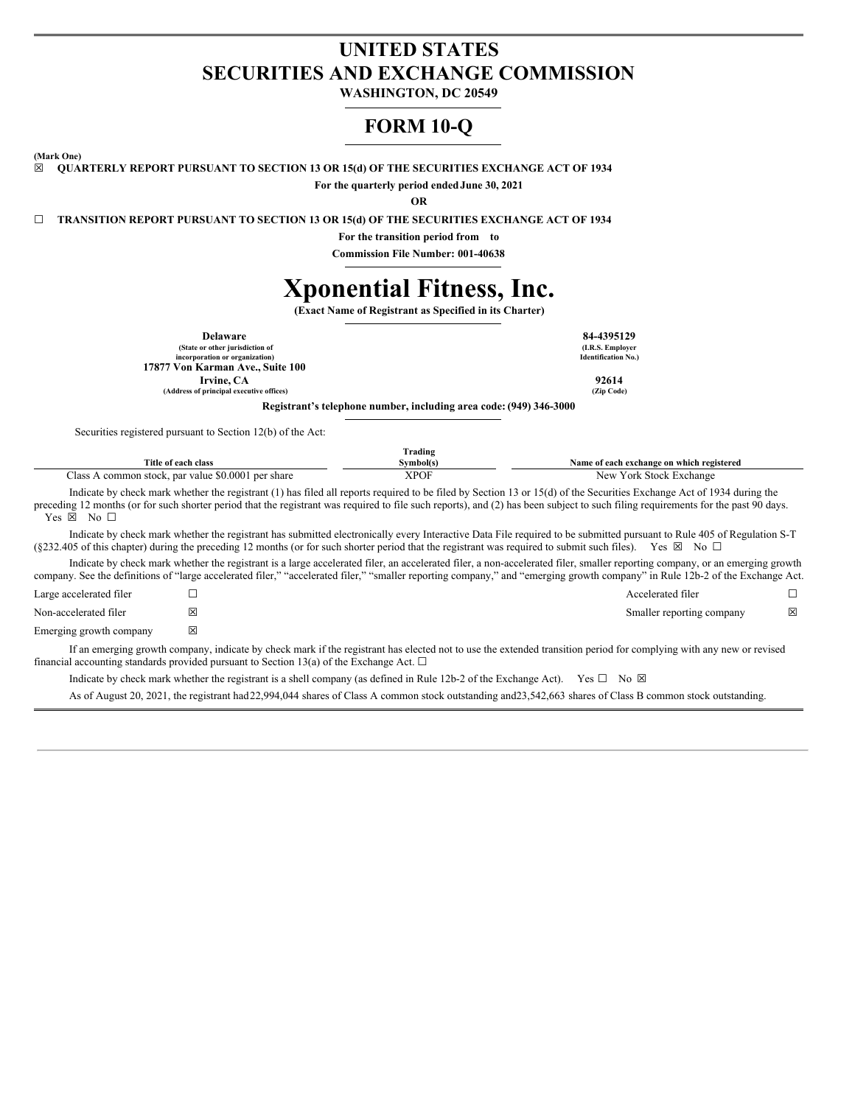# **UNITED STATES SECURITIES AND EXCHANGE COMMISSION**

**WASHINGTON, DC 20549**

## **FORM 10-Q**

**(Mark One)**

**☒ QUARTERLY REPORT PURSUANT TO SECTION 13 OR 15(d) OF THE SECURITIES EXCHANGE ACT OF 1934**

**For the quarterly period endedJune 30, 2021**

**OR**

**☐ TRANSITION REPORT PURSUANT TO SECTION 13 OR 15(d) OF THE SECURITIES EXCHANGE ACT OF 1934**

**For the transition period from to**

**Commission File Number: 001-40638**

# **Xponential Fitness, Inc.**

**(Exact Name of Registrant as Specified in its Charter)**

| <b>Delaware</b>                                                                               |                                                                                                                                                                            | 84-4395129                                                                                                                                                                                                                                                                                                                                                   |   |
|-----------------------------------------------------------------------------------------------|----------------------------------------------------------------------------------------------------------------------------------------------------------------------------|--------------------------------------------------------------------------------------------------------------------------------------------------------------------------------------------------------------------------------------------------------------------------------------------------------------------------------------------------------------|---|
| (State or other jurisdiction of<br>incorporation or organization)                             |                                                                                                                                                                            | (I.R.S. Employer<br><b>Identification No.)</b>                                                                                                                                                                                                                                                                                                               |   |
| 17877 Von Karman Ave., Suite 100                                                              |                                                                                                                                                                            |                                                                                                                                                                                                                                                                                                                                                              |   |
| Irvine, CA                                                                                    |                                                                                                                                                                            | 92614                                                                                                                                                                                                                                                                                                                                                        |   |
| (Address of principal executive offices)                                                      |                                                                                                                                                                            | (Zip Code)                                                                                                                                                                                                                                                                                                                                                   |   |
|                                                                                               | Registrant's telephone number, including area code: (949) 346-3000                                                                                                         |                                                                                                                                                                                                                                                                                                                                                              |   |
| Securities registered pursuant to Section 12(b) of the Act:                                   |                                                                                                                                                                            |                                                                                                                                                                                                                                                                                                                                                              |   |
| Title of each class                                                                           | Trading<br>Symbol(s)                                                                                                                                                       | Name of each exchange on which registered                                                                                                                                                                                                                                                                                                                    |   |
| Class A common stock, par value \$0.0001 per share                                            | <b>XPOF</b>                                                                                                                                                                | New York Stock Exchange                                                                                                                                                                                                                                                                                                                                      |   |
| Yes $\boxtimes$ No $\square$                                                                  |                                                                                                                                                                            | Indicate by check mark whether the registrant (1) has filed all reports required to be filed by Section 13 or 15(d) of the Securities Exchange Act of 1934 during the<br>preceding 12 months (or for such shorter period that the registrant was required to file such reports), and (2) has been subject to such filing requirements for the past 90 days.  |   |
|                                                                                               | (§232.405 of this chapter) during the preceding 12 months (or for such shorter period that the registrant was required to submit such files). Yes $\boxtimes$ No $\square$ | Indicate by check mark whether the registrant has submitted electronically every Interactive Data File required to be submitted pursuant to Rule 405 of Regulation S-T                                                                                                                                                                                       |   |
|                                                                                               |                                                                                                                                                                            | Indicate by check mark whether the registrant is a large accelerated filer, an accelerated filer, a non-accelerated filer, smaller reporting company, or an emerging growth<br>company. See the definitions of "large accelerated filer," "accelerated filer," "smaller reporting company," and "emerging growth company" in Rule 12b-2 of the Exchange Act. |   |
| Large accelerated filer<br>Ш                                                                  |                                                                                                                                                                            | Accelerated filer                                                                                                                                                                                                                                                                                                                                            | □ |
| ⊠<br>Non-accelerated filer                                                                    |                                                                                                                                                                            | Smaller reporting company                                                                                                                                                                                                                                                                                                                                    | ⊠ |
| $\boxtimes$<br>Emerging growth company                                                        |                                                                                                                                                                            |                                                                                                                                                                                                                                                                                                                                                              |   |
| financial accounting standards provided pursuant to Section 13(a) of the Exchange Act. $\Box$ |                                                                                                                                                                            | If an emerging growth company, indicate by check mark if the registrant has elected not to use the extended transition period for complying with any new or revised                                                                                                                                                                                          |   |
|                                                                                               | Indicate by check mark whether the registrant is a shell company (as defined in Rule 12b-2 of the Exchange Act). Yes $\Box$ No $\boxtimes$                                 |                                                                                                                                                                                                                                                                                                                                                              |   |

As of August 20, 2021, the registrant had22,994,044 shares of Class A common stock outstanding and23,542,663 shares of Class B common stock outstanding.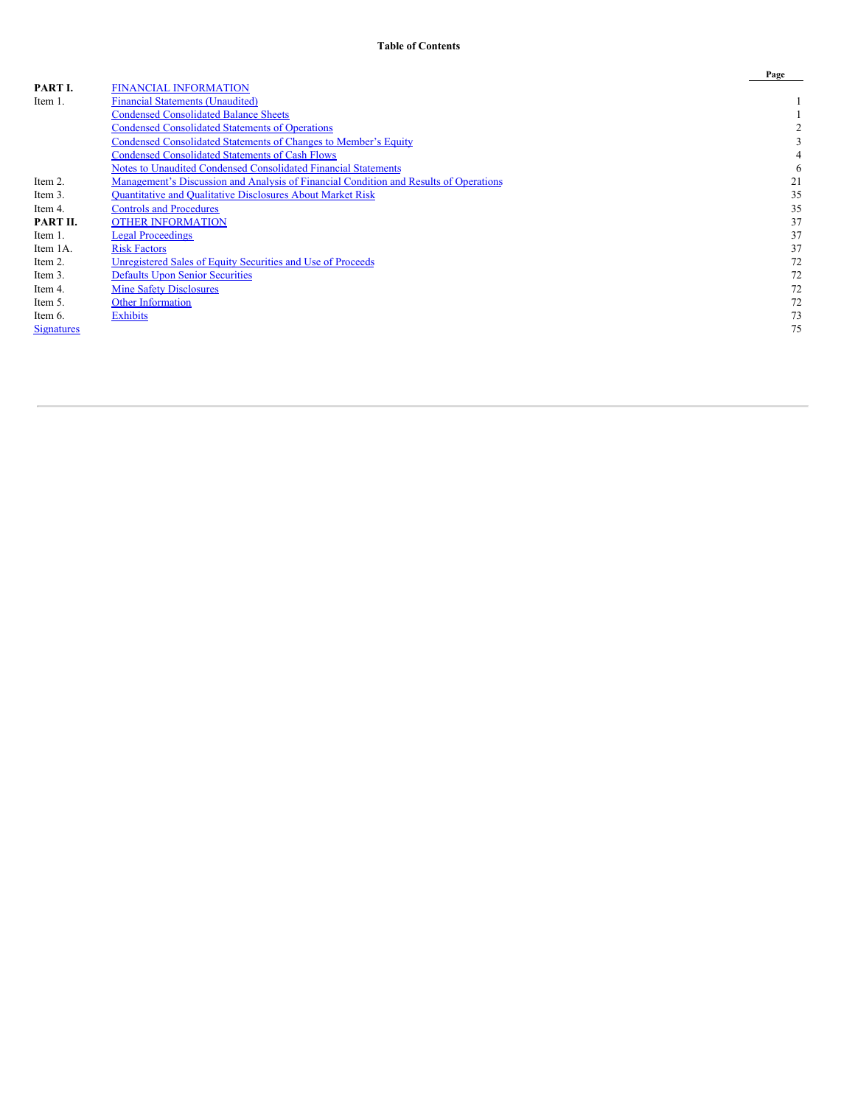|                   |                                                                                       | Page |
|-------------------|---------------------------------------------------------------------------------------|------|
| PART I.           | <b>FINANCIAL INFORMATION</b>                                                          |      |
| Item 1.           | <b>Financial Statements (Unaudited)</b>                                               |      |
|                   | <b>Condensed Consolidated Balance Sheets</b>                                          |      |
|                   | <b>Condensed Consolidated Statements of Operations</b>                                |      |
|                   | Condensed Consolidated Statements of Changes to Member's Equity                       |      |
|                   | <b>Condensed Consolidated Statements of Cash Flows</b>                                |      |
|                   | <b>Notes to Unaudited Condensed Consolidated Financial Statements</b>                 | 6    |
| Item 2.           | Management's Discussion and Analysis of Financial Condition and Results of Operations | 21   |
| Item 3.           | <b>Quantitative and Qualitative Disclosures About Market Risk</b>                     | 35   |
| Item 4.           | <b>Controls and Procedures</b>                                                        | 35   |
| PART II.          | <b>OTHER INFORMATION</b>                                                              | 37   |
| Item 1.           | <b>Legal Proceedings</b>                                                              | 37   |
| Item 1A.          | <b>Risk Factors</b>                                                                   | 37   |
| Item 2.           | Unregistered Sales of Equity Securities and Use of Proceeds                           | 72   |
| Item 3.           | <b>Defaults Upon Senior Securities</b>                                                | 72   |
| Item 4.           | <b>Mine Safety Disclosures</b>                                                        | 72   |
| Item 5.           | <b>Other Information</b>                                                              | 72   |
| Item 6.           | <b>Exhibits</b>                                                                       | 73   |
| <b>Signatures</b> |                                                                                       | 75   |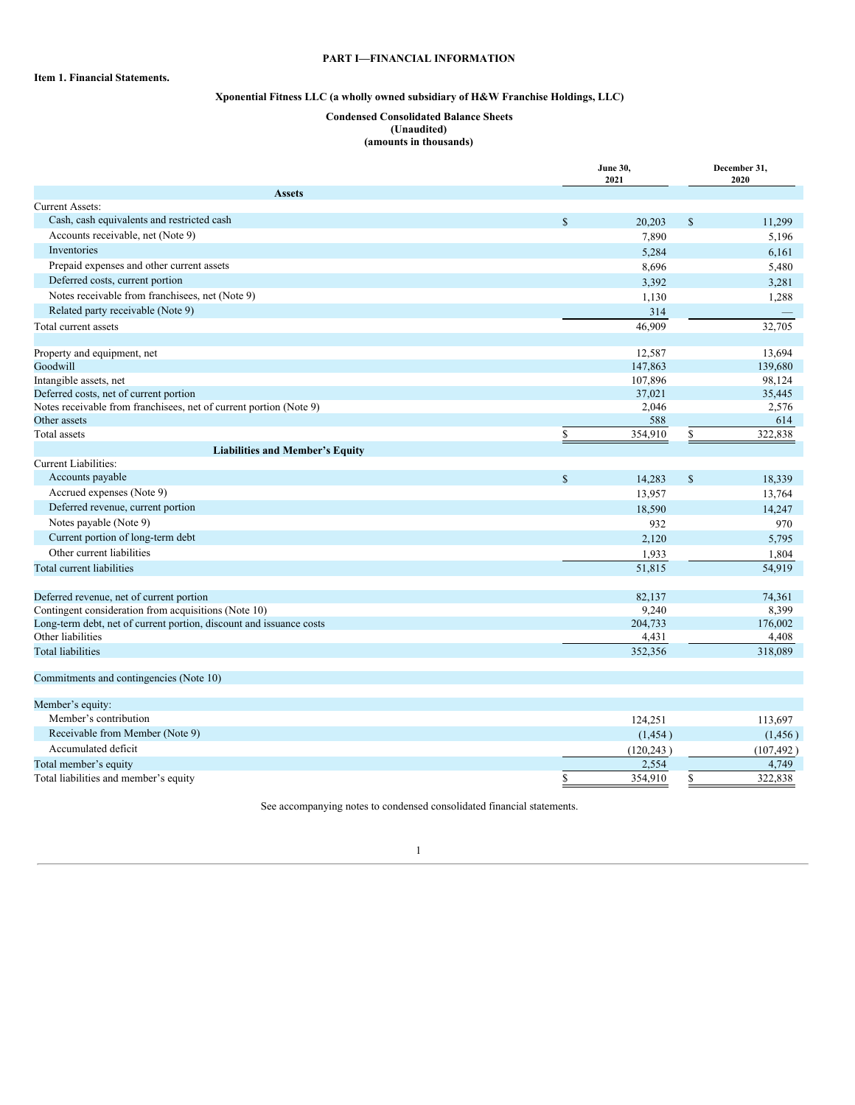## **PART I—FINANCIAL INFORMATION**

## <span id="page-2-2"></span><span id="page-2-1"></span><span id="page-2-0"></span>**Item 1. Financial Statements.**

## **Xponential Fitness LLC (a wholly owned subsidiary of H&W Franchise Holdings, LLC)**

## **Condensed Consolidated Balance Sheets (Unaudited)**

#### **(amounts in thousands)**

|                                                                     | <b>June 30,</b><br>2021 |            |              | December 31, |
|---------------------------------------------------------------------|-------------------------|------------|--------------|--------------|
| <b>Assets</b>                                                       |                         |            |              | 2020         |
| <b>Current Assets:</b>                                              |                         |            |              |              |
| Cash, cash equivalents and restricted cash                          | $\mathbf S$             | 20,203     | $\mathbb{S}$ | 11,299       |
| Accounts receivable, net (Note 9)                                   |                         | 7,890      |              | 5,196        |
| Inventories                                                         |                         | 5,284      |              | 6,161        |
| Prepaid expenses and other current assets                           |                         | 8,696      |              | 5,480        |
| Deferred costs, current portion                                     |                         | 3,392      |              | 3,281        |
| Notes receivable from franchisees, net (Note 9)                     |                         | 1,130      |              | 1,288        |
| Related party receivable (Note 9)                                   |                         | 314        |              |              |
| Total current assets                                                |                         | 46.909     |              | 32,705       |
|                                                                     |                         |            |              |              |
| Property and equipment, net                                         |                         | 12,587     |              | 13,694       |
| Goodwill                                                            |                         | 147,863    |              | 139,680      |
| Intangible assets, net                                              |                         | 107,896    |              | 98,124       |
| Deferred costs, net of current portion                              |                         | 37,021     |              | 35,445       |
| Notes receivable from franchisees, net of current portion (Note 9)  |                         | 2,046      |              | 2,576        |
| Other assets                                                        |                         | 588        |              | 614          |
| Total assets                                                        | $\mathbf S$             | 354,910    | \$           | 322,838      |
| <b>Liabilities and Member's Equity</b>                              |                         |            |              |              |
| <b>Current Liabilities:</b>                                         |                         |            |              |              |
| Accounts payable                                                    | $\mathbf S$             | 14,283     | $\mathbb{S}$ | 18,339       |
| Accrued expenses (Note 9)                                           |                         | 13,957     |              | 13,764       |
| Deferred revenue, current portion                                   |                         | 18,590     |              | 14,247       |
| Notes payable (Note 9)                                              |                         | 932        |              | 970          |
| Current portion of long-term debt                                   |                         | 2,120      |              | 5,795        |
| Other current liabilities                                           |                         | 1,933      |              | 1,804        |
| Total current liabilities                                           |                         | 51,815     |              | 54,919       |
|                                                                     |                         |            |              |              |
| Deferred revenue, net of current portion                            |                         | 82,137     |              | 74,361       |
| Contingent consideration from acquisitions (Note 10)                |                         | 9,240      |              | 8,399        |
| Long-term debt, net of current portion, discount and issuance costs |                         | 204,733    |              | 176,002      |
| Other liabilities                                                   |                         | 4,431      |              | 4,408        |
| <b>Total liabilities</b>                                            |                         | 352,356    |              | 318,089      |
| Commitments and contingencies (Note 10)                             |                         |            |              |              |
|                                                                     |                         |            |              |              |
| Member's equity:                                                    |                         |            |              |              |
| Member's contribution                                               |                         | 124,251    |              | 113,697      |
| Receivable from Member (Note 9)                                     |                         | (1, 454)   |              | (1, 456)     |
| Accumulated deficit                                                 |                         | (120, 243) |              | (107, 492)   |
| Total member's equity                                               |                         | 2,554      |              | 4,749        |
| Total liabilities and member's equity                               | \$                      | 354,910    | \$           | 322,838      |

See accompanying notes to condensed consolidated financial statements.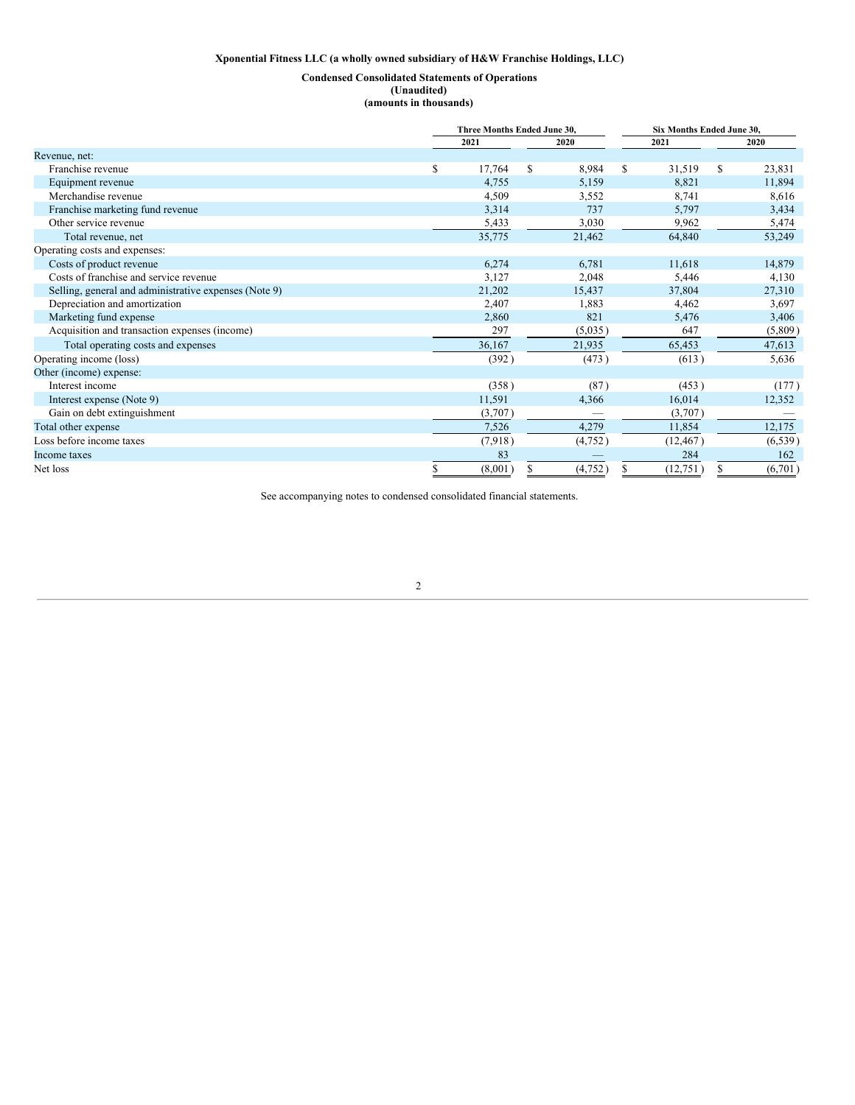#### **Condensed Consolidated Statements of Operations**

**(Unaudited)**

**(amounts in thousands)**

<span id="page-3-0"></span>

|                                                       | <b>Three Months Ended June 30.</b> |   |          | <b>Six Months Ended June 30.</b> |           |    |          |  |
|-------------------------------------------------------|------------------------------------|---|----------|----------------------------------|-----------|----|----------|--|
|                                                       | 2021                               |   | 2020     |                                  | 2021      |    | 2020     |  |
| Revenue, net:                                         |                                    |   |          |                                  |           |    |          |  |
| Franchise revenue                                     | \$<br>17,764                       | S | 8,984    | S                                | 31,519    | S. | 23,831   |  |
| Equipment revenue                                     | 4,755                              |   | 5,159    |                                  | 8,821     |    | 11,894   |  |
| Merchandise revenue                                   | 4,509                              |   | 3,552    |                                  | 8,741     |    | 8,616    |  |
| Franchise marketing fund revenue                      | 3,314                              |   | 737      |                                  | 5,797     |    | 3,434    |  |
| Other service revenue                                 | 5,433                              |   | 3,030    |                                  | 9,962     |    | 5,474    |  |
| Total revenue, net                                    | 35,775                             |   | 21,462   |                                  | 64,840    |    | 53,249   |  |
| Operating costs and expenses:                         |                                    |   |          |                                  |           |    |          |  |
| Costs of product revenue                              | 6,274                              |   | 6,781    |                                  | 11,618    |    | 14,879   |  |
| Costs of franchise and service revenue                | 3,127                              |   | 2,048    |                                  | 5,446     |    | 4,130    |  |
| Selling, general and administrative expenses (Note 9) | 21,202                             |   | 15,437   |                                  | 37,804    |    | 27,310   |  |
| Depreciation and amortization                         | 2,407                              |   | 1,883    |                                  | 4,462     |    | 3,697    |  |
| Marketing fund expense                                | 2,860                              |   | 821      |                                  | 5,476     |    | 3,406    |  |
| Acquisition and transaction expenses (income)         | 297                                |   | (5,035)  |                                  | 647       |    | (5,809)  |  |
| Total operating costs and expenses                    | 36,167                             |   | 21,935   |                                  | 65,453    |    | 47,613   |  |
| Operating income (loss)                               | (392)                              |   | (473)    |                                  | (613)     |    | 5,636    |  |
| Other (income) expense:                               |                                    |   |          |                                  |           |    |          |  |
| Interest income                                       | (358)                              |   | (87)     |                                  | (453)     |    | (177)    |  |
| Interest expense (Note 9)                             | 11,591                             |   | 4,366    |                                  | 16,014    |    | 12,352   |  |
| Gain on debt extinguishment                           | (3,707)                            |   |          |                                  | (3,707)   |    |          |  |
| Total other expense                                   | 7,526                              |   | 4,279    |                                  | 11,854    |    | 12,175   |  |
| Loss before income taxes                              | (7,918)                            |   | (4,752)  |                                  | (12, 467) |    | (6, 539) |  |
| Income taxes                                          | 83                                 |   |          |                                  | 284       |    | 162      |  |
| Net loss                                              | (8,001)                            | S | (4, 752) |                                  | (12, 751) |    | (6,701)  |  |

See accompanying notes to condensed consolidated financial statements.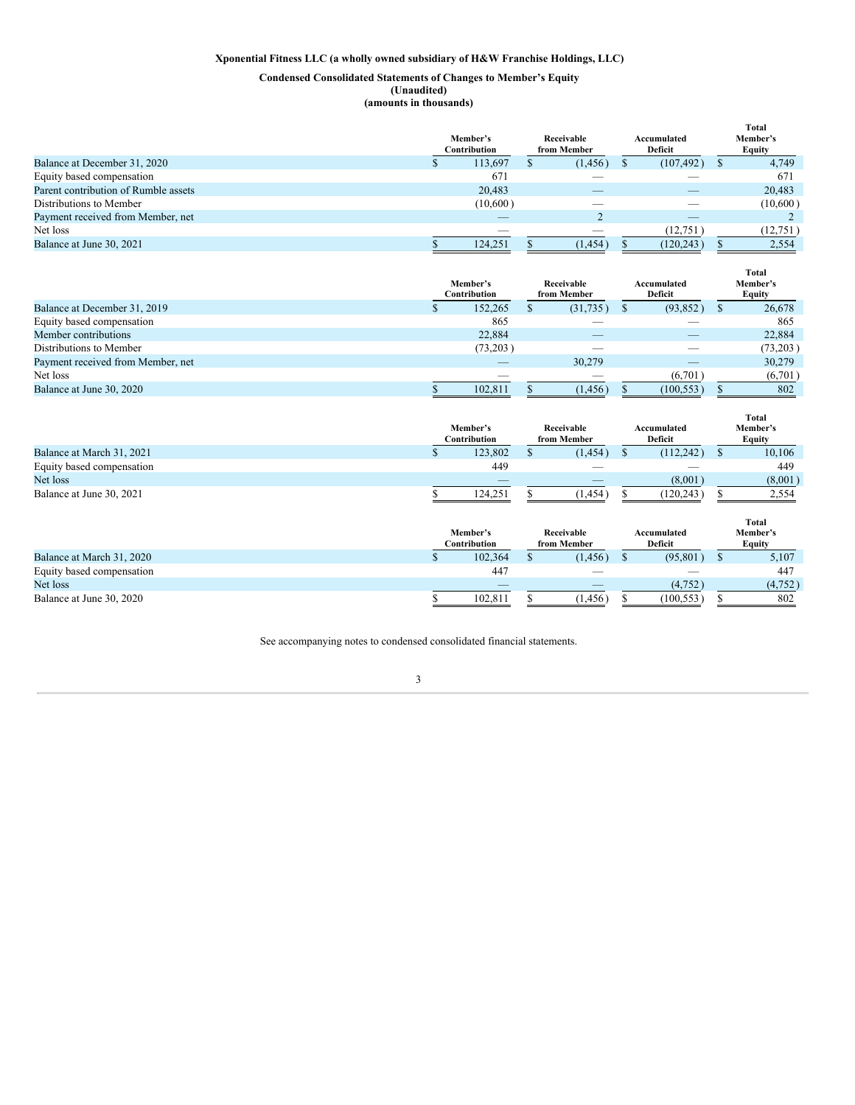#### **Condensed Consolidated Statements of Changes to Member's Equity**

**(Unaudited)**

**(amounts in thousands)**

<span id="page-4-0"></span>

|                                      |              |             |             | <b>Total</b>  |
|--------------------------------------|--------------|-------------|-------------|---------------|
|                                      | Member's     | Receivable  | Accumulated | Member's      |
|                                      | Contribution | from Member | Deficit     | <b>Equity</b> |
| Balance at December 31, 2020         | 113,697      | (1, 456)    | (107, 492)  | 4,749         |
| Equity based compensation            | 671          |             |             | 671           |
| Parent contribution of Rumble assets | 20,483       |             |             | 20,483        |
| Distributions to Member              | (10,600)     |             |             | (10,600)      |
| Payment received from Member, net    |              |             | _           |               |
| Net loss                             |              |             | (12,751)    | (12,751)      |
| Balance at June 30, 2021             | 124.251      | (1, 454)    | (120, 243)  | 2,554         |

|                                   | Member's<br>Contribution | Receivable<br>from Member | Accumulated<br>Deficit   | Total<br>Member's<br><b>Equity</b> |
|-----------------------------------|--------------------------|---------------------------|--------------------------|------------------------------------|
| Balance at December 31, 2019      | 152,265                  | (31,735)                  | (93, 852)                | 26,678                             |
| Equity based compensation         | 865                      |                           |                          | 865                                |
| Member contributions              | 22,884                   | $\overline{\phantom{a}}$  | $\overline{\phantom{a}}$ | 22,884                             |
| Distributions to Member           | (73,203)                 | $\overline{\phantom{a}}$  |                          | (73,203)                           |
| Payment received from Member, net |                          | 30,279                    |                          | 30,279                             |
| Net loss                          |                          |                           | (6,701)                  | (6,701)                            |
| Balance at June 30, 2020          | 102.811                  | (1, 456)                  | (100, 553)               | 802                                |

|                           | Member's<br>Contribution | Receivable<br>from Member | Accumulated<br>Deficit | Total<br>Member's<br><b>Equity</b> |
|---------------------------|--------------------------|---------------------------|------------------------|------------------------------------|
| Balance at March 31, 2021 | 123,802                  | (1,454)                   | (112, 242)             | 10,106                             |
| Equity based compensation | 449                      | $\overline{\phantom{a}}$  | _                      | 449                                |
| Net loss                  | $-$                      |                           | (8,001)                | (8,001)                            |
| Balance at June 30, 2021  | 124.251                  | (1, 454)                  | (120, 243)             | 2,554                              |
|                           |                          |                           |                        | Total                              |

|                           | Member's<br>Contribution | Receivable<br>from Member | Accumulated<br>Deficit   | Member's<br>Equity |
|---------------------------|--------------------------|---------------------------|--------------------------|--------------------|
| Balance at March 31, 2020 | 102.364                  | (1, 456)                  | (95, 801)                | 5,107              |
| Equity based compensation | 447                      | $\sim$                    | $\overline{\phantom{a}}$ | 447                |
| Net loss                  | $\overline{\phantom{a}}$ | $\overline{\phantom{a}}$  | (4,752)                  | (4,752)            |
| Balance at June 30, 2020  | 102.811                  | (1, 456)                  | (100, 553)               | 802                |

See accompanying notes to condensed consolidated financial statements.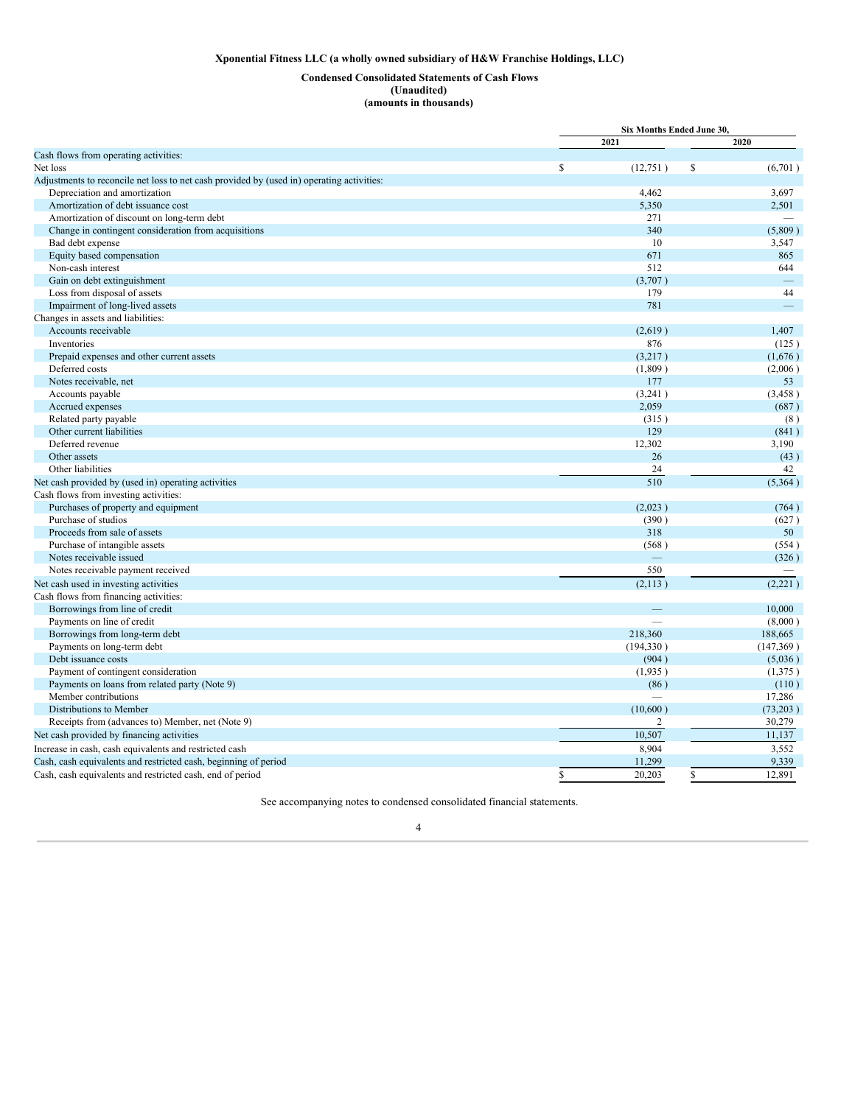#### **Condensed Consolidated Statements of Cash Flows**

**(Unaudited)**

**(amounts in thousands)**

<span id="page-5-0"></span>

|                                                                                           | <b>Six Months Ended June 30.</b> |    |               |  |  |
|-------------------------------------------------------------------------------------------|----------------------------------|----|---------------|--|--|
|                                                                                           | 2021                             |    | 2020          |  |  |
| Cash flows from operating activities:                                                     |                                  |    |               |  |  |
| Net loss                                                                                  | \$<br>(12,751)                   | \$ | (6,701)       |  |  |
| Adjustments to reconcile net loss to net cash provided by (used in) operating activities: |                                  |    |               |  |  |
| Depreciation and amortization                                                             | 4,462                            |    | 3,697         |  |  |
| Amortization of debt issuance cost                                                        | 5,350                            |    | 2,501         |  |  |
| Amortization of discount on long-term debt                                                | 271                              |    |               |  |  |
| Change in contingent consideration from acquisitions                                      | 340                              |    | (5,809)       |  |  |
| Bad debt expense                                                                          | 10                               |    | 3,547         |  |  |
| Equity based compensation                                                                 | 671                              |    | 865           |  |  |
| Non-cash interest                                                                         | 512                              |    | 644           |  |  |
| Gain on debt extinguishment                                                               | (3,707)                          |    | ÷,            |  |  |
| Loss from disposal of assets                                                              | 179                              |    | 44            |  |  |
| Impairment of long-lived assets                                                           | 781                              |    | $\frac{1}{2}$ |  |  |
| Changes in assets and liabilities:                                                        |                                  |    |               |  |  |
| Accounts receivable                                                                       | (2,619)                          |    | 1,407         |  |  |
| Inventories                                                                               | 876                              |    | (125)         |  |  |
| Prepaid expenses and other current assets                                                 | (3,217)                          |    | (1,676)       |  |  |
| Deferred costs                                                                            | (1,809)                          |    | (2,006)       |  |  |
| Notes receivable, net                                                                     | 177                              |    | 53            |  |  |
| Accounts payable                                                                          | (3,241)                          |    | (3, 458)      |  |  |
| Accrued expenses                                                                          | 2,059                            |    | (687)         |  |  |
| Related party payable                                                                     | (315)                            |    | (8)           |  |  |
| Other current liabilities                                                                 | 129                              |    | (841)         |  |  |
| Deferred revenue                                                                          | 12,302                           |    | 3,190         |  |  |
| Other assets                                                                              | 26                               |    | (43)          |  |  |
| Other liabilities                                                                         | 24                               |    | 42            |  |  |
|                                                                                           | 510                              |    | (5,364)       |  |  |
| Net cash provided by (used in) operating activities                                       |                                  |    |               |  |  |
| Cash flows from investing activities:                                                     |                                  |    |               |  |  |
| Purchases of property and equipment                                                       | (2,023)                          |    | (764)         |  |  |
| Purchase of studios                                                                       | (390)                            |    | (627)         |  |  |
| Proceeds from sale of assets                                                              | 318                              |    | 50            |  |  |
| Purchase of intangible assets                                                             | (568)                            |    | (554)         |  |  |
| Notes receivable issued                                                                   | <u>in</u>                        |    | (326)         |  |  |
| Notes receivable payment received                                                         | 550                              |    |               |  |  |
| Net cash used in investing activities                                                     | (2,113)                          |    | (2,221)       |  |  |
| Cash flows from financing activities:                                                     |                                  |    |               |  |  |
| Borrowings from line of credit                                                            | $\overline{\phantom{a}}$         |    | 10,000        |  |  |
| Payments on line of credit                                                                | $\sim$                           |    | (8,000)       |  |  |
| Borrowings from long-term debt                                                            | 218,360                          |    | 188,665       |  |  |
| Payments on long-term debt                                                                | (194, 330)                       |    | (147,369)     |  |  |
| Debt issuance costs                                                                       | (904)                            |    | (5,036)       |  |  |
| Payment of contingent consideration                                                       | (1,935)                          |    | (1,375)       |  |  |
| Payments on loans from related party (Note 9)                                             | (86)                             |    | (110)         |  |  |
| Member contributions                                                                      |                                  |    | 17,286        |  |  |
| Distributions to Member                                                                   | (10,600)                         |    | (73,203)      |  |  |
| Receipts from (advances to) Member, net (Note 9)                                          | $\overline{c}$                   |    | 30,279        |  |  |
| Net cash provided by financing activities                                                 | 10,507                           |    | 11,137        |  |  |
| Increase in cash, cash equivalents and restricted cash                                    | 8,904                            |    | 3,552         |  |  |
| Cash, cash equivalents and restricted cash, beginning of period                           | 11,299                           |    | 9,339         |  |  |
| Cash, cash equivalents and restricted cash, end of period                                 | \$<br>20,203                     | \$ | 12,891        |  |  |
|                                                                                           |                                  |    |               |  |  |

See accompanying notes to condensed consolidated financial statements.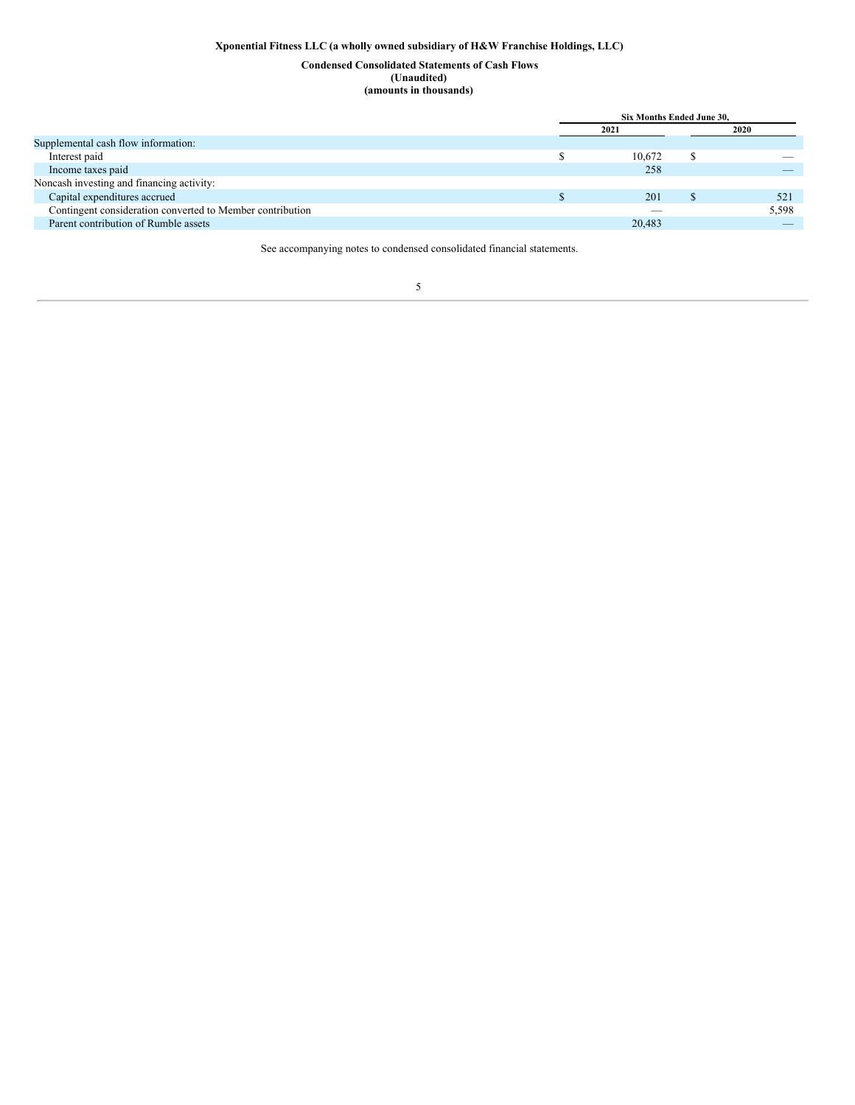## **Condensed Consolidated Statements of Cash Flows**

**(Unaudited)**

#### **(amounts in thousands)**

|                                                           | Six Months Ended June 30. |  |       |  |  |  |
|-----------------------------------------------------------|---------------------------|--|-------|--|--|--|
|                                                           | 2021                      |  | 2020  |  |  |  |
| Supplemental cash flow information:                       |                           |  |       |  |  |  |
| Interest paid                                             | 10.672                    |  |       |  |  |  |
| Income taxes paid                                         | 258                       |  |       |  |  |  |
| Noncash investing and financing activity:                 |                           |  |       |  |  |  |
| Capital expenditures accrued                              | 201                       |  | 521   |  |  |  |
| Contingent consideration converted to Member contribution |                           |  | 5,598 |  |  |  |
| Parent contribution of Rumble assets                      | 20,483                    |  |       |  |  |  |
|                                                           |                           |  |       |  |  |  |

See accompanying notes to condensed consolidated financial statements.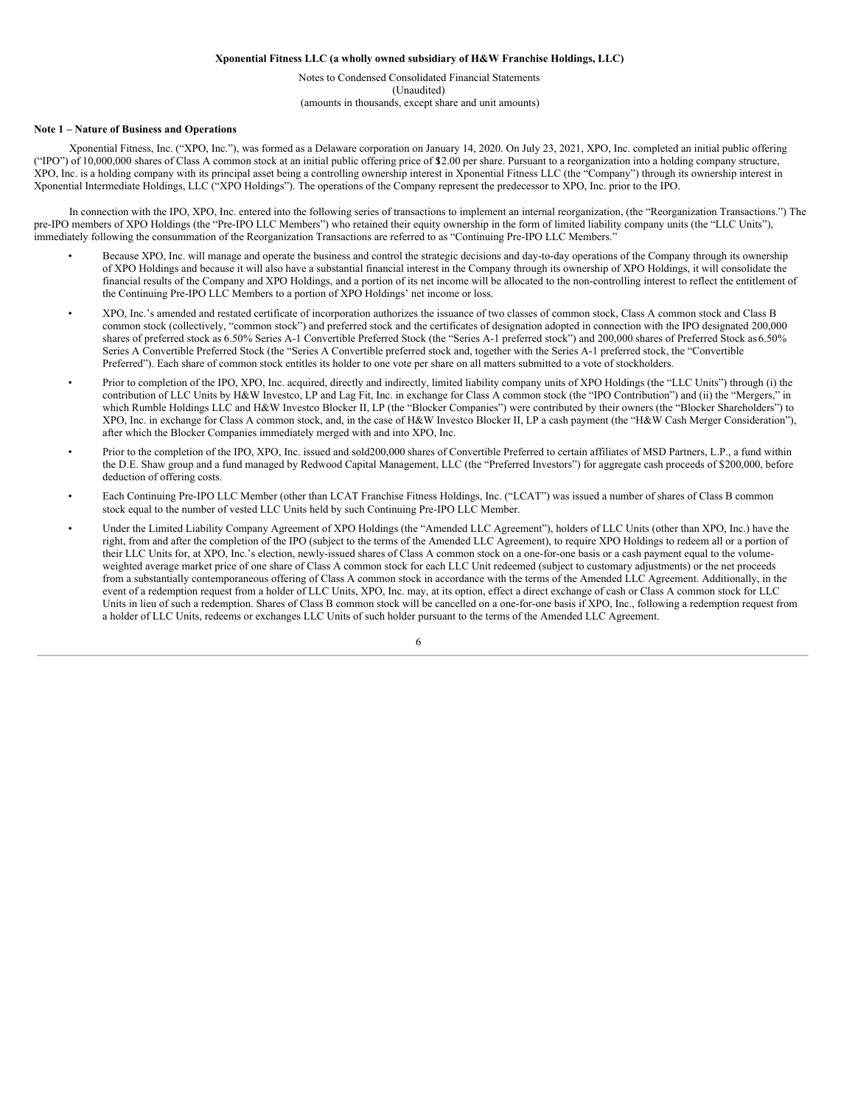Notes to Condensed Consolidated Financial Statements (Unaudited) (amounts in thousands, except share and unit amounts)

### <span id="page-7-0"></span>**Note 1 – Nature of Business and Operations**

Xponential Fitness, Inc. ("XPO, Inc."), was formed as a Delaware corporation on January 14, 2020. On July 23, 2021, XPO, Inc. completed an initial public offering ("IPO") of 10,000,000 shares of Class A common stock at an initial public offering price of \$12.00 per share. Pursuant to a reorganization into a holding company structure, XPO, Inc. is a holding company with its principal asset being a controlling ownership interest in Xponential Fitness LLC (the "Company") through its ownership interest in Xponential Intermediate Holdings, LLC ("XPO Holdings"). The operations of the Company represent the predecessor to XPO, Inc. prior to the IPO.

In connection with the IPO, XPO, Inc. entered into the following series of transactions to implement an internal reorganization, (the "Reorganization Transactions.") The pre-IPO members of XPO Holdings (the "Pre-IPO LLC Members") who retained their equity ownership in the form of limited liability company units (the "LLC Units"), immediately following the consummation of the Reorganization Transactions are referred to as "Continuing Pre-IPO LLC Members."

- Because XPO, Inc. will manage and operate the business and control the strategic decisions and day-to-day operations of the Company through its ownership of XPO Holdings and because it will also have a substantial financial interest in the Company through its ownership of XPO Holdings, it will consolidate the financial results of the Company and XPO Holdings, and a portion of its net income will be allocated to the non-controlling interest to reflect the entitlement of the Continuing Pre-IPO LLC Members to a portion of XPO Holdings' net income or loss.
- XPO, Inc.'s amended and restated certificate of incorporation authorizes the issuance of two classes of common stock, Class A common stock and Class B common stock (collectively, "common stock") and preferred stock and the certificates of designation adopted in connection with the IPO designated 200,000 shares of preferred stock as 6.50% Series A-1 Convertible Preferred Stock (the "Series A-1 preferred stock") and 200,000 shares of Preferred Stock as 6.50% Series A Convertible Preferred Stock (the "Series A Convertible preferred stock and, together with the Series A-1 preferred stock, the "Convertible Preferred"). Each share of common stock entitles its holder to one vote per share on all matters submitted to a vote of stockholders.
- Prior to completion of the IPO, XPO, Inc. acquired, directly and indirectly, limited liability company units of XPO Holdings (the "LLC Units") through (i) the contribution of LLC Units by H&W Investco, LP and Lag Fit, Inc. in exchange for Class A common stock (the "IPO Contribution") and (ii) the "Mergers," in which Rumble Holdings LLC and H&W Investco Blocker II, LP (the "Blocker Companies") were contributed by their owners (the "Blocker Shareholders") to XPO, Inc. in exchange for Class A common stock, and, in the case of H&W Investco Blocker II, LP a cash payment (the "H&W Cash Merger Consideration"), after which the Blocker Companies immediately merged with and into XPO, Inc.
- Prior to the completion of the IPO, XPO, Inc. issued and sold200,000 shares of Convertible Preferred to certain affiliates of MSD Partners, L.P., a fund within the D.E. Shaw group and a fund managed by Redwood Capital Management, LLC (the "Preferred Investors") for aggregate cash proceeds of \$200,000, before deduction of offering costs.
- Each Continuing Pre-IPO LLC Member (other than LCAT Franchise Fitness Holdings, Inc. ("LCAT") was issued a number of shares of Class B common stock equal to the number of vested LLC Units held by such Continuing Pre-IPO LLC Member.
- Under the Limited Liability Company Agreement of XPO Holdings (the "Amended LLC Agreement"), holders of LLC Units (other than XPO, Inc.) have the right, from and after the completion of the IPO (subject to the terms of the Amended LLC Agreement), to require XPO Holdings to redeem all or a portion of their LLC Units for, at XPO, Inc.'s election, newly-issued shares of Class A common stock on a one-for-one basis or a cash payment equal to the volumeweighted average market price of one share of Class A common stock for each LLC Unit redeemed (subject to customary adjustments) or the net proceeds from a substantially contemporaneous offering of Class A common stock in accordance with the terms of the Amended LLC Agreement. Additionally, in the event of a redemption request from a holder of LLC Units, XPO, Inc. may, at its option, effect a direct exchange of cash or Class A common stock for LLC Units in lieu of such a redemption. Shares of Class B common stock will be cancelled on a one-for-one basis if XPO, Inc., following a redemption request from a holder of LLC Units, redeems or exchanges LLC Units of such holder pursuant to the terms of the Amended LLC Agreement.

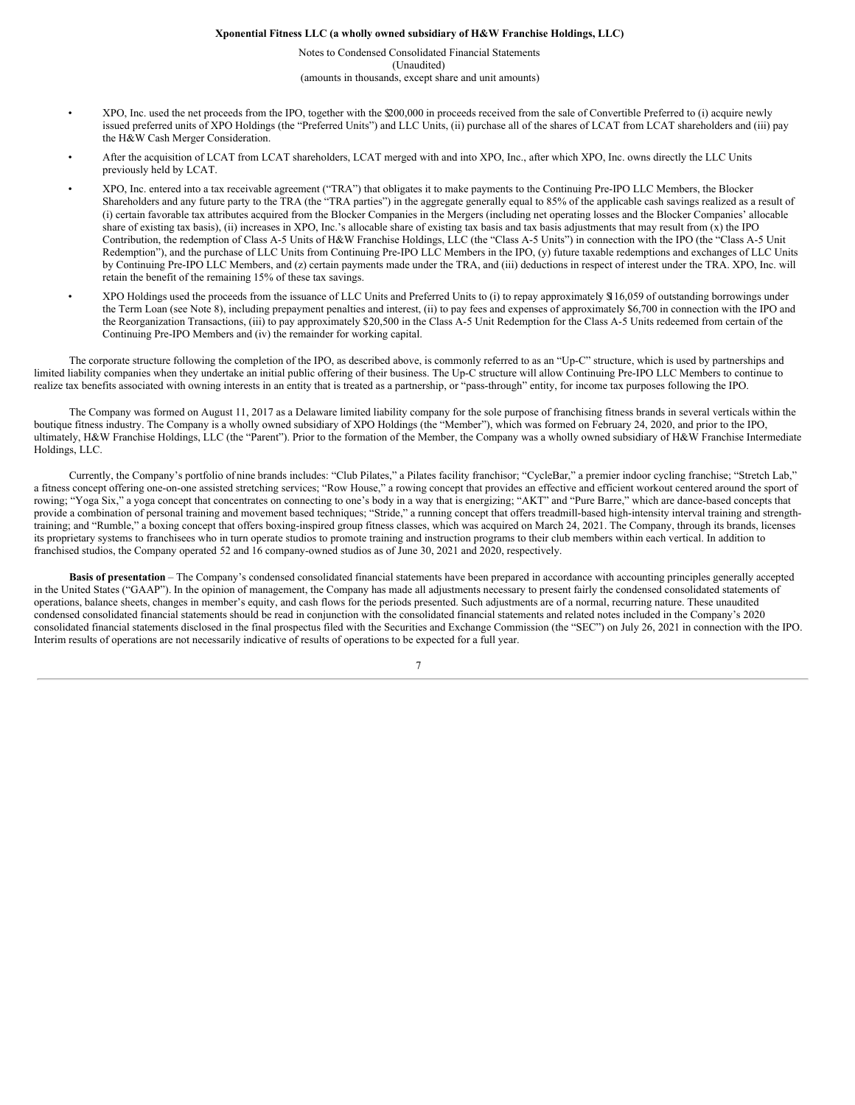Notes to Condensed Consolidated Financial Statements (Unaudited) (amounts in thousands, except share and unit amounts)

- XPO, Inc. used the net proceeds from the IPO, together with the \$200,000 in proceeds received from the sale of Convertible Preferred to (i) acquire newly issued preferred units of XPO Holdings (the "Preferred Units") and LLC Units, (ii) purchase all of the shares of LCAT from LCAT shareholders and (iii) pay the H&W Cash Merger Consideration.
- After the acquisition of LCAT from LCAT shareholders, LCAT merged with and into XPO, Inc., after which XPO, Inc. owns directly the LLC Units previously held by LCAT.
- XPO, Inc. entered into a tax receivable agreement ("TRA") that obligates it to make payments to the Continuing Pre-IPO LLC Members, the Blocker Shareholders and any future party to the TRA (the "TRA parties") in the aggregate generally equal to 85% of the applicable cash savings realized as a result of (i) certain favorable tax attributes acquired from the Blocker Companies in the Mergers (including net operating losses and the Blocker Companies' allocable share of existing tax basis), (ii) increases in XPO, Inc.'s allocable share of existing tax basis and tax basis adjustments that may result from (x) the IPO Contribution, the redemption of Class A-5 Units of H&W Franchise Holdings, LLC (the "Class A-5 Units") in connection with the IPO (the "Class A-5 Unit Redemption"), and the purchase of LLC Units from Continuing Pre-IPO LLC Members in the IPO, (y) future taxable redemptions and exchanges of LLC Units by Continuing Pre-IPO LLC Members, and (z) certain payments made under the TRA, and (iii) deductions in respect of interest under the TRA. XPO, Inc. will retain the benefit of the remaining 15% of these tax savings.
- XPO Holdings used the proceeds from the issuance of LLC Units and Preferred Units to (i) to repay approximately \$116,059 of outstanding borrowings under the Term Loan (see Note 8), including prepayment penalties and interest, (ii) to pay fees and expenses of approximately \$6,700 in connection with the IPO and the Reorganization Transactions, (iii) to pay approximately \$20,500 in the Class A-5 Unit Redemption for the Class A-5 Units redeemed from certain of the Continuing Pre-IPO Members and (iv) the remainder for working capital.

The corporate structure following the completion of the IPO, as described above, is commonly referred to as an "Up-C" structure, which is used by partnerships and limited liability companies when they undertake an initial public offering of their business. The Up-C structure will allow Continuing Pre-IPO LLC Members to continue to realize tax benefits associated with owning interests in an entity that is treated as a partnership, or "pass-through" entity, for income tax purposes following the IPO.

The Company was formed on August 11, 2017 as a Delaware limited liability company for the sole purpose of franchising fitness brands in several verticals within the boutique fitness industry. The Company is a wholly owned subsidiary of XPO Holdings (the "Member"), which was formed on February 24, 2020, and prior to the IPO, ultimately, H&W Franchise Holdings, LLC (the "Parent"). Prior to the formation of the Member, the Company was a wholly owned subsidiary of H&W Franchise Intermediate Holdings, LLC.

Currently, the Company's portfolio of nine brands includes: "Club Pilates," a Pilates facility franchisor; "CycleBar," a premier indoor cycling franchise; "Stretch Lab," a fitness concept offering one-on-one assisted stretching services; "Row House," a rowing concept that provides an effective and efficient workout centered around the sport of rowing; "Yoga Six," a yoga concept that concentrates on connecting to one's body in a way that is energizing; "AKT" and "Pure Barre," which are dance-based concepts that provide a combination of personal training and movement based techniques; "Stride," a running concept that offers treadmill-based high-intensity interval training and strengthtraining; and "Rumble," a boxing concept that offers boxing-inspired group fitness classes, which was acquired on March 24, 2021. The Company, through its brands, licenses its proprietary systems to franchisees who in turn operate studios to promote training and instruction programs to their club members within each vertical. In addition to franchised studios, the Company operated 52 and 16 company-owned studios as of June 30, 2021 and 2020, respectively.

**Basis of presentation** – The Company's condensed consolidated financial statements have been prepared in accordance with accounting principles generally accepted in the United States ("GAAP"). In the opinion of management, the Company has made all adjustments necessary to present fairly the condensed consolidated statements of operations, balance sheets, changes in member's equity, and cash flows for the periods presented. Such adjustments are of a normal, recurring nature. These unaudited condensed consolidated financial statements should be read in conjunction with the consolidated financial statements and related notes included in the Company's 2020 consolidated financial statements disclosed in the final prospectus filed with the Securities and Exchange Commission (the "SEC") on July 26, 2021 in connection with the IPO. Interim results of operations are not necessarily indicative of results of operations to be expected for a full year.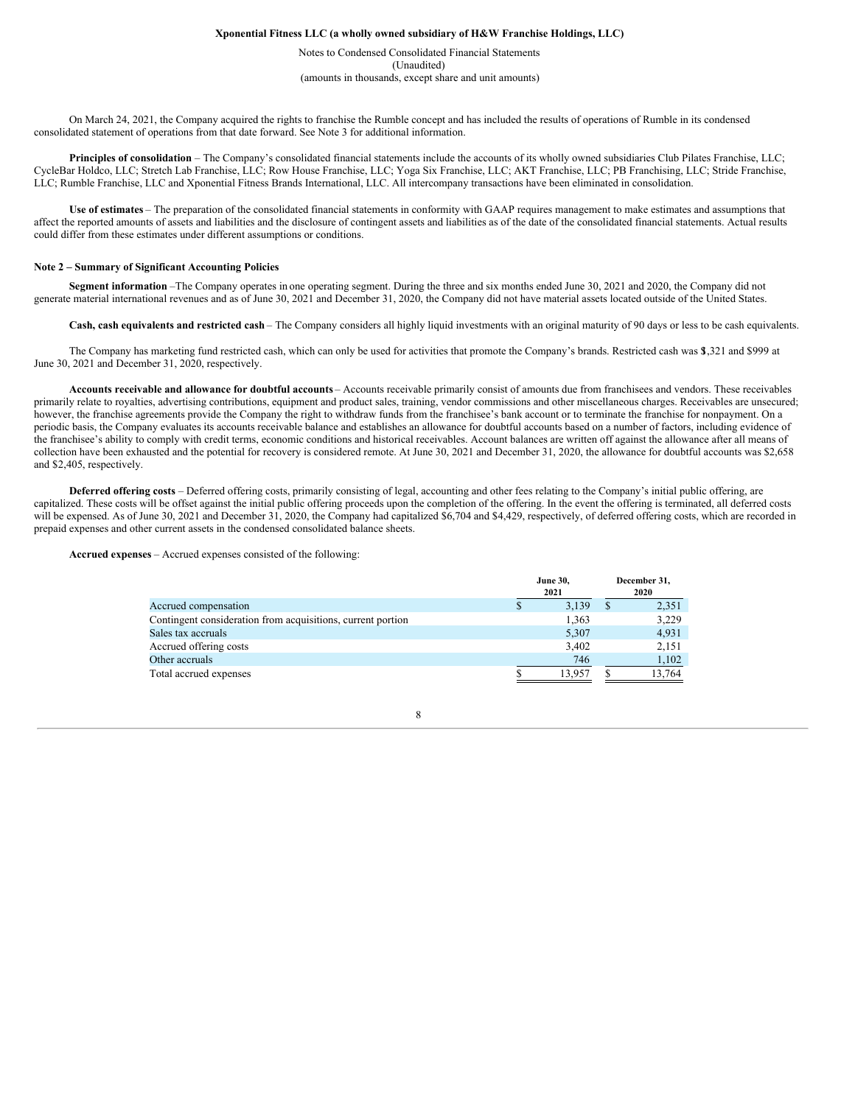Notes to Condensed Consolidated Financial Statements (Unaudited) (amounts in thousands, except share and unit amounts)

On March 24, 2021, the Company acquired the rights to franchise the Rumble concept and has included the results of operations of Rumble in its condensed consolidated statement of operations from that date forward. See Note 3 for additional information.

**Principles of consolidation** – The Company's consolidated financial statements include the accounts of its wholly owned subsidiaries Club Pilates Franchise, LLC; CycleBar Holdco, LLC; Stretch Lab Franchise, LLC; Row House Franchise, LLC; Yoga Six Franchise, LLC; AKT Franchise, LLC; PB Franchising, LLC; Stride Franchise, LLC; Rumble Franchise, LLC and Xponential Fitness Brands International, LLC. All intercompany transactions have been eliminated in consolidation.

**Use of estimates** – The preparation of the consolidated financial statements in conformity with GAAP requires management to make estimates and assumptions that affect the reported amounts of assets and liabilities and the disclosure of contingent assets and liabilities as of the date of the consolidated financial statements. Actual results could differ from these estimates under different assumptions or conditions.

## **Note 2 – Summary of Significant Accounting Policies**

**Segment information** –The Company operates in one operating segment. During the three and six months ended June 30, 2021 and 2020, the Company did not generate material international revenues and as of June 30, 2021 and December 31, 2020, the Company did not have material assets located outside of the United States.

**Cash, cash equivalents and restricted cash** – The Company considers all highly liquid investments with an original maturity of 90 days or less to be cash equivalents.

The Company has marketing fund restricted cash, which can only be used for activities that promote the Company's brands. Restricted cash was \$1,321 and \$999 at June 30, 2021 and December 31, 2020, respectively.

**Accounts receivable and allowance for doubtful accounts** – Accounts receivable primarily consist of amounts due from franchisees and vendors. These receivables primarily relate to royalties, advertising contributions, equipment and product sales, training, vendor commissions and other miscellaneous charges. Receivables are unsecured; however, the franchise agreements provide the Company the right to withdraw funds from the franchisee's bank account or to terminate the franchise for nonpayment. On a periodic basis, the Company evaluates its accounts receivable balance and establishes an allowance for doubtful accounts based on a number of factors, including evidence of the franchisee's ability to comply with credit terms, economic conditions and historical receivables. Account balances are written off against the allowance after all means of collection have been exhausted and the potential for recovery is considered remote. At June 30, 2021 and December 31, 2020, the allowance for doubtful accounts was \$2,658 and \$2,405, respectively.

**Deferred offering costs** – Deferred offering costs, primarily consisting of legal, accounting and other fees relating to the Company's initial public offering, are capitalized. These costs will be offset against the initial public offering proceeds upon the completion of the offering. In the event the offering is terminated, all deferred costs will be expensed. As of June 30, 2021 and December 31, 2020, the Company had capitalized \$6,704 and \$4,429, respectively, of deferred offering costs, which are recorded in prepaid expenses and other current assets in the condensed consolidated balance sheets.

**Accrued expenses** – Accrued expenses consisted of the following:

|                                                             | <b>June 30,</b><br>2021 |        |   | December 31,<br>2020 |
|-------------------------------------------------------------|-------------------------|--------|---|----------------------|
| Accrued compensation                                        | S                       | 3.139  | S | 2,351                |
| Contingent consideration from acquisitions, current portion |                         | 1,363  |   | 3,229                |
| Sales tax accruals                                          |                         | 5,307  |   | 4,931                |
| Accrued offering costs                                      |                         | 3,402  |   | 2,151                |
| Other accruals                                              |                         | 746    |   | 1,102                |
| Total accrued expenses                                      |                         | 13.957 |   | 13.764               |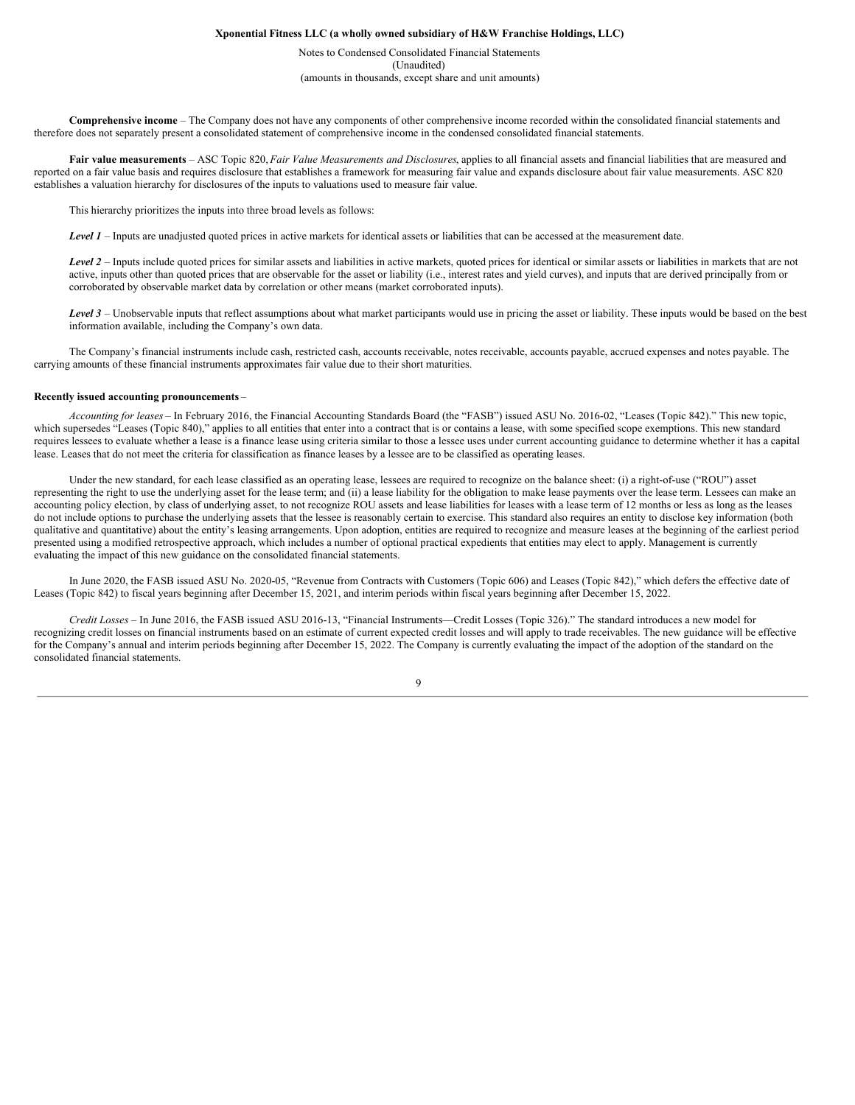Notes to Condensed Consolidated Financial Statements (Unaudited) (amounts in thousands, except share and unit amounts)

**Comprehensive income** – The Company does not have any components of other comprehensive income recorded within the consolidated financial statements and therefore does not separately present a consolidated statement of comprehensive income in the condensed consolidated financial statements.

**Fair value measurements** – ASC Topic 820, *Fair Value Measurements and Disclosures*, applies to all financial assets and financial liabilities that are measured and reported on a fair value basis and requires disclosure that establishes a framework for measuring fair value and expands disclosure about fair value measurements. ASC 820 establishes a valuation hierarchy for disclosures of the inputs to valuations used to measure fair value.

This hierarchy prioritizes the inputs into three broad levels as follows:

*Level 1* – Inputs are unadjusted quoted prices in active markets for identical assets or liabilities that can be accessed at the measurement date.

*Level* 2 – Inputs include quoted prices for similar assets and liabilities in active markets, quoted prices for identical or similar assets or liabilities in markets that are not active, inputs other than quoted prices that are observable for the asset or liability (i.e., interest rates and yield curves), and inputs that are derived principally from or corroborated by observable market data by correlation or other means (market corroborated inputs).

*Level*  $3$  – Unobservable inputs that reflect assumptions about what market participants would use in pricing the asset or liability. These inputs would be based on the best information available, including the Company's own data.

The Company's financial instruments include cash, restricted cash, accounts receivable, notes receivable, accounts payable, accrued expenses and notes payable. The carrying amounts of these financial instruments approximates fair value due to their short maturities.

#### **Recently issued accounting pronouncements** –

*Accounting for leases* – In February 2016, the Financial Accounting Standards Board (the "FASB") issued ASU No. 2016-02, "Leases (Topic 842)." This new topic, which supersedes "Leases (Topic 840)," applies to all entities that enter into a contract that is or contains a lease, with some specified scope exemptions. This new standard requires lessees to evaluate whether a lease is a finance lease using criteria similar to those a lessee uses under current accounting guidance to determine whether it has a capital lease. Leases that do not meet the criteria for classification as finance leases by a lessee are to be classified as operating leases.

Under the new standard, for each lease classified as an operating lease, lessees are required to recognize on the balance sheet: (i) a right-of-use ("ROU") asset representing the right to use the underlying asset for the lease term; and (ii) a lease liability for the obligation to make lease payments over the lease term. Lessees can make an accounting policy election, by class of underlying asset, to not recognize ROU assets and lease liabilities for leases with a lease term of 12 months or less as long as the leases do not include options to purchase the underlying assets that the lessee is reasonably certain to exercise. This standard also requires an entity to disclose key information (both qualitative and quantitative) about the entity's leasing arrangements. Upon adoption, entities are required to recognize and measure leases at the beginning of the earliest period presented using a modified retrospective approach, which includes a number of optional practical expedients that entities may elect to apply. Management is currently evaluating the impact of this new guidance on the consolidated financial statements.

In June 2020, the FASB issued ASU No. 2020-05, "Revenue from Contracts with Customers (Topic 606) and Leases (Topic 842)," which defers the effective date of Leases (Topic 842) to fiscal years beginning after December 15, 2021, and interim periods within fiscal years beginning after December 15, 2022.

*Credit Losses* – In June 2016, the FASB issued ASU 2016-13, "Financial Instruments—Credit Losses (Topic 326)." The standard introduces a new model for recognizing credit losses on financial instruments based on an estimate of current expected credit losses and will apply to trade receivables. The new guidance will be effective for the Company's annual and interim periods beginning after December 15, 2022. The Company is currently evaluating the impact of the adoption of the standard on the consolidated financial statements.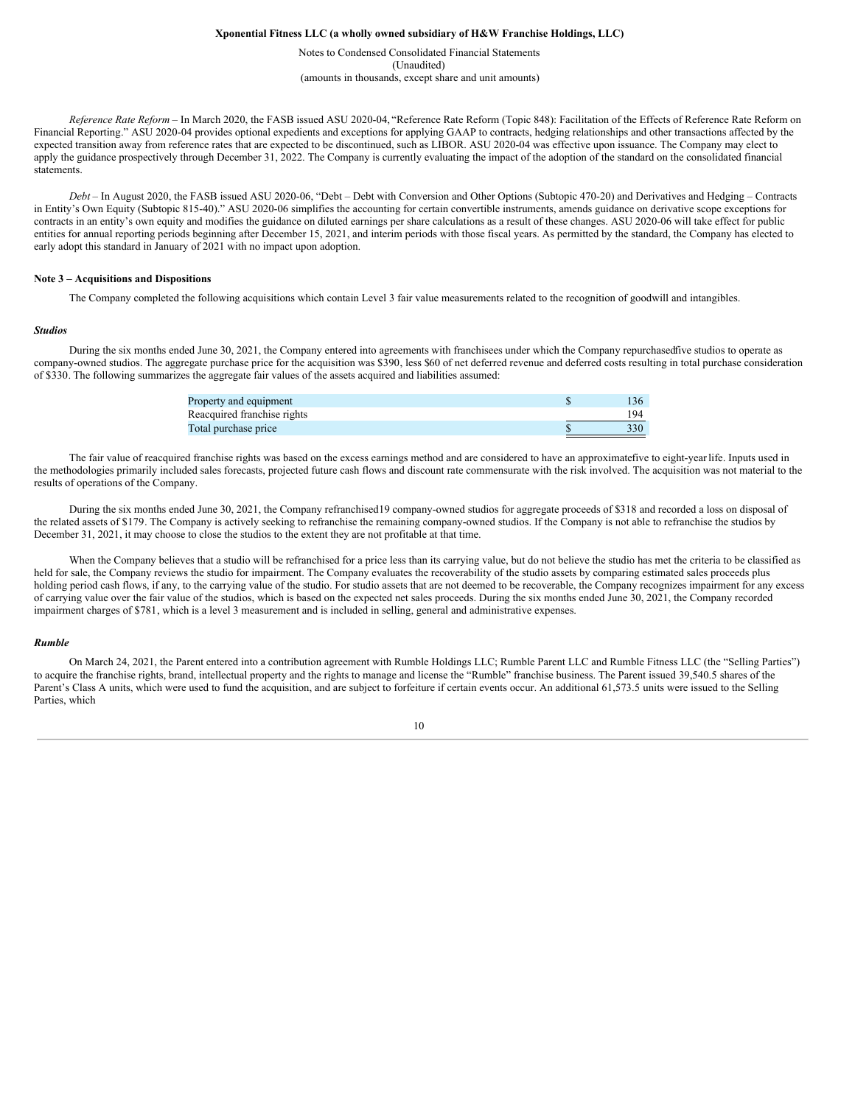Notes to Condensed Consolidated Financial Statements (Unaudited) (amounts in thousands, except share and unit amounts)

*Reference Rate Reform* – In March 2020, the FASB issued ASU 2020-04, "Reference Rate Reform (Topic 848): Facilitation of the Effects of Reference Rate Reform on Financial Reporting." ASU 2020-04 provides optional expedients and exceptions for applying GAAP to contracts, hedging relationships and other transactions affected by the expected transition away from reference rates that are expected to be discontinued, such as LIBOR. ASU 2020-04 was effective upon issuance. The Company may elect to apply the guidance prospectively through December 31, 2022. The Company is currently evaluating the impact of the adoption of the standard on the consolidated financial statements.

*Debt* – In August 2020, the FASB issued ASU 2020-06, "Debt – Debt with Conversion and Other Options (Subtopic 470-20) and Derivatives and Hedging – Contracts in Entity's Own Equity (Subtopic 815-40)." ASU 2020-06 simplifies the accounting for certain convertible instruments, amends guidance on derivative scope exceptions for contracts in an entity's own equity and modifies the guidance on diluted earnings per share calculations as a result of these changes. ASU 2020-06 will take effect for public entities for annual reporting periods beginning after December 15, 2021, and interim periods with those fiscal years. As permitted by the standard, the Company has elected to early adopt this standard in January of 2021 with no impact upon adoption.

#### **Note 3 – Acquisitions and Dispositions**

The Company completed the following acquisitions which contain Level 3 fair value measurements related to the recognition of goodwill and intangibles.

#### *Studios*

During the six months ended June 30, 2021, the Company entered into agreements with franchisees under which the Company repurchasedfive studios to operate as company-owned studios. The aggregate purchase price for the acquisition was \$390, less \$60 of net deferred revenue and deferred costs resulting in total purchase consideration of \$330. The following summarizes the aggregate fair values of the assets acquired and liabilities assumed:

| Property and equipment      |     |
|-----------------------------|-----|
| Reacquired franchise rights | 194 |
| Total purchase price        | 330 |

The fair value of reacquired franchise rights was based on the excess earnings method and are considered to have an approximatefive to eight-yearlife. Inputs used in the methodologies primarily included sales forecasts, projected future cash flows and discount rate commensurate with the risk involved. The acquisition was not material to the results of operations of the Company.

During the six months ended June 30, 2021, the Company refranchised19 company-owned studios for aggregate proceeds of \$318 and recorded a loss on disposal of the related assets of \$179. The Company is actively seeking to refranchise the remaining company-owned studios. If the Company is not able to refranchise the studios by December 31, 2021, it may choose to close the studios to the extent they are not profitable at that time.

When the Company believes that a studio will be refranchised for a price less than its carrying value, but do not believe the studio has met the criteria to be classified as held for sale, the Company reviews the studio for impairment. The Company evaluates the recoverability of the studio assets by comparing estimated sales proceeds plus holding period cash flows, if any, to the carrying value of the studio. For studio assets that are not deemed to be recoverable, the Company recognizes impairment for any excess of carrying value over the fair value of the studios, which is based on the expected net sales proceeds. During the six months ended June 30, 2021, the Company recorded impairment charges of \$781, which is a level 3 measurement and is included in selling, general and administrative expenses.

#### *Rumble*

On March 24, 2021, the Parent entered into a contribution agreement with Rumble Holdings LLC; Rumble Parent LLC and Rumble Fitness LLC (the "Selling Parties") to acquire the franchise rights, brand, intellectual property and the rights to manage and license the "Rumble" franchise business. The Parent issued 39,540.5 shares of the Parent's Class A units, which were used to fund the acquisition, and are subject to forfeiture if certain events occur. An additional 61,573.5 units were issued to the Selling Parties, which

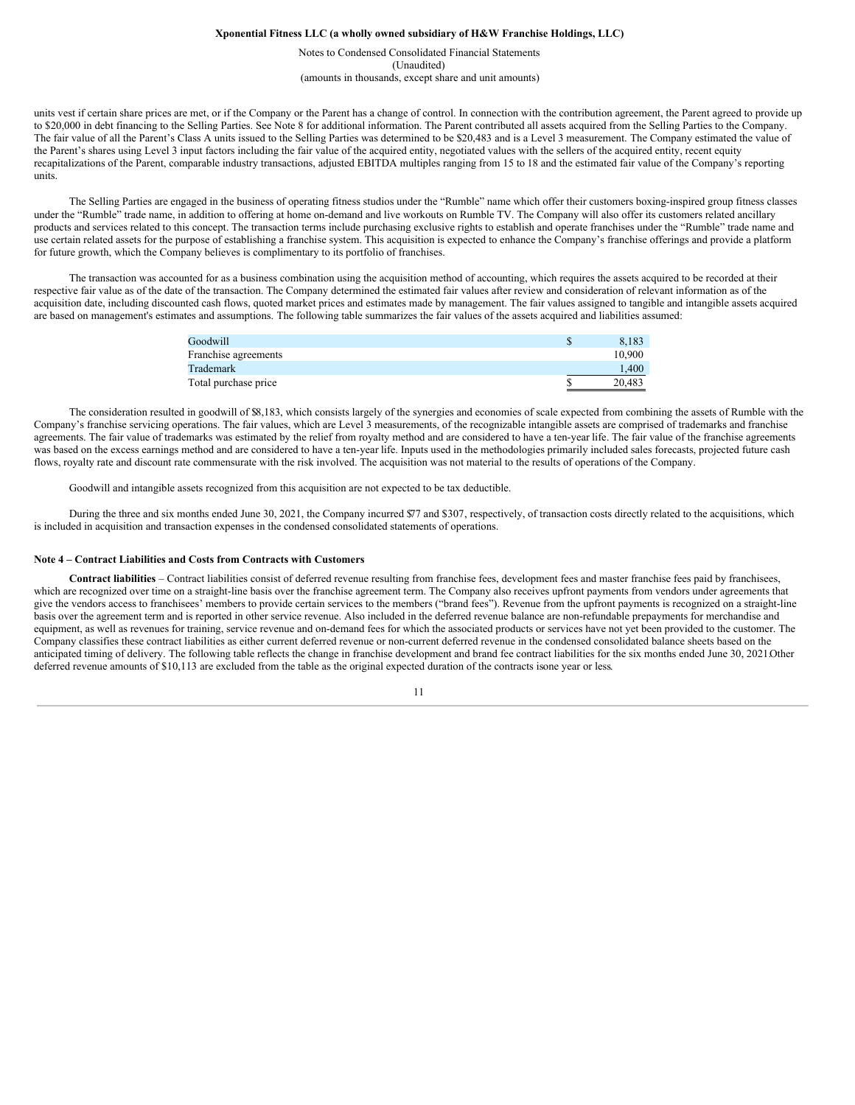Notes to Condensed Consolidated Financial Statements (Unaudited) (amounts in thousands, except share and unit amounts)

units vest if certain share prices are met, or if the Company or the Parent has a change of control. In connection with the contribution agreement, the Parent agreed to provide up to \$20,000 in debt financing to the Selling Parties. See Note 8 for additional information. The Parent contributed all assets acquired from the Selling Parties to the Company. The fair value of all the Parent's Class A units issued to the Selling Parties was determined to be \$20,483 and is a Level 3 measurement. The Company estimated the value of the Parent's shares using Level 3 input factors including the fair value of the acquired entity, negotiated values with the sellers of the acquired entity, recent equity recapitalizations of the Parent, comparable industry transactions, adjusted EBITDA multiples ranging from 15 to 18 and the estimated fair value of the Company's reporting units.

The Selling Parties are engaged in the business of operating fitness studios under the "Rumble" name which offer their customers boxing-inspired group fitness classes under the "Rumble" trade name, in addition to offering at home on-demand and live workouts on Rumble TV. The Company will also offer its customers related ancillary products and services related to this concept. The transaction terms include purchasing exclusive rights to establish and operate franchises under the "Rumble" trade name and use certain related assets for the purpose of establishing a franchise system. This acquisition is expected to enhance the Company's franchise offerings and provide a platform for future growth, which the Company believes is complimentary to its portfolio of franchises.

The transaction was accounted for as a business combination using the acquisition method of accounting, which requires the assets acquired to be recorded at their respective fair value as of the date of the transaction. The Company determined the estimated fair values after review and consideration of relevant information as of the acquisition date, including discounted cash flows, quoted market prices and estimates made by management. The fair values assigned to tangible and intangible assets acquired are based on management's estimates and assumptions. The following table summarizes the fair values of the assets acquired and liabilities assumed:

| Goodwill             | 8.183  |
|----------------------|--------|
| Franchise agreements | 10.900 |
| Trademark            | 1.400  |
| Total purchase price | 20.483 |

The consideration resulted in goodwill of \$8,183, which consists largely of the synergies and economies of scale expected from combining the assets of Rumble with the Company's franchise servicing operations. The fair values, which are Level 3 measurements, of the recognizable intangible assets are comprised of trademarks and franchise agreements. The fair value of trademarks was estimated by the relief from royalty method and are considered to have a ten-year life. The fair value of the franchise agreements was based on the excess earnings method and are considered to have a ten-year life. Inputs used in the methodologies primarily included sales forecasts, projected future cash flows, royalty rate and discount rate commensurate with the risk involved. The acquisition was not material to the results of operations of the Company.

Goodwill and intangible assets recognized from this acquisition are not expected to be tax deductible.

During the three and six months ended June 30, 2021, the Company incurred \$77 and \$307, respectively, of transaction costs directly related to the acquisitions, which is included in acquisition and transaction expenses in the condensed consolidated statements of operations.

#### **Note 4 – Contract Liabilities and Costs from Contracts with Customers**

**Contract liabilities** – Contract liabilities consist of deferred revenue resulting from franchise fees, development fees and master franchise fees paid by franchisees, which are recognized over time on a straight-line basis over the franchise agreement term. The Company also receives upfront payments from vendors under agreements that give the vendors access to franchisees' members to provide certain services to the members ("brand fees"). Revenue from the upfront payments is recognized on a straight-line basis over the agreement term and is reported in other service revenue. Also included in the deferred revenue balance are non-refundable prepayments for merchandise and equipment, as well as revenues for training, service revenue and on-demand fees for which the associated products or services have not yet been provided to the customer. The Company classifies these contract liabilities as either current deferred revenue or non-current deferred revenue in the condensed consolidated balance sheets based on the anticipated timing of delivery. The following table reflects the change in franchise development and brand fee contract liabilities for the six months ended June 30, 2021.Other deferred revenue amounts of \$10,113 are excluded from the table as the original expected duration of the contracts isone year or less.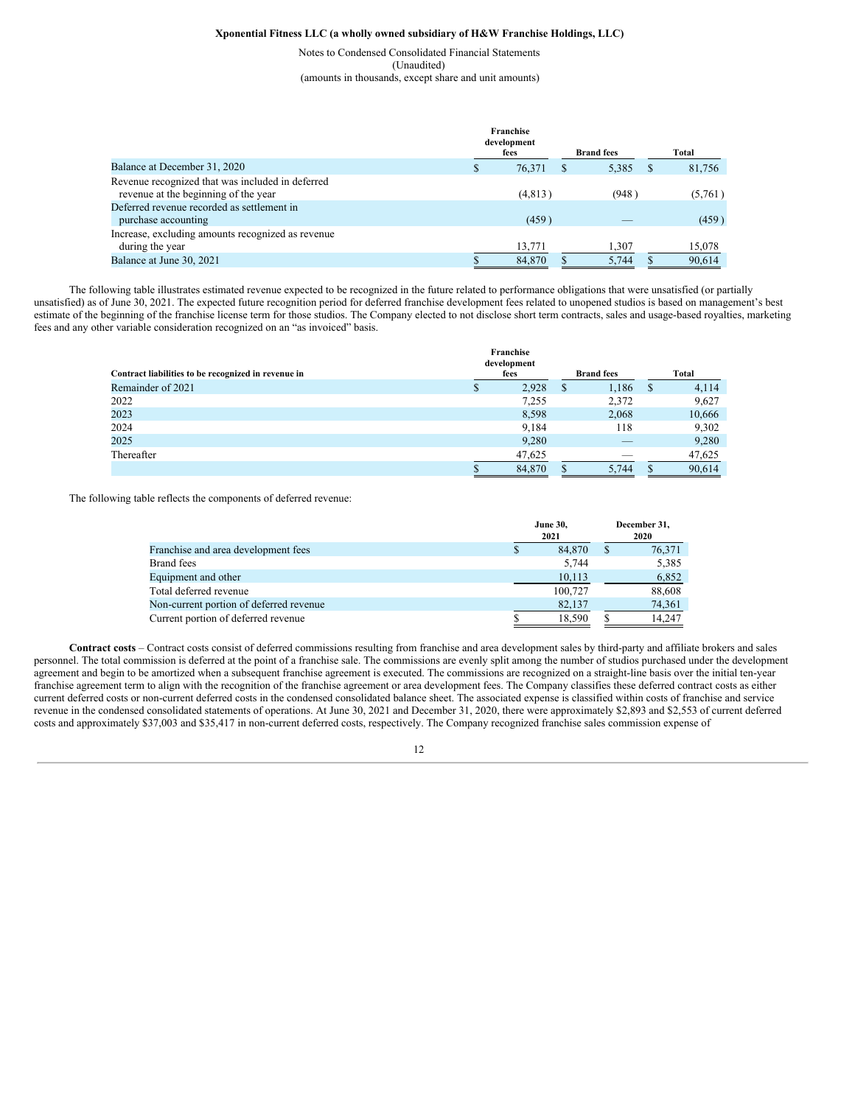Notes to Condensed Consolidated Financial Statements (Unaudited) (amounts in thousands, except share and unit amounts)

|                                                                                          |  | Franchise<br>development<br>fees | <b>Brand fees</b> | Total   |
|------------------------------------------------------------------------------------------|--|----------------------------------|-------------------|---------|
| Balance at December 31, 2020                                                             |  |                                  |                   |         |
|                                                                                          |  | 76,371                           | 5.385             | 81,756  |
| Revenue recognized that was included in deferred<br>revenue at the beginning of the year |  | (4,813)                          | (948)             | (5,761) |
| Deferred revenue recorded as settlement in                                               |  |                                  |                   |         |
| purchase accounting                                                                      |  | (459)                            |                   | (459)   |
| Increase, excluding amounts recognized as revenue                                        |  |                                  |                   |         |
| during the year                                                                          |  | 13.771                           | 1,307             | 15,078  |
| Balance at June 30, 2021                                                                 |  | 84,870                           | 5.744             | 90.614  |

The following table illustrates estimated revenue expected to be recognized in the future related to performance obligations that were unsatisfied (or partially unsatisfied) as of June 30, 2021. The expected future recognition period for deferred franchise development fees related to unopened studios is based on management's best estimate of the beginning of the franchise license term for those studios. The Company elected to not disclose short term contracts, sales and usage-based royalties, marketing fees and any other variable consideration recognized on an "as invoiced" basis.

|                                                     | Franchise<br>development |              |                          |    |        |  |
|-----------------------------------------------------|--------------------------|--------------|--------------------------|----|--------|--|
| Contract liabilities to be recognized in revenue in | fees                     |              | <b>Brand fees</b>        |    | Total  |  |
| Remainder of 2021                                   | \$<br>2,928              | <sup>S</sup> | 1,186                    | -S | 4,114  |  |
| 2022                                                | 7,255                    |              | 2,372                    |    | 9,627  |  |
| 2023                                                | 8,598                    |              | 2,068                    |    | 10,666 |  |
| 2024                                                | 9,184                    |              | 118                      |    | 9,302  |  |
| 2025                                                | 9,280                    |              | $\overline{\phantom{a}}$ |    | 9,280  |  |
| Thereafter                                          | 47,625                   |              |                          |    | 47,625 |  |
|                                                     | 84,870                   |              | 5,744                    |    | 90,614 |  |

The following table reflects the components of deferred revenue:

|                                         |   | <b>June 30,</b><br>2021 | December 31,<br>2020 |        |  |
|-----------------------------------------|---|-------------------------|----------------------|--------|--|
| Franchise and area development fees     | S | 84,870                  |                      | 76,371 |  |
| Brand fees                              |   | 5.744                   |                      | 5,385  |  |
| Equipment and other                     |   | 10,113                  |                      | 6,852  |  |
| Total deferred revenue                  |   | 100,727                 |                      | 88,608 |  |
| Non-current portion of deferred revenue |   | 82,137                  |                      | 74,361 |  |
| Current portion of deferred revenue     |   | 18.590                  |                      | 14.247 |  |

**Contract costs** – Contract costs consist of deferred commissions resulting from franchise and area development sales by third-party and affiliate brokers and sales personnel. The total commission is deferred at the point of a franchise sale. The commissions are evenly split among the number of studios purchased under the development agreement and begin to be amortized when a subsequent franchise agreement is executed. The commissions are recognized on a straight-line basis over the initial ten-year franchise agreement term to align with the recognition of the franchise agreement or area development fees. The Company classifies these deferred contract costs as either current deferred costs or non-current deferred costs in the condensed consolidated balance sheet. The associated expense is classified within costs of franchise and service revenue in the condensed consolidated statements of operations. At June 30, 2021 and December 31, 2020, there were approximately \$2,893 and \$2,553 of current deferred costs and approximately \$37,003 and \$35,417 in non-current deferred costs, respectively. The Company recognized franchise sales commission expense of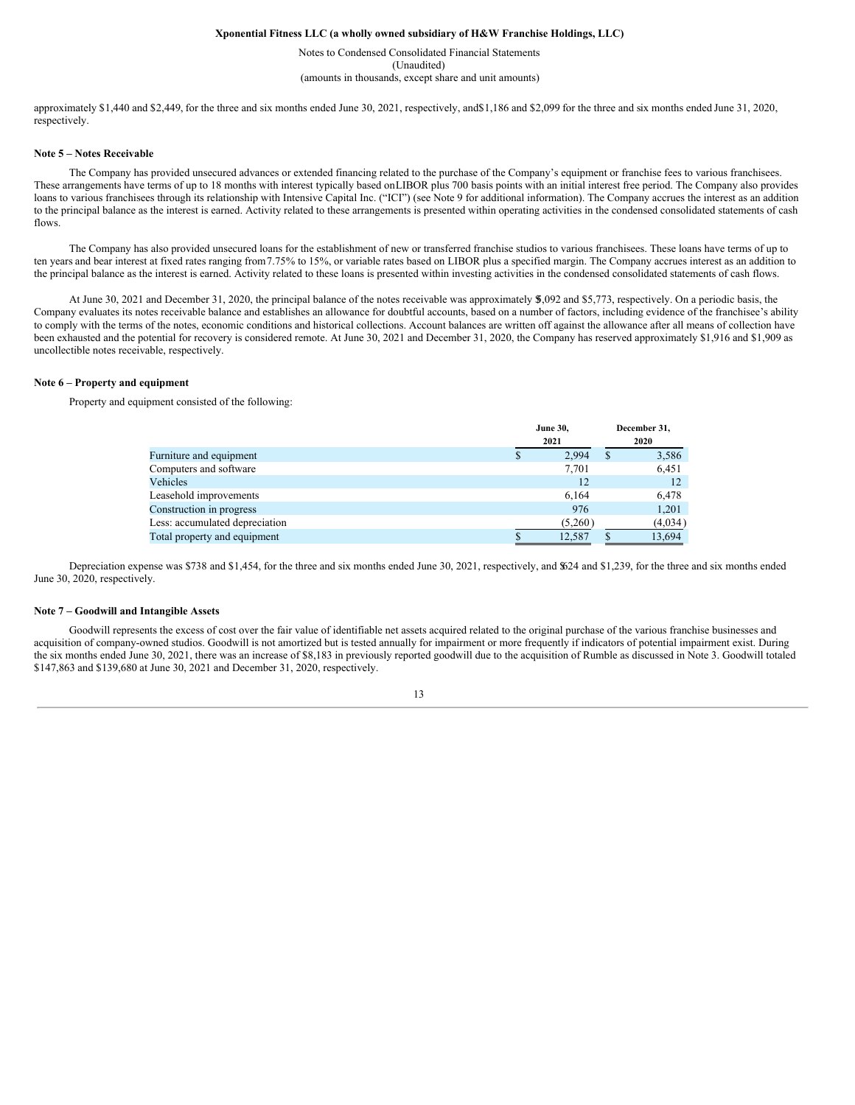Notes to Condensed Consolidated Financial Statements (Unaudited) (amounts in thousands, except share and unit amounts)

approximately \$1,440 and \$2,449, for the three and six months ended June 30, 2021, respectively, and\$1,186 and \$2,099 for the three and six months ended June 31, 2020, respectively.

#### **Note 5 – Notes Receivable**

The Company has provided unsecured advances or extended financing related to the purchase of the Company's equipment or franchise fees to various franchisees. These arrangements have terms of up to 18 months with interest typically based onLIBOR plus 700 basis points with an initial interest free period. The Company also provides loans to various franchisees through its relationship with Intensive Capital Inc. ("ICI") (see Note 9 for additional information). The Company accrues the interest as an addition to the principal balance as the interest is earned. Activity related to these arrangements is presented within operating activities in the condensed consolidated statements of cash flows.

The Company has also provided unsecured loans for the establishment of new or transferred franchise studios to various franchisees. These loans have terms of up to ten years and bear interest at fixed rates ranging from7.75% to 15%, or variable rates based on LIBOR plus a specified margin. The Company accrues interest as an addition to the principal balance as the interest is earned. Activity related to these loans is presented within investing activities in the condensed consolidated statements of cash flows.

At June 30, 2021 and December 31, 2020, the principal balance of the notes receivable was approximately \$,092 and \$5,773, respectively. On a periodic basis, the Company evaluates its notes receivable balance and establishes an allowance for doubtful accounts, based on a number of factors, including evidence of the franchisee's ability to comply with the terms of the notes, economic conditions and historical collections. Account balances are written off against the allowance after all means of collection have been exhausted and the potential for recovery is considered remote. At June 30, 2021 and December 31, 2020, the Company has reserved approximately \$1,916 and \$1,909 as uncollectible notes receivable, respectively.

#### **Note 6 – Property and equipment**

Property and equipment consisted of the following:

|                                | <b>June 30,</b> | December 31,<br>2020 |         |  |
|--------------------------------|-----------------|----------------------|---------|--|
|                                | 2021            |                      |         |  |
| Furniture and equipment        | 2.994           |                      | 3,586   |  |
| Computers and software         | 7,701           |                      | 6,451   |  |
| Vehicles                       | 12              |                      | 12      |  |
| Leasehold improvements         | 6,164           |                      | 6,478   |  |
| Construction in progress       | 976             |                      | 1,201   |  |
| Less: accumulated depreciation | (5,260)         |                      | (4,034) |  |
| Total property and equipment   | 12.587          |                      | 13.694  |  |

Depreciation expense was \$738 and \$1,454, for the three and six months ended June 30, 2021, respectively, and \$624 and \$1,239, for the three and six months ended June 30, 2020, respectively.

#### **Note 7 – Goodwill and Intangible Assets**

Goodwill represents the excess of cost over the fair value of identifiable net assets acquired related to the original purchase of the various franchise businesses and acquisition of company-owned studios. Goodwill is not amortized but is tested annually for impairment or more frequently if indicators of potential impairment exist. During the six months ended June 30, 2021, there was an increase of \$8,183 in previously reported goodwill due to the acquisition of Rumble as discussed in Note 3. Goodwill totaled \$147,863 and \$139,680 at June 30, 2021 and December 31, 2020, respectively.

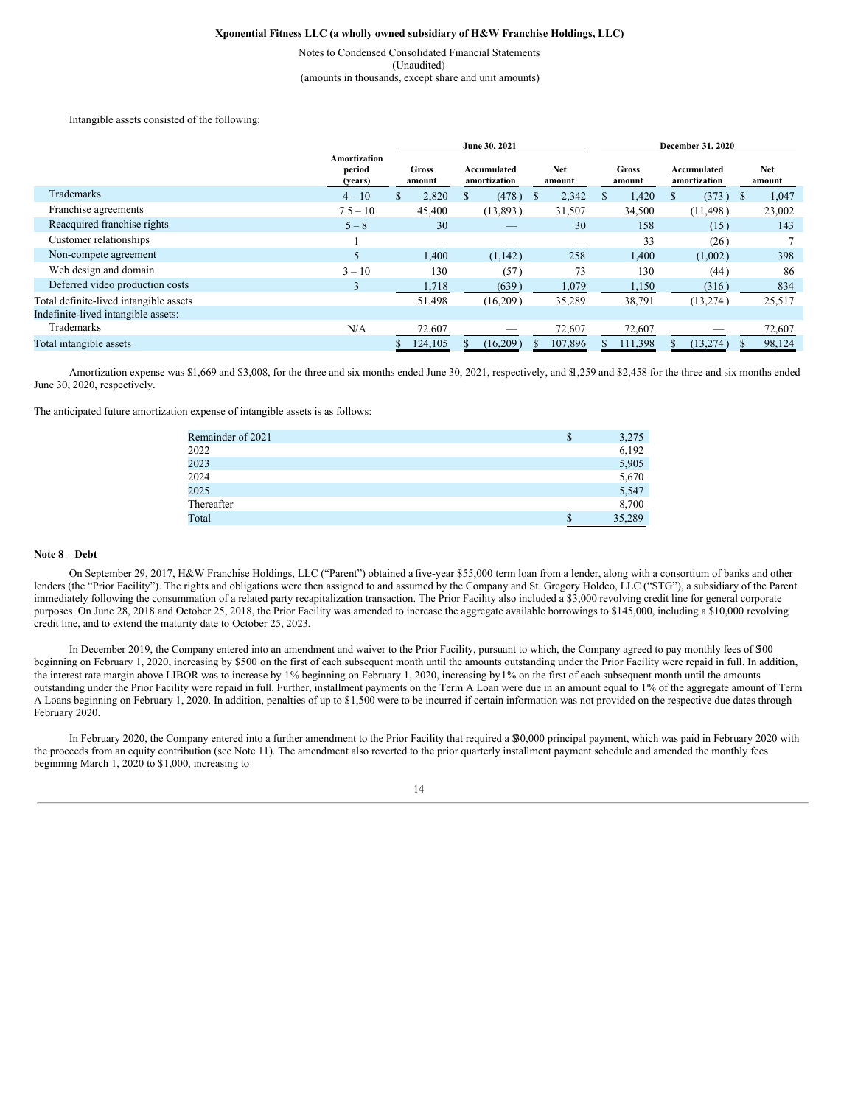Notes to Condensed Consolidated Financial Statements (Unaudited) (amounts in thousands, except share and unit amounts)

Intangible assets consisted of the following:

|                                        |                                   |                 | June 30, 2021               |                      |                        | December 31, 2020           |                      |
|----------------------------------------|-----------------------------------|-----------------|-----------------------------|----------------------|------------------------|-----------------------------|----------------------|
|                                        | Amortization<br>period<br>(years) | Gross<br>amount | Accumulated<br>amortization | <b>Net</b><br>amount | <b>Gross</b><br>amount | Accumulated<br>amortization | <b>Net</b><br>amount |
| <b>Trademarks</b>                      | $4 - 10$                          | 2,820           | (478)<br>S.                 | 2,342<br>Ъ.          | 1.420                  | (373)<br>ъ                  | 1,047<br>S.          |
| Franchise agreements                   | $7.5 - 10$                        | 45,400          | (13,893)                    | 31,507               | 34,500                 | (11, 498)                   | 23,002               |
| Reacquired franchise rights            | $5 - 8$                           | 30              |                             | 30                   | 158                    | (15)                        | 143                  |
| Customer relationships                 |                                   |                 |                             | _                    | 33                     | (26)                        |                      |
| Non-compete agreement                  | 5                                 | 1,400           | (1,142)                     | 258                  | 1,400                  | (1,002)                     | 398                  |
| Web design and domain                  | $3 - 10$                          | 130             | (57)                        | 73                   | 130                    | (44)                        | 86                   |
| Deferred video production costs        | 3                                 | 1,718           | (639)                       | 1,079                | 1,150                  | (316)                       | 834                  |
| Total definite-lived intangible assets |                                   | 51,498          | (16,209)                    | 35,289               | 38,791                 | (13, 274)                   | 25,517               |
| Indefinite-lived intangible assets:    |                                   |                 |                             |                      |                        |                             |                      |
| Trademarks                             | N/A                               | 72,607          |                             | 72,607               | 72,607                 |                             | 72,607               |
| Total intangible assets                |                                   | 124,105         | (16,209)                    | 107,896              | 111,398                | (13, 274)                   | 98,124               |

Amortization expense was \$1,669 and \$3,008, for the three and six months ended June 30, 2021, respectively, and \$1,259 and \$2,458 for the three and six months ended June 30, 2020, respectively.

The anticipated future amortization expense of intangible assets is as follows:

| Remainder of 2021 | 3,275<br>\$  |
|-------------------|--------------|
| 2022              | 6,192        |
| 2023              | 5,905        |
| 2024              | 5,670        |
| 2025              | 5,547        |
| Thereafter        | 8,700        |
| Total             | 35,289<br>S. |

#### **Note 8 – Debt**

On September 29, 2017, H&W Franchise Holdings, LLC ("Parent") obtained a five-year \$55,000 term loan from a lender, along with a consortium of banks and other lenders (the "Prior Facility"). The rights and obligations were then assigned to and assumed by the Company and St. Gregory Holdco, LLC ("STG"), a subsidiary of the Parent immediately following the consummation of a related party recapitalization transaction. The Prior Facility also included a \$3,000 revolving credit line for general corporate purposes. On June 28, 2018 and October 25, 2018, the Prior Facility was amended to increase the aggregate available borrowings to \$145,000, including a \$10,000 revolving credit line, and to extend the maturity date to October 25, 2023.

In December 2019, the Company entered into an amendment and waiver to the Prior Facility, pursuant to which, the Company agreed to pay monthly fees of \$500 beginning on February 1, 2020, increasing by \$500 on the first of each subsequent month until the amounts outstanding under the Prior Facility were repaid in full. In addition, the interest rate margin above LIBOR was to increase by 1% beginning on February 1, 2020, increasing by1% on the first of each subsequent month until the amounts outstanding under the Prior Facility were repaid in full. Further, installment payments on the Term A Loan were due in an amount equal to 1% of the aggregate amount of Term A Loans beginning on February 1, 2020. In addition, penalties of up to \$1,500 were to be incurred if certain information was not provided on the respective due dates through February 2020.

In February 2020, the Company entered into a further amendment to the Prior Facility that required a \$30,000 principal payment, which was paid in February 2020 with the proceeds from an equity contribution (see Note 11). The amendment also reverted to the prior quarterly installment payment schedule and amended the monthly fees beginning March 1, 2020 to \$1,000, increasing to

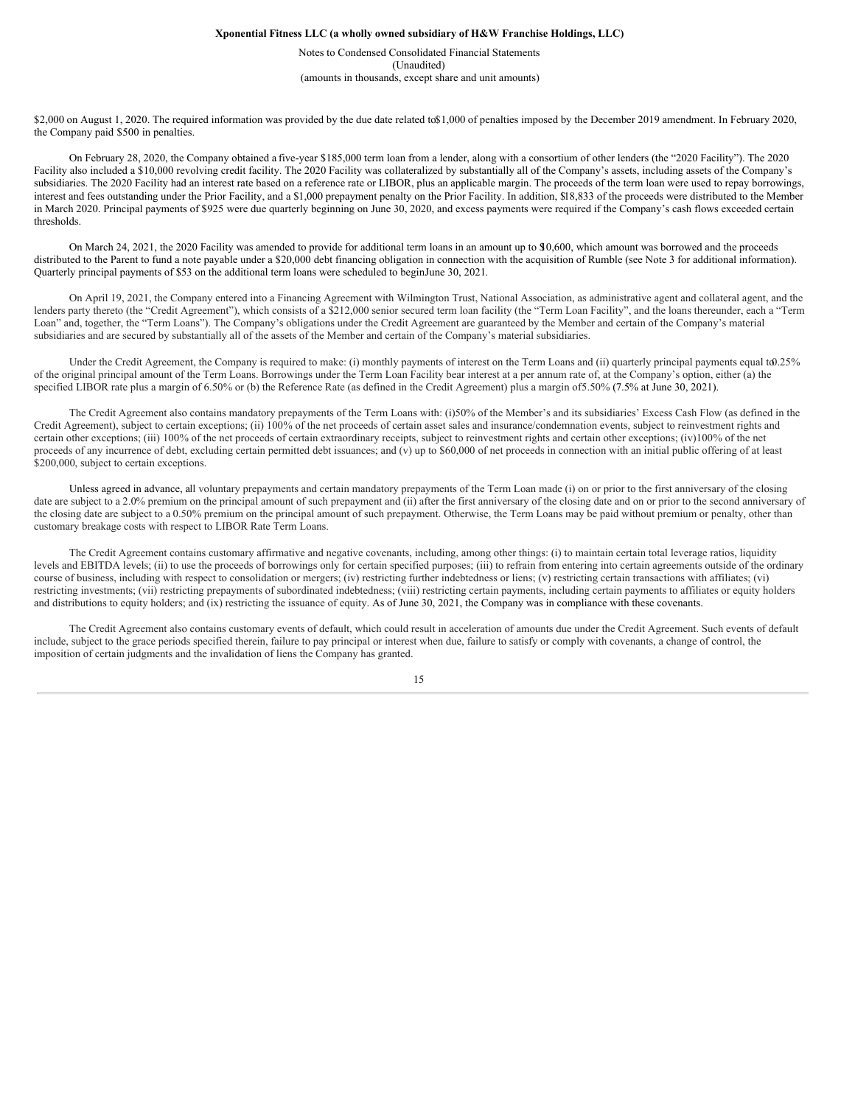Notes to Condensed Consolidated Financial Statements (Unaudited) (amounts in thousands, except share and unit amounts)

\$2,000 on August 1, 2020. The required information was provided by the due date related to\$1,000 of penalties imposed by the December 2019 amendment. In February 2020, the Company paid \$500 in penalties.

On February 28, 2020, the Company obtained a five-year \$185,000 term loan from a lender, along with a consortium of other lenders (the "2020 Facility"). The 2020 Facility also included a \$10,000 revolving credit facility. The 2020 Facility was collateralized by substantially all of the Company's assets, including assets of the Company's subsidiaries. The 2020 Facility had an interest rate based on a reference rate or LIBOR, plus an applicable margin. The proceeds of the term loan were used to repay borrowings, interest and fees outstanding under the Prior Facility, and a \$1,000 prepayment penalty on the Prior Facility. In addition, \$18,833 of the proceeds were distributed to the Member in March 2020. Principal payments of \$925 were due quarterly beginning on June 30, 2020, and excess payments were required if the Company's cash flows exceeded certain thresholds.

On March 24, 2021, the 2020 Facility was amended to provide for additional term loans in an amount up to \$10,600, which amount was borrowed and the proceeds distributed to the Parent to fund a note payable under a \$20,000 debt financing obligation in connection with the acquisition of Rumble (see Note 3 for additional information). Quarterly principal payments of \$53 on the additional term loans were scheduled to beginJune 30, 2021.

On April 19, 2021, the Company entered into a Financing Agreement with Wilmington Trust, National Association, as administrative agent and collateral agent, and the lenders party thereto (the "Credit Agreement"), which consists of a \$212,000 senior secured term loan facility (the "Term Loan Facility", and the loans thereunder, each a "Term Loan" and, together, the "Term Loans"). The Company's obligations under the Credit Agreement are guaranteed by the Member and certain of the Company's material subsidiaries and are secured by substantially all of the assets of the Member and certain of the Company's material subsidiaries.

Under the Credit Agreement, the Company is required to make: (i) monthly payments of interest on the Term Loans and (ii) quarterly principal payments equal to 0.25% of the original principal amount of the Term Loans. Borrowings under the Term Loan Facility bear interest at a per annum rate of, at the Company's option, either (a) the specified LIBOR rate plus a margin of 6.50% or (b) the Reference Rate (as defined in the Credit Agreement) plus a margin of5.50% (7.5% at June 30, 2021).

The Credit Agreement also contains mandatory prepayments of the Term Loans with: (i)50% of the Member's and its subsidiaries' Excess Cash Flow (as defined in the Credit Agreement), subject to certain exceptions; (ii) 100% of the net proceeds of certain asset sales and insurance/condemnation events, subject to reinvestment rights and certain other exceptions; (iii) 100% of the net proceeds of certain extraordinary receipts, subject to reinvestment rights and certain other exceptions; (iv)100% of the net proceeds of any incurrence of debt, excluding certain permitted debt issuances; and (v) up to \$60,000 of net proceeds in connection with an initial public offering of at least \$200,000, subject to certain exceptions.

Unless agreed in advance, all voluntary prepayments and certain mandatory prepayments of the Term Loan made (i) on or prior to the first anniversary of the closing date are subject to a 2.0% premium on the principal amount of such prepayment and (ii) after the first anniversary of the closing date and on or prior to the second anniversary of the closing date are subject to a 0.50% premium on the principal amount of such prepayment. Otherwise, the Term Loans may be paid without premium or penalty, other than customary breakage costs with respect to LIBOR Rate Term Loans.

The Credit Agreement contains customary affirmative and negative covenants, including, among other things: (i) to maintain certain total leverage ratios, liquidity levels and EBITDA levels; (ii) to use the proceeds of borrowings only for certain specified purposes; (iii) to refrain from entering into certain agreements outside of the ordinary course of business, including with respect to consolidation or mergers; (iv) restricting further indebtedness or liens; (v) restricting certain transactions with affiliates; (vi) restricting investments; (vii) restricting prepayments of subordinated indebtedness; (viii) restricting certain payments, including certain payments to affiliates or equity holders and distributions to equity holders; and (ix) restricting the issuance of equity. As of June 30, 2021, the Company was in compliance with these covenants.

The Credit Agreement also contains customary events of default, which could result in acceleration of amounts due under the Credit Agreement. Such events of default include, subject to the grace periods specified therein, failure to pay principal or interest when due, failure to satisfy or comply with covenants, a change of control, the imposition of certain judgments and the invalidation of liens the Company has granted.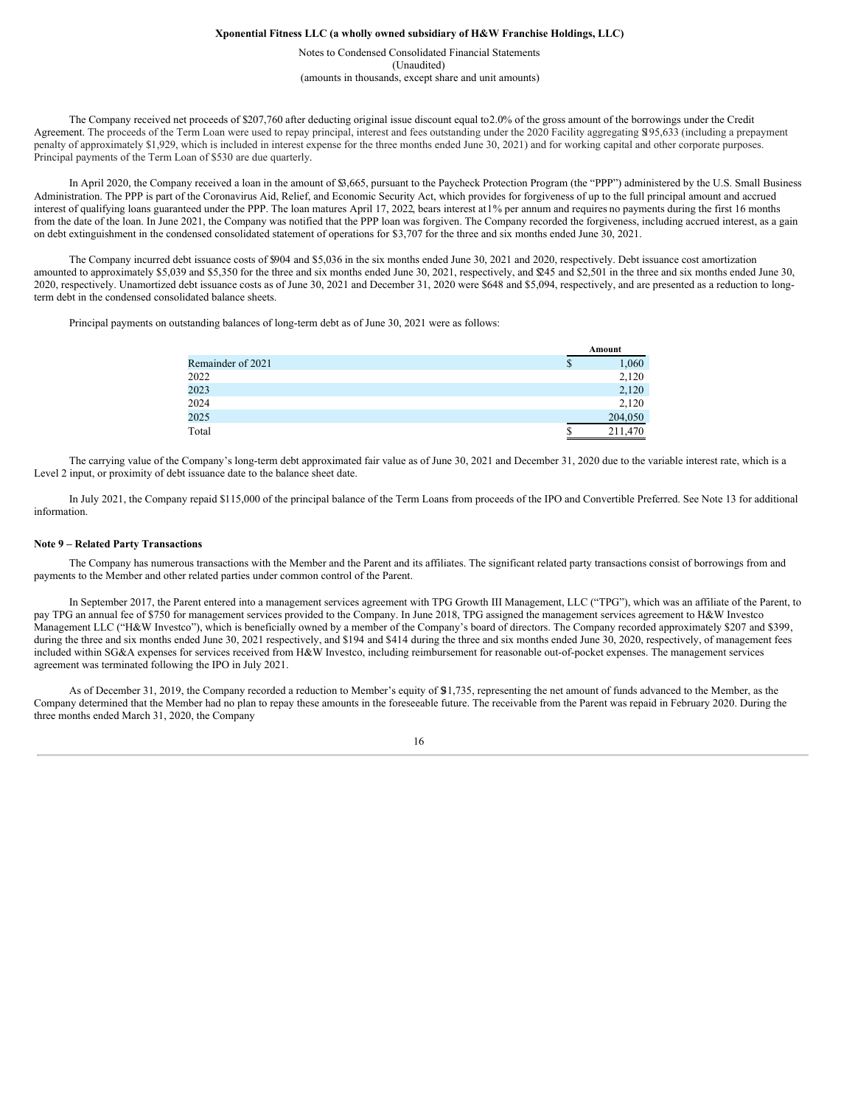Notes to Condensed Consolidated Financial Statements (Unaudited) (amounts in thousands, except share and unit amounts)

The Company received net proceeds of \$207,760 after deducting original issue discount equal to2.0% of the gross amount of the borrowings under the Credit Agreement. The proceeds of the Term Loan were used to repay principal, interest and fees outstanding under the 2020 Facility aggregating \$195,633 (including a prepayment penalty of approximately \$1,929, which is included in interest expense for the three months ended June 30, 2021) and for working capital and other corporate purposes. Principal payments of the Term Loan of \$530 are due quarterly.

In April 2020, the Company received a loan in the amount of \$3,665, pursuant to the Paycheck Protection Program (the "PPP") administered by the U.S. Small Business Administration. The PPP is part of the Coronavirus Aid, Relief, and Economic Security Act, which provides for forgiveness of up to the full principal amount and accrued interest of qualifying loans guaranteed under the PPP. The loan matures April 17, 2022, bears interest at1% per annum and requires no payments during the first 16 months from the date of the loan. In June 2021, the Company was notified that the PPP loan was forgiven. The Company recorded the forgiveness, including accrued interest, as a gain on debt extinguishment in the condensed consolidated statement of operations for \$3,707 for the three and six months ended June 30, 2021.

The Company incurred debt issuance costs of \$904 and \$5,036 in the six months ended June 30, 2021 and 2020, respectively. Debt issuance cost amortization amounted to approximately \$5,039 and \$5,350 for the three and six months ended June 30, 2021, respectively, and \$25 and \$2,501 in the three and six months ended June 30, 2020, respectively. Unamortized debt issuance costs as of June 30, 2021 and December 31, 2020 were \$648 and \$5,094, respectively, and are presented as a reduction to longterm debt in the condensed consolidated balance sheets.

Principal payments on outstanding balances of long-term debt as of June 30, 2021 were as follows:

|                   |   | Amount  |
|-------------------|---|---------|
| Remainder of 2021 | Φ | 1,060   |
| 2022              |   | 2,120   |
| 2023              |   | 2,120   |
| 2024              |   | 2,120   |
| 2025              |   | 204,050 |
| Total             |   | 211,470 |

The carrying value of the Company's long-term debt approximated fair value as of June 30, 2021 and December 31, 2020 due to the variable interest rate, which is a Level 2 input, or proximity of debt issuance date to the balance sheet date.

In July 2021, the Company repaid \$115,000 of the principal balance of the Term Loans from proceeds of the IPO and Convertible Preferred. See Note 13 for additional information.

#### **Note 9 – Related Party Transactions**

The Company has numerous transactions with the Member and the Parent and its affiliates. The significant related party transactions consist of borrowings from and payments to the Member and other related parties under common control of the Parent.

In September 2017, the Parent entered into a management services agreement with TPG Growth III Management, LLC ("TPG"), which was an affiliate of the Parent, to pay TPG an annual fee of \$750 for management services provided to the Company. In June 2018, TPG assigned the management services agreement to H&W Investco Management LLC ("H&W Investco"), which is beneficially owned by a member of the Company's board of directors. The Company recorded approximately \$207 and \$399, during the three and six months ended June 30, 2021 respectively, and \$194 and \$414 during the three and six months ended June 30, 2020, respectively, of management fees included within SG&A expenses for services received from H&W Investco, including reimbursement for reasonable out-of-pocket expenses. The management services agreement was terminated following the IPO in July 2021.

As of December 31, 2019, the Company recorded a reduction to Member's equity of \$1,735, representing the net amount of funds advanced to the Member, as the Company determined that the Member had no plan to repay these amounts in the foreseeable future. The receivable from the Parent was repaid in February 2020. During the three months ended March 31, 2020, the Company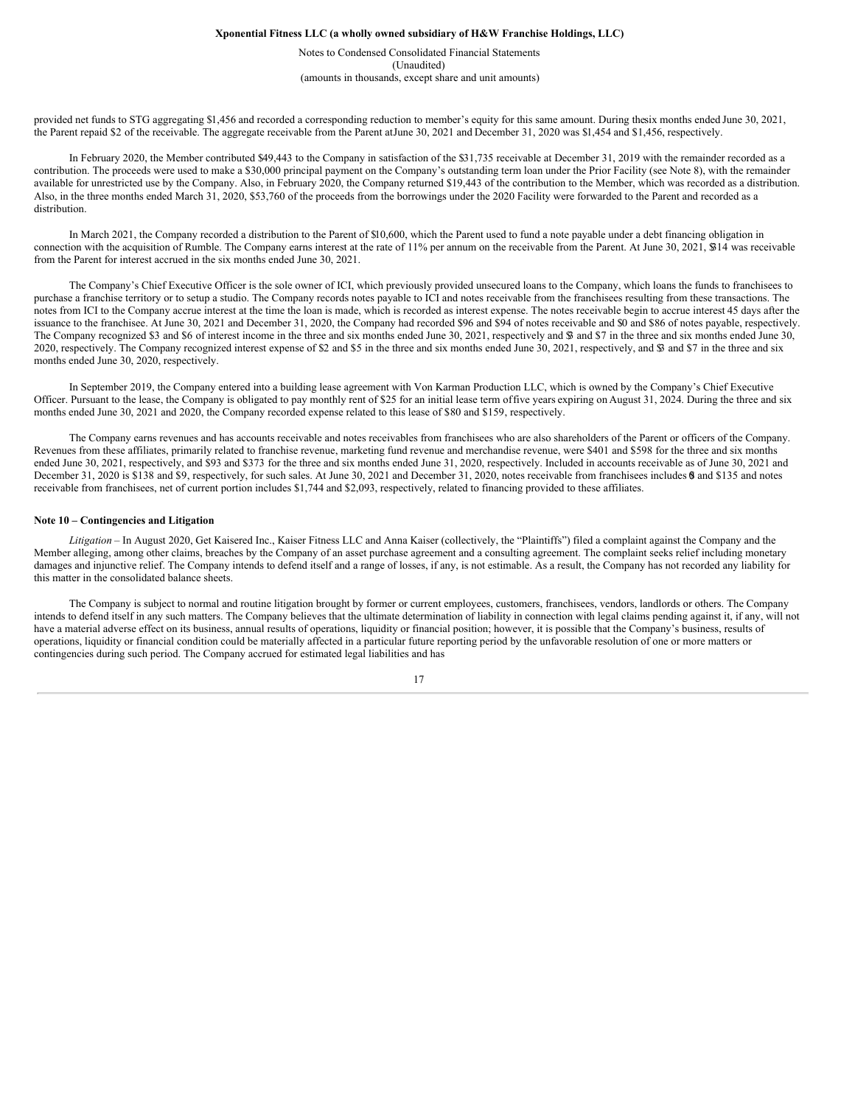Notes to Condensed Consolidated Financial Statements (Unaudited) (amounts in thousands, except share and unit amounts)

provided net funds to STG aggregating \$1,456 and recorded a corresponding reduction to member's equity for this same amount. During thesix months ended June 30, 2021, the Parent repaid \$2 of the receivable. The aggregate receivable from the Parent atJune 30, 2021 and December 31, 2020 was \$1,454 and \$1,456, respectively.

In February 2020, the Member contributed \$49,443 to the Company in satisfaction of the \$31,735 receivable at December 31, 2019 with the remainder recorded as a contribution. The proceeds were used to make a \$30,000 principal payment on the Company's outstanding term loan under the Prior Facility (see Note 8), with the remainder available for unrestricted use by the Company. Also, in February 2020, the Company returned \$19,443 of the contribution to the Member, which was recorded as a distribution. Also, in the three months ended March 31, 2020, \$53,760 of the proceeds from the borrowings under the 2020 Facility were forwarded to the Parent and recorded as a distribution.

In March 2021, the Company recorded a distribution to the Parent of \$10,600, which the Parent used to fund a note payable under a debt financing obligation in connection with the acquisition of Rumble. The Company earns interest at the rate of 11% per annum on the receivable from the Parent. At June 30, 2021, \$314 was receivable from the Parent for interest accrued in the six months ended June 30, 2021.

The Company's Chief Executive Officer is the sole owner of ICI, which previously provided unsecured loans to the Company, which loans the funds to franchisees to purchase a franchise territory or to setup a studio. The Company records notes payable to ICI and notes receivable from the franchisees resulting from these transactions. The notes from ICI to the Company accrue interest at the time the loan is made, which is recorded as interest expense. The notes receivable begin to accrue interest 45 days after the issuance to the franchisee. At June 30, 2021 and December 31, 2020, the Company had recorded \$96 and \$94 of notes receivable and \$0 and \$86 of notes payable, respectively. The Company recognized \$3 and \$6 of interest income in the three and six months ended June 30, 2021, respectively and \$3 and \$7 in the three and six months ended June 30, 2020, respectively. The Company recognized interest expense of \$2 and \$5 in the three and six months ended June 30, 2021, respectively, and \$3 and \$7 in the three and six months ended June 30, 2020, respectively.

In September 2019, the Company entered into a building lease agreement with Von Karman Production LLC, which is owned by the Company's Chief Executive Officer. Pursuant to the lease, the Company is obligated to pay monthly rent of \$25 for an initial lease term of five years expiring on August 31, 2024. During the three and six months ended June 30, 2021 and 2020, the Company recorded expense related to this lease of \$80 and \$159, respectively.

The Company earns revenues and has accounts receivable and notes receivables from franchisees who are also shareholders of the Parent or officers of the Company. Revenues from these affiliates, primarily related to franchise revenue, marketing fund revenue and merchandise revenue, were \$401 and \$598 for the three and six months ended June 30, 2021, respectively, and \$93 and \$373 for the three and six months ended June 31, 2020, respectively. Included in accounts receivable as of June 30, 2021 and December 31, 2020 is \$138 and \$9, respectively, for such sales. At June 30, 2021 and December 31, 2020, notes receivable from franchisees includes 0 and \$135 and notes receivable from franchisees, net of current portion includes \$1,744 and \$2,093, respectively, related to financing provided to these affiliates.

#### **Note 10 – Contingencies and Litigation**

*Litigation* – In August 2020, Get Kaisered Inc., Kaiser Fitness LLC and Anna Kaiser (collectively, the "Plaintiffs") filed a complaint against the Company and the Member alleging, among other claims, breaches by the Company of an asset purchase agreement and a consulting agreement. The complaint seeks relief including monetary damages and injunctive relief. The Company intends to defend itself and a range of losses, if any, is not estimable. As a result, the Company has not recorded any liability for this matter in the consolidated balance sheets.

The Company is subject to normal and routine litigation brought by former or current employees, customers, franchisees, vendors, landlords or others. The Company intends to defend itself in any such matters. The Company believes that the ultimate determination of liability in connection with legal claims pending against it, if any, will not have a material adverse effect on its business, annual results of operations, liquidity or financial position; however, it is possible that the Company's business, results of operations, liquidity or financial condition could be materially affected in a particular future reporting period by the unfavorable resolution of one or more matters or contingencies during such period. The Company accrued for estimated legal liabilities and has

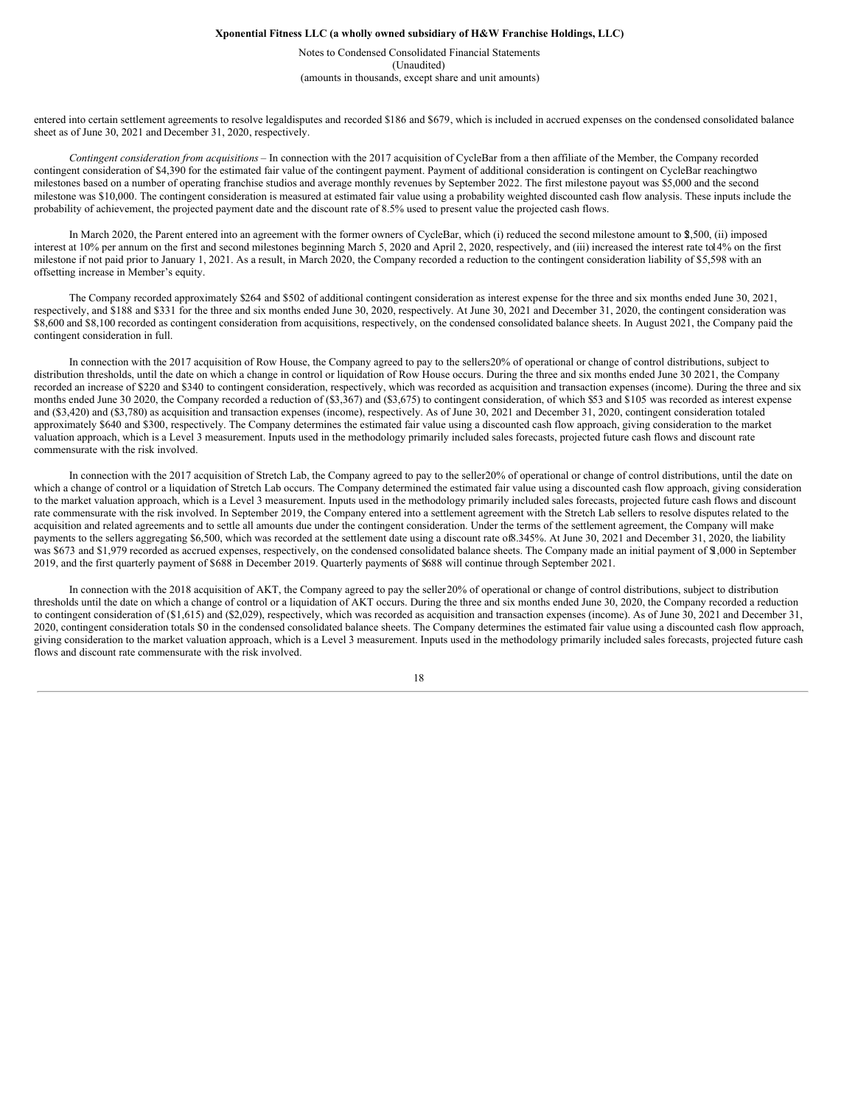Notes to Condensed Consolidated Financial Statements (Unaudited) (amounts in thousands, except share and unit amounts)

entered into certain settlement agreements to resolve legaldisputes and recorded \$186 and \$679, which is included in accrued expenses on the condensed consolidated balance sheet as of June 30, 2021 and December 31, 2020, respectively.

*Contingent consideration from acquisitions* – In connection with the 2017 acquisition of CycleBar from a then affiliate of the Member, the Company recorded contingent consideration of \$4,390 for the estimated fair value of the contingent payment. Payment of additional consideration is contingent on CycleBar reachingtwo milestones based on a number of operating franchise studios and average monthly revenues by September 2022. The first milestone payout was \$5,000 and the second milestone was \$10,000. The contingent consideration is measured at estimated fair value using a probability weighted discounted cash flow analysis. These inputs include the probability of achievement, the projected payment date and the discount rate of 8.5% used to present value the projected cash flows.

In March 2020, the Parent entered into an agreement with the former owners of CycleBar, which (i) reduced the second milestone amount to \$,500, (ii) imposed interest at 10% per annum on the first and second milestones beginning March 5, 2020 and April 2, 2020, respectively, and (iii) increased the interest rate to14% on the first milestone if not paid prior to January 1, 2021. As a result, in March 2020, the Company recorded a reduction to the contingent consideration liability of \$5,598 with an offsetting increase in Member's equity.

The Company recorded approximately \$264 and \$502 of additional contingent consideration as interest expense for the three and six months ended June 30, 2021, respectively, and \$188 and \$331 for the three and six months ended June 30, 2020, respectively. At June 30, 2021 and December 31, 2020, the contingent consideration was \$8,600 and \$8,100 recorded as contingent consideration from acquisitions, respectively, on the condensed consolidated balance sheets. In August 2021, the Company paid the contingent consideration in full.

In connection with the 2017 acquisition of Row House, the Company agreed to pay to the sellers20% of operational or change of control distributions, subject to distribution thresholds, until the date on which a change in control or liquidation of Row House occurs. During the three and six months ended June 30 2021, the Company recorded an increase of \$220 and \$340 to contingent consideration, respectively, which was recorded as acquisition and transaction expenses (income). During the three and six months ended June 30 2020, the Company recorded a reduction of (\$3,367) and (\$3,675) to contingent consideration, of which \$53 and \$105 was recorded as interest expense and (\$3,420) and (\$3,780) as acquisition and transaction expenses (income), respectively. As of June 30, 2021 and December 31, 2020, contingent consideration totaled approximately \$640 and \$300, respectively. The Company determines the estimated fair value using a discounted cash flow approach, giving consideration to the market valuation approach, which is a Level 3 measurement. Inputs used in the methodology primarily included sales forecasts, projected future cash flows and discount rate commensurate with the risk involved.

In connection with the 2017 acquisition of Stretch Lab, the Company agreed to pay to the seller 20% of operational or change of control distributions, until the date on which a change of control or a liquidation of Stretch Lab occurs. The Company determined the estimated fair value using a discounted cash flow approach, giving consideration to the market valuation approach, which is a Level 3 measurement. Inputs used in the methodology primarily included sales forecasts, projected future cash flows and discount rate commensurate with the risk involved. In September 2019, the Company entered into a settlement agreement with the Stretch Lab sellers to resolve disputes related to the acquisition and related agreements and to settle all amounts due under the contingent consideration. Under the terms of the settlement agreement, the Company will make payments to the sellers aggregating \$6,500, which was recorded at the settlement date using a discount rate of8.345%. At June 30, 2021 and December 31, 2020, the liability was \$673 and \$1,979 recorded as accrued expenses, respectively, on the condensed consolidated balance sheets. The Company made an initial payment of \$1,000 in September 2019, and the first quarterly payment of \$688 in December 2019. Quarterly payments of \$688 will continue through September 2021.

In connection with the 2018 acquisition of AKT, the Company agreed to pay the seller 20% of operational or change of control distributions, subject to distribution thresholds until the date on which a change of control or a liquidation of AKT occurs. During the three and six months ended June 30, 2020, the Company recorded a reduction to contingent consideration of (\$1,615) and (\$2,029), respectively, which was recorded as acquisition and transaction expenses (income). As of June 30, 2021 and December 31, 2020, contingent consideration totals \$0 in the condensed consolidated balance sheets. The Company determines the estimated fair value using a discounted cash flow approach, giving consideration to the market valuation approach, which is a Level 3 measurement. Inputs used in the methodology primarily included sales forecasts, projected future cash flows and discount rate commensurate with the risk involved.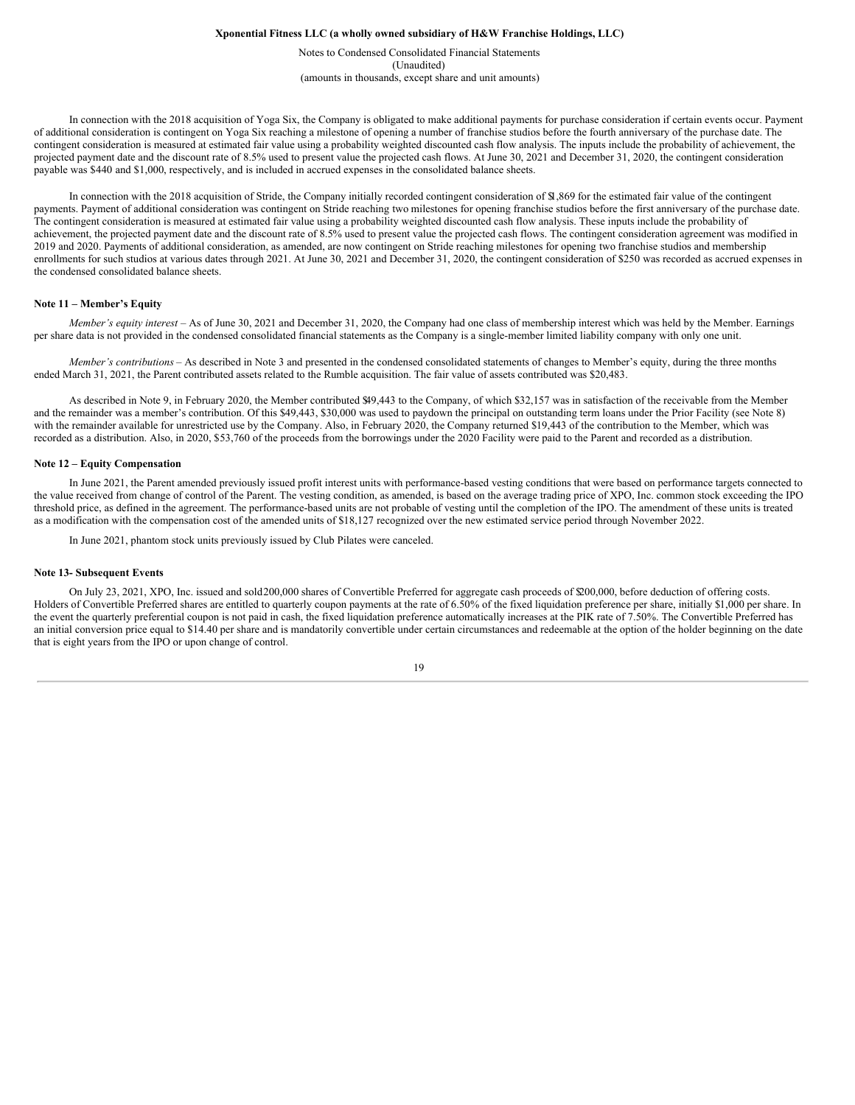Notes to Condensed Consolidated Financial Statements (Unaudited) (amounts in thousands, except share and unit amounts)

In connection with the 2018 acquisition of Yoga Six, the Company is obligated to make additional payments for purchase consideration if certain events occur. Payment of additional consideration is contingent on Yoga Six reaching a milestone of opening a number of franchise studios before the fourth anniversary of the purchase date. The contingent consideration is measured at estimated fair value using a probability weighted discounted cash flow analysis. The inputs include the probability of achievement, the projected payment date and the discount rate of 8.5% used to present value the projected cash flows. At June 30, 2021 and December 31, 2020, the contingent consideration payable was \$440 and \$1,000, respectively, and is included in accrued expenses in the consolidated balance sheets.

In connection with the 2018 acquisition of Stride, the Company initially recorded contingent consideration of \$1,869 for the estimated fair value of the contingent payments. Payment of additional consideration was contingent on Stride reaching two milestones for opening franchise studios before the first anniversary of the purchase date. The contingent consideration is measured at estimated fair value using a probability weighted discounted cash flow analysis. These inputs include the probability of achievement, the projected payment date and the discount rate of 8.5% used to present value the projected cash flows. The contingent consideration agreement was modified in 2019 and 2020. Payments of additional consideration, as amended, are now contingent on Stride reaching milestones for opening two franchise studios and membership enrollments for such studios at various dates through 2021. At June 30, 2021 and December 31, 2020, the contingent consideration of \$250 was recorded as accrued expenses in the condensed consolidated balance sheets.

#### **Note 11 – Member's Equity**

*Member's equity interest* – As of June 30, 2021 and December 31, 2020, the Company had one class of membership interest which was held by the Member. Earnings per share data is not provided in the condensed consolidated financial statements as the Company is a single-member limited liability company with only one unit.

*Member's contributions* – As described in Note 3 and presented in the condensed consolidated statements of changes to Member's equity, during the three months ended March 31, 2021, the Parent contributed assets related to the Rumble acquisition. The fair value of assets contributed was \$20,483.

As described in Note 9, in February 2020, the Member contributed \$49,443 to the Company, of which \$32,157 was in satisfaction of the receivable from the Member and the remainder was a member's contribution. Of this \$49,443, \$30,000 was used to paydown the principal on outstanding term loans under the Prior Facility (see Note 8) with the remainder available for unrestricted use by the Company. Also, in February 2020, the Company returned \$19,443 of the contribution to the Member, which was recorded as a distribution. Also, in 2020, \$53,760 of the proceeds from the borrowings under the 2020 Facility were paid to the Parent and recorded as a distribution.

#### **Note 12 – Equity Compensation**

In June 2021, the Parent amended previously issued profit interest units with performance-based vesting conditions that were based on performance targets connected to the value received from change of control of the Parent. The vesting condition, as amended, is based on the average trading price of XPO, Inc. common stock exceeding the IPO threshold price, as defined in the agreement. The performance-based units are not probable of vesting until the completion of the IPO. The amendment of these units is treated as a modification with the compensation cost of the amended units of \$18,127 recognized over the new estimated service period through November 2022.

In June 2021, phantom stock units previously issued by Club Pilates were canceled.

#### **Note 13- Subsequent Events**

On July 23, 2021, XPO, Inc. issued and sold200,000 shares of Convertible Preferred for aggregate cash proceeds of \$200,000, before deduction of offering costs. Holders of Convertible Preferred shares are entitled to quarterly coupon payments at the rate of 6.50% of the fixed liquidation preference per share, initially \$1,000 per share. In the event the quarterly preferential coupon is not paid in cash, the fixed liquidation preference automatically increases at the PIK rate of 7.50%. The Convertible Preferred has an initial conversion price equal to \$14.40 per share and is mandatorily convertible under certain circumstances and redeemable at the option of the holder beginning on the date that is eight years from the IPO or upon change of control.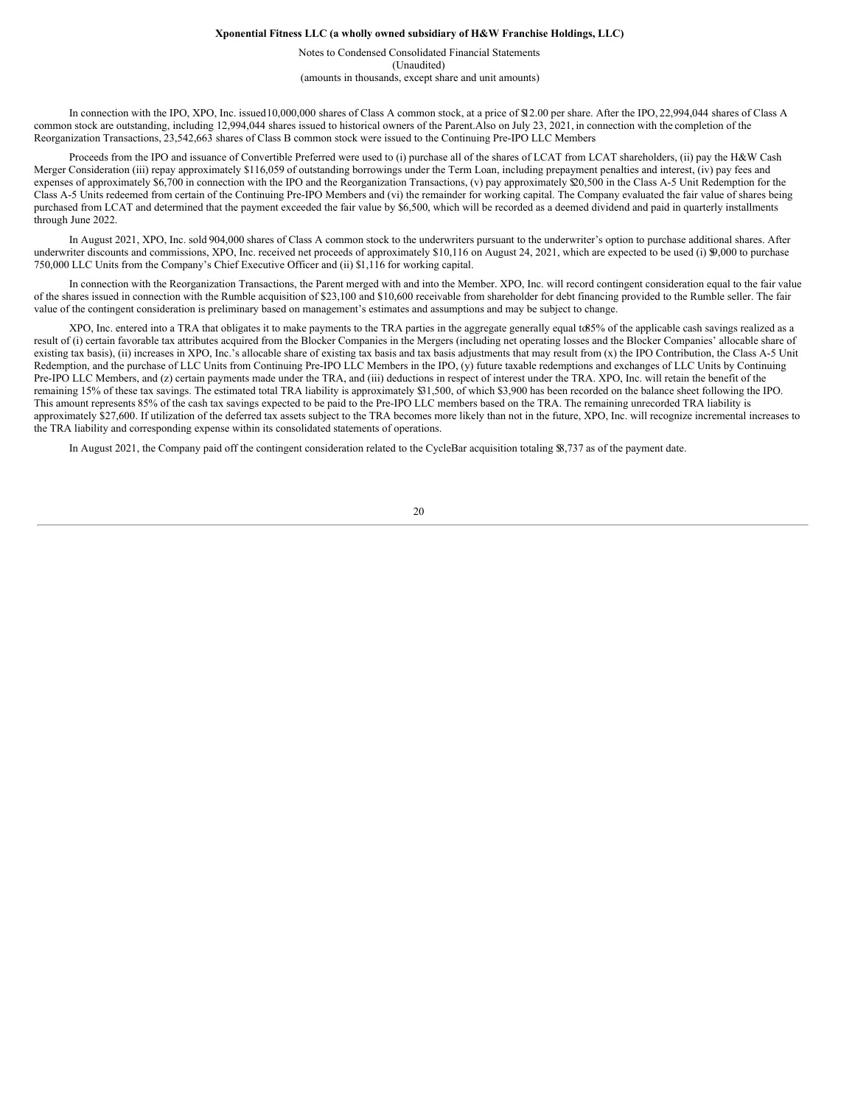Notes to Condensed Consolidated Financial Statements (Unaudited) (amounts in thousands, except share and unit amounts)

In connection with the IPO, XPO, Inc. issued10,000,000 shares of Class A common stock, at a price of \$12.00 per share. After the IPO, 22,994,044 shares of Class A common stock are outstanding, including 12,994,044 shares issued to historical owners of the Parent.Also on July 23, 2021, in connection with the completion of the Reorganization Transactions, 23,542,663 shares of Class B common stock were issued to the Continuing Pre-IPO LLC Members.

Proceeds from the IPO and issuance of Convertible Preferred were used to (i) purchase all of the shares of LCAT from LCAT shareholders, (ii) pay the H&W Cash Merger Consideration (iii) repay approximately \$116,059 of outstanding borrowings under the Term Loan, including prepayment penalties and interest, (iv) pay fees and expenses of approximately \$6,700 in connection with the IPO and the Reorganization Transactions, (v) pay approximately \$20,500 in the Class A-5 Unit Redemption for the Class A-5 Units redeemed from certain of the Continuing Pre-IPO Members and (vi) the remainder for working capital. The Company evaluated the fair value of shares being purchased from LCAT and determined that the payment exceeded the fair value by \$6,500, which will be recorded as a deemed dividend and paid in quarterly installments through June 2022.

In August 2021, XPO, Inc. sold 904,000 shares of Class A common stock to the underwriters pursuant to the underwriter's option to purchase additional shares. After underwriter discounts and commissions, XPO, Inc. received net proceeds of approximately \$10,116 on August 24, 2021, which are expected to be used (i) \$9,000 to purchase 750,000 LLC Units from the Company's Chief Executive Officer and (ii) \$1,116 for working capital.

In connection with the Reorganization Transactions, the Parent merged with and into the Member. XPO, Inc. will record contingent consideration equal to the fair value of the shares issued in connection with the Rumble acquisition of \$23,100 and \$10,600 receivable from shareholder for debt financing provided to the Rumble seller. The fair value of the contingent consideration is preliminary based on management's estimates and assumptions and may be subject to change.

XPO, Inc. entered into a TRA that obligates it to make payments to the TRA parties in the aggregate generally equal to85% of the applicable cash savings realized as a result of (i) certain favorable tax attributes acquired from the Blocker Companies in the Mergers (including net operating losses and the Blocker Companies' allocable share of existing tax basis), (ii) increases in XPO, Inc.'s allocable share of existing tax basis and tax basis adjustments that may result from (x) the IPO Contribution, the Class A-5 Unit Redemption, and the purchase of LLC Units from Continuing Pre-IPO LLC Members in the IPO, (y) future taxable redemptions and exchanges of LLC Units by Continuing Pre-IPO LLC Members, and (z) certain payments made under the TRA, and (iii) deductions in respect of interest under the TRA. XPO, Inc. will retain the benefit of the remaining 15% of these tax savings. The estimated total TRA liability is approximately \$31,500, of which \$3,900 has been recorded on the balance sheet following the IPO. This amount represents 85% of the cash tax savings expected to be paid to the Pre-IPO LLC members based on the TRA. The remaining unrecorded TRA liability is approximately \$27,600. If utilization of the deferred tax assets subject to the TRA becomes more likely than not in the future, XPO, Inc. will recognize incremental increases to the TRA liability and corresponding expense within its consolidated statements of operations.

In August 2021, the Company paid off the contingent consideration related to the CycleBar acquisition totaling \$8,737 as of the payment date.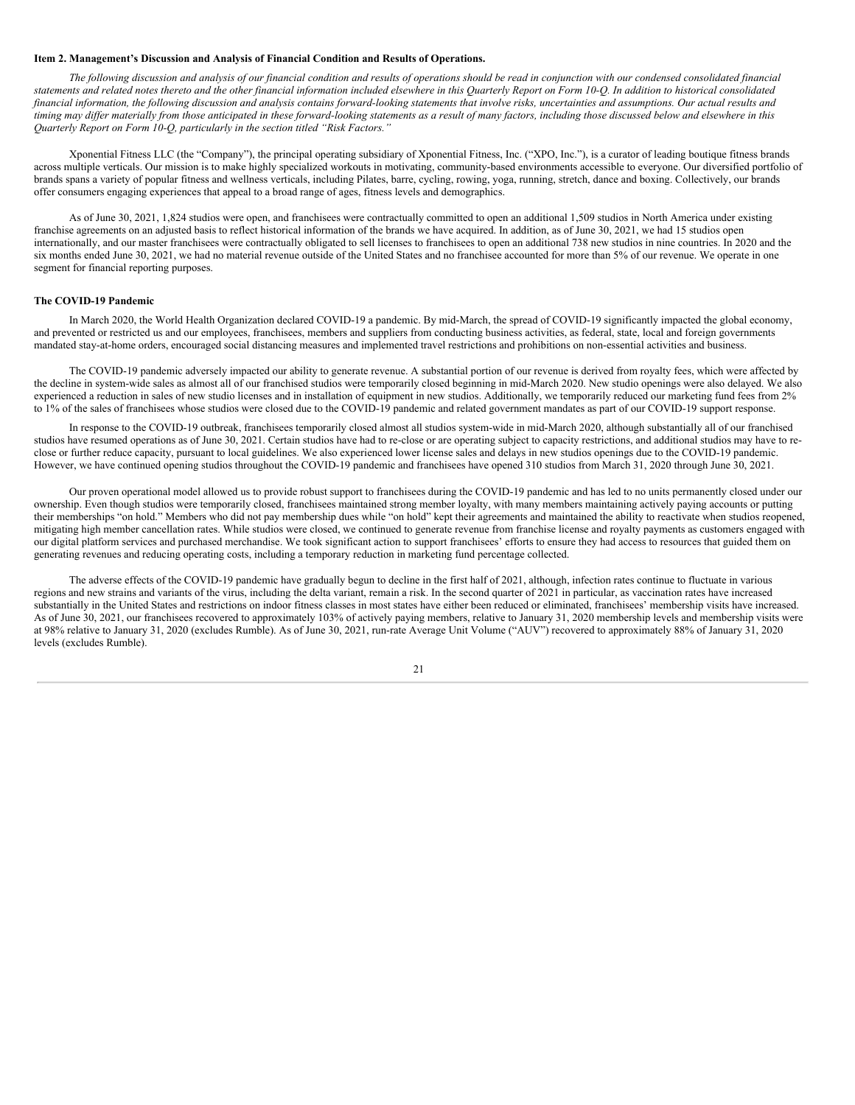#### <span id="page-22-0"></span>**Item 2. Management's Discussion and Analysis of Financial Condition and Results of Operations.**

The following discussion and analysis of our financial condition and results of operations should be read in conjunction with our condensed consolidated financial statements and related notes thereto and the other financial information included elsewhere in this Quarterly Report on Form 10-Q. In addition to historical consolidated financial information, the following discussion and analysis contains forward-looking statements that involve risks, uncertainties and assumptions. Our actual results and timing may differ materially from those anticipated in these forward-looking statements as a result of many factors, including those discussed below and elsewhere in this *Quarterly Report on Form 10-Q, particularly in the section titled "Risk Factors."*

Xponential Fitness LLC (the "Company"), the principal operating subsidiary of Xponential Fitness, Inc. ("XPO, Inc."), is a curator of leading boutique fitness brands across multiple verticals. Our mission is to make highly specialized workouts in motivating, community-based environments accessible to everyone. Our diversified portfolio of brands spans a variety of popular fitness and wellness verticals, including Pilates, barre, cycling, rowing, yoga, running, stretch, dance and boxing. Collectively, our brands offer consumers engaging experiences that appeal to a broad range of ages, fitness levels and demographics.

As of June 30, 2021, 1,824 studios were open, and franchisees were contractually committed to open an additional 1,509 studios in North America under existing franchise agreements on an adjusted basis to reflect historical information of the brands we have acquired. In addition, as of June 30, 2021, we had 15 studios open internationally, and our master franchisees were contractually obligated to sell licenses to franchisees to open an additional 738 new studios in nine countries. In 2020 and the six months ended June 30, 2021, we had no material revenue outside of the United States and no franchisee accounted for more than 5% of our revenue. We operate in one segment for financial reporting purposes.

#### **The COVID-19 Pandemic**

In March 2020, the World Health Organization declared COVID-19 a pandemic. By mid-March, the spread of COVID-19 significantly impacted the global economy, and prevented or restricted us and our employees, franchisees, members and suppliers from conducting business activities, as federal, state, local and foreign governments mandated stay-at-home orders, encouraged social distancing measures and implemented travel restrictions and prohibitions on non-essential activities and business.

The COVID-19 pandemic adversely impacted our ability to generate revenue. A substantial portion of our revenue is derived from royalty fees, which were affected by the decline in system-wide sales as almost all of our franchised studios were temporarily closed beginning in mid-March 2020. New studio openings were also delayed. We also experienced a reduction in sales of new studio licenses and in installation of equipment in new studios. Additionally, we temporarily reduced our marketing fund fees from 2% to 1% of the sales of franchisees whose studios were closed due to the COVID-19 pandemic and related government mandates as part of our COVID-19 support response.

In response to the COVID-19 outbreak, franchisees temporarily closed almost all studios system-wide in mid-March 2020, although substantially all of our franchised studios have resumed operations as of June 30, 2021. Certain studios have had to re-close or are operating subject to capacity restrictions, and additional studios may have to reclose or further reduce capacity, pursuant to local guidelines. We also experienced lower license sales and delays in new studios openings due to the COVID-19 pandemic. However, we have continued opening studios throughout the COVID-19 pandemic and franchisees have opened 310 studios from March 31, 2020 through June 30, 2021.

Our proven operational model allowed us to provide robust support to franchisees during the COVID-19 pandemic and has led to no units permanently closed under our ownership. Even though studios were temporarily closed, franchisees maintained strong member loyalty, with many members maintaining actively paying accounts or putting their memberships "on hold." Members who did not pay membership dues while "on hold" kept their agreements and maintained the ability to reactivate when studios reopened, mitigating high member cancellation rates. While studios were closed, we continued to generate revenue from franchise license and royalty payments as customers engaged with our digital platform services and purchased merchandise. We took significant action to support franchisees' efforts to ensure they had access to resources that guided them on generating revenues and reducing operating costs, including a temporary reduction in marketing fund percentage collected.

The adverse effects of the COVID-19 pandemic have gradually begun to decline in the first half of 2021, although, infection rates continue to fluctuate in various regions and new strains and variants of the virus, including the delta variant, remain a risk. In the second quarter of 2021 in particular, as vaccination rates have increased substantially in the United States and restrictions on indoor fitness classes in most states have either been reduced or eliminated, franchisees' membership visits have increased. As of June 30, 2021, our franchisees recovered to approximately 103% of actively paying members, relative to January 31, 2020 membership levels and membership visits were at 98% relative to January 31, 2020 (excludes Rumble). As of June 30, 2021, run-rate Average Unit Volume ("AUV") recovered to approximately 88% of January 31, 2020 levels (excludes Rumble).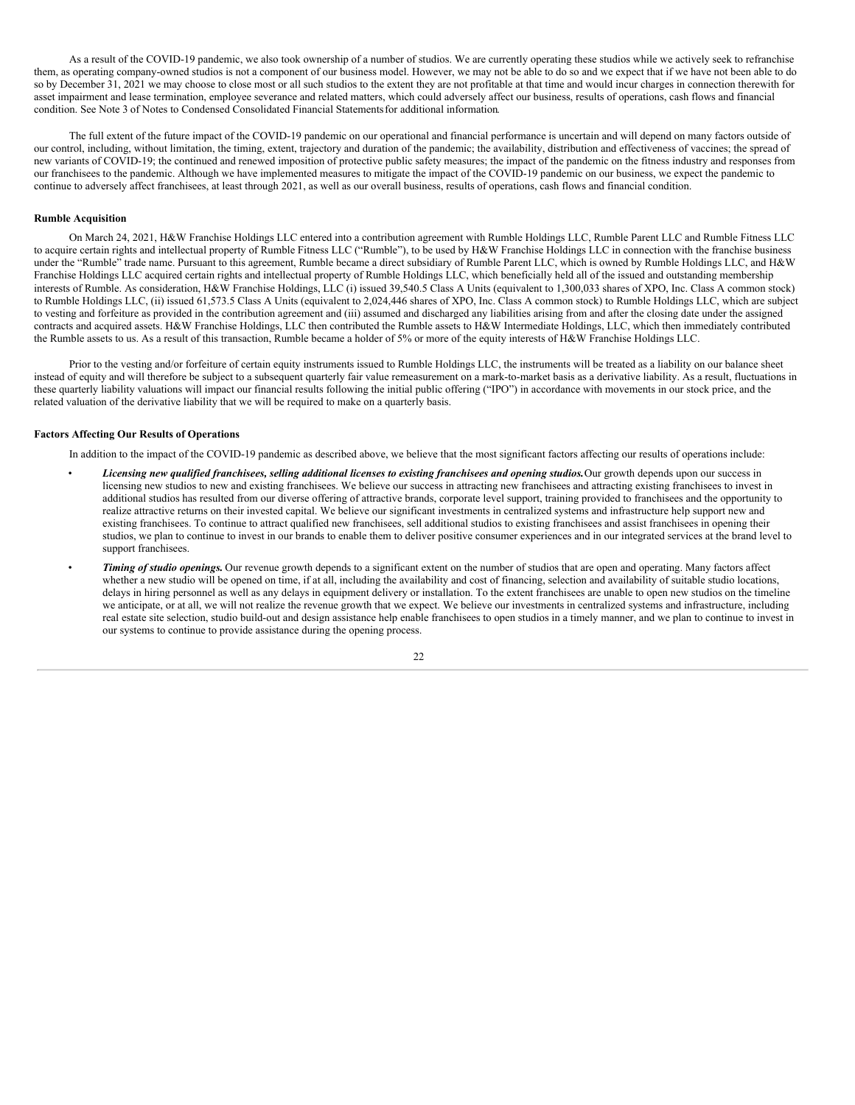As a result of the COVID-19 pandemic, we also took ownership of a number of studios. We are currently operating these studios while we actively seek to refranchise them, as operating company-owned studios is not a component of our business model. However, we may not be able to do so and we expect that if we have not been able to do so by December 31, 2021 we may choose to close most or all such studios to the extent they are not profitable at that time and would incur charges in connection therewith for asset impairment and lease termination, employee severance and related matters, which could adversely affect our business, results of operations, cash flows and financial condition. See Note 3 of Notes to Condensed Consolidated Financial Statementsfor additional information.

The full extent of the future impact of the COVID-19 pandemic on our operational and financial performance is uncertain and will depend on many factors outside of our control, including, without limitation, the timing, extent, trajectory and duration of the pandemic; the availability, distribution and effectiveness of vaccines; the spread of new variants of COVID-19; the continued and renewed imposition of protective public safety measures; the impact of the pandemic on the fitness industry and responses from our franchisees to the pandemic. Although we have implemented measures to mitigate the impact of the COVID-19 pandemic on our business, we expect the pandemic to continue to adversely affect franchisees, at least through 2021, as well as our overall business, results of operations, cash flows and financial condition.

#### **Rumble Acquisition**

On March 24, 2021, H&W Franchise Holdings LLC entered into a contribution agreement with Rumble Holdings LLC, Rumble Parent LLC and Rumble Fitness LLC to acquire certain rights and intellectual property of Rumble Fitness LLC ("Rumble"), to be used by H&W Franchise Holdings LLC in connection with the franchise business under the "Rumble" trade name. Pursuant to this agreement, Rumble became a direct subsidiary of Rumble Parent LLC, which is owned by Rumble Holdings LLC, and H&W Franchise Holdings LLC acquired certain rights and intellectual property of Rumble Holdings LLC, which beneficially held all of the issued and outstanding membership interests of Rumble. As consideration, H&W Franchise Holdings, LLC (i) issued 39,540.5 Class A Units (equivalent to 1,300,033 shares of XPO, Inc. Class A common stock) to Rumble Holdings LLC, (ii) issued 61,573.5 Class A Units (equivalent to 2,024,446 shares of XPO, Inc. Class A common stock) to Rumble Holdings LLC, which are subject to vesting and forfeiture as provided in the contribution agreement and (iii) assumed and discharged any liabilities arising from and after the closing date under the assigned contracts and acquired assets. H&W Franchise Holdings, LLC then contributed the Rumble assets to H&W Intermediate Holdings, LLC, which then immediately contributed the Rumble assets to us. As a result of this transaction, Rumble became a holder of 5% or more of the equity interests of H&W Franchise Holdings LLC.

Prior to the vesting and/or forfeiture of certain equity instruments issued to Rumble Holdings LLC, the instruments will be treated as a liability on our balance sheet instead of equity and will therefore be subject to a subsequent quarterly fair value remeasurement on a mark-to-market basis as a derivative liability. As a result, fluctuations in these quarterly liability valuations will impact our financial results following the initial public offering ("IPO") in accordance with movements in our stock price, and the related valuation of the derivative liability that we will be required to make on a quarterly basis.

#### **Factors Affecting Our Results of Operations**

In addition to the impact of the COVID-19 pandemic as described above, we believe that the most significant factors affecting our results of operations include:

- Licensing new qualified franchisees, selling additional licenses to existing franchisees and opening studios. Our growth depends upon our success in licensing new studios to new and existing franchisees. We believe our success in attracting new franchisees and attracting existing franchisees to invest in additional studios has resulted from our diverse offering of attractive brands, corporate level support, training provided to franchisees and the opportunity to realize attractive returns on their invested capital. We believe our significant investments in centralized systems and infrastructure help support new and existing franchisees. To continue to attract qualified new franchisees, sell additional studios to existing franchisees and assist franchisees in opening their studios, we plan to continue to invest in our brands to enable them to deliver positive consumer experiences and in our integrated services at the brand level to support franchisees.
- *Timing of studio openings.* Our revenue growth depends to a significant extent on the number of studios that are open and operating. Many factors affect whether a new studio will be opened on time, if at all, including the availability and cost of financing, selection and availability of suitable studio locations, delays in hiring personnel as well as any delays in equipment delivery or installation. To the extent franchisees are unable to open new studios on the timeline we anticipate, or at all, we will not realize the revenue growth that we expect. We believe our investments in centralized systems and infrastructure, including real estate site selection, studio build-out and design assistance help enable franchisees to open studios in a timely manner, and we plan to continue to invest in our systems to continue to provide assistance during the opening process.

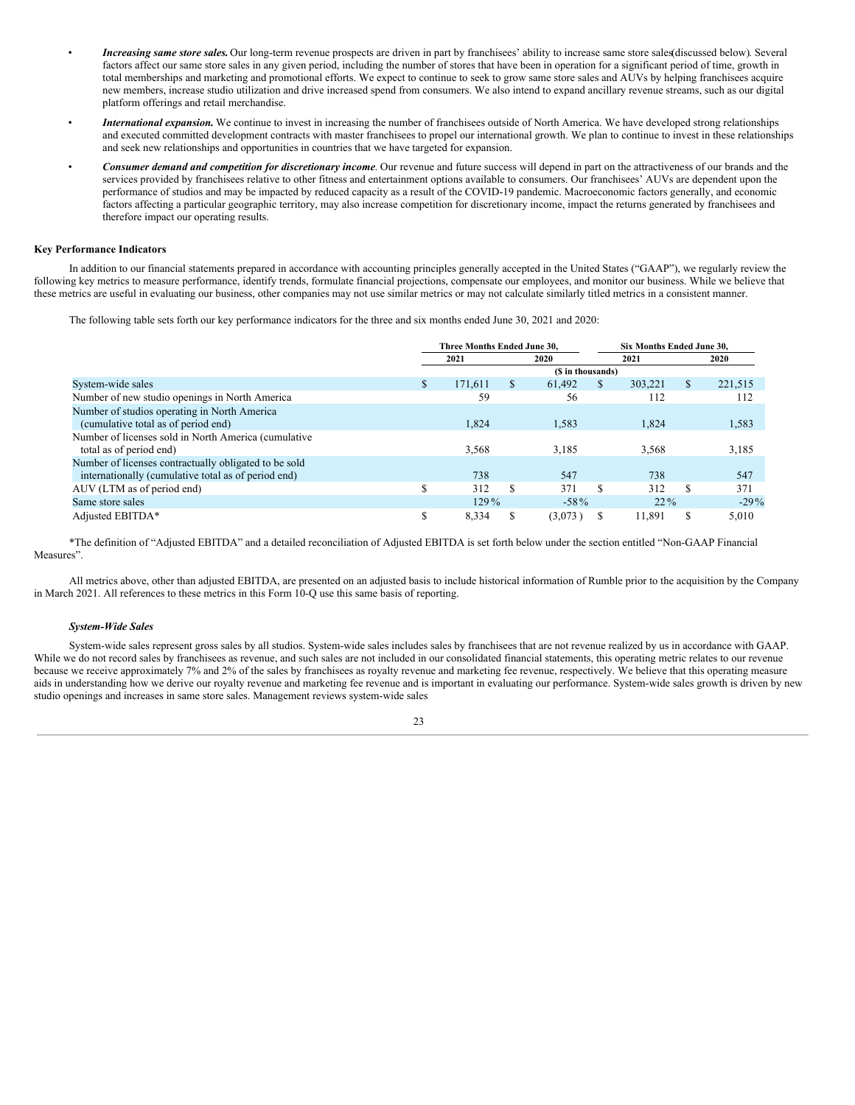- *Increasing same store sales.* Our long-term revenue prospects are driven in part by franchisees' ability to increase same store sales(discussed below). Several factors affect our same store sales in any given period, including the number of stores that have been in operation for a significant period of time, growth in total memberships and marketing and promotional efforts. We expect to continue to seek to grow same store sales and AUVs by helping franchisees acquire new members, increase studio utilization and drive increased spend from consumers. We also intend to expand ancillary revenue streams, such as our digital platform offerings and retail merchandise.
- *International expansion.* We continue to invest in increasing the number of franchisees outside of North America. We have developed strong relationships and executed committed development contracts with master franchisees to propel our international growth. We plan to continue to invest in these relationships and seek new relationships and opportunities in countries that we have targeted for expansion.
- *Consumer demand and competition for discretionary income*. Our revenue and future success will depend in part on the attractiveness of our brands and the services provided by franchisees relative to other fitness and entertainment options available to consumers. Our franchisees' AUVs are dependent upon the performance of studios and may be impacted by reduced capacity as a result of the COVID-19 pandemic. Macroeconomic factors generally, and economic factors affecting a particular geographic territory, may also increase competition for discretionary income, impact the returns generated by franchisees and therefore impact our operating results.

#### **Key Performance Indicators**

In addition to our financial statements prepared in accordance with accounting principles generally accepted in the United States ("GAAP"), we regularly review the following key metrics to measure performance, identify trends, formulate financial projections, compensate our employees, and monitor our business. While we believe that these metrics are useful in evaluating our business, other companies may not use similar metrics or may not calculate similarly titled metrics in a consistent manner.

The following table sets forth our key performance indicators for the three and six months ended June 30, 2021 and 2020:

|                                                       |         | Three Months Ended June 30. |     |                   |      | <b>Six Months Ended June 30.</b> |    |         |
|-------------------------------------------------------|---------|-----------------------------|-----|-------------------|------|----------------------------------|----|---------|
|                                                       | 2021    |                             |     | 2020              | 2021 |                                  |    | 2020    |
|                                                       |         |                             |     | (\$ in thousands) |      |                                  |    |         |
| System-wide sales                                     | S.      | 171.611                     | S.  | 61.492            | \$   | 303.221                          | \$ | 221,515 |
| Number of new studio openings in North America        |         | 59                          |     | 56                |      | 112                              |    | 112     |
| Number of studios operating in North America          |         |                             |     |                   |      |                                  |    |         |
| (cumulative total as of period end)                   |         | 1.824                       |     | 1,583             |      | 1,824                            |    | 1,583   |
| Number of licenses sold in North America (cumulative  |         |                             |     |                   |      |                                  |    |         |
| total as of period end)                               |         | 3,568                       |     | 3,185             |      | 3,568                            |    | 3,185   |
| Number of licenses contractually obligated to be sold |         |                             |     |                   |      |                                  |    |         |
| internationally (cumulative total as of period end)   |         | 738                         |     | 547               |      | 738                              |    | 547     |
| AUV (LTM as of period end)                            | \$.     | 312                         | \$. | 371               |      | 312                              | S  | 371     |
| Same store sales                                      |         | $129\%$                     |     | $-58\%$           |      | $22\%$                           |    | $-29\%$ |
| Adjusted EBITDA*                                      | e<br>ъ. | 8,334                       |     | (3,073)           |      | 11.891                           | S  | 5.010   |

\*The definition of "Adjusted EBITDA" and a detailed reconciliation of Adjusted EBITDA is set forth below under the section entitled "Non-GAAP Financial Measures".

All metrics above, other than adjusted EBITDA, are presented on an adjusted basis to include historical information of Rumble prior to the acquisition by the Company in March 2021. All references to these metrics in this Form 10-Q use this same basis of reporting.

#### *System-Wide Sales*

System-wide sales represent gross sales by all studios. System-wide sales includes sales by franchisees that are not revenue realized by us in accordance with GAAP. While we do not record sales by franchisees as revenue, and such sales are not included in our consolidated financial statements, this operating metric relates to our revenue because we receive approximately 7% and 2% of the sales by franchisees as royalty revenue and marketing fee revenue, respectively. We believe that this operating measure aids in understanding how we derive our royalty revenue and marketing fee revenue and is important in evaluating our performance. System-wide sales growth is driven by new studio openings and increases in same store sales. Management reviews system-wide sales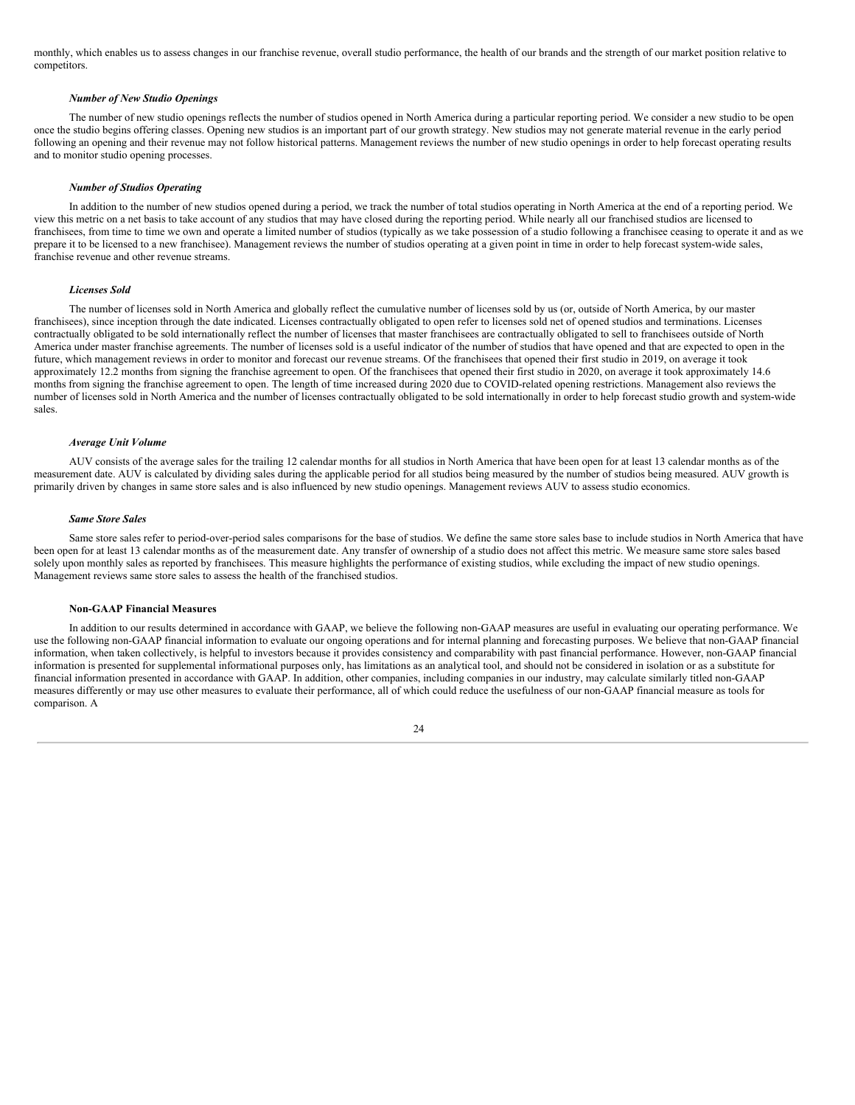monthly, which enables us to assess changes in our franchise revenue, overall studio performance, the health of our brands and the strength of our market position relative to competitors.

#### *Number of New Studio Openings*

The number of new studio openings reflects the number of studios opened in North America during a particular reporting period. We consider a new studio to be open once the studio begins offering classes. Opening new studios is an important part of our growth strategy. New studios may not generate material revenue in the early period following an opening and their revenue may not follow historical patterns. Management reviews the number of new studio openings in order to help forecast operating results and to monitor studio opening processes.

#### *Number of Studios Operating*

In addition to the number of new studios opened during a period, we track the number of total studios operating in North America at the end of a reporting period. We view this metric on a net basis to take account of any studios that may have closed during the reporting period. While nearly all our franchised studios are licensed to franchisees, from time to time we own and operate a limited number of studios (typically as we take possession of a studio following a franchisee ceasing to operate it and as we prepare it to be licensed to a new franchisee). Management reviews the number of studios operating at a given point in time in order to help forecast system-wide sales, franchise revenue and other revenue streams.

#### *Licenses Sold*

The number of licenses sold in North America and globally reflect the cumulative number of licenses sold by us (or, outside of North America, by our master franchisees), since inception through the date indicated. Licenses contractually obligated to open refer to licenses sold net of opened studios and terminations. Licenses contractually obligated to be sold internationally reflect the number of licenses that master franchisees are contractually obligated to sell to franchisees outside of North America under master franchise agreements. The number of licenses sold is a useful indicator of the number of studios that have opened and that are expected to open in the future, which management reviews in order to monitor and forecast our revenue streams. Of the franchisees that opened their first studio in 2019, on average it took approximately 12.2 months from signing the franchise agreement to open. Of the franchisees that opened their first studio in 2020, on average it took approximately 14.6 months from signing the franchise agreement to open. The length of time increased during 2020 due to COVID-related opening restrictions. Management also reviews the number of licenses sold in North America and the number of licenses contractually obligated to be sold internationally in order to help forecast studio growth and system-wide sales.

#### *Average Unit Volume*

AUV consists of the average sales for the trailing 12 calendar months for all studios in North America that have been open for at least 13 calendar months as of the measurement date. AUV is calculated by dividing sales during the applicable period for all studios being measured by the number of studios being measured. AUV growth is primarily driven by changes in same store sales and is also influenced by new studio openings. Management reviews AUV to assess studio economics.

#### *Same Store Sales*

Same store sales refer to period-over-period sales comparisons for the base of studios. We define the same store sales base to include studios in North America that have been open for at least 13 calendar months as of the measurement date. Any transfer of ownership of a studio does not affect this metric. We measure same store sales based solely upon monthly sales as reported by franchisees. This measure highlights the performance of existing studios, while excluding the impact of new studio openings. Management reviews same store sales to assess the health of the franchised studios.

#### **Non-GAAP Financial Measures**

In addition to our results determined in accordance with GAAP, we believe the following non-GAAP measures are useful in evaluating our operating performance. We use the following non-GAAP financial information to evaluate our ongoing operations and for internal planning and forecasting purposes. We believe that non-GAAP financial information, when taken collectively, is helpful to investors because it provides consistency and comparability with past financial performance. However, non-GAAP financial information is presented for supplemental informational purposes only, has limitations as an analytical tool, and should not be considered in isolation or as a substitute for financial information presented in accordance with GAAP. In addition, other companies, including companies in our industry, may calculate similarly titled non-GAAP measures differently or may use other measures to evaluate their performance, all of which could reduce the usefulness of our non-GAAP financial measure as tools for comparison. A

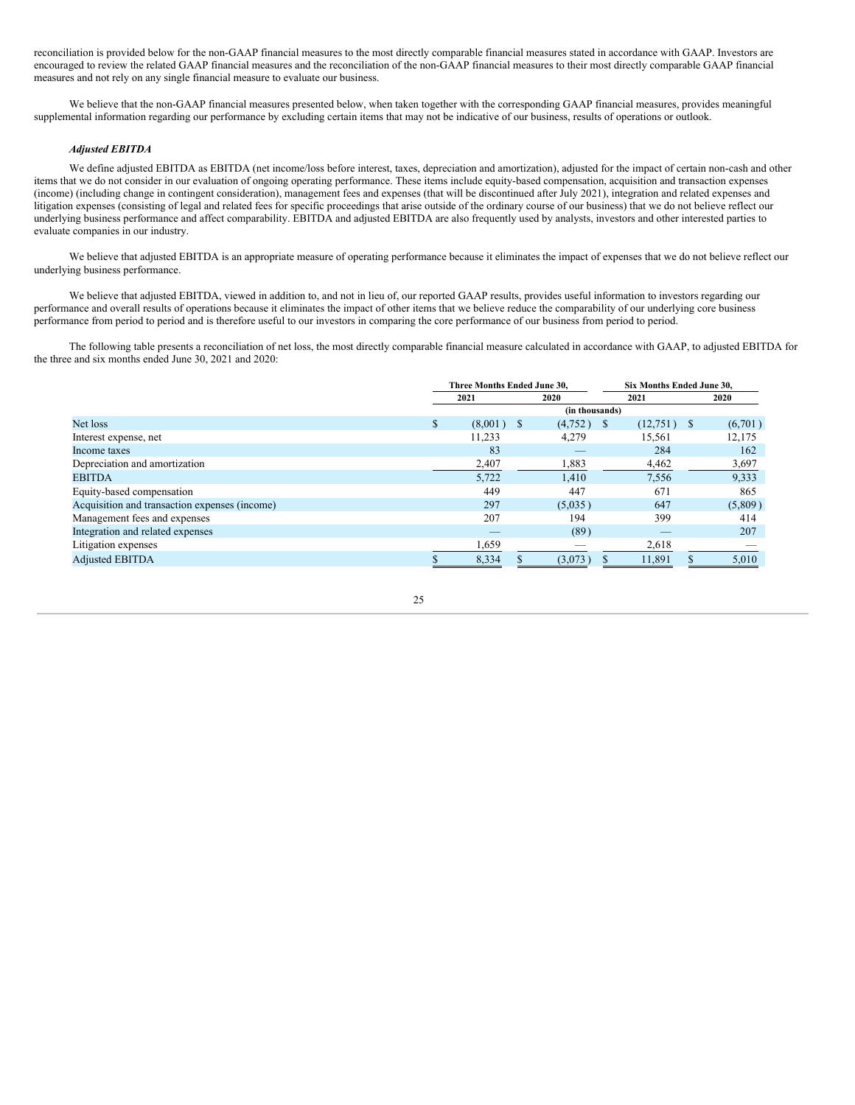reconciliation is provided below for the non-GAAP financial measures to the most directly comparable financial measures stated in accordance with GAAP. Investors are encouraged to review the related GAAP financial measures and the reconciliation of the non-GAAP financial measures to their most directly comparable GAAP financial measures and not rely on any single financial measure to evaluate our business.

We believe that the non-GAAP financial measures presented below, when taken together with the corresponding GAAP financial measures, provides meaningful supplemental information regarding our performance by excluding certain items that may not be indicative of our business, results of operations or outlook.

#### *Adjusted EBITDA*

We define adjusted EBITDA as EBITDA (net income/loss before interest, taxes, depreciation and amortization), adjusted for the impact of certain non-cash and other items that we do not consider in our evaluation of ongoing operating performance. These items include equity-based compensation, acquisition and transaction expenses (income) (including change in contingent consideration), management fees and expenses (that will be discontinued after July 2021), integration and related expenses and litigation expenses (consisting of legal and related fees for specific proceedings that arise outside of the ordinary course of our business) that we do not believe reflect our underlying business performance and affect comparability. EBITDA and adjusted EBITDA are also frequently used by analysts, investors and other interested parties to evaluate companies in our industry.

We believe that adjusted EBITDA is an appropriate measure of operating performance because it eliminates the impact of expenses that we do not believe reflect our underlying business performance.

We believe that adjusted EBITDA, viewed in addition to, and not in lieu of, our reported GAAP results, provides useful information to investors regarding our performance and overall results of operations because it eliminates the impact of other items that we believe reduce the comparability of our underlying core business performance from period to period and is therefore useful to our investors in comparing the core performance of our business from period to period.

The following table presents a reconciliation of net loss, the most directly comparable financial measure calculated in accordance with GAAP, to adjusted EBITDA for the three and six months ended June 30, 2021 and 2020:

|                                               | Three Months Ended June 30. |     |                | <b>Six Months Ended June 30.</b> |                          |  |         |
|-----------------------------------------------|-----------------------------|-----|----------------|----------------------------------|--------------------------|--|---------|
|                                               | 2021                        |     | 2020           |                                  | 2021                     |  | 2020    |
|                                               |                             |     | (in thousands) |                                  |                          |  |         |
| Net loss                                      | \$<br>(8,001)               | - S | $(4,752)$ \$   |                                  | $(12,751)$ \$            |  | (6,701) |
| Interest expense, net                         | 11,233                      |     | 4,279          |                                  | 15,561                   |  | 12,175  |
| Income taxes                                  | 83                          |     |                |                                  | 284                      |  | 162     |
| Depreciation and amortization                 | 2,407                       |     | 1,883          |                                  | 4,462                    |  | 3,697   |
| <b>EBITDA</b>                                 | 5,722                       |     | 1.410          |                                  | 7,556                    |  | 9,333   |
| Equity-based compensation                     | 449                         |     | 447            |                                  | 671                      |  | 865     |
| Acquisition and transaction expenses (income) | 297                         |     | (5,035)        |                                  | 647                      |  | (5,809) |
| Management fees and expenses                  | 207                         |     | 194            |                                  | 399                      |  | 414     |
| Integration and related expenses              | _                           |     | (89)           |                                  | $\overline{\phantom{a}}$ |  | 207     |
| Litigation expenses                           | 1,659                       |     |                |                                  | 2,618                    |  |         |
| <b>Adjusted EBITDA</b>                        | 8,334                       |     | (3,073)        |                                  | 11,891                   |  | 5,010   |
|                                               |                             |     |                |                                  |                          |  |         |

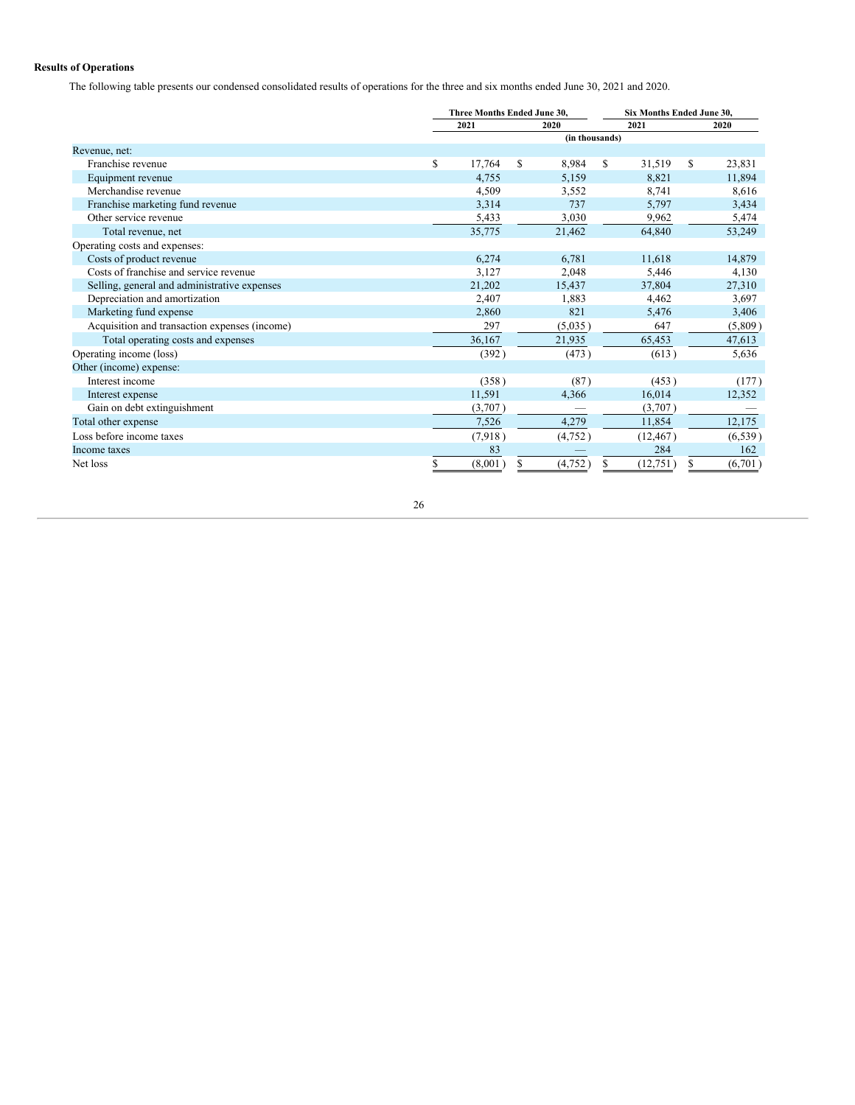## **Results of Operations**

The following table presents our condensed consolidated results of operations for the three and six months ended June 30, 2021 and 2020.

|                                               |    | Three Months Ended June 30. |   |                | Six Months Ended June 30, |           |    |          |
|-----------------------------------------------|----|-----------------------------|---|----------------|---------------------------|-----------|----|----------|
|                                               |    | 2021                        |   | 2020           |                           | 2021      |    | 2020     |
|                                               |    |                             |   | (in thousands) |                           |           |    |          |
| Revenue, net:                                 |    |                             |   |                |                           |           |    |          |
| Franchise revenue                             | \$ | 17,764                      | S | 8,984          | S                         | 31,519    | S. | 23,831   |
| Equipment revenue                             |    | 4,755                       |   | 5,159          |                           | 8,821     |    | 11,894   |
| Merchandise revenue                           |    | 4,509                       |   | 3,552          |                           | 8,741     |    | 8,616    |
| Franchise marketing fund revenue              |    | 3,314                       |   | 737            |                           | 5,797     |    | 3,434    |
| Other service revenue                         |    | 5,433                       |   | 3,030          |                           | 9,962     |    | 5,474    |
| Total revenue, net                            |    | 35,775                      |   | 21,462         |                           | 64,840    |    | 53,249   |
| Operating costs and expenses:                 |    |                             |   |                |                           |           |    |          |
| Costs of product revenue                      |    | 6.274                       |   | 6.781          |                           | 11.618    |    | 14.879   |
| Costs of franchise and service revenue        |    | 3,127                       |   | 2,048          |                           | 5,446     |    | 4,130    |
| Selling, general and administrative expenses  |    | 21,202                      |   | 15,437         |                           | 37,804    |    | 27,310   |
| Depreciation and amortization                 |    | 2,407                       |   | 1,883          |                           | 4,462     |    | 3,697    |
| Marketing fund expense                        |    | 2,860                       |   | 821            |                           | 5,476     |    | 3,406    |
| Acquisition and transaction expenses (income) |    | 297                         |   | (5,035)        |                           | 647       |    | (5,809)  |
| Total operating costs and expenses            |    | 36,167                      |   | 21,935         |                           | 65,453    |    | 47,613   |
| Operating income (loss)                       |    | (392)                       |   | (473)          |                           | (613)     |    | 5,636    |
| Other (income) expense:                       |    |                             |   |                |                           |           |    |          |
| Interest income                               |    | (358)                       |   | (87)           |                           | (453)     |    | (177)    |
| Interest expense                              |    | 11,591                      |   | 4,366          |                           | 16,014    |    | 12,352   |
| Gain on debt extinguishment                   |    | (3,707)                     |   |                |                           | (3,707)   |    |          |
| Total other expense                           |    | 7,526                       |   | 4,279          |                           | 11,854    |    | 12,175   |
| Loss before income taxes                      |    | (7,918)                     |   | (4,752)        |                           | (12, 467) |    | (6, 539) |
| Income taxes                                  |    | 83                          |   |                |                           | 284       |    | 162      |
| Net loss                                      | S  | (8,001)                     | S | (4,752)        | S                         | (12,751)  | \$ | (6,701)  |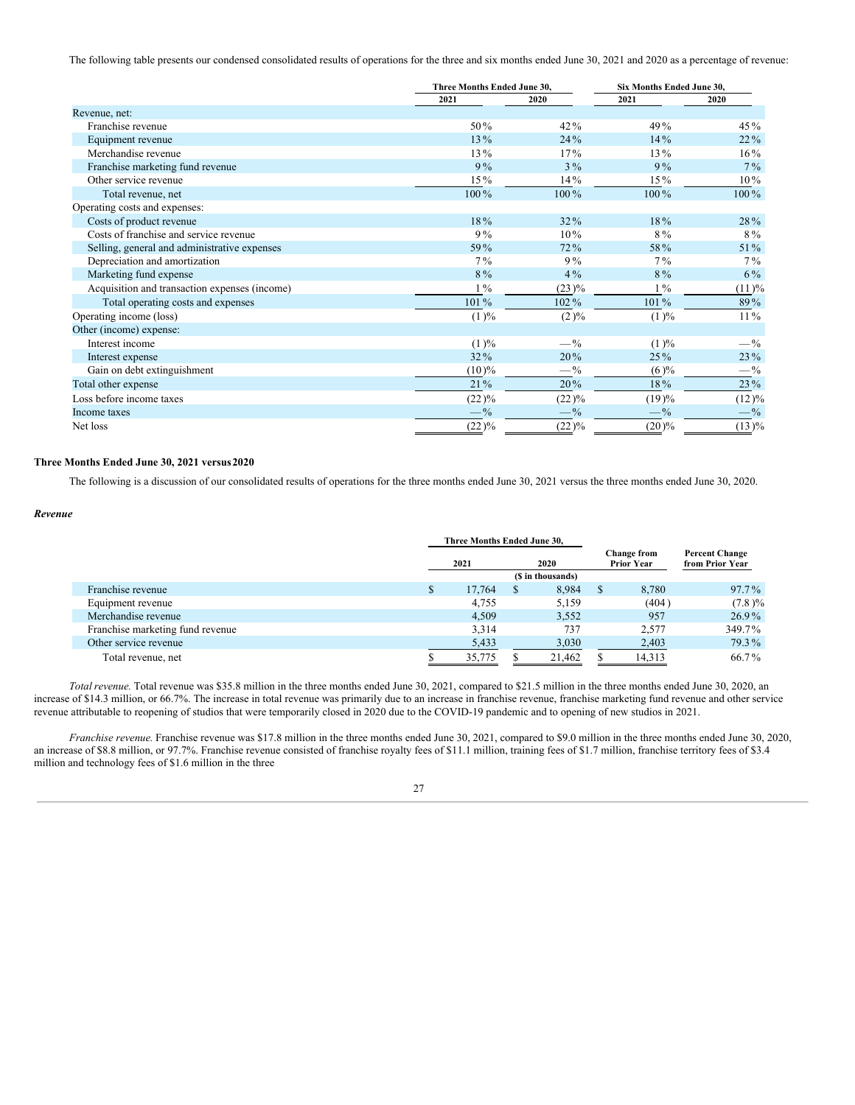The following table presents our condensed consolidated results of operations for the three and six months ended June 30, 2021 and 2020 as a percentage of revenue:

|                                               | Three Months Ended June 30, |                | Six Months Ended June 30, |                 |
|-----------------------------------------------|-----------------------------|----------------|---------------------------|-----------------|
|                                               | 2021                        | 2020           |                           | 2020            |
| Revenue, net:                                 |                             |                |                           |                 |
| Franchise revenue                             | 50%                         | 42%            | 49%                       | 45%             |
| Equipment revenue                             | 13%                         | 24%            | 14%                       | $22\%$          |
| Merchandise revenue                           | 13%                         | 17%            | $13\%$                    | $16\%$          |
| Franchise marketing fund revenue              | 9%                          | $3\%$          | 9%                        | $7\%$           |
| Other service revenue                         | $15\%$                      | 14%            | $15\%$                    | $10\%$          |
| Total revenue, net                            | 100%                        | $100\%$        | $100\%$                   | 100 %           |
| Operating costs and expenses:                 |                             |                |                           |                 |
| Costs of product revenue                      | 18%                         | $32\%$         | 18%                       | 28%             |
| Costs of franchise and service revenue        | $9\%$                       | $10\%$         | $8\%$                     | $8\%$           |
| Selling, general and administrative expenses  | 59%                         | 72%            | 58%                       | 51%             |
| Depreciation and amortization                 | $7\%$                       | 9%             | $7\%$                     | $7\%$           |
| Marketing fund expense                        | 8%                          | $4\%$          | 8%                        | 6 %             |
| Acquisition and transaction expenses (income) | $1\%$                       | $(23)\%$       | $1\%$                     | (11)%           |
| Total operating costs and expenses            | 101%                        | 102%           | 101%                      | 89%             |
| Operating income (loss)                       | (1)%                        | $(2)\%$        | (1)%                      | $11\%$          |
| Other (income) expense:                       |                             |                |                           |                 |
| Interest income                               | (1)%                        | $-\frac{6}{6}$ | (1)%                      | $- \frac{9}{6}$ |
| Interest expense                              | $32\%$                      | 20%            | $25\%$                    | 23 %            |
| Gain on debt extinguishment                   | $(10)\%$                    | $-$ %          | (6)%                      | $-$ %           |
| Total other expense                           | $21\%$                      | 20%            | 18%                       | 23 %            |
| Loss before income taxes                      | $(22)\%$                    | $(22)\%$       | (19)%                     | $(12)\%$        |
| Income taxes                                  | $-$ %                       | $-$ %          | $-\frac{9}{6}$            | $-$ %           |
| Net loss                                      | $(22)\%$                    | $(22)\%$       | $(20)\%$                  | $(13)\%$        |

## **Three Months Ended June 30, 2021 versus2020**

The following is a discussion of our consolidated results of operations for the three months ended June 30, 2021 versus the three months ended June 30, 2020.

#### *Revenue*

|                                  |      | Three Months Ended June 30. |      |                   |                                         |        |                                          |
|----------------------------------|------|-----------------------------|------|-------------------|-----------------------------------------|--------|------------------------------------------|
|                                  | 2021 |                             | 2020 |                   | <b>Change from</b><br><b>Prior Year</b> |        | <b>Percent Change</b><br>from Prior Year |
|                                  |      |                             |      | (\$ in thousands) |                                         |        |                                          |
| Franchise revenue                |      | 17,764                      |      | 8.984             | S                                       | 8.780  | 97.7%                                    |
| Equipment revenue                |      | 4,755                       |      | 5.159             |                                         | (404)  | (7.8)%                                   |
| Merchandise revenue              |      | 4.509                       |      | 3.552             |                                         | 957    | $26.9\%$                                 |
| Franchise marketing fund revenue |      | 3,314                       |      | 737               |                                         | 2,577  | 349.7%                                   |
| Other service revenue            |      | 5,433                       |      | 3,030             |                                         | 2,403  | 79.3%                                    |
| Total revenue, net               |      | 35,775                      |      | 21.462            |                                         | 14.313 | 66.7%                                    |

*Total revenue.* Total revenue was \$35.8 million in the three months ended June 30, 2021, compared to \$21.5 million in the three months ended June 30, 2020, an increase of \$14.3 million, or 66.7%. The increase in total revenue was primarily due to an increase in franchise revenue, franchise marketing fund revenue and other service revenue attributable to reopening of studios that were temporarily closed in 2020 due to the COVID-19 pandemic and to opening of new studios in 2021.

*Franchise revenue*. Franchise revenue was \$17.8 million in the three months ended June 30, 2021, compared to \$9.0 million in the three months ended June 30, 2020, an increase of \$8.8 million, or 97.7%. Franchise revenue consisted of franchise royalty fees of \$11.1 million, training fees of \$1.7 million, franchise territory fees of \$3.4 million and technology fees of \$1.6 million in the three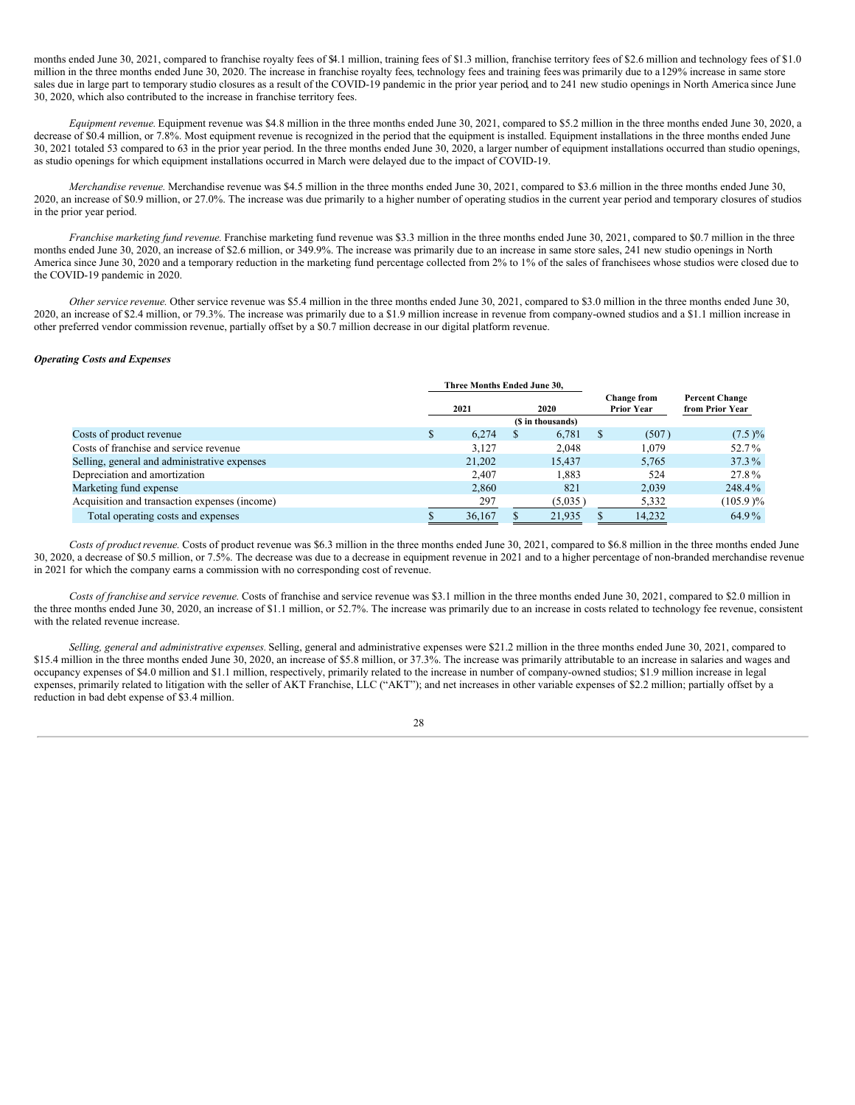months ended June 30, 2021, compared to franchise royalty fees of \$4.1 million, training fees of \$1.3 million, franchise territory fees of \$2.6 million and technology fees of \$1.0 million in the three months ended June 30, 2020. The increase in franchise royalty fees, technology fees and training fees was primarily due to a 129% increase in same store sales due in large part to temporary studio closures as a result of the COVID-19 pandemic in the prior year period and to 241 new studio openings in North America since June 30, 2020, which also contributed to the increase in franchise territory fees.

*Equipment revenue.* Equipment revenue was \$4.8 million in the three months ended June 30, 2021, compared to \$5.2 million in the three months ended June 30, 2020, a decrease of \$0.4 million, or 7.8%. Most equipment revenue is recognized in the period that the equipment is installed. Equipment installations in the three months ended June 30, 2021 totaled 53 compared to 63 in the prior year period. In the three months ended June 30, 2020, a larger number of equipment installations occurred than studio openings, as studio openings for which equipment installations occurred in March were delayed due to the impact of COVID-19.

*Merchandise revenue.* Merchandise revenue was \$4.5 million in the three months ended June 30, 2021, compared to \$3.6 million in the three months ended June 30, 2020, an increase of \$0.9 million, or 27.0%. The increase was due primarily to a higher number of operating studios in the current year period and temporary closures of studios in the prior year period.

*Franchise marketing fund revenue.* Franchise marketing fund revenue was \$3.3 million in the three months ended June 30, 2021, compared to \$0.7 million in the three months ended June 30, 2020, an increase of \$2.6 million, or 349.9%. The increase was primarily due to an increase in same store sales, 241 new studio openings in North America since June 30, 2020 and a temporary reduction in the marketing fund percentage collected from 2% to 1% of the sales of franchisees whose studios were closed due to the COVID-19 pandemic in 2020.

*Other service revenue.* Other service revenue was \$5.4 million in the three months ended June 30, 2021, compared to \$3.0 million in the three months ended June 30, 2020, an increase of \$2.4 million, or 79.3%. The increase was primarily due to a \$1.9 million increase in revenue from company-owned studios and a \$1.1 million increase in other preferred vendor commission revenue, partially offset by a \$0.7 million decrease in our digital platform revenue.

#### *Operating Costs and Expenses*

|                                               |   | Three Months Ended June 30, |  |         |  |        |             |                                         |                                          |
|-----------------------------------------------|---|-----------------------------|--|---------|--|--------|-------------|-----------------------------------------|------------------------------------------|
|                                               |   | 2021                        |  | 2020    |  |        |             | <b>Change from</b><br><b>Prior Year</b> | <b>Percent Change</b><br>from Prior Year |
|                                               |   |                             |  |         |  |        |             |                                         |                                          |
| Costs of product revenue                      | S | 6.274                       |  | 6.781   |  | (507)  | $(7.5)\%$   |                                         |                                          |
| Costs of franchise and service revenue        |   | 3.127                       |  | 2.048   |  | 1.079  | 52.7%       |                                         |                                          |
| Selling, general and administrative expenses  |   | 21,202                      |  | 15.437  |  | 5.765  | 37.3%       |                                         |                                          |
| Depreciation and amortization                 |   | 2.407                       |  | 1.883   |  | 524    | 27.8%       |                                         |                                          |
| Marketing fund expense                        |   | 2.860                       |  | 821     |  | 2.039  | 248.4%      |                                         |                                          |
| Acquisition and transaction expenses (income) |   | 297                         |  | (5.035) |  | 5,332  | $(105.9)\%$ |                                         |                                          |
| Total operating costs and expenses            |   | 36.167                      |  | 21,935  |  | 14,232 | 64.9%       |                                         |                                          |

*Costs of productrevenue.* Costs of product revenue was \$6.3 million in the three months ended June 30, 2021, compared to \$6.8 million in the three months ended June 30, 2020, a decrease of \$0.5 million, or 7.5%. The decrease was due to a decrease in equipment revenue in 2021 and to a higher percentage of non-branded merchandise revenue in 2021 for which the company earns a commission with no corresponding cost of revenue.

*Costs of franchise and service revenue.* Costs of franchise and service revenue was \$3.1 million in the three months ended June 30, 2021, compared to \$2.0 million in the three months ended June 30, 2020, an increase of \$1.1 million, or 52.7%. The increase was primarily due to an increase in costs related to technology fee revenue, consistent with the related revenue increase.

*Selling, general and administrative expenses.* Selling, general and administrative expenses were \$21.2 million in the three months ended June 30, 2021, compared to \$15.4 million in the three months ended June 30, 2020, an increase of \$5.8 million, or 37.3%. The increase was primarily attributable to an increase in salaries and wages and occupancy expenses of \$4.0 million and \$1.1 million, respectively, primarily related to the increase in number of company-owned studios; \$1.9 million increase in legal expenses, primarily related to litigation with the seller of AKT Franchise, LLC ("AKT"); and net increases in other variable expenses of \$2.2 million; partially offset by a reduction in bad debt expense of \$3.4 million.

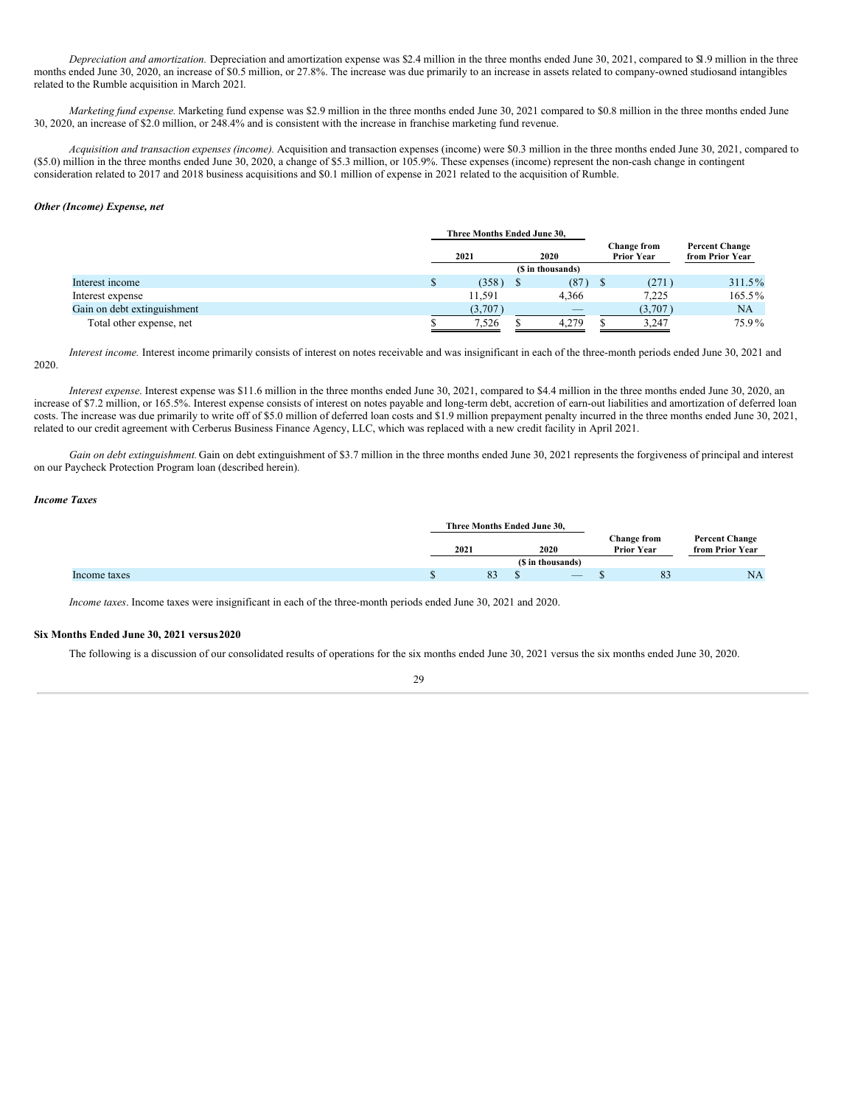*Depreciation and amortization.* Depreciation and amortization expense was \$2.4 million in the three months ended June 30, 2021, compared to \$1.9 million in the three months ended June 30, 2020, an increase of \$0.5 million, or 27.8%. The increase was due primarily to an increase in assets related to company-owned studiosand intangibles related to the Rumble acquisition in March 2021.

*Marketing fund expense*. Marketing fund expense was \$2.9 million in the three months ended June 30, 2021 compared to \$0.8 million in the three months ended June 30, 2020, an increase of \$2.0 million, or 248.4% and is consistent with the increase in franchise marketing fund revenue.

*Acquisition and transaction expenses (income).* Acquisition and transaction expenses (income) were \$0.3 million in the three months ended June 30, 2021, compared to (\$5.0) million in the three months ended June 30, 2020, a change of \$5.3 million, or 105.9%. These expenses (income) represent the non-cash change in contingent consideration related to 2017 and 2018 business acquisitions and \$0.1 million of expense in 2021 related to the acquisition of Rumble.

#### *Other (Income) Expense, net*

|                             | Three Months Ended June 30, |  |                          |                                         |         |                                          |
|-----------------------------|-----------------------------|--|--------------------------|-----------------------------------------|---------|------------------------------------------|
|                             | 2021<br>2020                |  |                          | <b>Change from</b><br><b>Prior Year</b> |         | <b>Percent Change</b><br>from Prior Year |
|                             |                             |  | (\$ in thousands)        |                                         |         |                                          |
| Interest income             | (358)                       |  | (87)                     |                                         | (271)   | 311.5%                                   |
| Interest expense            | 11.591                      |  | 4.366                    |                                         | 7.225   | 165.5%                                   |
| Gain on debt extinguishment | (3,707)                     |  | $\overline{\phantom{a}}$ |                                         | (3,707) | NA                                       |
| Total other expense, net    | 7,526                       |  | 4,279                    |                                         | 3,247   | 75.9%                                    |

*Interest income.* Interest income primarily consists of interest on notes receivable and was insignificant in each of the three-month periods ended June 30, 2021 and 2020.

*Interest expense*. Interest expense was \$11.6 million in the three months ended June 30, 2021, compared to \$4.4 million in the three months ended June 30, 2020, an increase of \$7.2 million, or 165.5%. Interest expense consists of interest on notes payable and long-term debt, accretion of earn-out liabilities and amortization of deferred loan costs. The increase was due primarily to write off of \$5.0 million of deferred loan costs and \$1.9 million prepayment penalty incurred in the three months ended June 30, 2021, related to our credit agreement with Cerberus Business Finance Agency, LLC, which was replaced with a new credit facility in April 2021.

*Gain on debt extinguishment.* Gain on debt extinguishment of \$3.7 million in the three months ended June 30, 2021 represents the forgiveness of principal and interest on our Paycheck Protection Program loan (described herein).

#### *Income Taxes*

|              | Three Months Ended June 30, |  |                   |                                  |                                          |
|--------------|-----------------------------|--|-------------------|----------------------------------|------------------------------------------|
|              | 2021                        |  | 2020              | Change from<br><b>Prior Year</b> | <b>Percent Change</b><br>from Prior Year |
|              |                             |  | (\$ in thousands) |                                  |                                          |
| Income taxes | 83                          |  |                   | 83                               | <b>NA</b>                                |

*Income taxes*. Income taxes were insignificant in each of the three-month periods ended June 30, 2021 and 2020.

#### **Six Months Ended June 30, 2021 versus2020**

The following is a discussion of our consolidated results of operations for the six months ended June 30, 2021 versus the six months ended June 30, 2020.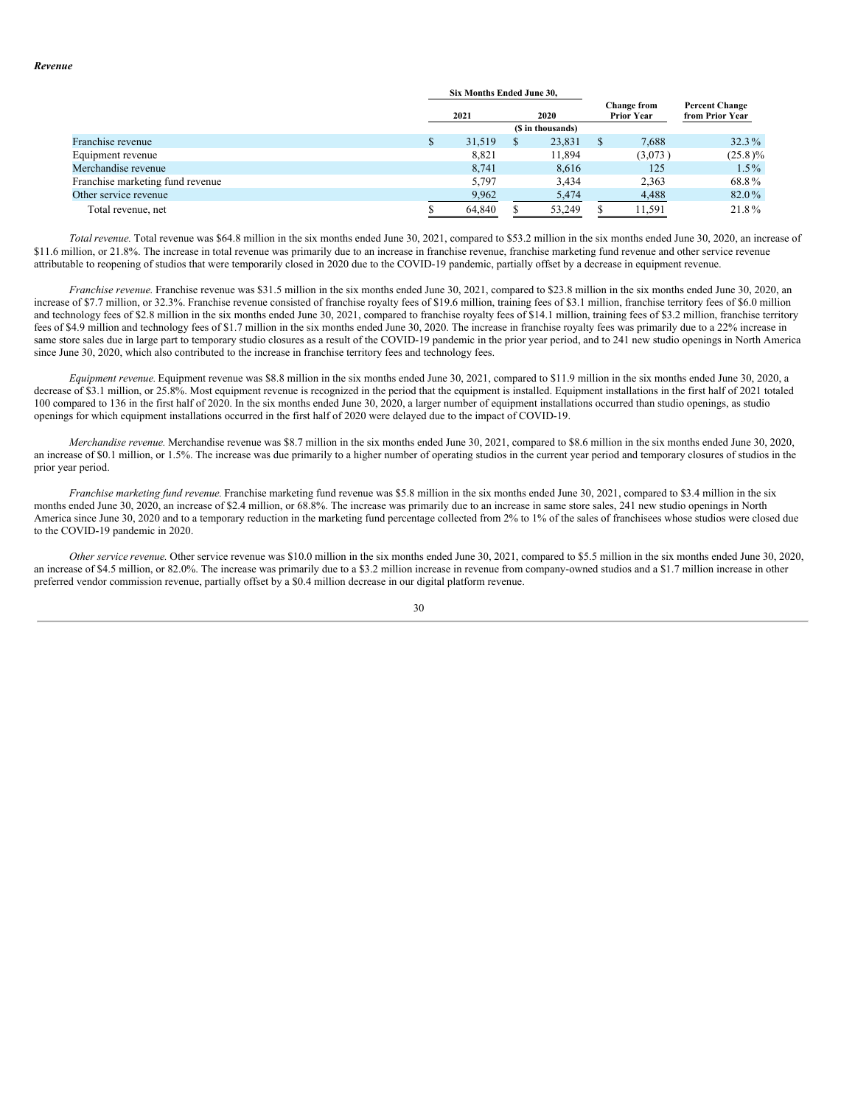#### *Revenue*

|                                  |   | Six Months Ended June 30. |                   |        |   |         |            |                                         |  |  |                                          |
|----------------------------------|---|---------------------------|-------------------|--------|---|---------|------------|-----------------------------------------|--|--|------------------------------------------|
|                                  |   | 2021                      |                   | 2020   |   |         |            | <b>Change from</b><br><b>Prior Year</b> |  |  | <b>Percent Change</b><br>from Prior Year |
|                                  |   |                           | (\$ in thousands) |        |   |         |            |                                         |  |  |                                          |
| Franchise revenue                | S | 31,519                    | S                 | 23,831 | S | 7.688   | $32.3\%$   |                                         |  |  |                                          |
| Equipment revenue                |   | 8,821                     |                   | 11,894 |   | (3,073) | $(25.8)\%$ |                                         |  |  |                                          |
| Merchandise revenue              |   | 8.741                     |                   | 8,616  |   | 125     | $1.5\%$    |                                         |  |  |                                          |
| Franchise marketing fund revenue |   | 5.797                     |                   | 3,434  |   | 2,363   | 68.8%      |                                         |  |  |                                          |
| Other service revenue            |   | 9,962                     |                   | 5,474  |   | 4,488   | 82.0%      |                                         |  |  |                                          |
| Total revenue, net               |   | 64,840                    |                   | 53,249 |   | 11,591  | 21.8%      |                                         |  |  |                                          |

*Total revenue.* Total revenue was \$64.8 million in the six months ended June 30, 2021, compared to \$53.2 million in the six months ended June 30, 2020, an increase of \$11.6 million, or 21.8%. The increase in total revenue was primarily due to an increase in franchise revenue, franchise marketing fund revenue and other service revenue attributable to reopening of studios that were temporarily closed in 2020 due to the COVID-19 pandemic, partially offset by a decrease in equipment revenue.

*Franchise revenue.* Franchise revenue was \$31.5 million in the six months ended June 30, 2021, compared to \$23.8 million in the six months ended June 30, 2020, an increase of \$7.7 million, or 32.3%. Franchise revenue consisted of franchise royalty fees of \$19.6 million, training fees of \$3.1 million, franchise territory fees of \$6.0 million and technology fees of \$2.8 million in the six months ended June 30, 2021, compared to franchise royalty fees of \$14.1 million, training fees of \$3.2 million, franchise territory fees of \$4.9 million and technology fees of \$1.7 million in the six months ended June 30, 2020. The increase in franchise royalty fees was primarily due to a 22% increase in same store sales due in large part to temporary studio closures as a result of the COVID-19 pandemic in the prior year period, and to 241 new studio openings in North America since June 30, 2020, which also contributed to the increase in franchise territory fees and technology fees.

*Equipment revenue.* Equipment revenue was \$8.8 million in the six months ended June 30, 2021, compared to \$11.9 million in the six months ended June 30, 2020, a decrease of \$3.1 million, or 25.8%. Most equipment revenue is recognized in the period that the equipment is installed. Equipment installations in the first half of 2021 totaled 100 compared to 136 in the first half of 2020. In the six months ended June 30, 2020, a larger number of equipment installations occurred than studio openings, as studio openings for which equipment installations occurred in the first half of 2020 were delayed due to the impact of COVID-19.

*Merchandise revenue.* Merchandise revenue was \$8.7 million in the six months ended June 30, 2021, compared to \$8.6 million in the six months ended June 30, 2020, an increase of \$0.1 million, or 1.5%. The increase was due primarily to a higher number of operating studios in the current year period and temporary closures of studios in the prior year period.

*Franchise marketing fund revenue.* Franchise marketing fund revenue was \$5.8 million in the six months ended June 30, 2021, compared to \$3.4 million in the six months ended June 30, 2020, an increase of \$2.4 million, or 68.8%. The increase was primarily due to an increase in same store sales, 241 new studio openings in North America since June 30, 2020 and to a temporary reduction in the marketing fund percentage collected from 2% to 1% of the sales of franchisees whose studios were closed due to the COVID-19 pandemic in 2020.

*Other service revenue.* Other service revenue was \$10.0 million in the six months ended June 30, 2021, compared to \$5.5 million in the six months ended June 30, 2020, an increase of \$4.5 million, or 82.0%. The increase was primarily due to a \$3.2 million increase in revenue from company-owned studios and a \$1.7 million increase in other preferred vendor commission revenue, partially offset by a \$0.4 million decrease in our digital platform revenue.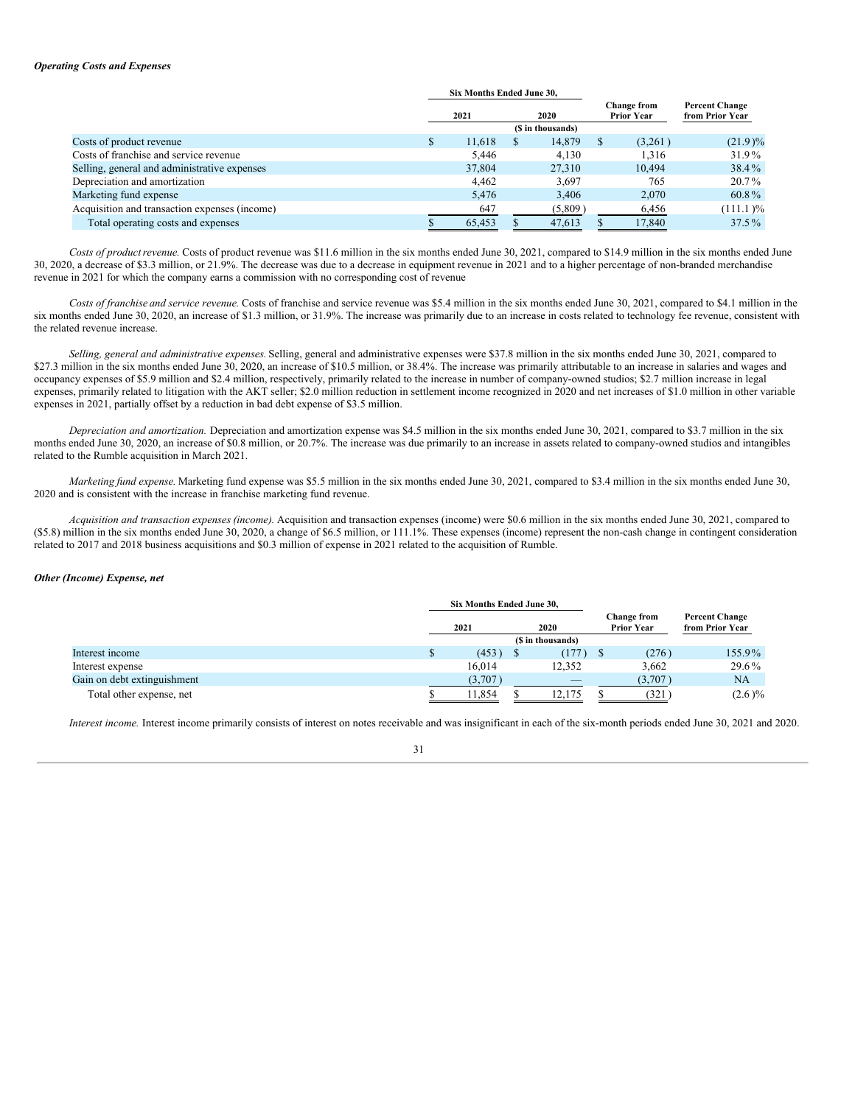#### *Operating Costs and Expenses*

| Six Months Ended June 30, |        |      |         |                                         |         |                                          |
|---------------------------|--------|------|---------|-----------------------------------------|---------|------------------------------------------|
| 2021                      |        | 2020 |         | <b>Change from</b><br><b>Prior Year</b> |         | <b>Percent Change</b><br>from Prior Year |
|                           |        |      |         |                                         |         |                                          |
| S                         | 11.618 |      | 14,879  | Ж                                       | (3,261) | $(21.9)\%$                               |
|                           | 5.446  |      | 4,130   |                                         | 1,316   | 31.9%                                    |
|                           | 37,804 |      | 27,310  |                                         | 10.494  | 38.4%                                    |
|                           | 4.462  |      | 3,697   |                                         | 765     | $20.7\%$                                 |
|                           | 5.476  |      | 3.406   |                                         | 2.070   | 60.8%                                    |
|                           | 647    |      | (5,809) |                                         | 6,456   | $(111.1)\%$                              |
|                           | 65,453 |      | 47,613  |                                         | 17,840  | $37.5\%$                                 |
|                           |        |      |         | (\$ in thousands)                       |         |                                          |

*Costs of productrevenue.* Costs of product revenue was \$11.6 million in the six months ended June 30, 2021, compared to \$14.9 million in the six months ended June 30, 2020, a decrease of \$3.3 million, or 21.9%. The decrease was due to a decrease in equipment revenue in 2021 and to a higher percentage of non-branded merchandise revenue in 2021 for which the company earns a commission with no corresponding cost of revenue

*Costs of franchise and service revenue.* Costs of franchise and service revenue was \$5.4 million in the six months ended June 30, 2021, compared to \$4.1 million in the six months ended June 30, 2020, an increase of \$1.3 million, or 31.9%. The increase was primarily due to an increase in costs related to technology fee revenue, consistent with the related revenue increase.

*Selling, general and administrative expenses.* Selling, general and administrative expenses were \$37.8 million in the six months ended June 30, 2021, compared to \$27.3 million in the six months ended June 30, 2020, an increase of \$10.5 million, or 38.4%. The increase was primarily attributable to an increase in salaries and wages and occupancy expenses of \$5.9 million and \$2.4 million, respectively, primarily related to the increase in number of company-owned studios; \$2.7 million increase in legal expenses, primarily related to litigation with the AKT seller; \$2.0 million reduction in settlement income recognized in 2020 and net increases of \$1.0 million in other variable expenses in 2021, partially offset by a reduction in bad debt expense of \$3.5 million.

*Depreciation and amortization.* Depreciation and amortization expense was \$4.5 million in the six months ended June 30, 2021, compared to \$3.7 million in the six months ended June 30, 2020, an increase of \$0.8 million, or 20.7%. The increase was due primarily to an increase in assets related to company-owned studios and intangibles related to the Rumble acquisition in March 2021.

*Marketing fund expense.* Marketing fund expense was \$5.5 million in the six months ended June 30, 2021, compared to \$3.4 million in the six months ended June 30, 2020 and is consistent with the increase in franchise marketing fund revenue.

*Acquisition and transaction expenses (income).* Acquisition and transaction expenses (income) were \$0.6 million in the six months ended June 30, 2021, compared to (\$5.8) million in the six months ended June 30, 2020, a change of \$6.5 million, or 111.1%. These expenses (income) represent the non-cash change in contingent consideration related to 2017 and 2018 business acquisitions and \$0.3 million of expense in 2021 related to the acquisition of Rumble.

#### *Other (Income) Expense, net*

|                             |   | Six Months Ended June 30. |  |        |  |         |           |      |  |                                  |                                          |
|-----------------------------|---|---------------------------|--|--------|--|---------|-----------|------|--|----------------------------------|------------------------------------------|
|                             |   | 2021                      |  |        |  |         |           | 2020 |  | Change from<br><b>Prior Year</b> | <b>Percent Change</b><br>from Prior Year |
|                             |   | (\$ in thousands)         |  |        |  |         |           |      |  |                                  |                                          |
| Interest income             | D | (453)                     |  | (177)  |  | (276)   | 155.9%    |      |  |                                  |                                          |
| Interest expense            |   | 16.014                    |  | 12.352 |  | 3.662   | 29.6%     |      |  |                                  |                                          |
| Gain on debt extinguishment |   | (3,707)                   |  | $-$    |  | (3,707) | NA        |      |  |                                  |                                          |
| Total other expense, net    |   | 11.854                    |  | 12.175 |  | (321    | $(2.6)\%$ |      |  |                                  |                                          |

*Interest income.* Interest income primarily consists of interest on notes receivable and was insignificant in each of the six-month periods ended June 30, 2021 and 2020.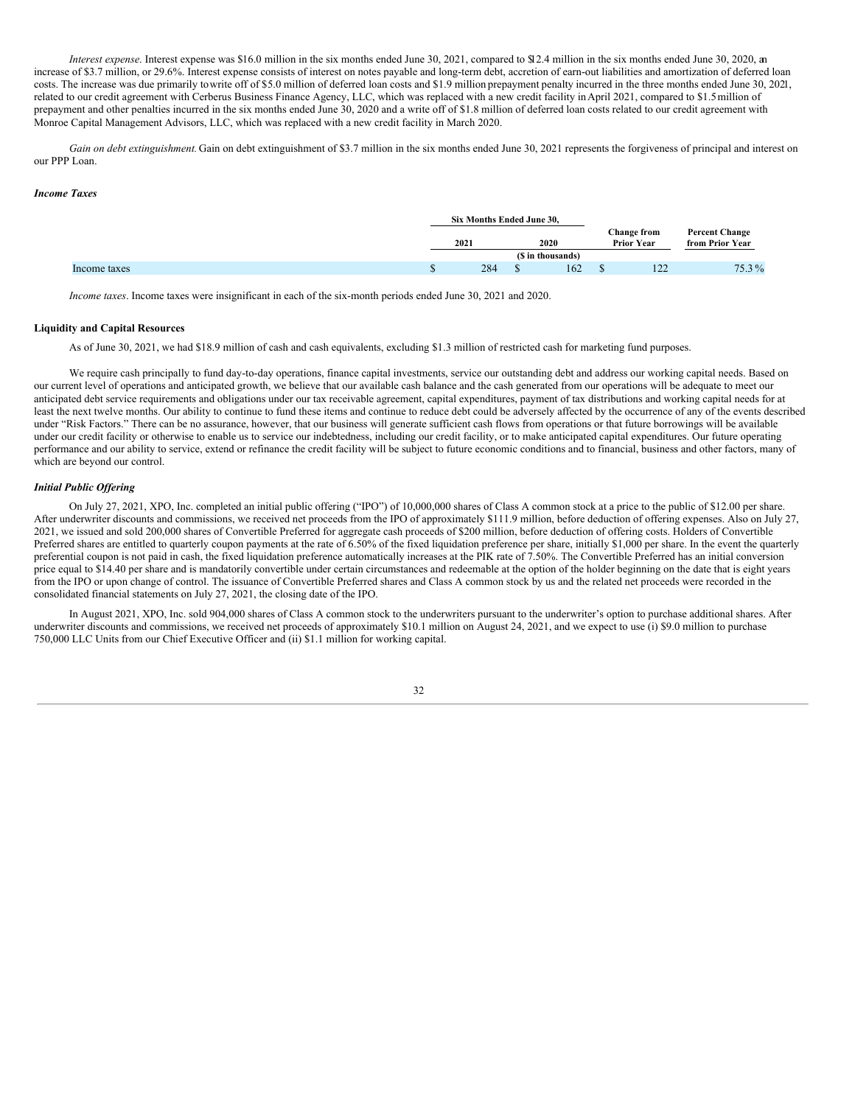*Interest expense*. Interest expense was \$16.0 million in the six months ended June 30, 2021, compared to \$12.4 million in the six months ended June 30, 2020, an increase of \$3.7 million, or 29.6%. Interest expense consists of interest on notes payable and long-term debt, accretion of earn-out liabilities and amortization of deferred loan costs. The increase was due primarily towrite off of \$5.0 million of deferred loan costs and \$1.9 million prepayment penalty incurred in the three months ended June 30, 2021, related to our credit agreement with Cerberus Business Finance Agency, LLC, which was replaced with a new credit facility in April 2021, compared to \$1.5 million of prepayment and other penalties incurred in the six months ended June 30, 2020 and a write off of \$1.8 million of deferred loan costs related to our credit agreement with Monroe Capital Management Advisors, LLC, which was replaced with a new credit facility in March 2020.

*Gain on debt extinguishment*. Gain on debt extinguishment of \$3.7 million in the six months ended June 30, 2021 represents the forgiveness of principal and interest on our PPP Loan.

#### *Income Taxes*

|              | Six Months Ended June 30. |  |                   |                                         |     |                                          |
|--------------|---------------------------|--|-------------------|-----------------------------------------|-----|------------------------------------------|
|              | 2021<br>2020              |  |                   | <b>Change from</b><br><b>Prior Year</b> |     | <b>Percent Change</b><br>from Prior Year |
|              |                           |  | (\$ in thousands) |                                         |     |                                          |
| Income taxes | 284                       |  | 162               |                                         | 122 | $75.3\%$                                 |

*Income taxes*. Income taxes were insignificant in each of the six-month periods ended June 30, 2021 and 2020.

#### **Liquidity and Capital Resources**

As of June 30, 2021, we had \$18.9 million of cash and cash equivalents, excluding \$1.3 million of restricted cash for marketing fund purposes.

We require cash principally to fund day-to-day operations, finance capital investments, service our outstanding debt and address our working capital needs. Based on our current level of operations and anticipated growth, we believe that our available cash balance and the cash generated from our operations will be adequate to meet our anticipated debt service requirements and obligations under our tax receivable agreement, capital expenditures, payment of tax distributions and working capital needs for at least the next twelve months. Our ability to continue to fund these items and continue to reduce debt could be adversely affected by the occurrence of any of the events described under "Risk Factors." There can be no assurance, however, that our business will generate sufficient cash flows from operations or that future borrowings will be available under our credit facility or otherwise to enable us to service our indebtedness, including our credit facility, or to make anticipated capital expenditures. Our future operating performance and our ability to service, extend or refinance the credit facility will be subject to future economic conditions and to financial, business and other factors, many of which are beyond our control.

## *Initial Public Of ering*

On July 27, 2021, XPO, Inc. completed an initial public offering ("IPO") of 10,000,000 shares of Class A common stock at a price to the public of \$12.00 per share. After underwriter discounts and commissions, we received net proceeds from the IPO of approximately \$111.9 million, before deduction of offering expenses. Also on July 27, 2021, we issued and sold 200,000 shares of Convertible Preferred for aggregate cash proceeds of \$200 million, before deduction of offering costs. Holders of Convertible Preferred shares are entitled to quarterly coupon payments at the rate of 6.50% of the fixed liquidation preference per share, initially \$1,000 per share. In the event the quarterly preferential coupon is not paid in cash, the fixed liquidation preference automatically increases at the PIK rate of 7.50%. The Convertible Preferred has an initial conversion price equal to \$14.40 per share and is mandatorily convertible under certain circumstances and redeemable at the option of the holder beginning on the date that is eight years from the IPO or upon change of control. The issuance of Convertible Preferred shares and Class A common stock by us and the related net proceeds were recorded in the consolidated financial statements on July 27, 2021, the closing date of the IPO.

In August 2021, XPO, Inc. sold 904,000 shares of Class A common stock to the underwriters pursuant to the underwriter's option to purchase additional shares. After underwriter discounts and commissions, we received net proceeds of approximately \$10.1 million on August 24, 2021, and we expect to use (i) \$9.0 million to purchase 750,000 LLC Units from our Chief Executive Officer and (ii) \$1.1 million for working capital.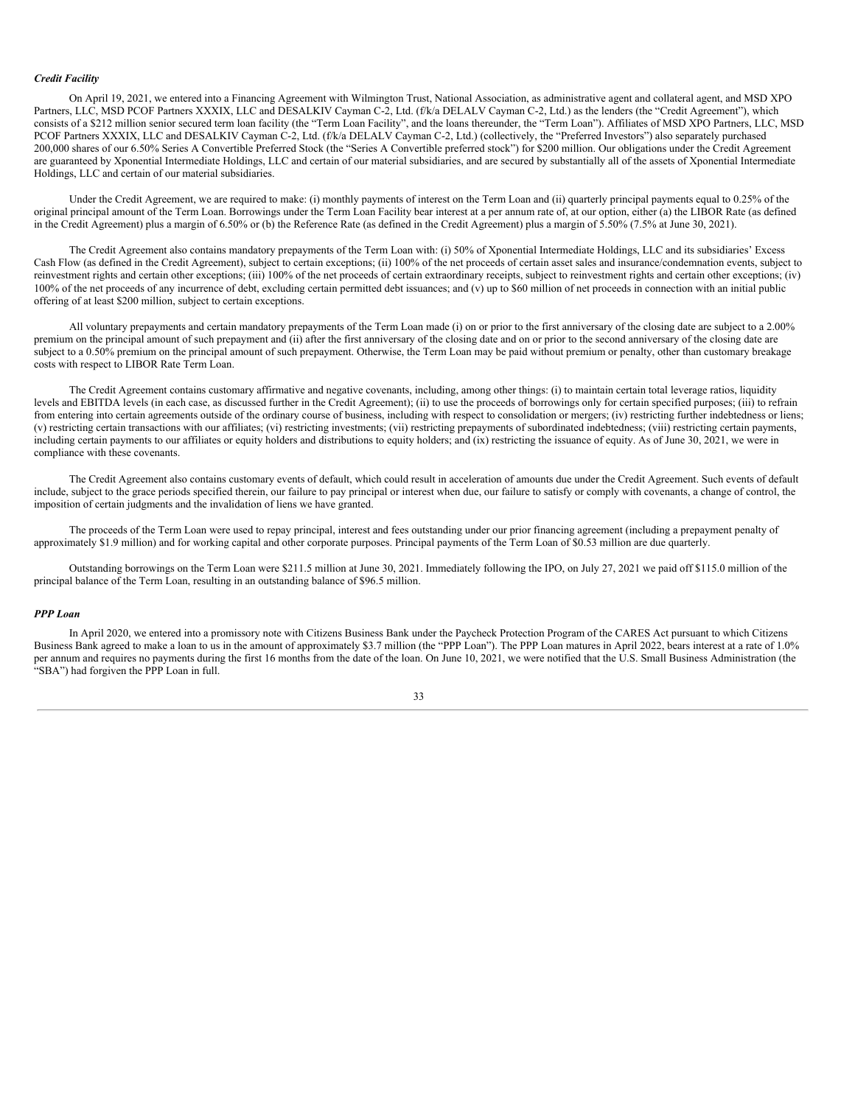#### *Credit Facility*

On April 19, 2021, we entered into a Financing Agreement with Wilmington Trust, National Association, as administrative agent and collateral agent, and MSD XPO Partners, LLC, MSD PCOF Partners XXXIX, LLC and DESALKIV Cayman C-2, Ltd. (f/k/a DELALV Cayman C-2, Ltd.) as the lenders (the "Credit Agreement"), which consists of a \$212 million senior secured term loan facility (the "Term Loan Facility", and the loans thereunder, the "Term Loan"). Affiliates of MSD XPO Partners, LLC, MSD PCOF Partners XXXIX, LLC and DESALKIV Cayman C-2, Ltd. (f/k/a DELALV Cayman C-2, Ltd.) (collectively, the "Preferred Investors") also separately purchased 200,000 shares of our 6.50% Series A Convertible Preferred Stock (the "Series A Convertible preferred stock") for \$200 million. Our obligations under the Credit Agreement are guaranteed by Xponential Intermediate Holdings, LLC and certain of our material subsidiaries, and are secured by substantially all of the assets of Xponential Intermediate Holdings, LLC and certain of our material subsidiaries.

Under the Credit Agreement, we are required to make: (i) monthly payments of interest on the Term Loan and (ii) quarterly principal payments equal to 0.25% of the original principal amount of the Term Loan. Borrowings under the Term Loan Facility bear interest at a per annum rate of, at our option, either (a) the LIBOR Rate (as defined in the Credit Agreement) plus a margin of 6.50% or (b) the Reference Rate (as defined in the Credit Agreement) plus a margin of 5.50% (7.5% at June 30, 2021).

The Credit Agreement also contains mandatory prepayments of the Term Loan with: (i) 50% of Xponential Intermediate Holdings, LLC and its subsidiaries' Excess Cash Flow (as defined in the Credit Agreement), subject to certain exceptions; (ii) 100% of the net proceeds of certain asset sales and insurance/condemnation events, subject to reinvestment rights and certain other exceptions; (iii) 100% of the net proceeds of certain extraordinary receipts, subject to reinvestment rights and certain other exceptions; (iv) 100% of the net proceeds of any incurrence of debt, excluding certain permitted debt issuances; and (v) up to \$60 million of net proceeds in connection with an initial public offering of at least \$200 million, subject to certain exceptions.

All voluntary prepayments and certain mandatory prepayments of the Term Loan made (i) on or prior to the first anniversary of the closing date are subject to a 2.00% premium on the principal amount of such prepayment and (ii) after the first anniversary of the closing date and on or prior to the second anniversary of the closing date are subject to a 0.50% premium on the principal amount of such prepayment. Otherwise, the Term Loan may be paid without premium or penalty, other than customary breakage costs with respect to LIBOR Rate Term Loan.

The Credit Agreement contains customary affirmative and negative covenants, including, among other things: (i) to maintain certain total leverage ratios, liquidity levels and EBITDA levels (in each case, as discussed further in the Credit Agreement); (ii) to use the proceeds of borrowings only for certain specified purposes; (iii) to refrain from entering into certain agreements outside of the ordinary course of business, including with respect to consolidation or mergers; (iv) restricting further indebtedness or liens; (v) restricting certain transactions with our affiliates; (vi) restricting investments; (vii) restricting prepayments of subordinated indebtedness; (viii) restricting certain payments, including certain payments to our affiliates or equity holders and distributions to equity holders; and (ix) restricting the issuance of equity. As of June 30, 2021, we were in compliance with these covenants.

The Credit Agreement also contains customary events of default, which could result in acceleration of amounts due under the Credit Agreement. Such events of default include, subject to the grace periods specified therein, our failure to pay principal or interest when due, our failure to satisfy or comply with covenants, a change of control, the imposition of certain judgments and the invalidation of liens we have granted.

The proceeds of the Term Loan were used to repay principal, interest and fees outstanding under our prior financing agreement (including a prepayment penalty of approximately \$1.9 million) and for working capital and other corporate purposes. Principal payments of the Term Loan of \$0.53 million are due quarterly.

Outstanding borrowings on the Term Loan were \$211.5 million at June 30, 2021. Immediately following the IPO, on July 27, 2021 we paid off \$115.0 million of the principal balance of the Term Loan, resulting in an outstanding balance of \$96.5 million.

#### *PPP Loan*

In April 2020, we entered into a promissory note with Citizens Business Bank under the Paycheck Protection Program of the CARES Act pursuant to which Citizens Business Bank agreed to make a loan to us in the amount of approximately \$3.7 million (the "PPP Loan"). The PPP Loan matures in April 2022, bears interest at a rate of 1.0% per annum and requires no payments during the first 16 months from the date of the loan. On June 10, 2021, we were notified that the U.S. Small Business Administration (the "SBA") had forgiven the PPP Loan in full.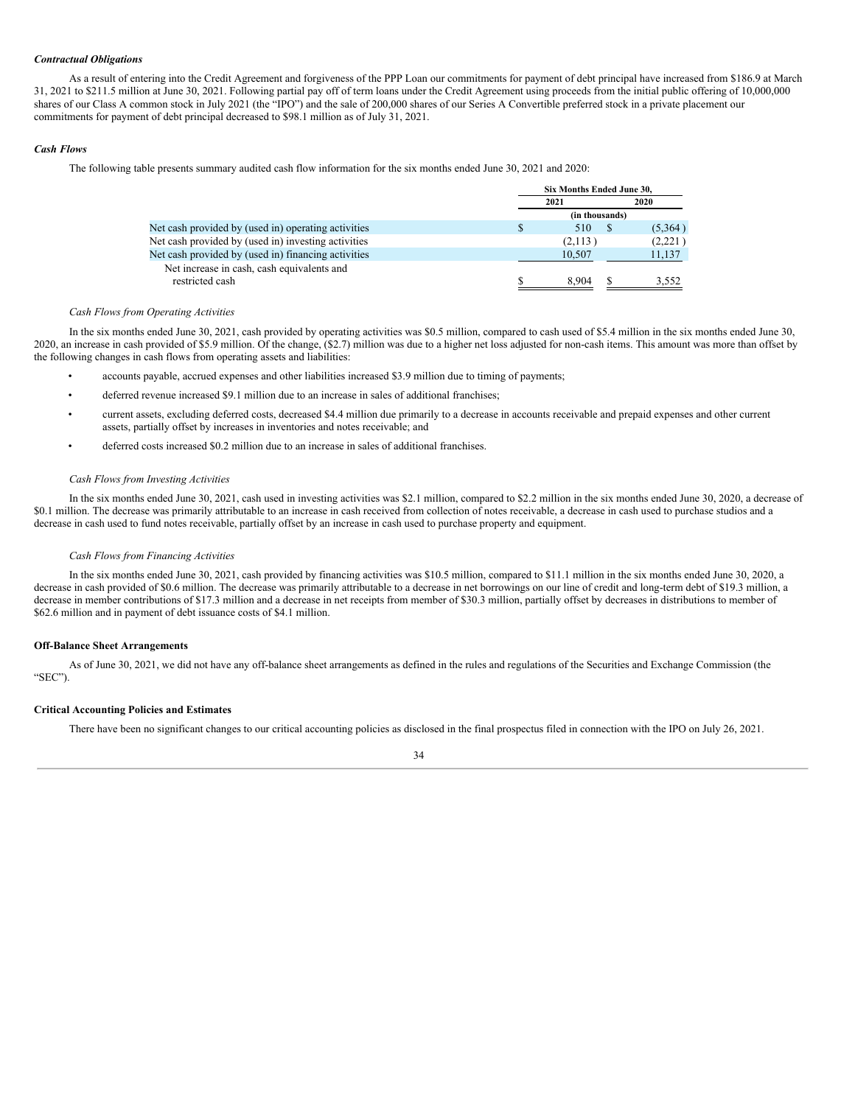#### *Contractual Obligations*

As a result of entering into the Credit Agreement and forgiveness of the PPP Loan our commitments for payment of debt principal have increased from \$186.9 at March 31, 2021 to \$211.5 million at June 30, 2021. Following partial pay off of term loans under the Credit Agreement using proceeds from the initial public offering of 10,000,000 shares of our Class A common stock in July 2021 (the "IPO") and the sale of 200,000 shares of our Series A Convertible preferred stock in a private placement our commitments for payment of debt principal decreased to \$98.1 million as of July 31, 2021.

#### *Cash Flows*

The following table presents summary audited cash flow information for the six months ended June 30, 2021 and 2020:

| Six Months Ended June 30, |         |               |                |  |  |  |
|---------------------------|---------|---------------|----------------|--|--|--|
|                           | 2021    |               | 2020           |  |  |  |
|                           |         |               |                |  |  |  |
|                           | 510     | <sup>\$</sup> | (5,364)        |  |  |  |
|                           | (2,113) |               | (2,221)        |  |  |  |
|                           | 10.507  |               | 11,137         |  |  |  |
|                           |         |               |                |  |  |  |
|                           | 8.904   |               | 3.552          |  |  |  |
|                           |         |               | (in thousands) |  |  |  |

#### *Cash Flows from Operating Activities*

In the six months ended June 30, 2021, cash provided by operating activities was \$0.5 million, compared to cash used of \$5.4 million in the six months ended June 30, 2020, an increase in cash provided of \$5.9 million. Of the change, (\$2.7) million was due to a higher net loss adjusted for non-cash items. This amount was more than offset by the following changes in cash flows from operating assets and liabilities:

- accounts payable, accrued expenses and other liabilities increased \$3.9 million due to timing of payments;
- deferred revenue increased \$9.1 million due to an increase in sales of additional franchises;
- current assets, excluding deferred costs, decreased \$4.4 million due primarily to a decrease in accounts receivable and prepaid expenses and other current assets, partially offset by increases in inventories and notes receivable; and
- deferred costs increased \$0.2 million due to an increase in sales of additional franchises.

#### *Cash Flows from Investing Activities*

In the six months ended June 30, 2021, cash used in investing activities was \$2.1 million, compared to \$2.2 million in the six months ended June 30, 2020, a decrease of \$0.1 million. The decrease was primarily attributable to an increase in cash received from collection of notes receivable, a decrease in cash used to purchase studios and a decrease in cash used to fund notes receivable, partially offset by an increase in cash used to purchase property and equipment.

#### *Cash Flows from Financing Activities*

In the six months ended June 30, 2021, cash provided by financing activities was \$10.5 million, compared to \$11.1 million in the six months ended June 30, 2020, a decrease in cash provided of \$0.6 million. The decrease was primarily attributable to a decrease in net borrowings on our line of credit and long-term debt of \$19.3 million, a decrease in member contributions of \$17.3 million and a decrease in net receipts from member of \$30.3 million, partially offset by decreases in distributions to member of \$62.6 million and in payment of debt issuance costs of \$4.1 million.

#### **Off-Balance Sheet Arrangements**

As of June 30, 2021, we did not have any off-balance sheet arrangements as defined in the rules and regulations of the Securities and Exchange Commission (the "SEC").

#### **Critical Accounting Policies and Estimates**

There have been no significant changes to our critical accounting policies as disclosed in the final prospectus filed in connection with the IPO on July 26, 2021.

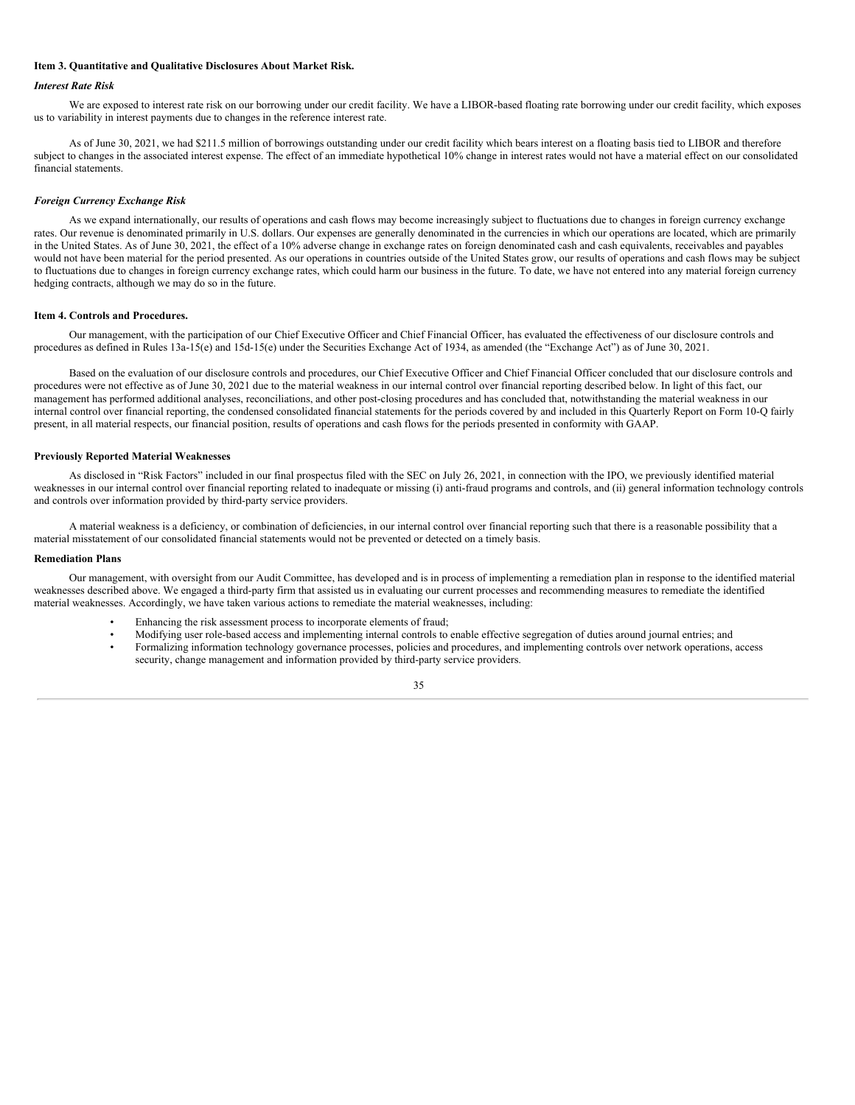# **Item 3. Quantitative and Qualitative Disclosures About Market Risk.**

# *Interest Rate Risk*

We are exposed to interest rate risk on our borrowing under our credit facility. We have a LIBOR-based floating rate borrowing under our credit facility, which exposes us to variability in interest payments due to changes in the reference interest rate.

As of June 30, 2021, we had \$211.5 million of borrowings outstanding under our credit facility which bears interest on a floating basis tied to LIBOR and therefore subject to changes in the associated interest expense. The effect of an immediate hypothetical 10% change in interest rates would not have a material effect on our consolidated financial statements.

#### *Foreign Currency Exchange Risk*

As we expand internationally, our results of operations and cash flows may become increasingly subject to fluctuations due to changes in foreign currency exchange rates. Our revenue is denominated primarily in U.S. dollars. Our expenses are generally denominated in the currencies in which our operations are located, which are primarily in the United States. As of June 30, 2021, the effect of a 10% adverse change in exchange rates on foreign denominated cash and cash equivalents, receivables and payables would not have been material for the period presented. As our operations in countries outside of the United States grow, our results of operations and cash flows may be subject to fluctuations due to changes in foreign currency exchange rates, which could harm our business in the future. To date, we have not entered into any material foreign currency hedging contracts, although we may do so in the future.

#### **Item 4. Controls and Procedures.**

Our management, with the participation of our Chief Executive Officer and Chief Financial Officer, has evaluated the effectiveness of our disclosure controls and procedures as defined in Rules 13a-15(e) and 15d-15(e) under the Securities Exchange Act of 1934, as amended (the "Exchange Act") as of June 30, 2021.

Based on the evaluation of our disclosure controls and procedures, our Chief Executive Officer and Chief Financial Officer concluded that our disclosure controls and procedures were not effective as of June 30, 2021 due to the material weakness in our internal control over financial reporting described below. In light of this fact, our management has performed additional analyses, reconciliations, and other post-closing procedures and has concluded that, notwithstanding the material weakness in our internal control over financial reporting, the condensed consolidated financial statements for the periods covered by and included in this Quarterly Report on Form 10-Q fairly present, in all material respects, our financial position, results of operations and cash flows for the periods presented in conformity with GAAP.

# **Previously Reported Material Weaknesses**

As disclosed in "Risk Factors" included in our final prospectus filed with the SEC on July 26, 2021, in connection with the IPO, we previously identified material weaknesses in our internal control over financial reporting related to inadequate or missing (i) anti-fraud programs and controls, and (ii) general information technology controls and controls over information provided by third-party service providers.

A material weakness is a deficiency, or combination of deficiencies, in our internal control over financial reporting such that there is a reasonable possibility that a material misstatement of our consolidated financial statements would not be prevented or detected on a timely basis.

#### **Remediation Plans**

Our management, with oversight from our Audit Committee, has developed and is in process of implementing a remediation plan in response to the identified material weaknesses described above. We engaged a third-party firm that assisted us in evaluating our current processes and recommending measures to remediate the identified material weaknesses. Accordingly, we have taken various actions to remediate the material weaknesses, including:

- Enhancing the risk assessment process to incorporate elements of fraud;
- Modifying user role-based access and implementing internal controls to enable effective segregation of duties around journal entries; and
- Formalizing information technology governance processes, policies and procedures, and implementing controls over network operations, access security, change management and information provided by third-party service providers.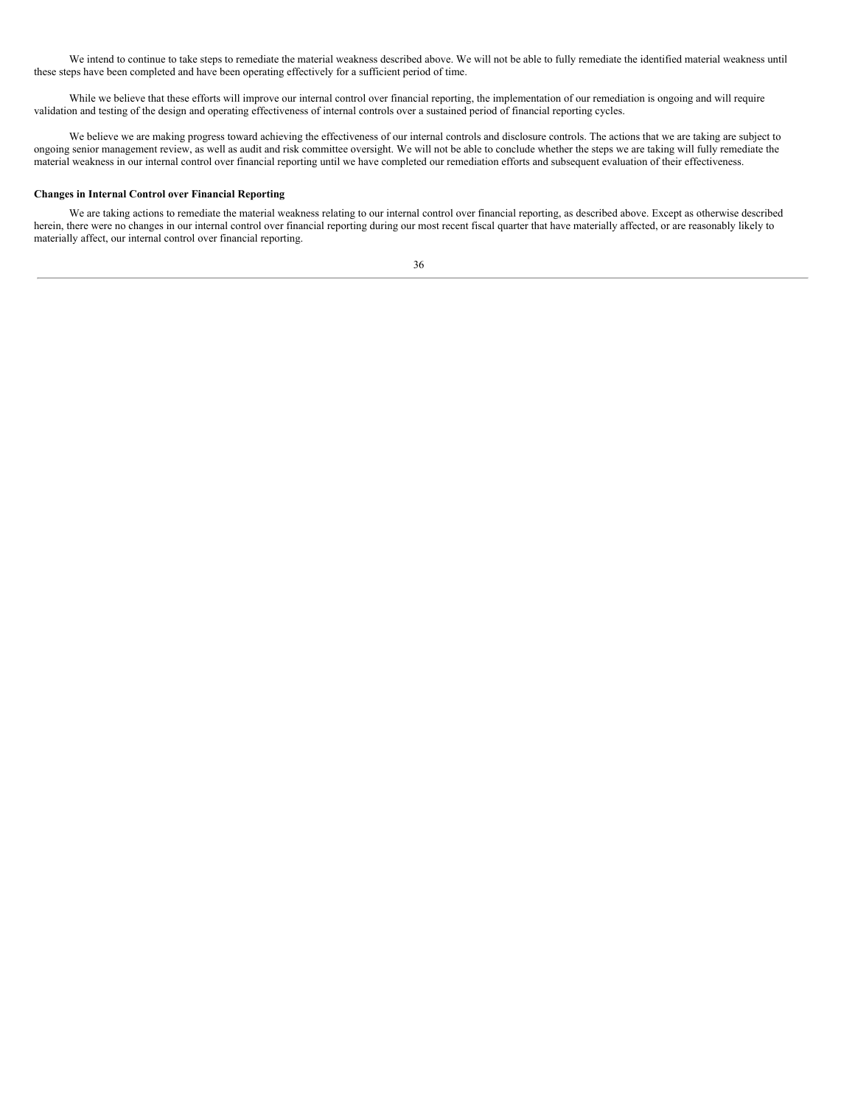We intend to continue to take steps to remediate the material weakness described above. We will not be able to fully remediate the identified material weakness until these steps have been completed and have been operating effectively for a sufficient period of time.

While we believe that these efforts will improve our internal control over financial reporting, the implementation of our remediation is ongoing and will require validation and testing of the design and operating effectiveness of internal controls over a sustained period of financial reporting cycles.

We believe we are making progress toward achieving the effectiveness of our internal controls and disclosure controls. The actions that we are taking are subject to ongoing senior management review, as well as audit and risk committee oversight. We will not be able to conclude whether the steps we are taking will fully remediate the material weakness in our internal control over financial reporting until we have completed our remediation efforts and subsequent evaluation of their effectiveness.

# **Changes in Internal Control over Financial Reporting**

We are taking actions to remediate the material weakness relating to our internal control over financial reporting, as described above. Except as otherwise described herein, there were no changes in our internal control over financial reporting during our most recent fiscal quarter that have materially affected, or are reasonably likely to materially affect, our internal control over financial reporting.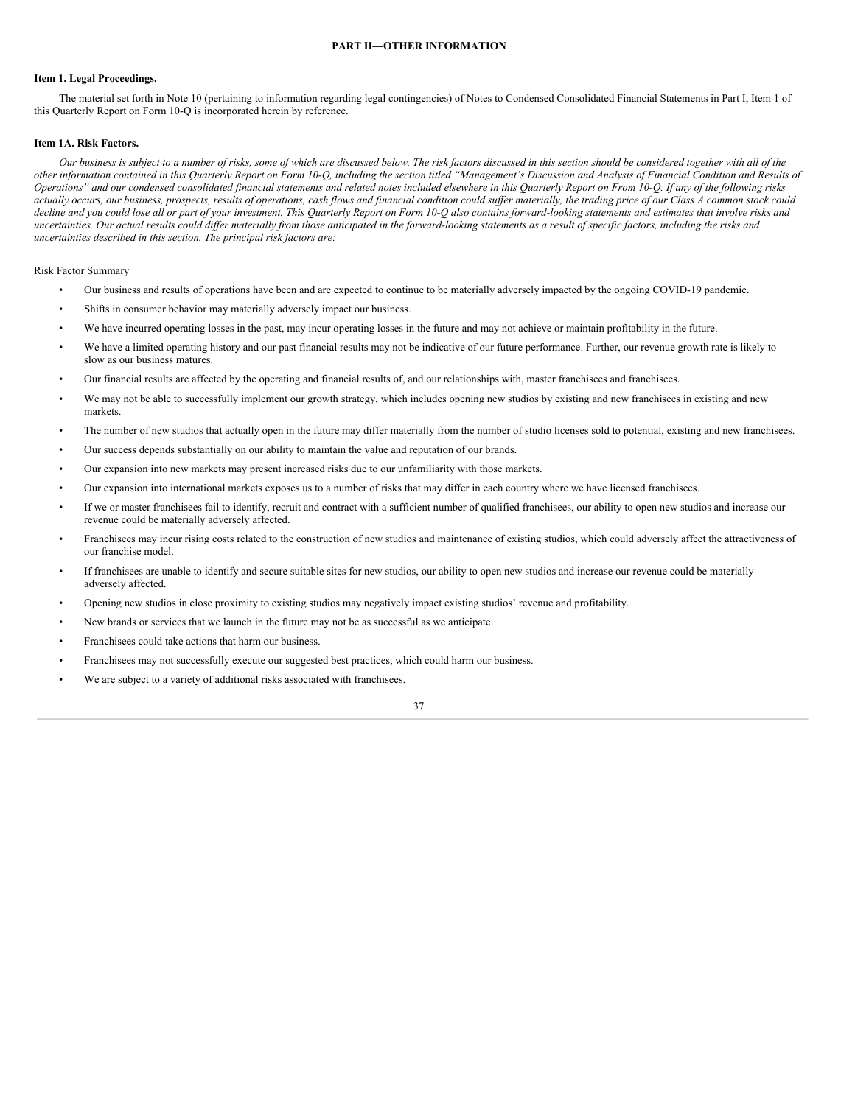# **PART II—OTHER INFORMATION**

#### **Item 1. Legal Proceedings.**

The material set forth in Note 10 (pertaining to information regarding legal contingencies) of Notes to Condensed Consolidated Financial Statements in Part I, Item 1 of this Quarterly Report on Form 10-Q is incorporated herein by reference.

# **Item 1A. Risk Factors.**

Our business is subject to a number of risks, some of which are discussed below. The risk factors discussed in this section should be considered together with all of the other information contained in this Quarterly Report on Form 10-Q, including the section titled "Management's Discussion and Analysis of Financial Condition and Results of Operations" and our condensed consolidated financial statements and related notes included elsewhere in this Quarterly Report on From 10-O. If any of the following risks actually occurs, our business, prospects, results of operations, cash flows and financial condition could suffer materially, the trading price of our Class A common stock could decline and you could lose all or part of your investment. This Quarterly Report on Form 10-Q also contains forward-looking statements and estimates that involve risks and uncertainties. Our actual results could differ materially from those anticipated in the forward-looking statements as a result of specific factors, including the risks and *uncertainties described in this section. The principal risk factors are:*

# Risk Factor Summary

- Our business and results of operations have been and are expected to continue to be materially adversely impacted by the ongoing COVID-19 pandemic.
- Shifts in consumer behavior may materially adversely impact our business.
- We have incurred operating losses in the past, may incur operating losses in the future and may not achieve or maintain profitability in the future.
- We have a limited operating history and our past financial results may not be indicative of our future performance. Further, our revenue growth rate is likely to slow as our business matures.
- Our financial results are affected by the operating and financial results of, and our relationships with, master franchisees and franchisees.
- We may not be able to successfully implement our growth strategy, which includes opening new studios by existing and new franchisees in existing and new markets.
- The number of new studios that actually open in the future may differ materially from the number of studio licenses sold to potential, existing and new franchisees.
- Our success depends substantially on our ability to maintain the value and reputation of our brands.
- Our expansion into new markets may present increased risks due to our unfamiliarity with those markets.
- Our expansion into international markets exposes us to a number of risks that may differ in each country where we have licensed franchisees.
- If we or master franchisees fail to identify, recruit and contract with a sufficient number of qualified franchisees, our ability to open new studios and increase our revenue could be materially adversely affected.
- Franchisees may incur rising costs related to the construction of new studios and maintenance of existing studios, which could adversely affect the attractiveness of our franchise model.
- If franchisees are unable to identify and secure suitable sites for new studios, our ability to open new studios and increase our revenue could be materially adversely affected.
- Opening new studios in close proximity to existing studios may negatively impact existing studios' revenue and profitability.
- New brands or services that we launch in the future may not be as successful as we anticipate.
- Franchisees could take actions that harm our business.
- Franchisees may not successfully execute our suggested best practices, which could harm our business.
- We are subject to a variety of additional risks associated with franchisees.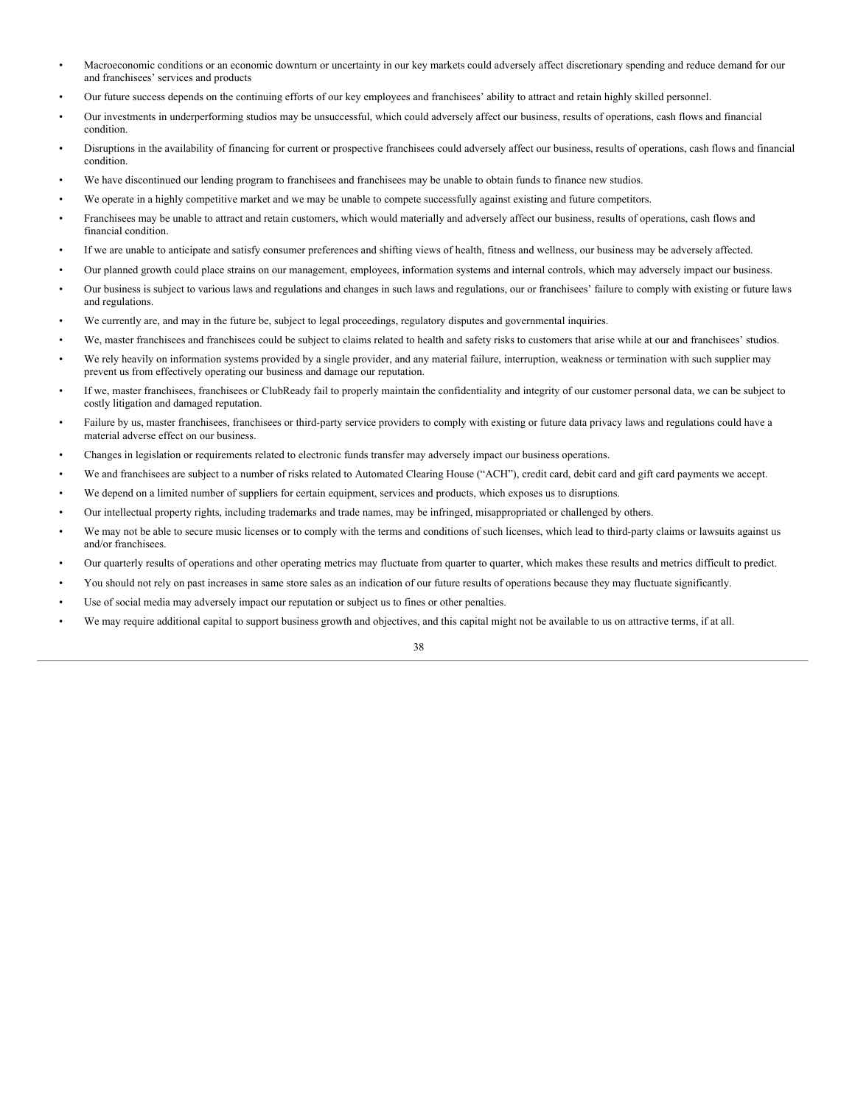- Macroeconomic conditions or an economic downturn or uncertainty in our key markets could adversely affect discretionary spending and reduce demand for our and franchisees' services and products
- Our future success depends on the continuing efforts of our key employees and franchisees' ability to attract and retain highly skilled personnel.
- Our investments in underperforming studios may be unsuccessful, which could adversely affect our business, results of operations, cash flows and financial condition.
- Disruptions in the availability of financing for current or prospective franchisees could adversely affect our business, results of operations, cash flows and financial condition.
- We have discontinued our lending program to franchisees and franchisees may be unable to obtain funds to finance new studios.
- We operate in a highly competitive market and we may be unable to compete successfully against existing and future competitors.
- Franchisees may be unable to attract and retain customers, which would materially and adversely affect our business, results of operations, cash flows and financial condition.
- If we are unable to anticipate and satisfy consumer preferences and shifting views of health, fitness and wellness, our business may be adversely affected.
- Our planned growth could place strains on our management, employees, information systems and internal controls, which may adversely impact our business.
- Our business is subject to various laws and regulations and changes in such laws and regulations, our or franchisees' failure to comply with existing or future laws and regulations.
- We currently are, and may in the future be, subject to legal proceedings, regulatory disputes and governmental inquiries.
- We, master franchisees and franchisees could be subject to claims related to health and safety risks to customers that arise while at our and franchisees' studios.
- We rely heavily on information systems provided by a single provider, and any material failure, interruption, weakness or termination with such supplier may prevent us from effectively operating our business and damage our reputation.
- If we, master franchisees, franchisees or ClubReady fail to properly maintain the confidentiality and integrity of our customer personal data, we can be subject to costly litigation and damaged reputation.
- Failure by us, master franchisees, franchisees or third-party service providers to comply with existing or future data privacy laws and regulations could have a material adverse effect on our business.
- Changes in legislation or requirements related to electronic funds transfer may adversely impact our business operations.
- We and franchisees are subject to a number of risks related to Automated Clearing House ("ACH"), credit card, debit card and gift card payments we accept.
- We depend on a limited number of suppliers for certain equipment, services and products, which exposes us to disruptions.
- Our intellectual property rights, including trademarks and trade names, may be infringed, misappropriated or challenged by others.
- We may not be able to secure music licenses or to comply with the terms and conditions of such licenses, which lead to third-party claims or lawsuits against us and/or franchisees.
- Our quarterly results of operations and other operating metrics may fluctuate from quarter to quarter, which makes these results and metrics difficult to predict.
- You should not rely on past increases in same store sales as an indication of our future results of operations because they may fluctuate significantly.
- Use of social media may adversely impact our reputation or subject us to fines or other penalties.
- We may require additional capital to support business growth and objectives, and this capital might not be available to us on attractive terms, if at all.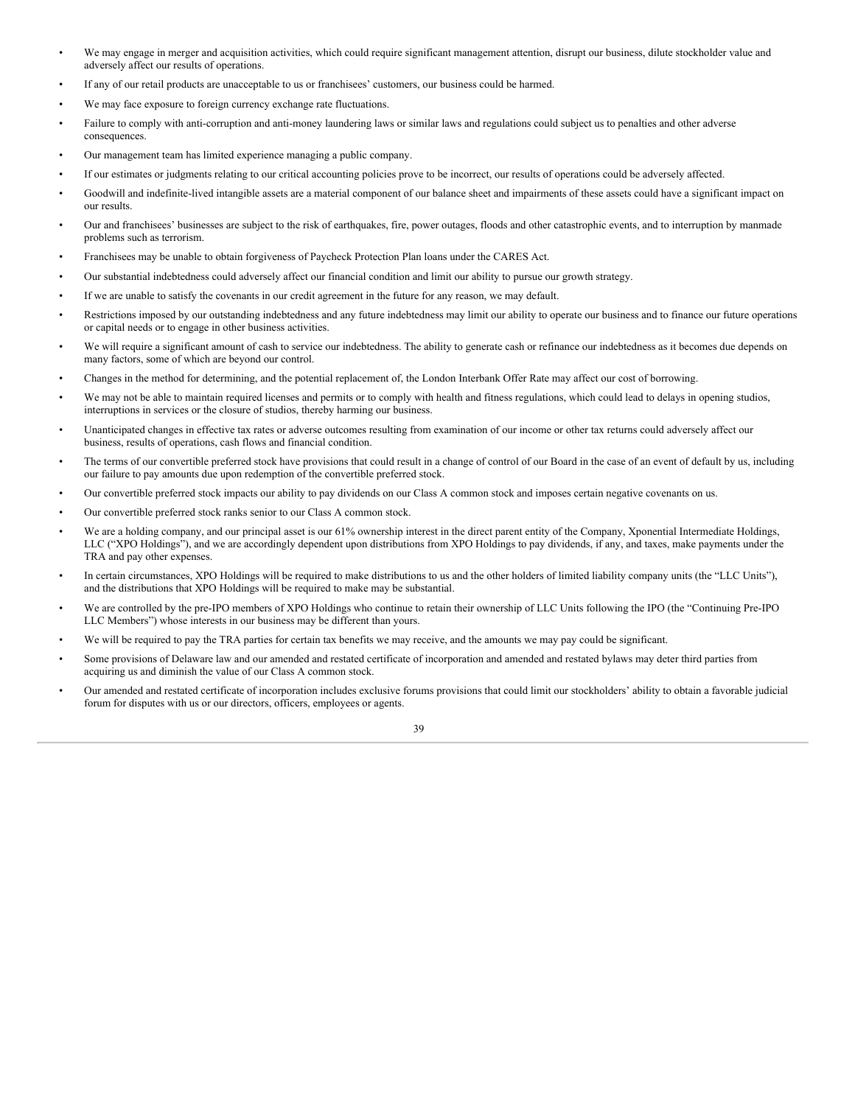- We may engage in merger and acquisition activities, which could require significant management attention, disrupt our business, dilute stockholder value and adversely affect our results of operations.
- If any of our retail products are unacceptable to us or franchisees' customers, our business could be harmed.
- We may face exposure to foreign currency exchange rate fluctuations.
- Failure to comply with anti-corruption and anti-money laundering laws or similar laws and regulations could subject us to penalties and other adverse consequences.
- Our management team has limited experience managing a public company.
- If our estimates or judgments relating to our critical accounting policies prove to be incorrect, our results of operations could be adversely affected.
- Goodwill and indefinite-lived intangible assets are a material component of our balance sheet and impairments of these assets could have a significant impact on our results.
- Our and franchisees' businesses are subject to the risk of earthquakes, fire, power outages, floods and other catastrophic events, and to interruption by manmade problems such as terrorism.
- Franchisees may be unable to obtain forgiveness of Paycheck Protection Plan loans under the CARES Act.
- Our substantial indebtedness could adversely affect our financial condition and limit our ability to pursue our growth strategy.
- If we are unable to satisfy the covenants in our credit agreement in the future for any reason, we may default.
- Restrictions imposed by our outstanding indebtedness and any future indebtedness may limit our ability to operate our business and to finance our future operations or capital needs or to engage in other business activities.
- We will require a significant amount of cash to service our indebtedness. The ability to generate cash or refinance our indebtedness as it becomes due depends on many factors, some of which are beyond our control.
- Changes in the method for determining, and the potential replacement of, the London Interbank Offer Rate may affect our cost of borrowing.
- We may not be able to maintain required licenses and permits or to comply with health and fitness regulations, which could lead to delays in opening studios, interruptions in services or the closure of studios, thereby harming our business.
- Unanticipated changes in effective tax rates or adverse outcomes resulting from examination of our income or other tax returns could adversely affect our business, results of operations, cash flows and financial condition.
- The terms of our convertible preferred stock have provisions that could result in a change of control of our Board in the case of an event of default by us, including our failure to pay amounts due upon redemption of the convertible preferred stock.
- Our convertible preferred stock impacts our ability to pay dividends on our Class A common stock and imposes certain negative covenants on us.
- Our convertible preferred stock ranks senior to our Class A common stock.
- We are a holding company, and our principal asset is our 61% ownership interest in the direct parent entity of the Company, Xponential Intermediate Holdings, LLC ("XPO Holdings"), and we are accordingly dependent upon distributions from XPO Holdings to pay dividends, if any, and taxes, make payments under the TRA and pay other expenses.
- In certain circumstances, XPO Holdings will be required to make distributions to us and the other holders of limited liability company units (the "LLC Units"), and the distributions that XPO Holdings will be required to make may be substantial.
- We are controlled by the pre-IPO members of XPO Holdings who continue to retain their ownership of LLC Units following the IPO (the "Continuing Pre-IPO LLC Members") whose interests in our business may be different than yours.
- We will be required to pay the TRA parties for certain tax benefits we may receive, and the amounts we may pay could be significant.
- Some provisions of Delaware law and our amended and restated certificate of incorporation and amended and restated bylaws may deter third parties from acquiring us and diminish the value of our Class A common stock.
- Our amended and restated certificate of incorporation includes exclusive forums provisions that could limit our stockholders' ability to obtain a favorable judicial forum for disputes with us or our directors, officers, employees or agents.

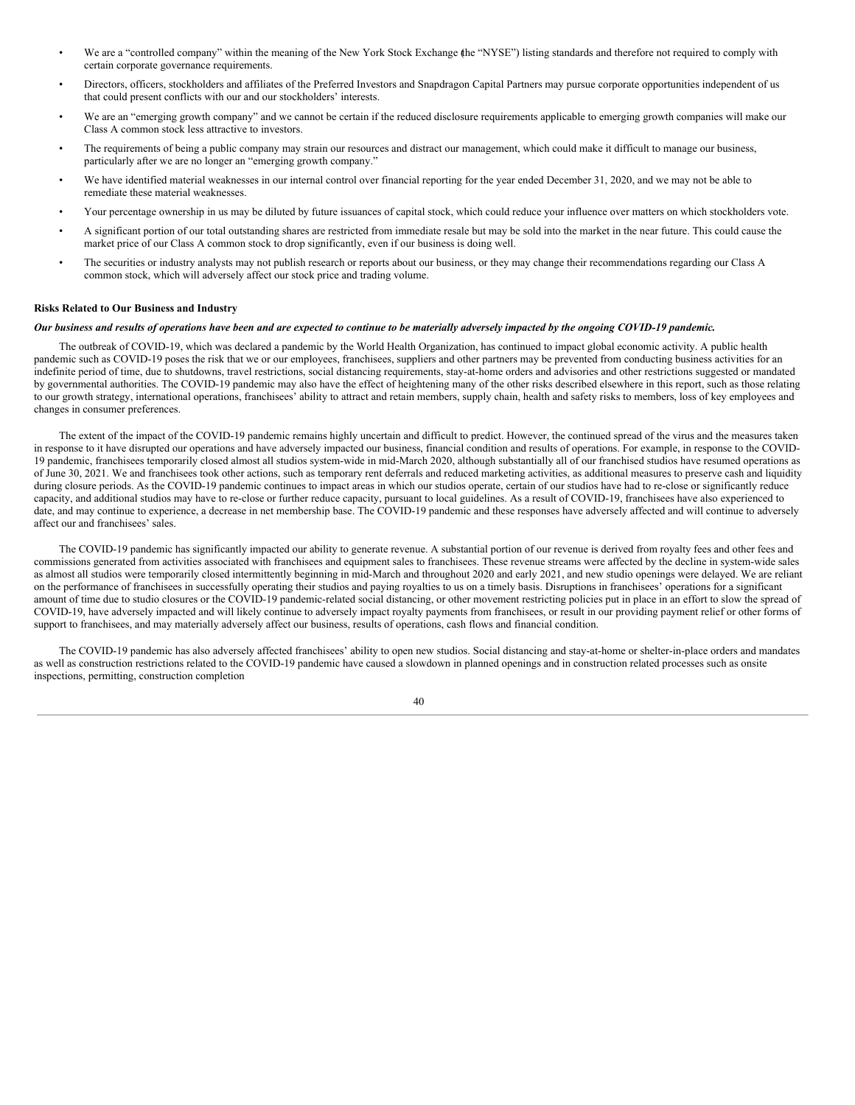- We are a "controlled company" within the meaning of the New York Stock Exchange (the "NYSE") listing standards and therefore not required to comply with certain corporate governance requirements.
- Directors, officers, stockholders and affiliates of the Preferred Investors and Snapdragon Capital Partners may pursue corporate opportunities independent of us that could present conflicts with our and our stockholders' interests.
- We are an "emerging growth company" and we cannot be certain if the reduced disclosure requirements applicable to emerging growth companies will make our Class A common stock less attractive to investors.
- The requirements of being a public company may strain our resources and distract our management, which could make it difficult to manage our business, particularly after we are no longer an "emerging growth company."
- We have identified material weaknesses in our internal control over financial reporting for the year ended December 31, 2020, and we may not be able to remediate these material weaknesses.
- Your percentage ownership in us may be diluted by future issuances of capital stock, which could reduce your influence over matters on which stockholders vote.
- A significant portion of our total outstanding shares are restricted from immediate resale but may be sold into the market in the near future. This could cause the market price of our Class A common stock to drop significantly, even if our business is doing well.
- The securities or industry analysts may not publish research or reports about our business, or they may change their recommendations regarding our Class A common stock, which will adversely affect our stock price and trading volume.

# **Risks Related to Our Business and Industry**

#### Our business and results of operations have been and are expected to continue to be materially adversely impacted by the ongoing COVID-19 pandemic.

The outbreak of COVID-19, which was declared a pandemic by the World Health Organization, has continued to impact global economic activity. A public health pandemic such as COVID-19 poses the risk that we or our employees, franchisees, suppliers and other partners may be prevented from conducting business activities for an indefinite period of time, due to shutdowns, travel restrictions, social distancing requirements, stay-at-home orders and advisories and other restrictions suggested or mandated by governmental authorities. The COVID-19 pandemic may also have the effect of heightening many of the other risks described elsewhere in this report, such as those relating to our growth strategy, international operations, franchisees' ability to attract and retain members, supply chain, health and safety risks to members, loss of key employees and changes in consumer preferences.

The extent of the impact of the COVID-19 pandemic remains highly uncertain and difficult to predict. However, the continued spread of the virus and the measures taken in response to it have disrupted our operations and have adversely impacted our business, financial condition and results of operations. For example, in response to the COVID-19 pandemic, franchisees temporarily closed almost all studios system-wide in mid-March 2020, although substantially all of our franchised studios have resumed operations as of June 30, 2021. We and franchisees took other actions, such as temporary rent deferrals and reduced marketing activities, as additional measures to preserve cash and liquidity during closure periods. As the COVID-19 pandemic continues to impact areas in which our studios operate, certain of our studios have had to re-close or significantly reduce capacity, and additional studios may have to re-close or further reduce capacity, pursuant to local guidelines. As a result of COVID-19, franchisees have also experienced to date, and may continue to experience, a decrease in net membership base. The COVID-19 pandemic and these responses have adversely affected and will continue to adversely affect our and franchisees' sales.

The COVID-19 pandemic has significantly impacted our ability to generate revenue. A substantial portion of our revenue is derived from royalty fees and other fees and commissions generated from activities associated with franchisees and equipment sales to franchisees. These revenue streams were affected by the decline in system-wide sales as almost all studios were temporarily closed intermittently beginning in mid-March and throughout 2020 and early 2021, and new studio openings were delayed. We are reliant on the performance of franchisees in successfully operating their studios and paying royalties to us on a timely basis. Disruptions in franchisees' operations for a significant amount of time due to studio closures or the COVID-19 pandemic-related social distancing, or other movement restricting policies put in place in an effort to slow the spread of COVID-19, have adversely impacted and will likely continue to adversely impact royalty payments from franchisees, or result in our providing payment relief or other forms of support to franchisees, and may materially adversely affect our business, results of operations, cash flows and financial condition.

The COVID-19 pandemic has also adversely affected franchisees' ability to open new studios. Social distancing and stay-at-home or shelter-in-place orders and mandates as well as construction restrictions related to the COVID-19 pandemic have caused a slowdown in planned openings and in construction related processes such as onsite inspections, permitting, construction completion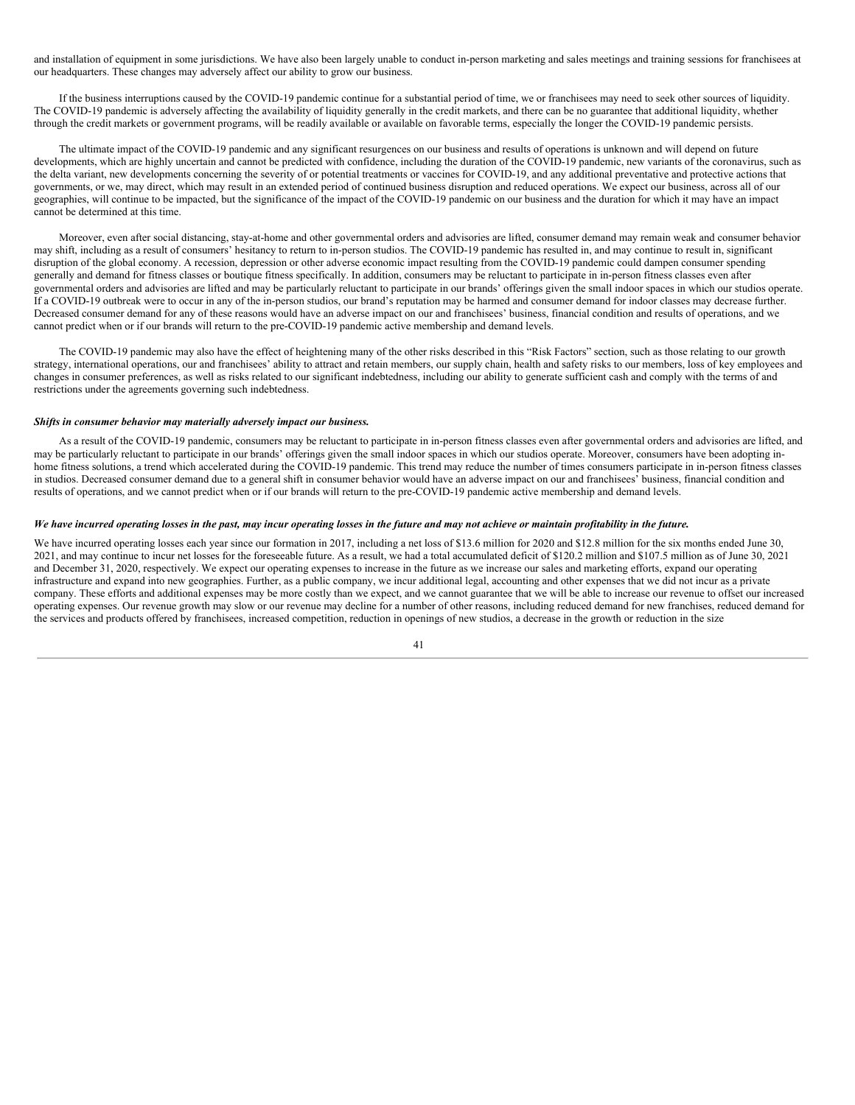and installation of equipment in some jurisdictions. We have also been largely unable to conduct in-person marketing and sales meetings and training sessions for franchisees at our headquarters. These changes may adversely affect our ability to grow our business.

If the business interruptions caused by the COVID-19 pandemic continue for a substantial period of time, we or franchisees may need to seek other sources of liquidity. The COVID-19 pandemic is adversely affecting the availability of liquidity generally in the credit markets, and there can be no guarantee that additional liquidity, whether through the credit markets or government programs, will be readily available or available on favorable terms, especially the longer the COVID-19 pandemic persists.

The ultimate impact of the COVID-19 pandemic and any significant resurgences on our business and results of operations is unknown and will depend on future developments, which are highly uncertain and cannot be predicted with confidence, including the duration of the COVID-19 pandemic, new variants of the coronavirus, such as the delta variant, new developments concerning the severity of or potential treatments or vaccines for COVID-19, and any additional preventative and protective actions that governments, or we, may direct, which may result in an extended period of continued business disruption and reduced operations. We expect our business, across all of our geographies, will continue to be impacted, but the significance of the impact of the COVID-19 pandemic on our business and the duration for which it may have an impact cannot be determined at this time.

Moreover, even after social distancing, stay-at-home and other governmental orders and advisories are lifted, consumer demand may remain weak and consumer behavior may shift, including as a result of consumers' hesitancy to return to in-person studios. The COVID-19 pandemic has resulted in, and may continue to result in, significant disruption of the global economy. A recession, depression or other adverse economic impact resulting from the COVID-19 pandemic could dampen consumer spending generally and demand for fitness classes or boutique fitness specifically. In addition, consumers may be reluctant to participate in in-person fitness classes even after governmental orders and advisories are lifted and may be particularly reluctant to participate in our brands' offerings given the small indoor spaces in which our studios operate. If a COVID-19 outbreak were to occur in any of the in-person studios, our brand's reputation may be harmed and consumer demand for indoor classes may decrease further. Decreased consumer demand for any of these reasons would have an adverse impact on our and franchisees' business, financial condition and results of operations, and we cannot predict when or if our brands will return to the pre-COVID-19 pandemic active membership and demand levels.

The COVID-19 pandemic may also have the effect of heightening many of the other risks described in this "Risk Factors" section, such as those relating to our growth strategy, international operations, our and franchisees' ability to attract and retain members, our supply chain, health and safety risks to our members, loss of key employees and changes in consumer preferences, as well as risks related to our significant indebtedness, including our ability to generate sufficient cash and comply with the terms of and restrictions under the agreements governing such indebtedness.

#### *Shifts in consumer behavior may materially adversely impact our business.*

As a result of the COVID-19 pandemic, consumers may be reluctant to participate in in-person fitness classes even after governmental orders and advisories are lifted, and may be particularly reluctant to participate in our brands' offerings given the small indoor spaces in which our studios operate. Moreover, consumers have been adopting inhome fitness solutions, a trend which accelerated during the COVID-19 pandemic. This trend may reduce the number of times consumers participate in in-person fitness classes in studios. Decreased consumer demand due to a general shift in consumer behavior would have an adverse impact on our and franchisees' business, financial condition and results of operations, and we cannot predict when or if our brands will return to the pre-COVID-19 pandemic active membership and demand levels.

# We have incurred operating losses in the past, may incur operating losses in the future and may not achieve or maintain profitability in the future.

We have incurred operating losses each year since our formation in 2017, including a net loss of \$13.6 million for 2020 and \$12.8 million for the six months ended June 30, 2021, and may continue to incur net losses for the foreseeable future. As a result, we had a total accumulated deficit of \$120.2 million and \$107.5 million as of June 30, 2021 and December 31, 2020, respectively. We expect our operating expenses to increase in the future as we increase our sales and marketing efforts, expand our operating infrastructure and expand into new geographies. Further, as a public company, we incur additional legal, accounting and other expenses that we did not incur as a private company. These efforts and additional expenses may be more costly than we expect, and we cannot guarantee that we will be able to increase our revenue to offset our increased operating expenses. Our revenue growth may slow or our revenue may decline for a number of other reasons, including reduced demand for new franchises, reduced demand for the services and products offered by franchisees, increased competition, reduction in openings of new studios, a decrease in the growth or reduction in the size

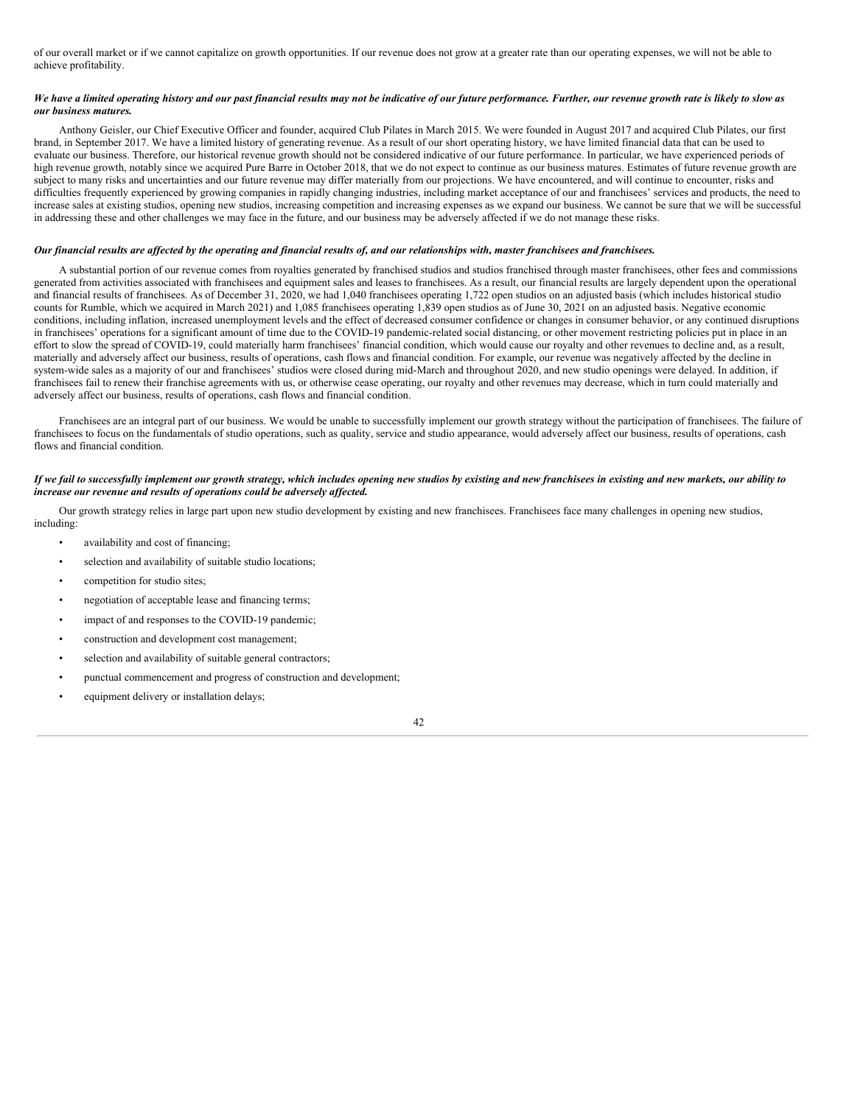of our overall market or if we cannot capitalize on growth opportunities. If our revenue does not grow at a greater rate than our operating expenses, we will not be able to achieve profitability.

# We have a limited operating history and our past financial results may not be indicative of our future performance. Further, our revenue growth rate is likely to slow as *our business matures.*

Anthony Geisler, our Chief Executive Officer and founder, acquired Club Pilates in March 2015. We were founded in August 2017 and acquired Club Pilates, our first brand, in September 2017. We have a limited history of generating revenue. As a result of our short operating history, we have limited financial data that can be used to evaluate our business. Therefore, our historical revenue growth should not be considered indicative of our future performance. In particular, we have experienced periods of high revenue growth, notably since we acquired Pure Barre in October 2018, that we do not expect to continue as our business matures. Estimates of future revenue growth are subject to many risks and uncertainties and our future revenue may differ materially from our projections. We have encountered, and will continue to encounter, risks and difficulties frequently experienced by growing companies in rapidly changing industries, including market acceptance of our and franchisees' services and products, the need to increase sales at existing studios, opening new studios, increasing competition and increasing expenses as we expand our business. We cannot be sure that we will be successful in addressing these and other challenges we may face in the future, and our business may be adversely affected if we do not manage these risks.

# Our financial results are affected by the operating and financial results of, and our relationships with, master franchisees and franchisees.

A substantial portion of our revenue comes from royalties generated by franchised studios and studios franchised through master franchisees, other fees and commissions generated from activities associated with franchisees and equipment sales and leases to franchisees. As a result, our financial results are largely dependent upon the operational and financial results of franchisees. As of December 31, 2020, we had 1,040 franchisees operating 1,722 open studios on an adjusted basis (which includes historical studio counts for Rumble, which we acquired in March 2021) and 1,085 franchisees operating 1,839 open studios as of June 30, 2021 on an adjusted basis. Negative economic conditions, including inflation, increased unemployment levels and the effect of decreased consumer confidence or changes in consumer behavior, or any continued disruptions in franchisees' operations for a significant amount of time due to the COVID-19 pandemic-related social distancing, or other movement restricting policies put in place in an effort to slow the spread of COVID-19, could materially harm franchisees' financial condition, which would cause our royalty and other revenues to decline and, as a result, materially and adversely affect our business, results of operations, cash flows and financial condition. For example, our revenue was negatively affected by the decline in system-wide sales as a majority of our and franchisees' studios were closed during mid-March and throughout 2020, and new studio openings were delayed. In addition, if franchisees fail to renew their franchise agreements with us, or otherwise cease operating, our royalty and other revenues may decrease, which in turn could materially and adversely affect our business, results of operations, cash flows and financial condition.

Franchisees are an integral part of our business. We would be unable to successfully implement our growth strategy without the participation of franchisees. The failure of franchisees to focus on the fundamentals of studio operations, such as quality, service and studio appearance, would adversely affect our business, results of operations, cash flows and financial condition.

# If we fail to successfully implement our growth strategy, which includes opening new studios by existing and new franchisees in existing and new markets, our ability to *increase our revenue and results of operations could be adversely af ected.*

Our growth strategy relies in large part upon new studio development by existing and new franchisees. Franchisees face many challenges in opening new studios, including:

- availability and cost of financing;
- selection and availability of suitable studio locations;
- competition for studio sites;
- negotiation of acceptable lease and financing terms;
- impact of and responses to the COVID-19 pandemic;
- construction and development cost management;
- selection and availability of suitable general contractors;
- punctual commencement and progress of construction and development;
- equipment delivery or installation delays;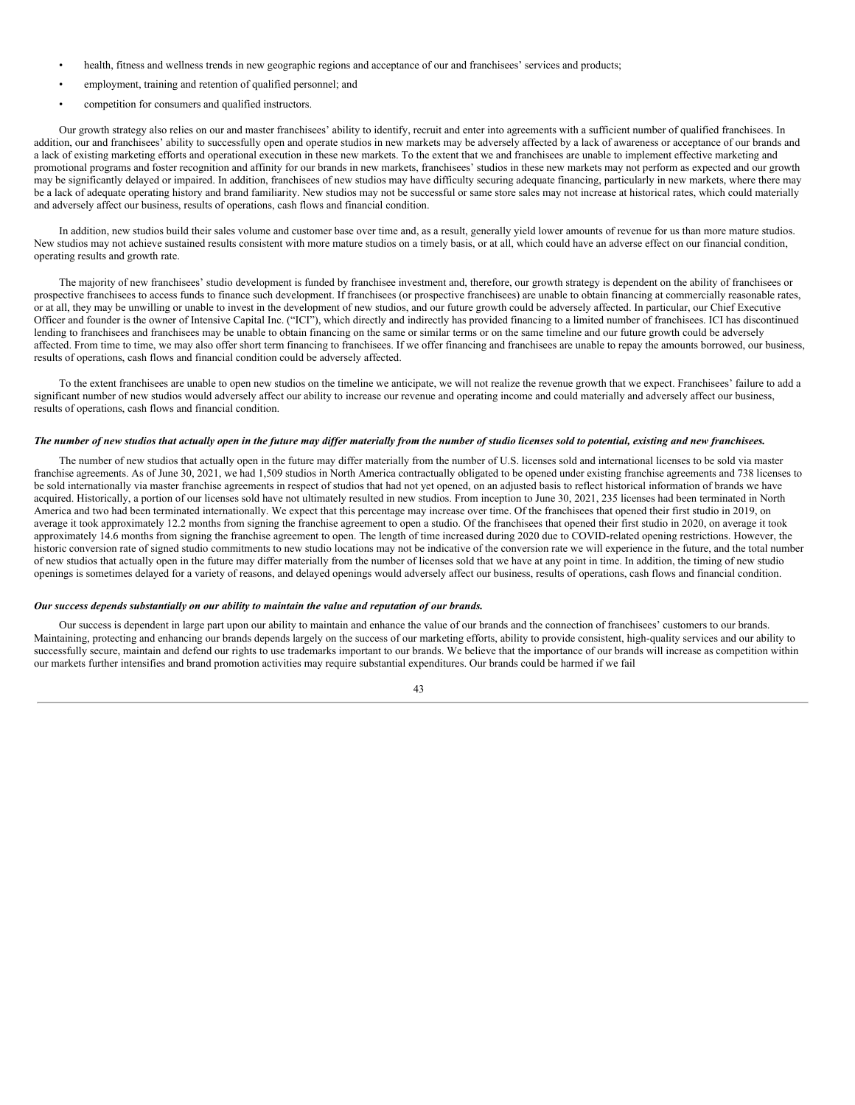- health, fitness and wellness trends in new geographic regions and acceptance of our and franchisees' services and products;
- employment, training and retention of qualified personnel; and
- competition for consumers and qualified instructors.

Our growth strategy also relies on our and master franchisees' ability to identify, recruit and enter into agreements with a sufficient number of qualified franchisees. In addition, our and franchisees' ability to successfully open and operate studios in new markets may be adversely affected by a lack of awareness or acceptance of our brands and a lack of existing marketing efforts and operational execution in these new markets. To the extent that we and franchisees are unable to implement effective marketing and promotional programs and foster recognition and affinity for our brands in new markets, franchisees' studios in these new markets may not perform as expected and our growth may be significantly delayed or impaired. In addition, franchisees of new studios may have difficulty securing adequate financing, particularly in new markets, where there may be a lack of adequate operating history and brand familiarity. New studios may not be successful or same store sales may not increase at historical rates, which could materially and adversely affect our business, results of operations, cash flows and financial condition.

In addition, new studios build their sales volume and customer base over time and, as a result, generally yield lower amounts of revenue for us than more mature studios. New studios may not achieve sustained results consistent with more mature studios on a timely basis, or at all, which could have an adverse effect on our financial condition, operating results and growth rate.

The majority of new franchisees' studio development is funded by franchisee investment and, therefore, our growth strategy is dependent on the ability of franchisees or prospective franchisees to access funds to finance such development. If franchisees (or prospective franchisees) are unable to obtain financing at commercially reasonable rates, or at all, they may be unwilling or unable to invest in the development of new studios, and our future growth could be adversely affected. In particular, our Chief Executive Officer and founder is the owner of Intensive Capital Inc. ("ICI"), which directly and indirectly has provided financing to a limited number of franchisees. ICI has discontinued lending to franchisees and franchisees may be unable to obtain financing on the same or similar terms or on the same timeline and our future growth could be adversely affected. From time to time, we may also offer short term financing to franchisees. If we offer financing and franchisees are unable to repay the amounts borrowed, our business, results of operations, cash flows and financial condition could be adversely affected.

To the extent franchisees are unable to open new studios on the timeline we anticipate, we will not realize the revenue growth that we expect. Franchisees' failure to add a significant number of new studios would adversely affect our ability to increase our revenue and operating income and could materially and adversely affect our business, results of operations, cash flows and financial condition.

#### The number of new studios that actually open in the future may differ materially from the number of studio licenses sold to potential, existing and new franchisees.

The number of new studios that actually open in the future may differ materially from the number of U.S. licenses sold and international licenses to be sold via master franchise agreements. As of June 30, 2021, we had 1,509 studios in North America contractually obligated to be opened under existing franchise agreements and 738 licenses to be sold internationally via master franchise agreements in respect of studios that had not yet opened, on an adjusted basis to reflect historical information of brands we have acquired. Historically, a portion of our licenses sold have not ultimately resulted in new studios. From inception to June 30, 2021, 235 licenses had been terminated in North America and two had been terminated internationally. We expect that this percentage may increase over time. Of the franchisees that opened their first studio in 2019, on average it took approximately 12.2 months from signing the franchise agreement to open a studio. Of the franchisees that opened their first studio in 2020, on average it took approximately 14.6 months from signing the franchise agreement to open. The length of time increased during 2020 due to COVID-related opening restrictions. However, the historic conversion rate of signed studio commitments to new studio locations may not be indicative of the conversion rate we will experience in the future, and the total number of new studios that actually open in the future may differ materially from the number of licenses sold that we have at any point in time. In addition, the timing of new studio openings is sometimes delayed for a variety of reasons, and delayed openings would adversely affect our business, results of operations, cash flows and financial condition.

### *Our success depends substantially on our ability to maintain the value and reputation of our brands.*

Our success is dependent in large part upon our ability to maintain and enhance the value of our brands and the connection of franchisees' customers to our brands. Maintaining, protecting and enhancing our brands depends largely on the success of our marketing efforts, ability to provide consistent, high-quality services and our ability to successfully secure, maintain and defend our rights to use trademarks important to our brands. We believe that the importance of our brands will increase as competition within our markets further intensifies and brand promotion activities may require substantial expenditures. Our brands could be harmed if we fail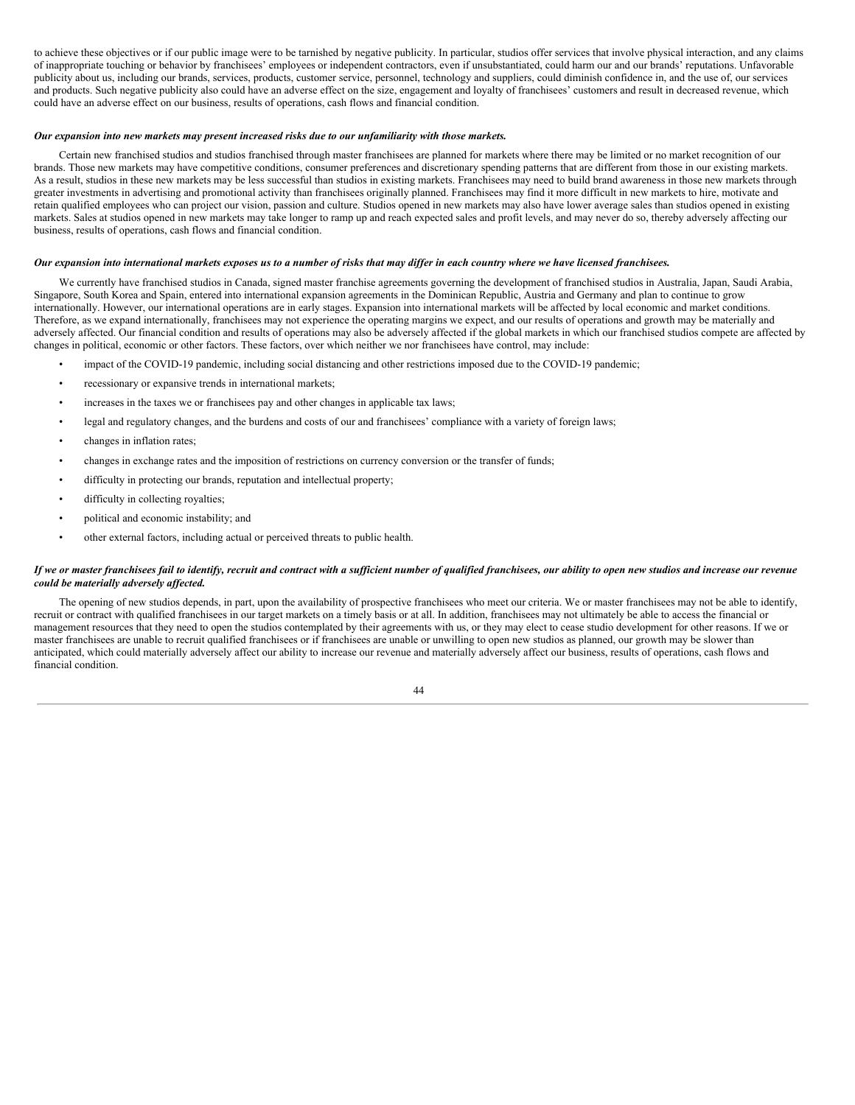to achieve these objectives or if our public image were to be tarnished by negative publicity. In particular, studios offer services that involve physical interaction, and any claims of inappropriate touching or behavior by franchisees' employees or independent contractors, even if unsubstantiated, could harm our and our brands' reputations. Unfavorable publicity about us, including our brands, services, products, customer service, personnel, technology and suppliers, could diminish confidence in, and the use of, our services and products. Such negative publicity also could have an adverse effect on the size, engagement and loyalty of franchisees' customers and result in decreased revenue, which could have an adverse effect on our business, results of operations, cash flows and financial condition.

### *Our expansion into new markets may present increased risks due to our unfamiliarity with those markets.*

Certain new franchised studios and studios franchised through master franchisees are planned for markets where there may be limited or no market recognition of our brands. Those new markets may have competitive conditions, consumer preferences and discretionary spending patterns that are different from those in our existing markets. As a result, studios in these new markets may be less successful than studios in existing markets. Franchisees may need to build brand awareness in those new markets through greater investments in advertising and promotional activity than franchisees originally planned. Franchisees may find it more difficult in new markets to hire, motivate and retain qualified employees who can project our vision, passion and culture. Studios opened in new markets may also have lower average sales than studios opened in existing markets. Sales at studios opened in new markets may take longer to ramp up and reach expected sales and profit levels, and may never do so, thereby adversely affecting our business, results of operations, cash flows and financial condition.

#### Our expansion into international markets exposes us to a number of risks that may differ in each country where we have licensed franchisees.

We currently have franchised studios in Canada, signed master franchise agreements governing the development of franchised studios in Australia, Japan, Saudi Arabia, Singapore, South Korea and Spain, entered into international expansion agreements in the Dominican Republic, Austria and Germany and plan to continue to grow internationally. However, our international operations are in early stages. Expansion into international markets will be affected by local economic and market conditions. Therefore, as we expand internationally, franchisees may not experience the operating margins we expect, and our results of operations and growth may be materially and adversely affected. Our financial condition and results of operations may also be adversely affected if the global markets in which our franchised studios compete are affected by changes in political, economic or other factors. These factors, over which neither we nor franchisees have control, may include:

- impact of the COVID-19 pandemic, including social distancing and other restrictions imposed due to the COVID-19 pandemic;
- recessionary or expansive trends in international markets;
- increases in the taxes we or franchisees pay and other changes in applicable tax laws;
- legal and regulatory changes, and the burdens and costs of our and franchisees' compliance with a variety of foreign laws;
- changes in inflation rates;
- changes in exchange rates and the imposition of restrictions on currency conversion or the transfer of funds;
- difficulty in protecting our brands, reputation and intellectual property;
- difficulty in collecting royalties;
- political and economic instability; and
- other external factors, including actual or perceived threats to public health.

#### If we or master franchisees fail to identify, recruit and contract with a sufficient number of qualified franchisees, our ability to open new studios and increase our revenue *could be materially adversely af ected.*

The opening of new studios depends, in part, upon the availability of prospective franchisees who meet our criteria. We or master franchisees may not be able to identify, recruit or contract with qualified franchisees in our target markets on a timely basis or at all. In addition, franchisees may not ultimately be able to access the financial or management resources that they need to open the studios contemplated by their agreements with us, or they may elect to cease studio development for other reasons. If we or master franchisees are unable to recruit qualified franchisees or if franchisees are unable or unwilling to open new studios as planned, our growth may be slower than anticipated, which could materially adversely affect our ability to increase our revenue and materially adversely affect our business, results of operations, cash flows and financial condition.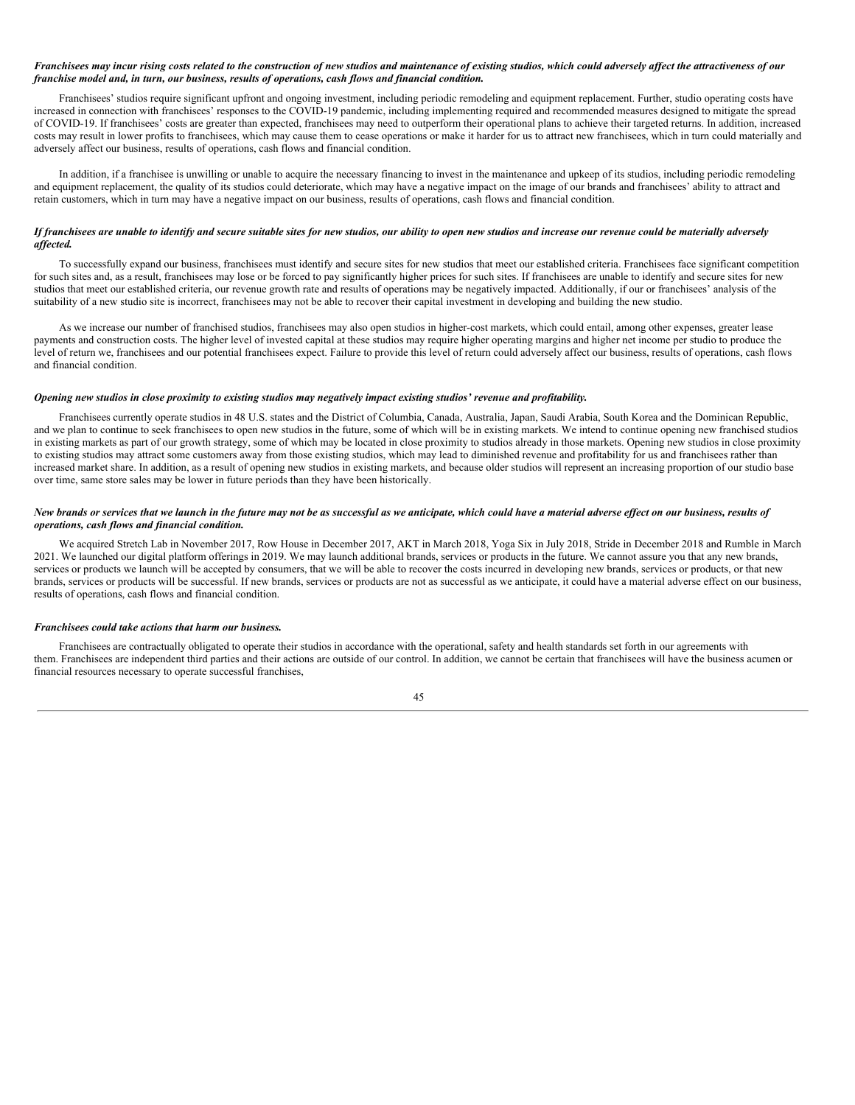# Franchisees may incur rising costs related to the construction of new studios and maintenance of existing studios, which could adversely affect the attractiveness of our *franchise model and, in turn, our business, results of operations, cash flows and financial condition.*

Franchisees' studios require significant upfront and ongoing investment, including periodic remodeling and equipment replacement. Further, studio operating costs have increased in connection with franchisees' responses to the COVID-19 pandemic, including implementing required and recommended measures designed to mitigate the spread of COVID-19. If franchisees' costs are greater than expected, franchisees may need to outperform their operational plans to achieve their targeted returns. In addition, increased costs may result in lower profits to franchisees, which may cause them to cease operations or make it harder for us to attract new franchisees, which in turn could materially and adversely affect our business, results of operations, cash flows and financial condition.

In addition, if a franchisee is unwilling or unable to acquire the necessary financing to invest in the maintenance and upkeep of its studios, including periodic remodeling and equipment replacement, the quality of its studios could deteriorate, which may have a negative impact on the image of our brands and franchisees' ability to attract and retain customers, which in turn may have a negative impact on our business, results of operations, cash flows and financial condition.

# If franchisees are unable to identify and secure suitable sites for new studios, our ability to open new studios and increase our revenue could be materially adversely *af ected.*

To successfully expand our business, franchisees must identify and secure sites for new studios that meet our established criteria. Franchisees face significant competition for such sites and, as a result, franchisees may lose or be forced to pay significantly higher prices for such sites. If franchisees are unable to identify and secure sites for new studios that meet our established criteria, our revenue growth rate and results of operations may be negatively impacted. Additionally, if our or franchisees' analysis of the suitability of a new studio site is incorrect, franchisees may not be able to recover their capital investment in developing and building the new studio.

As we increase our number of franchised studios, franchisees may also open studios in higher-cost markets, which could entail, among other expenses, greater lease payments and construction costs. The higher level of invested capital at these studios may require higher operating margins and higher net income per studio to produce the level of return we, franchisees and our potential franchisees expect. Failure to provide this level of return could adversely affect our business, results of operations, cash flows and financial condition.

#### Opening new studios in close proximity to existing studios may negatively impact existing studios' revenue and profitability.

Franchisees currently operate studios in 48 U.S. states and the District of Columbia, Canada, Australia, Japan, Saudi Arabia, South Korea and the Dominican Republic, and we plan to continue to seek franchisees to open new studios in the future, some of which will be in existing markets. We intend to continue opening new franchised studios in existing markets as part of our growth strategy, some of which may be located in close proximity to studios already in those markets. Opening new studios in close proximity to existing studios may attract some customers away from those existing studios, which may lead to diminished revenue and profitability for us and franchisees rather than increased market share. In addition, as a result of opening new studios in existing markets, and because older studios will represent an increasing proportion of our studio base over time, same store sales may be lower in future periods than they have been historically.

# New brands or services that we launch in the future may not be as successful as we anticipate, which could have a material adverse effect on our business, results of *operations, cash flows and financial condition.*

We acquired Stretch Lab in November 2017, Row House in December 2017, AKT in March 2018, Yoga Six in July 2018, Stride in December 2018 and Rumble in March 2021. We launched our digital platform offerings in 2019. We may launch additional brands, services or products in the future. We cannot assure you that any new brands, services or products we launch will be accepted by consumers, that we will be able to recover the costs incurred in developing new brands, services or products, or that new brands, services or products will be successful. If new brands, services or products are not as successful as we anticipate, it could have a material adverse effect on our business, results of operations, cash flows and financial condition.

# *Franchisees could take actions that harm our business.*

Franchisees are contractually obligated to operate their studios in accordance with the operational, safety and health standards set forth in our agreements with them. Franchisees are independent third parties and their actions are outside of our control. In addition, we cannot be certain that franchisees will have the business acumen or financial resources necessary to operate successful franchises,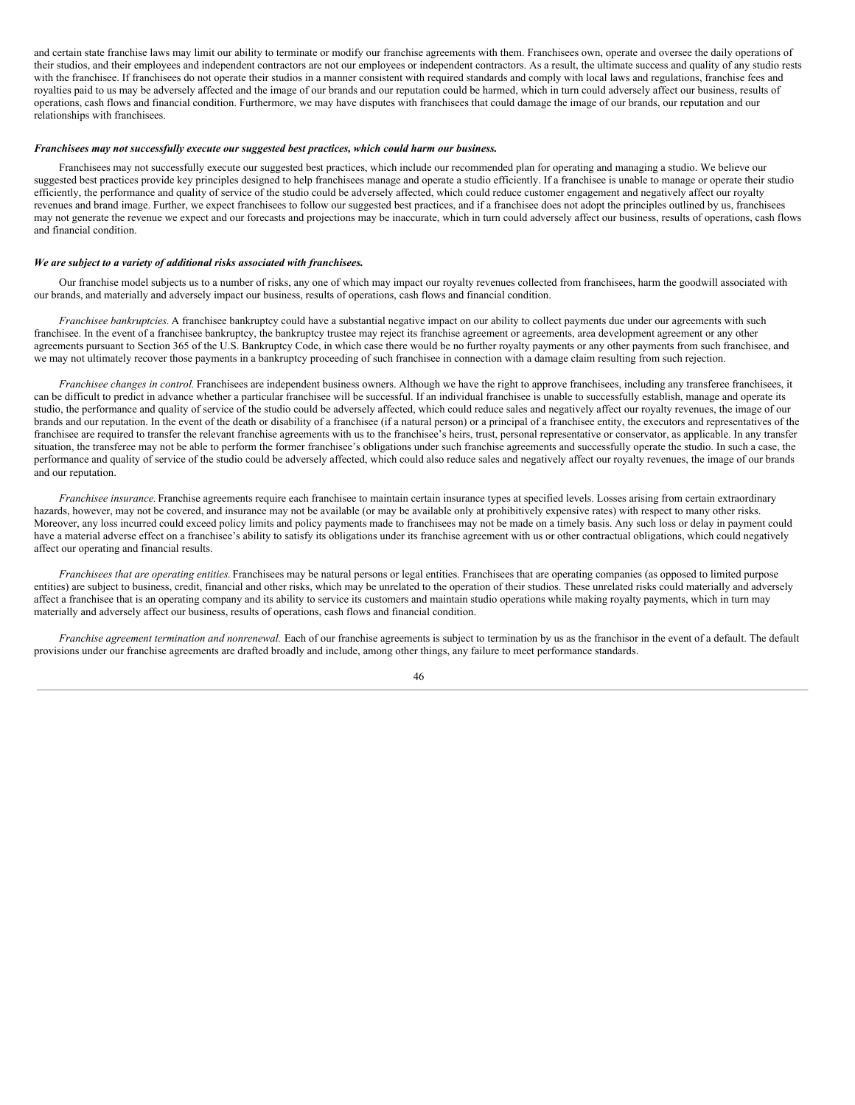and certain state franchise laws may limit our ability to terminate or modify our franchise agreements with them. Franchisees own, operate and oversee the daily operations of their studios, and their employees and independent contractors are not our employees or independent contractors. As a result, the ultimate success and quality of any studio rests with the franchisee. If franchisees do not operate their studios in a manner consistent with required standards and comply with local laws and regulations, franchise fees and royalties paid to us may be adversely affected and the image of our brands and our reputation could be harmed, which in turn could adversely affect our business, results of operations, cash flows and financial condition. Furthermore, we may have disputes with franchisees that could damage the image of our brands, our reputation and our relationships with franchisees.

# *Franchisees may not successfully execute our suggested best practices, which could harm our business.*

Franchisees may not successfully execute our suggested best practices, which include our recommended plan for operating and managing a studio. We believe our suggested best practices provide key principles designed to help franchisees manage and operate a studio efficiently. If a franchisee is unable to manage or operate their studio efficiently, the performance and quality of service of the studio could be adversely affected, which could reduce customer engagement and negatively affect our royalty revenues and brand image. Further, we expect franchisees to follow our suggested best practices, and if a franchisee does not adopt the principles outlined by us, franchisees may not generate the revenue we expect and our forecasts and projections may be inaccurate, which in turn could adversely affect our business, results of operations, cash flows and financial condition.

#### *We are subject to a variety of additional risks associated with franchisees.*

Our franchise model subjects us to a number of risks, any one of which may impact our royalty revenues collected from franchisees, harm the goodwill associated with our brands, and materially and adversely impact our business, results of operations, cash flows and financial condition.

*Franchisee bankruptcies.* A franchisee bankruptcy could have a substantial negative impact on our ability to collect payments due under our agreements with such franchisee. In the event of a franchisee bankruptcy, the bankruptcy trustee may reject its franchise agreement or agreements, area development agreement or any other agreements pursuant to Section 365 of the U.S. Bankruptcy Code, in which case there would be no further royalty payments or any other payments from such franchisee, and we may not ultimately recover those payments in a bankruptcy proceeding of such franchisee in connection with a damage claim resulting from such rejection.

*Franchisee changes in control.* Franchisees are independent business owners. Although we have the right to approve franchisees, including any transferee franchisees, it can be difficult to predict in advance whether a particular franchisee will be successful. If an individual franchisee is unable to successfully establish, manage and operate its studio, the performance and quality of service of the studio could be adversely affected, which could reduce sales and negatively affect our royalty revenues, the image of our brands and our reputation. In the event of the death or disability of a franchisee (if a natural person) or a principal of a franchisee entity, the executors and representatives of the franchisee are required to transfer the relevant franchise agreements with us to the franchisee's heirs, trust, personal representative or conservator, as applicable. In any transfer situation, the transferee may not be able to perform the former franchisee's obligations under such franchise agreements and successfully operate the studio. In such a case, the performance and quality of service of the studio could be adversely affected, which could also reduce sales and negatively affect our royalty revenues, the image of our brands and our reputation.

*Franchisee insurance.* Franchise agreements require each franchisee to maintain certain insurance types at specified levels. Losses arising from certain extraordinary hazards, however, may not be covered, and insurance may not be available (or may be available only at prohibitively expensive rates) with respect to many other risks. Moreover, any loss incurred could exceed policy limits and policy payments made to franchisees may not be made on a timely basis. Any such loss or delay in payment could have a material adverse effect on a franchisee's ability to satisfy its obligations under its franchise agreement with us or other contractual obligations, which could negatively affect our operating and financial results.

*Franchisees that are operating entities.* Franchisees may be natural persons or legal entities. Franchisees that are operating companies (as opposed to limited purpose entities) are subject to business, credit, financial and other risks, which may be unrelated to the operation of their studios. These unrelated risks could materially and adversely affect a franchisee that is an operating company and its ability to service its customers and maintain studio operations while making royalty payments, which in turn may materially and adversely affect our business, results of operations, cash flows and financial condition.

*Franchise agreement termination and nonrenewal.* Each of our franchise agreements is subject to termination by us as the franchisor in the event of a default. The default provisions under our franchise agreements are drafted broadly and include, among other things, any failure to meet performance standards.

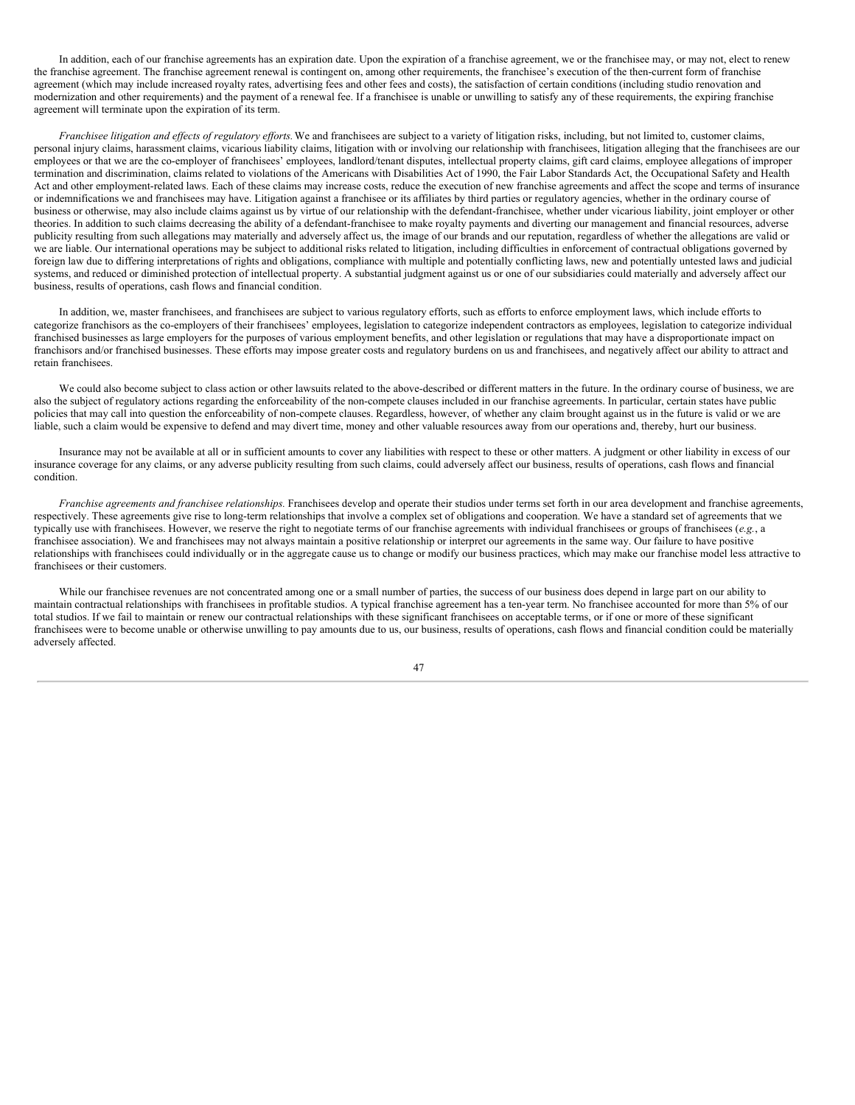In addition, each of our franchise agreements has an expiration date. Upon the expiration of a franchise agreement, we or the franchisee may, or may not, elect to renew the franchise agreement. The franchise agreement renewal is contingent on, among other requirements, the franchisee's execution of the then-current form of franchise agreement (which may include increased royalty rates, advertising fees and other fees and costs), the satisfaction of certain conditions (including studio renovation and modernization and other requirements) and the payment of a renewal fee. If a franchisee is unable or unwilling to satisfy any of these requirements, the expiring franchise agreement will terminate upon the expiration of its term.

Franchisee litigation and effects of regulatory efforts. We and franchisees are subject to a variety of litigation risks, including, but not limited to, customer claims, personal injury claims, harassment claims, vicarious liability claims, litigation with or involving our relationship with franchisees, litigation alleging that the franchisees are our employees or that we are the co-employer of franchisees' employees, landlord/tenant disputes, intellectual property claims, gift card claims, employee allegations of improper termination and discrimination, claims related to violations of the Americans with Disabilities Act of 1990, the Fair Labor Standards Act, the Occupational Safety and Health Act and other employment-related laws. Each of these claims may increase costs, reduce the execution of new franchise agreements and affect the scope and terms of insurance or indemnifications we and franchisees may have. Litigation against a franchisee or its affiliates by third parties or regulatory agencies, whether in the ordinary course of business or otherwise, may also include claims against us by virtue of our relationship with the defendant-franchisee, whether under vicarious liability, joint employer or other theories. In addition to such claims decreasing the ability of a defendant-franchisee to make royalty payments and diverting our management and financial resources, adverse publicity resulting from such allegations may materially and adversely affect us, the image of our brands and our reputation, regardless of whether the allegations are valid or we are liable. Our international operations may be subject to additional risks related to litigation, including difficulties in enforcement of contractual obligations governed by foreign law due to differing interpretations of rights and obligations, compliance with multiple and potentially conflicting laws, new and potentially untested laws and judicial systems, and reduced or diminished protection of intellectual property. A substantial judgment against us or one of our subsidiaries could materially and adversely affect our business, results of operations, cash flows and financial condition.

In addition, we, master franchisees, and franchisees are subject to various regulatory efforts, such as efforts to enforce employment laws, which include efforts to categorize franchisors as the co-employers of their franchisees' employees, legislation to categorize independent contractors as employees, legislation to categorize individual franchised businesses as large employers for the purposes of various employment benefits, and other legislation or regulations that may have a disproportionate impact on franchisors and/or franchised businesses. These efforts may impose greater costs and regulatory burdens on us and franchisees, and negatively affect our ability to attract and retain franchisees.

We could also become subject to class action or other lawsuits related to the above-described or different matters in the future. In the ordinary course of business, we are also the subject of regulatory actions regarding the enforceability of the non-compete clauses included in our franchise agreements. In particular, certain states have public policies that may call into question the enforceability of non-compete clauses. Regardless, however, of whether any claim brought against us in the future is valid or we are liable, such a claim would be expensive to defend and may divert time, money and other valuable resources away from our operations and, thereby, hurt our business.

Insurance may not be available at all or in sufficient amounts to cover any liabilities with respect to these or other matters. A judgment or other liability in excess of our insurance coverage for any claims, or any adverse publicity resulting from such claims, could adversely affect our business, results of operations, cash flows and financial condition.

*Franchise agreements and franchisee relationships.* Franchisees develop and operate their studios under terms set forth in our area development and franchise agreements, respectively. These agreements give rise to long-term relationships that involve a complex set of obligations and cooperation. We have a standard set of agreements that we typically use with franchisees. However, we reserve the right to negotiate terms of our franchise agreements with individual franchisees or groups of franchisees (*e.g.*, a franchisee association). We and franchisees may not always maintain a positive relationship or interpret our agreements in the same way. Our failure to have positive relationships with franchisees could individually or in the aggregate cause us to change or modify our business practices, which may make our franchise model less attractive to franchisees or their customers.

While our franchisee revenues are not concentrated among one or a small number of parties, the success of our business does depend in large part on our ability to maintain contractual relationships with franchisees in profitable studios. A typical franchise agreement has a ten-year term. No franchisee accounted for more than 5% of our total studios. If we fail to maintain or renew our contractual relationships with these significant franchisees on acceptable terms, or if one or more of these significant franchisees were to become unable or otherwise unwilling to pay amounts due to us, our business, results of operations, cash flows and financial condition could be materially adversely affected.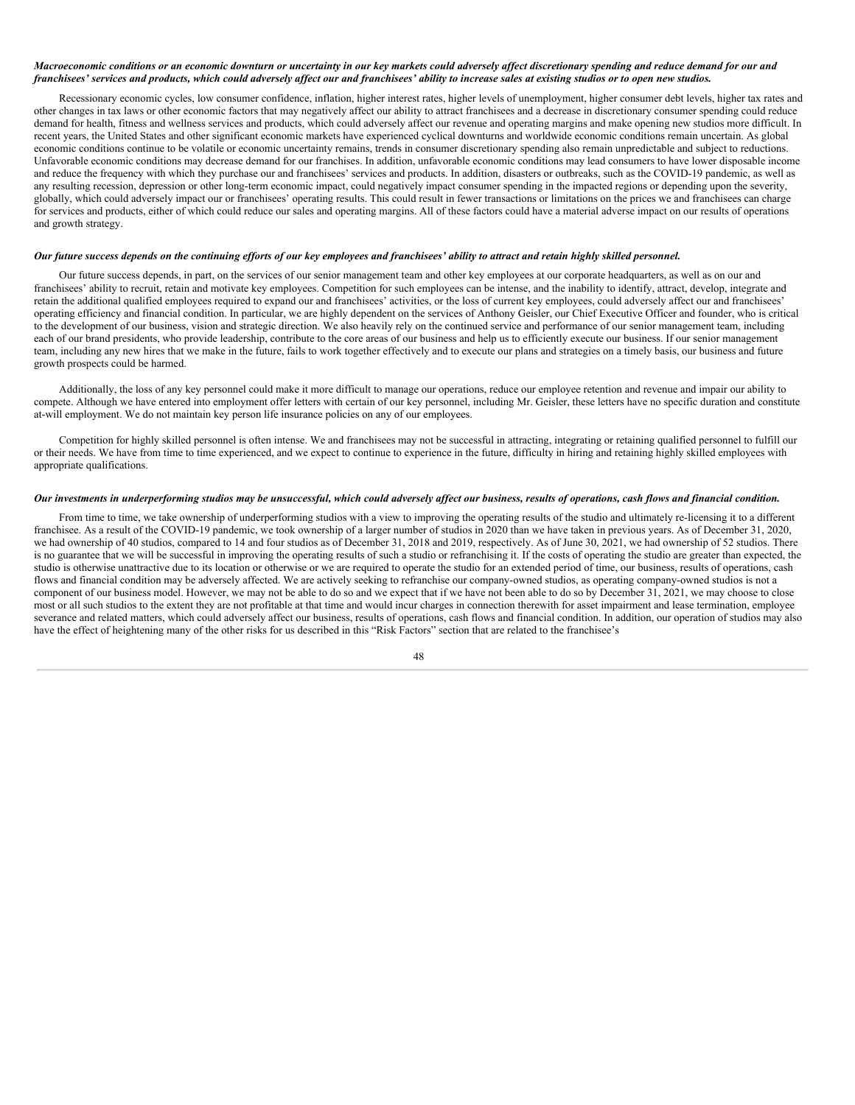# Macroeconomic conditions or an economic downturn or uncertainty in our key markets could adversely affect discretionary spending and reduce demand for our and franchisees' services and products, which could adversely affect our and franchisees' ability to increase sales at existing studios or to open new studios.

Recessionary economic cycles, low consumer confidence, inflation, higher interest rates, higher levels of unemployment, higher consumer debt levels, higher tax rates and other changes in tax laws or other economic factors that may negatively affect our ability to attract franchisees and a decrease in discretionary consumer spending could reduce demand for health, fitness and wellness services and products, which could adversely affect our revenue and operating margins and make opening new studios more difficult. In recent years, the United States and other significant economic markets have experienced cyclical downturns and worldwide economic conditions remain uncertain. As global economic conditions continue to be volatile or economic uncertainty remains, trends in consumer discretionary spending also remain unpredictable and subject to reductions. Unfavorable economic conditions may decrease demand for our franchises. In addition, unfavorable economic conditions may lead consumers to have lower disposable income and reduce the frequency with which they purchase our and franchisees' services and products. In addition, disasters or outbreaks, such as the COVID-19 pandemic, as well as any resulting recession, depression or other long-term economic impact, could negatively impact consumer spending in the impacted regions or depending upon the severity, globally, which could adversely impact our or franchisees' operating results. This could result in fewer transactions or limitations on the prices we and franchisees can charge for services and products, either of which could reduce our sales and operating margins. All of these factors could have a material adverse impact on our results of operations and growth strategy.

#### Our future success depends on the continuing efforts of our key employees and franchisees' ability to attract and retain highly skilled personnel.

Our future success depends, in part, on the services of our senior management team and other key employees at our corporate headquarters, as well as on our and franchisees' ability to recruit, retain and motivate key employees. Competition for such employees can be intense, and the inability to identify, attract, develop, integrate and retain the additional qualified employees required to expand our and franchisees' activities, or the loss of current key employees, could adversely affect our and franchisees' operating efficiency and financial condition. In particular, we are highly dependent on the services of Anthony Geisler, our Chief Executive Officer and founder, who is critical to the development of our business, vision and strategic direction. We also heavily rely on the continued service and performance of our senior management team, including each of our brand presidents, who provide leadership, contribute to the core areas of our business and help us to efficiently execute our business. If our senior management team, including any new hires that we make in the future, fails to work together effectively and to execute our plans and strategies on a timely basis, our business and future growth prospects could be harmed.

Additionally, the loss of any key personnel could make it more difficult to manage our operations, reduce our employee retention and revenue and impair our ability to compete. Although we have entered into employment offer letters with certain of our key personnel, including Mr. Geisler, these letters have no specific duration and constitute at-will employment. We do not maintain key person life insurance policies on any of our employees.

Competition for highly skilled personnel is often intense. We and franchisees may not be successful in attracting, integrating or retaining qualified personnel to fulfill our or their needs. We have from time to time experienced, and we expect to continue to experience in the future, difficulty in hiring and retaining highly skilled employees with appropriate qualifications.

# Our investments in underperforming studios may be unsuccessful, which could adversely affect our business, results of operations, cash flows and financial condition.

From time to time, we take ownership of underperforming studios with a view to improving the operating results of the studio and ultimately re-licensing it to a different franchisee. As a result of the COVID-19 pandemic, we took ownership of a larger number of studios in 2020 than we have taken in previous years. As of December 31, 2020, we had ownership of 40 studios, compared to 14 and four studios as of December 31, 2018 and 2019, respectively. As of June 30, 2021, we had ownership of 52 studios. There is no guarantee that we will be successful in improving the operating results of such a studio or refranchising it. If the costs of operating the studio are greater than expected, the studio is otherwise unattractive due to its location or otherwise or we are required to operate the studio for an extended period of time, our business, results of operations, cash flows and financial condition may be adversely affected. We are actively seeking to refranchise our company-owned studios, as operating company-owned studios is not a component of our business model. However, we may not be able to do so and we expect that if we have not been able to do so by December 31, 2021, we may choose to close most or all such studios to the extent they are not profitable at that time and would incur charges in connection therewith for asset impairment and lease termination, employee severance and related matters, which could adversely affect our business, results of operations, cash flows and financial condition. In addition, our operation of studios may also have the effect of heightening many of the other risks for us described in this "Risk Factors" section that are related to the franchisee's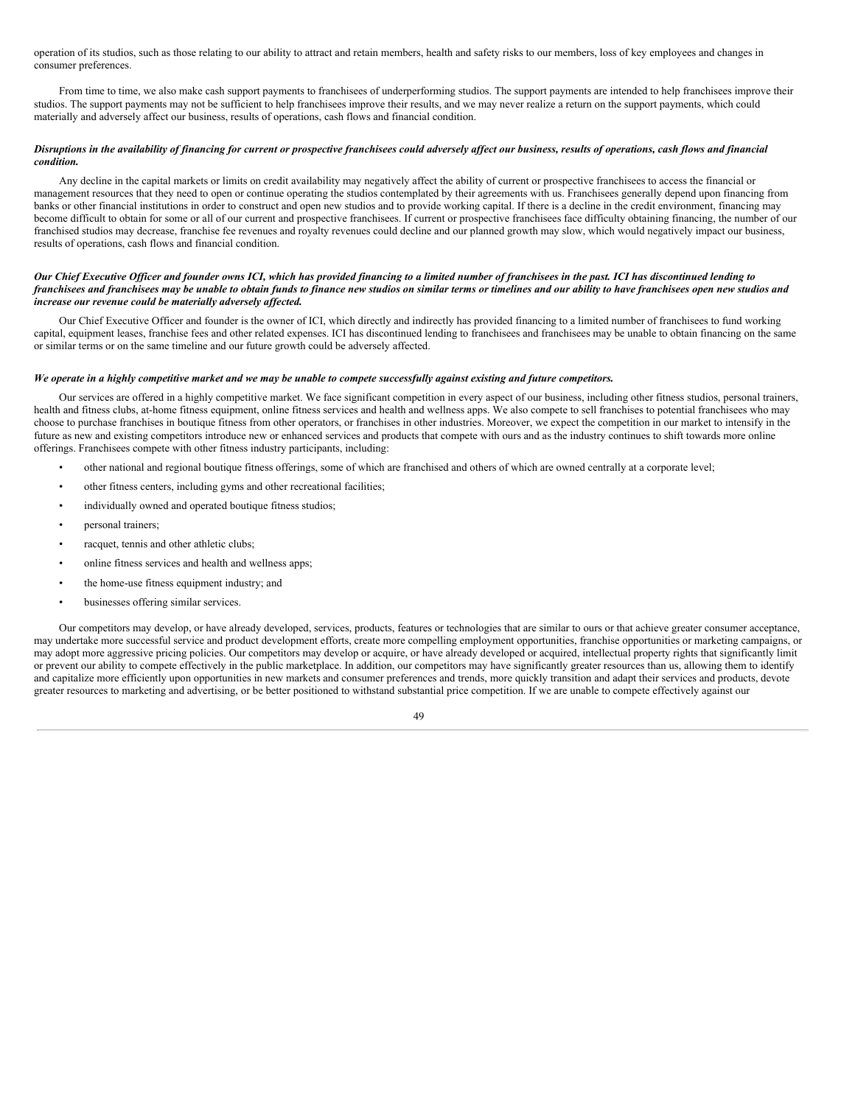operation of its studios, such as those relating to our ability to attract and retain members, health and safety risks to our members, loss of key employees and changes in consumer preferences.

From time to time, we also make cash support payments to franchisees of underperforming studios. The support payments are intended to help franchisees improve their studios. The support payments may not be sufficient to help franchisees improve their results, and we may never realize a return on the support payments, which could materially and adversely affect our business, results of operations, cash flows and financial condition.

# Disruptions in the availability of financing for current or prospective franchisees could adversely affect our business, results of operations, cash flows and financial *condition.*

Any decline in the capital markets or limits on credit availability may negatively affect the ability of current or prospective franchisees to access the financial or management resources that they need to open or continue operating the studios contemplated by their agreements with us. Franchisees generally depend upon financing from banks or other financial institutions in order to construct and open new studios and to provide working capital. If there is a decline in the credit environment, financing may become difficult to obtain for some or all of our current and prospective franchisees. If current or prospective franchisees face difficulty obtaining financing, the number of our franchised studios may decrease, franchise fee revenues and royalty revenues could decline and our planned growth may slow, which would negatively impact our business, results of operations, cash flows and financial condition.

# Our Chief Executive Officer and founder owns ICI, which has provided financing to a limited number of franchisees in the past. ICI has discontinued lending to franchisees and franchisees may be unable to obtain funds to finance new studios on similar terms or timelines and our ability to have franchisees open new studios and *increase our revenue could be materially adversely af ected.*

Our Chief Executive Officer and founder is the owner of ICI, which directly and indirectly has provided financing to a limited number of franchisees to fund working capital, equipment leases, franchise fees and other related expenses. ICI has discontinued lending to franchisees and franchisees may be unable to obtain financing on the same or similar terms or on the same timeline and our future growth could be adversely affected.

#### We operate in a highly competitive market and we may be unable to compete successfully against existing and future competitors.

Our services are offered in a highly competitive market. We face significant competition in every aspect of our business, including other fitness studios, personal trainers, health and fitness clubs, at-home fitness equipment, online fitness services and health and wellness apps. We also compete to sell franchises to potential franchisees who may choose to purchase franchises in boutique fitness from other operators, or franchises in other industries. Moreover, we expect the competition in our market to intensify in the future as new and existing competitors introduce new or enhanced services and products that compete with ours and as the industry continues to shift towards more online offerings. Franchisees compete with other fitness industry participants, including:

- other national and regional boutique fitness offerings, some of which are franchised and others of which are owned centrally at a corporate level;
- other fitness centers, including gyms and other recreational facilities;
- individually owned and operated boutique fitness studios;
- personal trainers;
- racquet, tennis and other athletic clubs;
- online fitness services and health and wellness apps;
- the home-use fitness equipment industry; and
- businesses offering similar services.

Our competitors may develop, or have already developed, services, products, features or technologies that are similar to ours or that achieve greater consumer acceptance, may undertake more successful service and product development efforts, create more compelling employment opportunities, franchise opportunities or marketing campaigns, or may adopt more aggressive pricing policies. Our competitors may develop or acquire, or have already developed or acquired, intellectual property rights that significantly limit or prevent our ability to compete effectively in the public marketplace. In addition, our competitors may have significantly greater resources than us, allowing them to identify and capitalize more efficiently upon opportunities in new markets and consumer preferences and trends, more quickly transition and adapt their services and products, devote greater resources to marketing and advertising, or be better positioned to withstand substantial price competition. If we are unable to compete effectively against our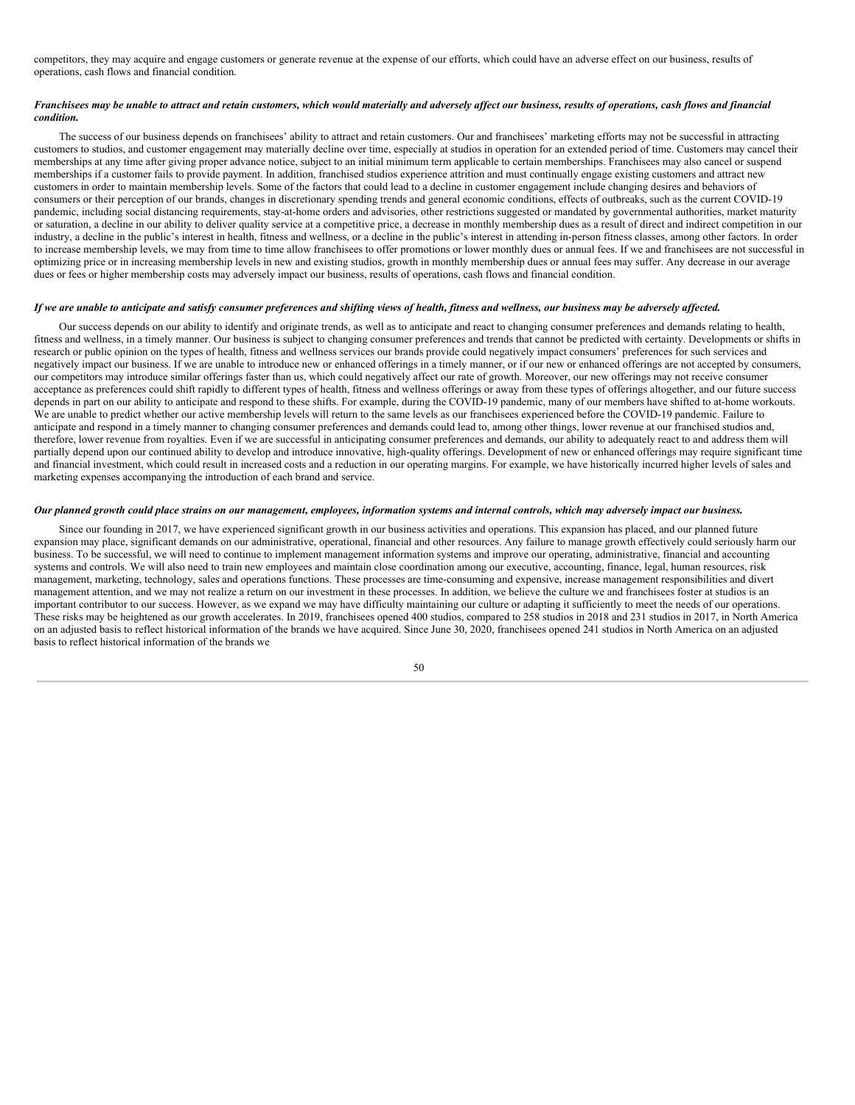competitors, they may acquire and engage customers or generate revenue at the expense of our efforts, which could have an adverse effect on our business, results of operations, cash flows and financial condition.

### Franchisees may be unable to attract and retain customers, which would materially and adversely affect our business, results of operations, cash flows and financial *condition.*

The success of our business depends on franchisees' ability to attract and retain customers. Our and franchisees' marketing efforts may not be successful in attracting customers to studios, and customer engagement may materially decline over time, especially at studios in operation for an extended period of time. Customers may cancel their memberships at any time after giving proper advance notice, subject to an initial minimum term applicable to certain memberships. Franchisees may also cancel or suspend memberships if a customer fails to provide payment. In addition, franchised studios experience attrition and must continually engage existing customers and attract new customers in order to maintain membership levels. Some of the factors that could lead to a decline in customer engagement include changing desires and behaviors of consumers or their perception of our brands, changes in discretionary spending trends and general economic conditions, effects of outbreaks, such as the current COVID-19 pandemic, including social distancing requirements, stay-at-home orders and advisories, other restrictions suggested or mandated by governmental authorities, market maturity or saturation, a decline in our ability to deliver quality service at a competitive price, a decrease in monthly membership dues as a result of direct and indirect competition in our industry, a decline in the public's interest in health, fitness and wellness, or a decline in the public's interest in attending in-person fitness classes, among other factors. In order to increase membership levels, we may from time to time allow franchisees to offer promotions or lower monthly dues or annual fees. If we and franchisees are not successful in optimizing price or in increasing membership levels in new and existing studios, growth in monthly membership dues or annual fees may suffer. Any decrease in our average dues or fees or higher membership costs may adversely impact our business, results of operations, cash flows and financial condition.

# If we are unable to anticipate and satisfy consumer preferences and shifting views of health, fitness and wellness, our business may be adversely affected.

Our success depends on our ability to identify and originate trends, as well as to anticipate and react to changing consumer preferences and demands relating to health, fitness and wellness, in a timely manner. Our business is subject to changing consumer preferences and trends that cannot be predicted with certainty. Developments or shifts in research or public opinion on the types of health, fitness and wellness services our brands provide could negatively impact consumers' preferences for such services and negatively impact our business. If we are unable to introduce new or enhanced offerings in a timely manner, or if our new or enhanced offerings are not accepted by consumers, our competitors may introduce similar offerings faster than us, which could negatively affect our rate of growth. Moreover, our new offerings may not receive consumer acceptance as preferences could shift rapidly to different types of health, fitness and wellness offerings or away from these types of offerings altogether, and our future success depends in part on our ability to anticipate and respond to these shifts. For example, during the COVID-19 pandemic, many of our members have shifted to at-home workouts. We are unable to predict whether our active membership levels will return to the same levels as our franchisees experienced before the COVID-19 pandemic. Failure to anticipate and respond in a timely manner to changing consumer preferences and demands could lead to, among other things, lower revenue at our franchised studios and, therefore, lower revenue from royalties. Even if we are successful in anticipating consumer preferences and demands, our ability to adequately react to and address them will partially depend upon our continued ability to develop and introduce innovative, high-quality offerings. Development of new or enhanced offerings may require significant time and financial investment, which could result in increased costs and a reduction in our operating margins. For example, we have historically incurred higher levels of sales and marketing expenses accompanying the introduction of each brand and service.

#### Our planned growth could place strains on our management, employees, information systems and internal controls, which may adversely impact our business.

Since our founding in 2017, we have experienced significant growth in our business activities and operations. This expansion has placed, and our planned future expansion may place, significant demands on our administrative, operational, financial and other resources. Any failure to manage growth effectively could seriously harm our business. To be successful, we will need to continue to implement management information systems and improve our operating, administrative, financial and accounting systems and controls. We will also need to train new employees and maintain close coordination among our executive, accounting, finance, legal, human resources, risk management, marketing, technology, sales and operations functions. These processes are time-consuming and expensive, increase management responsibilities and divert management attention, and we may not realize a return on our investment in these processes. In addition, we believe the culture we and franchisees foster at studios is an important contributor to our success. However, as we expand we may have difficulty maintaining our culture or adapting it sufficiently to meet the needs of our operations. These risks may be heightened as our growth accelerates. In 2019, franchisees opened 400 studios, compared to 258 studios in 2018 and 231 studios in 2017, in North America on an adjusted basis to reflect historical information of the brands we have acquired. Since June 30, 2020, franchisees opened 241 studios in North America on an adjusted basis to reflect historical information of the brands we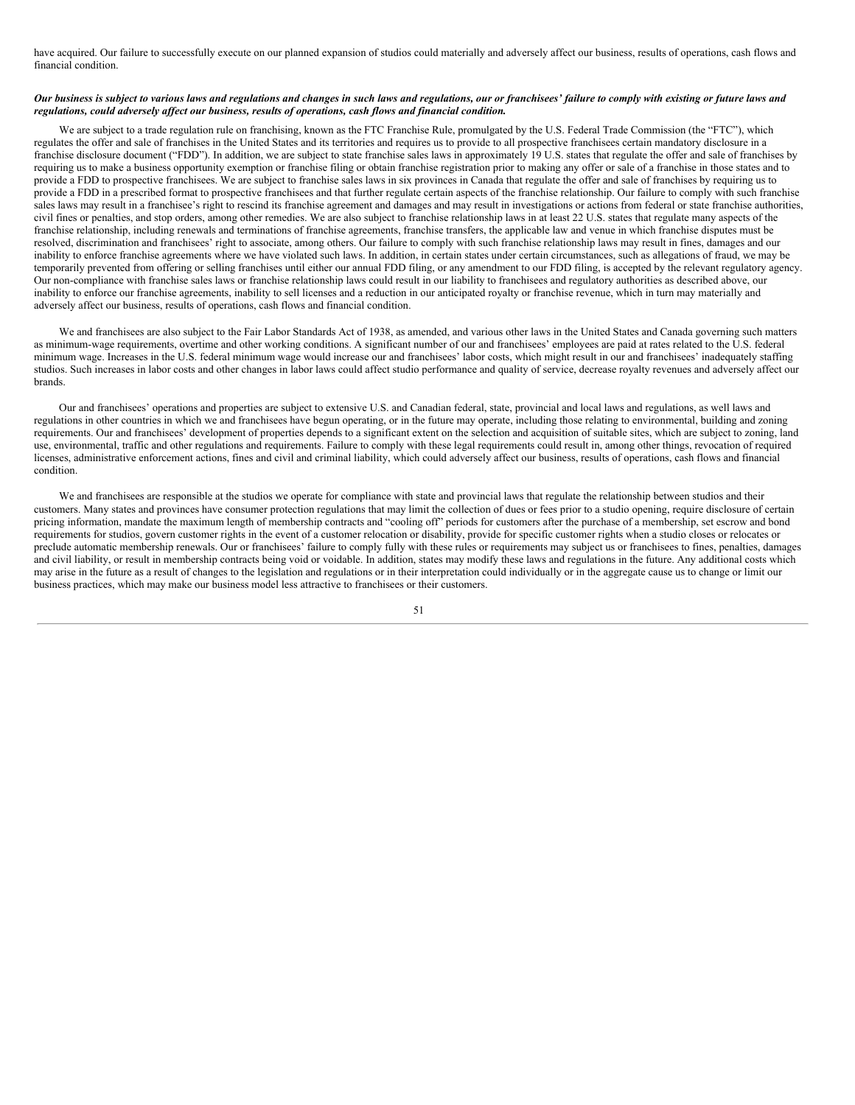have acquired. Our failure to successfully execute on our planned expansion of studios could materially and adversely affect our business, results of operations, cash flows and financial condition.

# Our business is subject to various laws and regulations and changes in such laws and regulations, our or franchisees' failure to comply with existing or future laws and *regulations, could adversely af ect our business, results of operations, cash flows and financial condition.*

We are subject to a trade regulation rule on franchising, known as the FTC Franchise Rule, promulgated by the U.S. Federal Trade Commission (the "FTC"), which regulates the offer and sale of franchises in the United States and its territories and requires us to provide to all prospective franchisees certain mandatory disclosure in a franchise disclosure document ("FDD"). In addition, we are subject to state franchise sales laws in approximately 19 U.S. states that regulate the offer and sale of franchises by requiring us to make a business opportunity exemption or franchise filing or obtain franchise registration prior to making any offer or sale of a franchise in those states and to provide a FDD to prospective franchisees. We are subject to franchise sales laws in six provinces in Canada that regulate the offer and sale of franchises by requiring us to provide a FDD in a prescribed format to prospective franchisees and that further regulate certain aspects of the franchise relationship. Our failure to comply with such franchise sales laws may result in a franchisee's right to rescind its franchise agreement and damages and may result in investigations or actions from federal or state franchise authorities, civil fines or penalties, and stop orders, among other remedies. We are also subject to franchise relationship laws in at least 22 U.S. states that regulate many aspects of the franchise relationship, including renewals and terminations of franchise agreements, franchise transfers, the applicable law and venue in which franchise disputes must be resolved, discrimination and franchisees' right to associate, among others. Our failure to comply with such franchise relationship laws may result in fines, damages and our inability to enforce franchise agreements where we have violated such laws. In addition, in certain states under certain circumstances, such as allegations of fraud, we may be temporarily prevented from offering or selling franchises until either our annual FDD filing, or any amendment to our FDD filing, is accepted by the relevant regulatory agency. Our non-compliance with franchise sales laws or franchise relationship laws could result in our liability to franchisees and regulatory authorities as described above, our inability to enforce our franchise agreements, inability to sell licenses and a reduction in our anticipated royalty or franchise revenue, which in turn may materially and adversely affect our business, results of operations, cash flows and financial condition.

We and franchisees are also subject to the Fair Labor Standards Act of 1938, as amended, and various other laws in the United States and Canada governing such matters as minimum-wage requirements, overtime and other working conditions. A significant number of our and franchisees' employees are paid at rates related to the U.S. federal minimum wage. Increases in the U.S. federal minimum wage would increase our and franchisees' labor costs, which might result in our and franchisees' inadequately staffing studios. Such increases in labor costs and other changes in labor laws could affect studio performance and quality of service, decrease royalty revenues and adversely affect our brands.

Our and franchisees' operations and properties are subject to extensive U.S. and Canadian federal, state, provincial and local laws and regulations, as well laws and regulations in other countries in which we and franchisees have begun operating, or in the future may operate, including those relating to environmental, building and zoning requirements. Our and franchisees' development of properties depends to a significant extent on the selection and acquisition of suitable sites, which are subject to zoning, land use, environmental, traffic and other regulations and requirements. Failure to comply with these legal requirements could result in, among other things, revocation of required licenses, administrative enforcement actions, fines and civil and criminal liability, which could adversely affect our business, results of operations, cash flows and financial condition.

We and franchisees are responsible at the studios we operate for compliance with state and provincial laws that regulate the relationship between studios and their customers. Many states and provinces have consumer protection regulations that may limit the collection of dues or fees prior to a studio opening, require disclosure of certain pricing information, mandate the maximum length of membership contracts and "cooling off" periods for customers after the purchase of a membership, set escrow and bond requirements for studios, govern customer rights in the event of a customer relocation or disability, provide for specific customer rights when a studio closes or relocates or preclude automatic membership renewals. Our or franchisees' failure to comply fully with these rules or requirements may subject us or franchisees to fines, penalties, damages and civil liability, or result in membership contracts being void or voidable. In addition, states may modify these laws and regulations in the future. Any additional costs which may arise in the future as a result of changes to the legislation and regulations or in their interpretation could individually or in the aggregate cause us to change or limit our business practices, which may make our business model less attractive to franchisees or their customers.

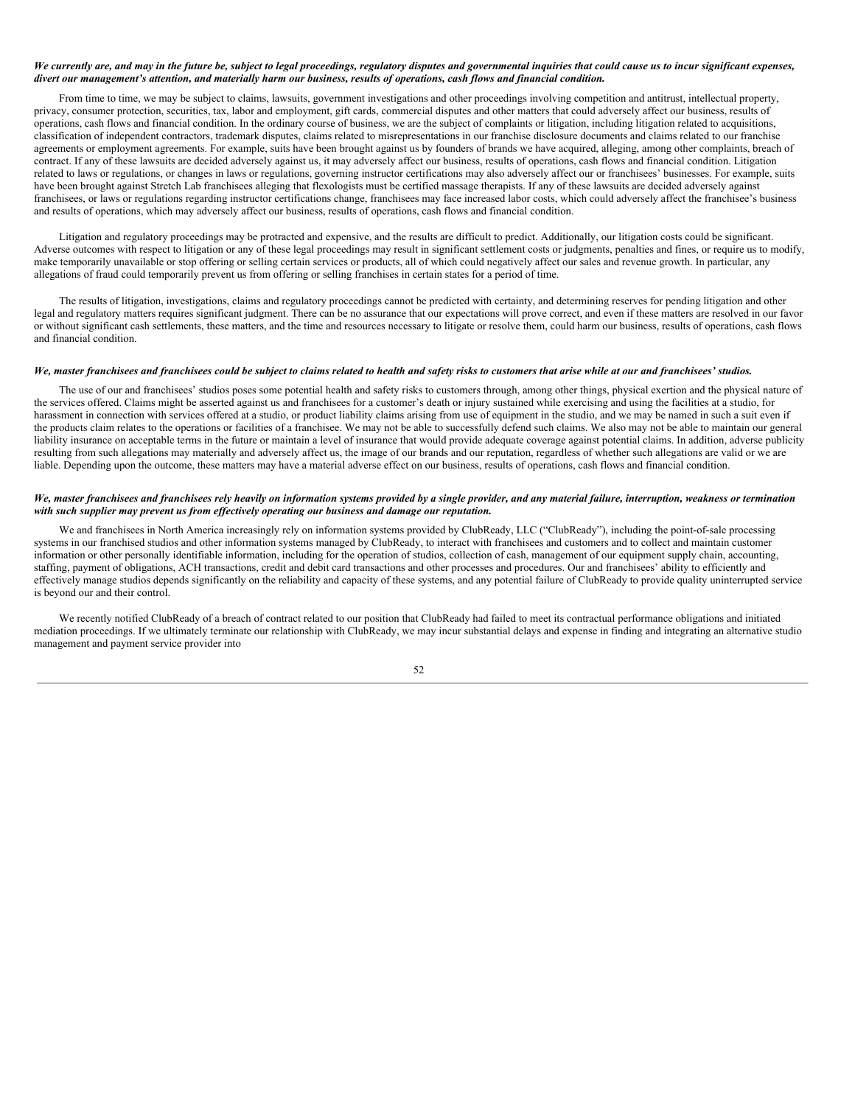# We currently are, and may in the future be, subject to legal proceedings, regulatory disputes and governmental inquiries that could cause us to incur significant expenses, divert our management's attention, and materially harm our business, results of operations, cash flows and financial condition.

From time to time, we may be subject to claims, lawsuits, government investigations and other proceedings involving competition and antitrust, intellectual property, privacy, consumer protection, securities, tax, labor and employment, gift cards, commercial disputes and other matters that could adversely affect our business, results of operations, cash flows and financial condition. In the ordinary course of business, we are the subject of complaints or litigation, including litigation related to acquisitions, classification of independent contractors, trademark disputes, claims related to misrepresentations in our franchise disclosure documents and claims related to our franchise agreements or employment agreements. For example, suits have been brought against us by founders of brands we have acquired, alleging, among other complaints, breach of contract. If any of these lawsuits are decided adversely against us, it may adversely affect our business, results of operations, cash flows and financial condition. Litigation related to laws or regulations, or changes in laws or regulations, governing instructor certifications may also adversely affect our or franchisees' businesses. For example, suits have been brought against Stretch Lab franchisees alleging that flexologists must be certified massage therapists. If any of these lawsuits are decided adversely against franchisees, or laws or regulations regarding instructor certifications change, franchisees may face increased labor costs, which could adversely affect the franchisee's business and results of operations, which may adversely affect our business, results of operations, cash flows and financial condition.

Litigation and regulatory proceedings may be protracted and expensive, and the results are difficult to predict. Additionally, our litigation costs could be significant. Adverse outcomes with respect to litigation or any of these legal proceedings may result in significant settlement costs or judgments, penalties and fines, or require us to modify, make temporarily unavailable or stop offering or selling certain services or products, all of which could negatively affect our sales and revenue growth. In particular, any allegations of fraud could temporarily prevent us from offering or selling franchises in certain states for a period of time.

The results of litigation, investigations, claims and regulatory proceedings cannot be predicted with certainty, and determining reserves for pending litigation and other legal and regulatory matters requires significant judgment. There can be no assurance that our expectations will prove correct, and even if these matters are resolved in our favor or without significant cash settlements, these matters, and the time and resources necessary to litigate or resolve them, could harm our business, results of operations, cash flows and financial condition.

#### We, master franchisees and franchisees could be subject to claims related to health and safety risks to customers that arise while at our and franchisees' studios.

The use of our and franchisees' studios poses some potential health and safety risks to customers through, among other things, physical exertion and the physical nature of the services offered. Claims might be asserted against us and franchisees for a customer's death or injury sustained while exercising and using the facilities at a studio, for harassment in connection with services offered at a studio, or product liability claims arising from use of equipment in the studio, and we may be named in such a suit even if the products claim relates to the operations or facilities of a franchisee. We may not be able to successfully defend such claims. We also may not be able to maintain our general liability insurance on acceptable terms in the future or maintain a level of insurance that would provide adequate coverage against potential claims. In addition, adverse publicity resulting from such allegations may materially and adversely affect us, the image of our brands and our reputation, regardless of whether such allegations are valid or we are liable. Depending upon the outcome, these matters may have a material adverse effect on our business, results of operations, cash flows and financial condition.

# We, master franchisees and franchisees rely heavily on information systems provided by a single provider, and any material failure, interruption, weakness or termination *with such supplier may prevent us from ef ectively operating our business and damage our reputation.*

We and franchisees in North America increasingly rely on information systems provided by ClubReady, LLC ("ClubReady"), including the point-of-sale processing systems in our franchised studios and other information systems managed by ClubReady, to interact with franchisees and customers and to collect and maintain customer information or other personally identifiable information, including for the operation of studios, collection of cash, management of our equipment supply chain, accounting, staffing, payment of obligations, ACH transactions, credit and debit card transactions and other processes and procedures. Our and franchisees' ability to efficiently and effectively manage studios depends significantly on the reliability and capacity of these systems, and any potential failure of ClubReady to provide quality uninterrupted service is beyond our and their control.

We recently notified ClubReady of a breach of contract related to our position that ClubReady had failed to meet its contractual performance obligations and initiated mediation proceedings. If we ultimately terminate our relationship with ClubReady, we may incur substantial delays and expense in finding and integrating an alternative studio management and payment service provider into

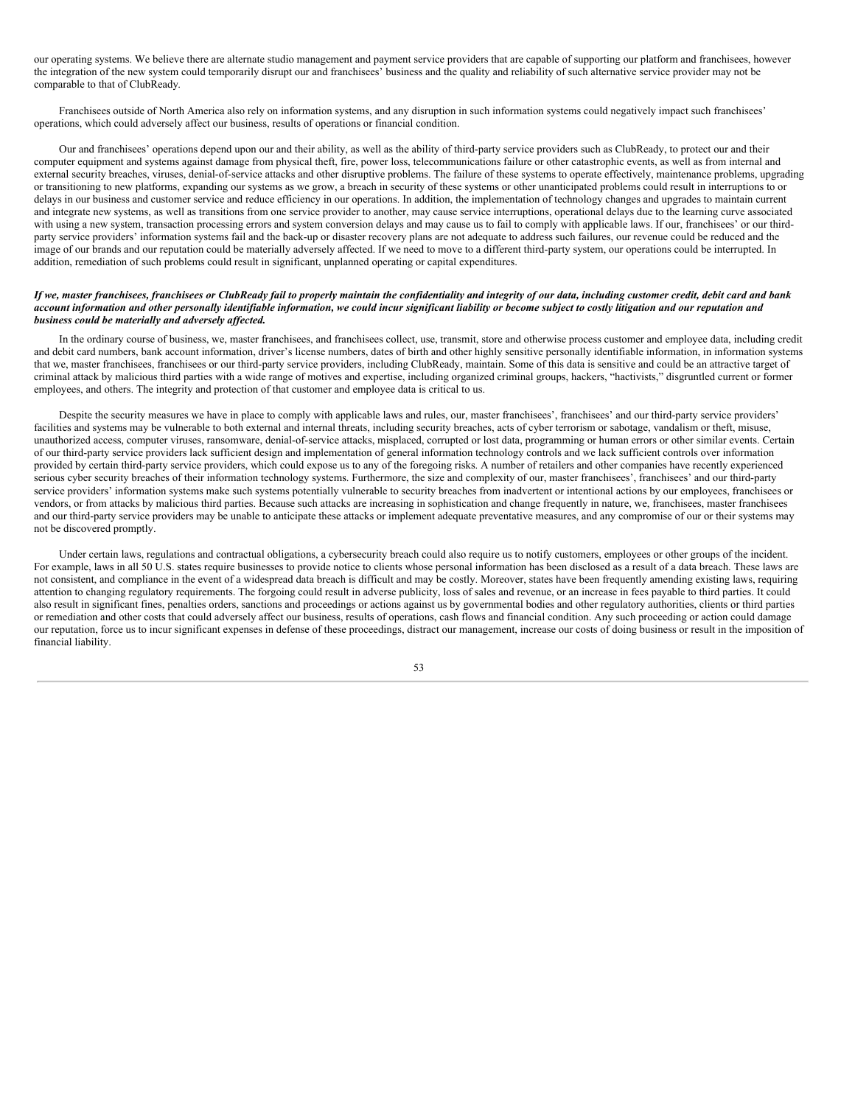our operating systems. We believe there are alternate studio management and payment service providers that are capable of supporting our platform and franchisees, however the integration of the new system could temporarily disrupt our and franchisees' business and the quality and reliability of such alternative service provider may not be comparable to that of ClubReady.

Franchisees outside of North America also rely on information systems, and any disruption in such information systems could negatively impact such franchisees' operations, which could adversely affect our business, results of operations or financial condition.

Our and franchisees' operations depend upon our and their ability, as well as the ability of third-party service providers such as ClubReady, to protect our and their computer equipment and systems against damage from physical theft, fire, power loss, telecommunications failure or other catastrophic events, as well as from internal and external security breaches, viruses, denial-of-service attacks and other disruptive problems. The failure of these systems to operate effectively, maintenance problems, upgrading or transitioning to new platforms, expanding our systems as we grow, a breach in security of these systems or other unanticipated problems could result in interruptions to or delays in our business and customer service and reduce efficiency in our operations. In addition, the implementation of technology changes and upgrades to maintain current and integrate new systems, as well as transitions from one service provider to another, may cause service interruptions, operational delays due to the learning curve associated with using a new system, transaction processing errors and system conversion delays and may cause us to fail to comply with applicable laws. If our, franchisees' or our thirdparty service providers' information systems fail and the back-up or disaster recovery plans are not adequate to address such failures, our revenue could be reduced and the image of our brands and our reputation could be materially adversely affected. If we need to move to a different third-party system, our operations could be interrupted. In addition, remediation of such problems could result in significant, unplanned operating or capital expenditures.

### If we, master franchisees, franchisees or ClubReady fail to properly maintain the confidentiality and integrity of our data, including customer credit, debit card and bank account information and other personally identifiable information, we could incur significant liability or become subject to costly litigation and our reputation and *business could be materially and adversely af ected.*

In the ordinary course of business, we, master franchisees, and franchisees collect, use, transmit, store and otherwise process customer and employee data, including credit and debit card numbers, bank account information, driver's license numbers, dates of birth and other highly sensitive personally identifiable information, in information systems that we, master franchisees, franchisees or our third-party service providers, including ClubReady, maintain. Some of this data is sensitive and could be an attractive target of criminal attack by malicious third parties with a wide range of motives and expertise, including organized criminal groups, hackers, "hactivists," disgruntled current or former employees, and others. The integrity and protection of that customer and employee data is critical to us.

Despite the security measures we have in place to comply with applicable laws and rules, our, master franchisees', franchisees' and our third-party service providers' facilities and systems may be vulnerable to both external and internal threats, including security breaches, acts of cyber terrorism or sabotage, vandalism or theft, misuse, unauthorized access, computer viruses, ransomware, denial-of-service attacks, misplaced, corrupted or lost data, programming or human errors or other similar events. Certain of our third-party service providers lack sufficient design and implementation of general information technology controls and we lack sufficient controls over information provided by certain third-party service providers, which could expose us to any of the foregoing risks. A number of retailers and other companies have recently experienced serious cyber security breaches of their information technology systems. Furthermore, the size and complexity of our, master franchisees', franchisees' and our third-party service providers' information systems make such systems potentially vulnerable to security breaches from inadvertent or intentional actions by our employees, franchisees or vendors, or from attacks by malicious third parties. Because such attacks are increasing in sophistication and change frequently in nature, we, franchisees, master franchisees and our third-party service providers may be unable to anticipate these attacks or implement adequate preventative measures, and any compromise of our or their systems may not be discovered promptly.

Under certain laws, regulations and contractual obligations, a cybersecurity breach could also require us to notify customers, employees or other groups of the incident. For example, laws in all 50 U.S. states require businesses to provide notice to clients whose personal information has been disclosed as a result of a data breach. These laws are not consistent, and compliance in the event of a widespread data breach is difficult and may be costly. Moreover, states have been frequently amending existing laws, requiring attention to changing regulatory requirements. The forgoing could result in adverse publicity, loss of sales and revenue, or an increase in fees payable to third parties. It could also result in significant fines, penalties orders, sanctions and proceedings or actions against us by governmental bodies and other regulatory authorities, clients or third parties or remediation and other costs that could adversely affect our business, results of operations, cash flows and financial condition. Any such proceeding or action could damage our reputation, force us to incur significant expenses in defense of these proceedings, distract our management, increase our costs of doing business or result in the imposition of financial liability.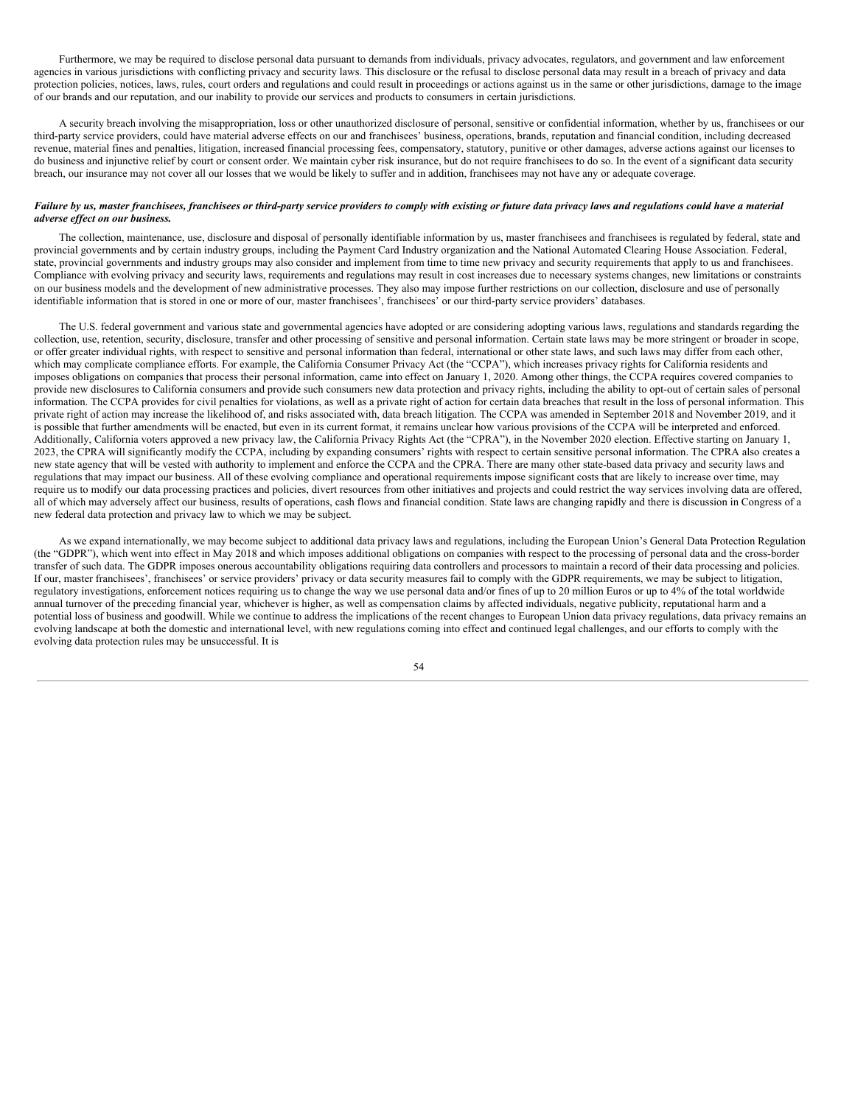Furthermore, we may be required to disclose personal data pursuant to demands from individuals, privacy advocates, regulators, and government and law enforcement agencies in various jurisdictions with conflicting privacy and security laws. This disclosure or the refusal to disclose personal data may result in a breach of privacy and data protection policies, notices, laws, rules, court orders and regulations and could result in proceedings or actions against us in the same or other jurisdictions, damage to the image of our brands and our reputation, and our inability to provide our services and products to consumers in certain jurisdictions.

A security breach involving the misappropriation, loss or other unauthorized disclosure of personal, sensitive or confidential information, whether by us, franchisees or our third-party service providers, could have material adverse effects on our and franchisees' business, operations, brands, reputation and financial condition, including decreased revenue, material fines and penalties, litigation, increased financial processing fees, compensatory, statutory, punitive or other damages, adverse actions against our licenses to do business and injunctive relief by court or consent order. We maintain cyber risk insurance, but do not require franchisees to do so. In the event of a significant data security breach, our insurance may not cover all our losses that we would be likely to suffer and in addition, franchisees may not have any or adequate coverage.

# Failure by us, master franchisees, franchisees or third-party service providers to comply with existing or future data privacy laws and regulations could have a material *adverse ef ect on our business.*

The collection, maintenance, use, disclosure and disposal of personally identifiable information by us, master franchisees and franchisees is regulated by federal, state and provincial governments and by certain industry groups, including the Payment Card Industry organization and the National Automated Clearing House Association. Federal, state, provincial governments and industry groups may also consider and implement from time to time new privacy and security requirements that apply to us and franchisees. Compliance with evolving privacy and security laws, requirements and regulations may result in cost increases due to necessary systems changes, new limitations or constraints on our business models and the development of new administrative processes. They also may impose further restrictions on our collection, disclosure and use of personally identifiable information that is stored in one or more of our, master franchisees', franchisees' or our third-party service providers' databases.

The U.S. federal government and various state and governmental agencies have adopted or are considering adopting various laws, regulations and standards regarding the collection, use, retention, security, disclosure, transfer and other processing of sensitive and personal information. Certain state laws may be more stringent or broader in scope, or offer greater individual rights, with respect to sensitive and personal information than federal, international or other state laws, and such laws may differ from each other, which may complicate compliance efforts. For example, the California Consumer Privacy Act (the "CCPA"), which increases privacy rights for California residents and imposes obligations on companies that process their personal information, came into effect on January 1, 2020. Among other things, the CCPA requires covered companies to provide new disclosures to California consumers and provide such consumers new data protection and privacy rights, including the ability to opt-out of certain sales of personal information. The CCPA provides for civil penalties for violations, as well as a private right of action for certain data breaches that result in the loss of personal information. This private right of action may increase the likelihood of, and risks associated with, data breach litigation. The CCPA was amended in September 2018 and November 2019, and it is possible that further amendments will be enacted, but even in its current format, it remains unclear how various provisions of the CCPA will be interpreted and enforced. Additionally, California voters approved a new privacy law, the California Privacy Rights Act (the "CPRA"), in the November 2020 election. Effective starting on January 1, 2023, the CPRA will significantly modify the CCPA, including by expanding consumers' rights with respect to certain sensitive personal information. The CPRA also creates a new state agency that will be vested with authority to implement and enforce the CCPA and the CPRA. There are many other state-based data privacy and security laws and regulations that may impact our business. All of these evolving compliance and operational requirements impose significant costs that are likely to increase over time, may require us to modify our data processing practices and policies, divert resources from other initiatives and projects and could restrict the way services involving data are offered, all of which may adversely affect our business, results of operations, cash flows and financial condition. State laws are changing rapidly and there is discussion in Congress of a new federal data protection and privacy law to which we may be subject.

As we expand internationally, we may become subject to additional data privacy laws and regulations, including the European Union's General Data Protection Regulation (the "GDPR"), which went into effect in May 2018 and which imposes additional obligations on companies with respect to the processing of personal data and the cross-border transfer of such data. The GDPR imposes onerous accountability obligations requiring data controllers and processors to maintain a record of their data processing and policies. If our, master franchisees', franchisees' or service providers' privacy or data security measures fail to comply with the GDPR requirements, we may be subject to litigation, regulatory investigations, enforcement notices requiring us to change the way we use personal data and/or fines of up to 20 million Euros or up to 4% of the total worldwide annual turnover of the preceding financial year, whichever is higher, as well as compensation claims by affected individuals, negative publicity, reputational harm and a potential loss of business and goodwill. While we continue to address the implications of the recent changes to European Union data privacy regulations, data privacy remains an evolving landscape at both the domestic and international level, with new regulations coming into effect and continued legal challenges, and our efforts to comply with the evolving data protection rules may be unsuccessful. It is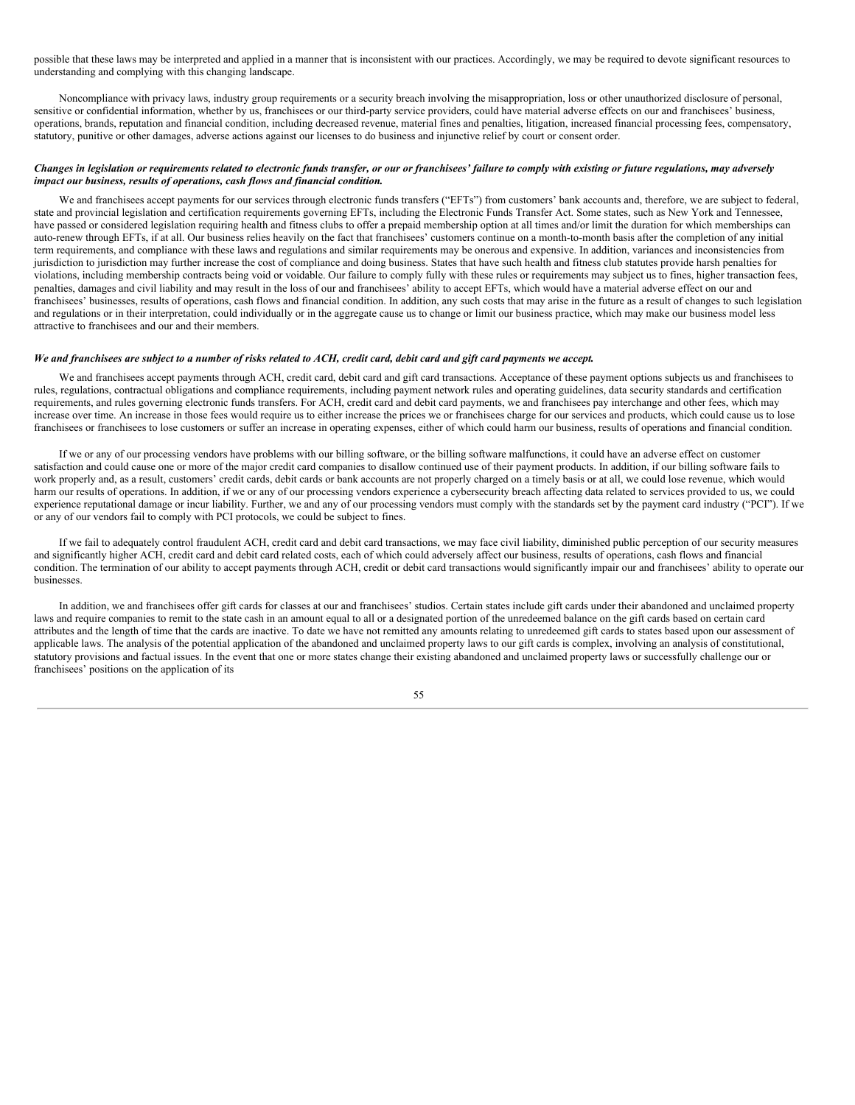possible that these laws may be interpreted and applied in a manner that is inconsistent with our practices. Accordingly, we may be required to devote significant resources to understanding and complying with this changing landscape.

Noncompliance with privacy laws, industry group requirements or a security breach involving the misappropriation, loss or other unauthorized disclosure of personal, sensitive or confidential information, whether by us, franchisees or our third-party service providers, could have material adverse effects on our and franchisees' business, operations, brands, reputation and financial condition, including decreased revenue, material fines and penalties, litigation, increased financial processing fees, compensatory, statutory, punitive or other damages, adverse actions against our licenses to do business and injunctive relief by court or consent order.

# Changes in legislation or requirements related to electronic funds transfer, or our or franchisees' failure to comply with existing or future regulations, may adversely *impact our business, results of operations, cash flows and financial condition.*

We and franchisees accept payments for our services through electronic funds transfers ("EFTs") from customers' bank accounts and, therefore, we are subject to federal, state and provincial legislation and certification requirements governing EFTs, including the Electronic Funds Transfer Act. Some states, such as New York and Tennessee, have passed or considered legislation requiring health and fitness clubs to offer a prepaid membership option at all times and/or limit the duration for which memberships can auto-renew through EFTs, if at all. Our business relies heavily on the fact that franchisees' customers continue on a month-to-month basis after the completion of any initial term requirements, and compliance with these laws and regulations and similar requirements may be onerous and expensive. In addition, variances and inconsistencies from jurisdiction to jurisdiction may further increase the cost of compliance and doing business. States that have such health and fitness club statutes provide harsh penalties for violations, including membership contracts being void or voidable. Our failure to comply fully with these rules or requirements may subject us to fines, higher transaction fees, penalties, damages and civil liability and may result in the loss of our and franchisees' ability to accept EFTs, which would have a material adverse effect on our and franchisees' businesses, results of operations, cash flows and financial condition. In addition, any such costs that may arise in the future as a result of changes to such legislation and regulations or in their interpretation, could individually or in the aggregate cause us to change or limit our business practice, which may make our business model less attractive to franchisees and our and their members.

# We and franchisees are subject to a number of risks related to ACH, credit card, debit card and gift card payments we accept.

We and franchisees accept payments through ACH, credit card, debit card and gift card transactions. Acceptance of these payment options subjects us and franchisees to rules, regulations, contractual obligations and compliance requirements, including payment network rules and operating guidelines, data security standards and certification requirements, and rules governing electronic funds transfers. For ACH, credit card and debit card payments, we and franchisees pay interchange and other fees, which may increase over time. An increase in those fees would require us to either increase the prices we or franchisees charge for our services and products, which could cause us to lose franchisees or franchisees to lose customers or suffer an increase in operating expenses, either of which could harm our business, results of operations and financial condition.

If we or any of our processing vendors have problems with our billing software, or the billing software malfunctions, it could have an adverse effect on customer satisfaction and could cause one or more of the major credit card companies to disallow continued use of their payment products. In addition, if our billing software fails to work properly and, as a result, customers' credit cards, debit cards or bank accounts are not properly charged on a timely basis or at all, we could lose revenue, which would harm our results of operations. In addition, if we or any of our processing vendors experience a cybersecurity breach affecting data related to services provided to us, we could experience reputational damage or incur liability. Further, we and any of our processing vendors must comply with the standards set by the payment card industry ("PCI"). If we or any of our vendors fail to comply with PCI protocols, we could be subject to fines.

If we fail to adequately control fraudulent ACH, credit card and debit card transactions, we may face civil liability, diminished public perception of our security measures and significantly higher ACH, credit card and debit card related costs, each of which could adversely affect our business, results of operations, cash flows and financial condition. The termination of our ability to accept payments through ACH, credit or debit card transactions would significantly impair our and franchisees' ability to operate our businesses.

In addition, we and franchisees offer gift cards for classes at our and franchisees' studios. Certain states include gift cards under their abandoned and unclaimed property laws and require companies to remit to the state cash in an amount equal to all or a designated portion of the unredeemed balance on the gift cards based on certain card attributes and the length of time that the cards are inactive. To date we have not remitted any amounts relating to unredeemed gift cards to states based upon our assessment of applicable laws. The analysis of the potential application of the abandoned and unclaimed property laws to our gift cards is complex, involving an analysis of constitutional, statutory provisions and factual issues. In the event that one or more states change their existing abandoned and unclaimed property laws or successfully challenge our or franchisees' positions on the application of its

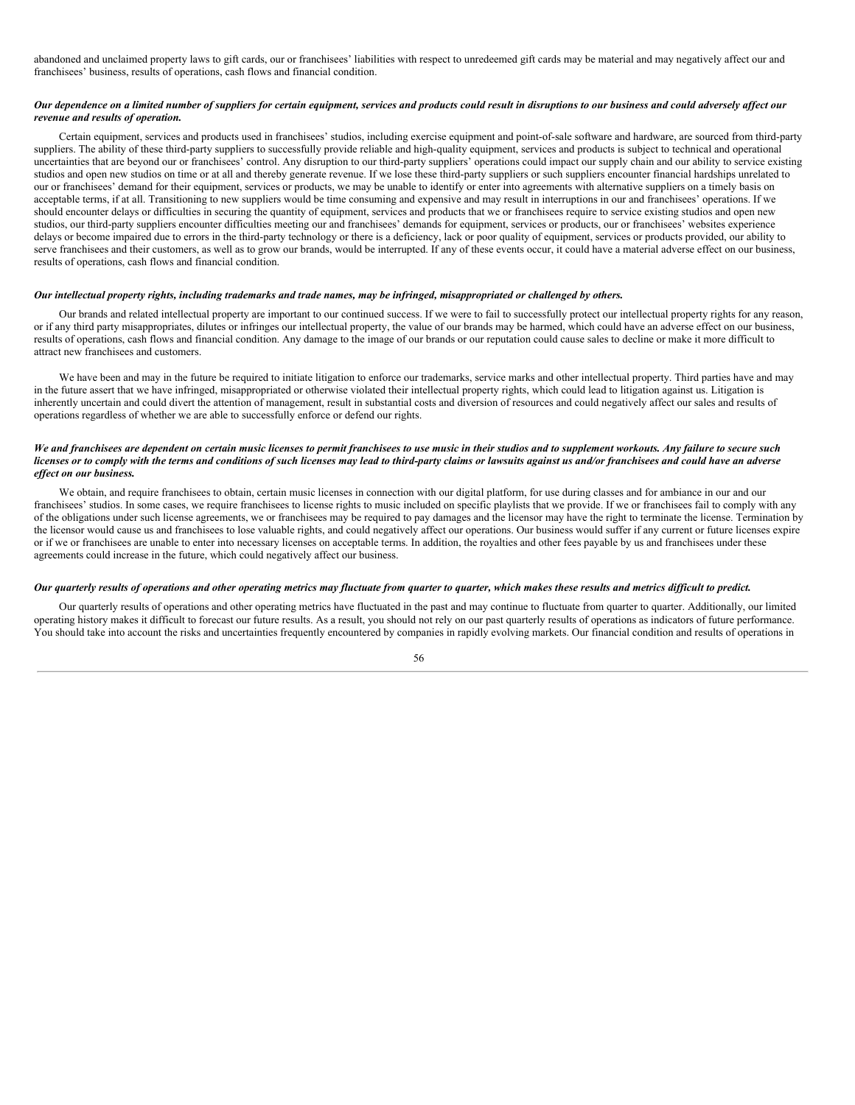abandoned and unclaimed property laws to gift cards, our or franchisees' liabilities with respect to unredeemed gift cards may be material and may negatively affect our and franchisees' business, results of operations, cash flows and financial condition.

# Our dependence on a limited number of suppliers for certain equipment, services and products could result in disruptions to our business and could adversely affect our *revenue and results of operation.*

Certain equipment, services and products used in franchisees' studios, including exercise equipment and point-of-sale software and hardware, are sourced from third-party suppliers. The ability of these third-party suppliers to successfully provide reliable and high-quality equipment, services and products is subject to technical and operational uncertainties that are beyond our or franchisees' control. Any disruption to our third-party suppliers' operations could impact our supply chain and our ability to service existing studios and open new studios on time or at all and thereby generate revenue. If we lose these third-party suppliers or such suppliers encounter financial hardships unrelated to our or franchisees' demand for their equipment, services or products, we may be unable to identify or enter into agreements with alternative suppliers on a timely basis on acceptable terms, if at all. Transitioning to new suppliers would be time consuming and expensive and may result in interruptions in our and franchisees' operations. If we should encounter delays or difficulties in securing the quantity of equipment, services and products that we or franchisees require to service existing studios and open new studios, our third-party suppliers encounter difficulties meeting our and franchisees' demands for equipment, services or products, our or franchisees' websites experience delays or become impaired due to errors in the third-party technology or there is a deficiency, lack or poor quality of equipment, services or products provided, our ability to serve franchisees and their customers, as well as to grow our brands, would be interrupted. If any of these events occur, it could have a material adverse effect on our business, results of operations, cash flows and financial condition.

#### Our intellectual property rights, including trademarks and trade names, may be infringed, misappropriated or challenged by others.

Our brands and related intellectual property are important to our continued success. If we were to fail to successfully protect our intellectual property rights for any reason, or if any third party misappropriates, dilutes or infringes our intellectual property, the value of our brands may be harmed, which could have an adverse effect on our business, results of operations, cash flows and financial condition. Any damage to the image of our brands or our reputation could cause sales to decline or make it more difficult to attract new franchisees and customers.

We have been and may in the future be required to initiate litigation to enforce our trademarks, service marks and other intellectual property. Third parties have and may in the future assert that we have infringed, misappropriated or otherwise violated their intellectual property rights, which could lead to litigation against us. Litigation is inherently uncertain and could divert the attention of management, result in substantial costs and diversion of resources and could negatively affect our sales and results of operations regardless of whether we are able to successfully enforce or defend our rights.

#### We and franchisees are dependent on certain music licenses to permit franchisees to use music in their studios and to supplement workouts. Any failure to secure such licenses or to comply with the terms and conditions of such licenses may lead to third-party claims or lawsuits against us and/or franchisees and could have an adverse *ef ect on our business.*

We obtain, and require franchisees to obtain, certain music licenses in connection with our digital platform, for use during classes and for ambiance in our and our franchisees' studios. In some cases, we require franchisees to license rights to music included on specific playlists that we provide. If we or franchisees fail to comply with any of the obligations under such license agreements, we or franchisees may be required to pay damages and the licensor may have the right to terminate the license. Termination by the licensor would cause us and franchisees to lose valuable rights, and could negatively affect our operations. Our business would suffer if any current or future licenses expire or if we or franchisees are unable to enter into necessary licenses on acceptable terms. In addition, the royalties and other fees payable by us and franchisees under these agreements could increase in the future, which could negatively affect our business.

#### Our quarterly results of operations and other operating metrics may fluctuate from quarter to quarter, which makes these results and metrics difficult to predict.

Our quarterly results of operations and other operating metrics have fluctuated in the past and may continue to fluctuate from quarter to quarter. Additionally, our limited operating history makes it difficult to forecast our future results. As a result, you should not rely on our past quarterly results of operations as indicators of future performance. You should take into account the risks and uncertainties frequently encountered by companies in rapidly evolving markets. Our financial condition and results of operations in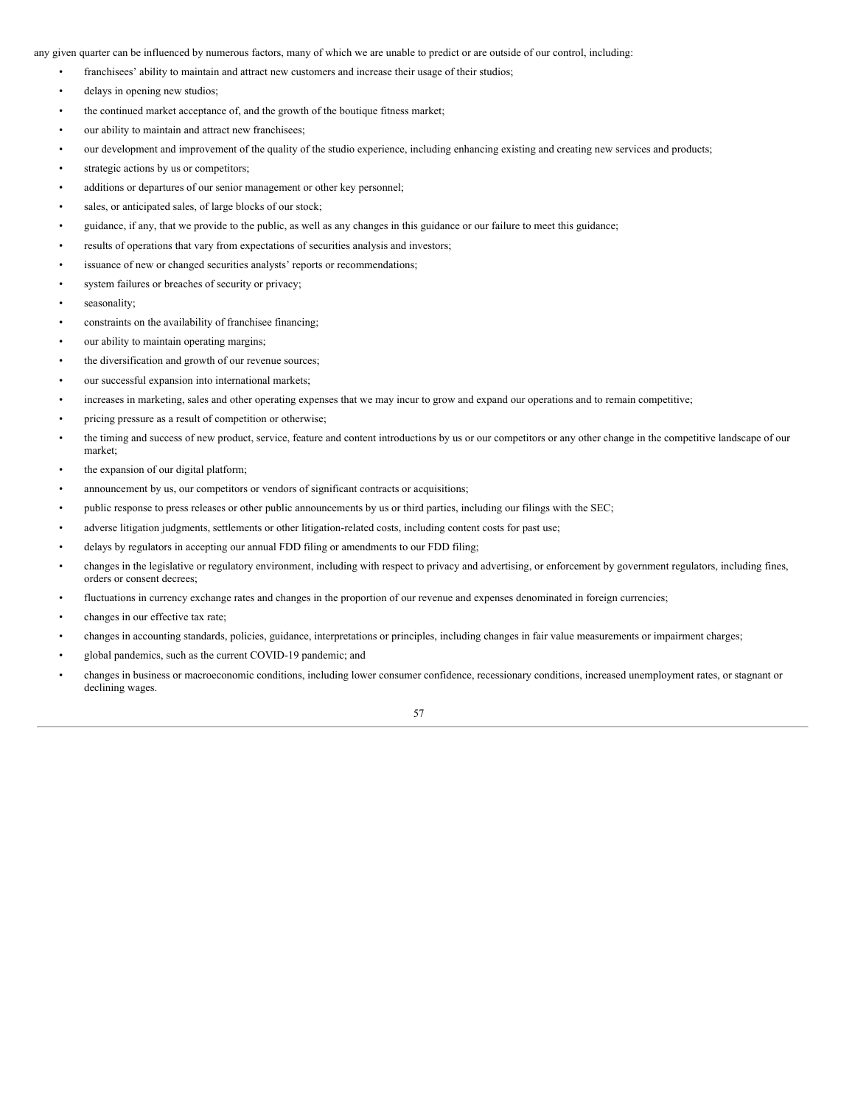any given quarter can be influenced by numerous factors, many of which we are unable to predict or are outside of our control, including:

- franchisees' ability to maintain and attract new customers and increase their usage of their studios;
- delays in opening new studios;
- the continued market acceptance of, and the growth of the boutique fitness market;
- our ability to maintain and attract new franchisees;
- our development and improvement of the quality of the studio experience, including enhancing existing and creating new services and products;
- strategic actions by us or competitors;
- additions or departures of our senior management or other key personnel;
- sales, or anticipated sales, of large blocks of our stock;
- guidance, if any, that we provide to the public, as well as any changes in this guidance or our failure to meet this guidance;
- results of operations that vary from expectations of securities analysis and investors;
- issuance of new or changed securities analysts' reports or recommendations;
- system failures or breaches of security or privacy;
- seasonality;
- constraints on the availability of franchisee financing;
- our ability to maintain operating margins;
- the diversification and growth of our revenue sources;
- our successful expansion into international markets;
- increases in marketing, sales and other operating expenses that we may incur to grow and expand our operations and to remain competitive;
- pricing pressure as a result of competition or otherwise;
- the timing and success of new product, service, feature and content introductions by us or our competitors or any other change in the competitive landscape of our market;
- the expansion of our digital platform;
- announcement by us, our competitors or vendors of significant contracts or acquisitions;
- public response to press releases or other public announcements by us or third parties, including our filings with the SEC;
- adverse litigation judgments, settlements or other litigation-related costs, including content costs for past use;
- delays by regulators in accepting our annual FDD filing or amendments to our FDD filing;
- changes in the legislative or regulatory environment, including with respect to privacy and advertising, or enforcement by government regulators, including fines, orders or consent decrees;
- fluctuations in currency exchange rates and changes in the proportion of our revenue and expenses denominated in foreign currencies;
- changes in our effective tax rate;
- changes in accounting standards, policies, guidance, interpretations or principles, including changes in fair value measurements or impairment charges;
- global pandemics, such as the current COVID-19 pandemic; and
- changes in business or macroeconomic conditions, including lower consumer confidence, recessionary conditions, increased unemployment rates, or stagnant or declining wages.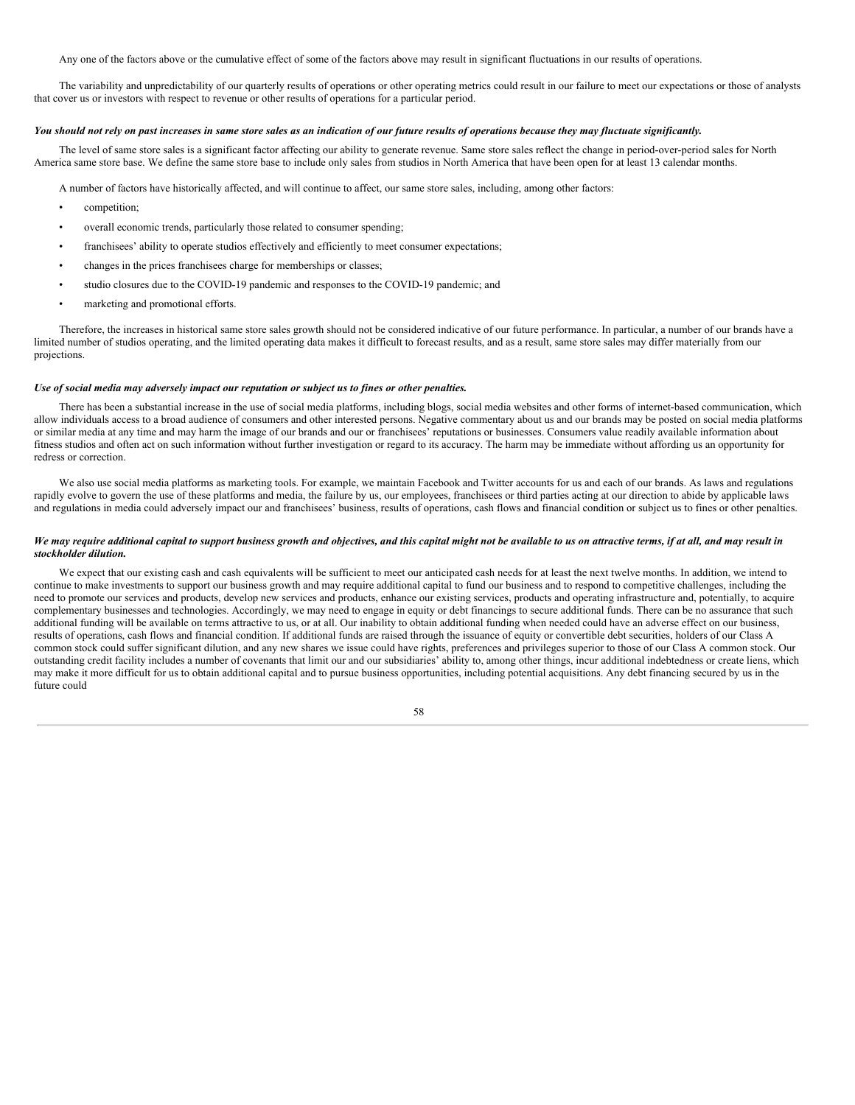Any one of the factors above or the cumulative effect of some of the factors above may result in significant fluctuations in our results of operations.

The variability and unpredictability of our quarterly results of operations or other operating metrics could result in our failure to meet our expectations or those of analysts that cover us or investors with respect to revenue or other results of operations for a particular period.

# You should not rely on past increases in same store sales as an indication of our future results of operations because they may fluctuate significantly.

The level of same store sales is a significant factor affecting our ability to generate revenue. Same store sales reflect the change in period-over-period sales for North America same store base. We define the same store base to include only sales from studios in North America that have been open for at least 13 calendar months.

A number of factors have historically affected, and will continue to affect, our same store sales, including, among other factors:

- competition:
- overall economic trends, particularly those related to consumer spending;
- franchisees' ability to operate studios effectively and efficiently to meet consumer expectations;
- changes in the prices franchisees charge for memberships or classes;
- studio closures due to the COVID-19 pandemic and responses to the COVID-19 pandemic; and
- marketing and promotional efforts.

Therefore, the increases in historical same store sales growth should not be considered indicative of our future performance. In particular, a number of our brands have a limited number of studios operating, and the limited operating data makes it difficult to forecast results, and as a result, same store sales may differ materially from our projections.

#### *Use of social media may adversely impact our reputation or subject us to fines or other penalties.*

There has been a substantial increase in the use of social media platforms, including blogs, social media websites and other forms of internet-based communication, which allow individuals access to a broad audience of consumers and other interested persons. Negative commentary about us and our brands may be posted on social media platforms or similar media at any time and may harm the image of our brands and our or franchisees' reputations or businesses. Consumers value readily available information about fitness studios and often act on such information without further investigation or regard to its accuracy. The harm may be immediate without affording us an opportunity for redress or correction.

We also use social media platforms as marketing tools. For example, we maintain Facebook and Twitter accounts for us and each of our brands. As laws and regulations rapidly evolve to govern the use of these platforms and media, the failure by us, our employees, franchisees or third parties acting at our direction to abide by applicable laws and regulations in media could adversely impact our and franchisees' business, results of operations, cash flows and financial condition or subject us to fines or other penalties.

#### We may require additional capital to support business growth and objectives, and this capital might not be available to us on attractive terms, if at all, and may result in *stockholder dilution.*

We expect that our existing cash and cash equivalents will be sufficient to meet our anticipated cash needs for at least the next twelve months. In addition, we intend to continue to make investments to support our business growth and may require additional capital to fund our business and to respond to competitive challenges, including the need to promote our services and products, develop new services and products, enhance our existing services, products and operating infrastructure and, potentially, to acquire complementary businesses and technologies. Accordingly, we may need to engage in equity or debt financings to secure additional funds. There can be no assurance that such additional funding will be available on terms attractive to us, or at all. Our inability to obtain additional funding when needed could have an adverse effect on our business, results of operations, cash flows and financial condition. If additional funds are raised through the issuance of equity or convertible debt securities, holders of our Class A common stock could suffer significant dilution, and any new shares we issue could have rights, preferences and privileges superior to those of our Class A common stock. Our outstanding credit facility includes a number of covenants that limit our and our subsidiaries' ability to, among other things, incur additional indebtedness or create liens, which may make it more difficult for us to obtain additional capital and to pursue business opportunities, including potential acquisitions. Any debt financing secured by us in the future could

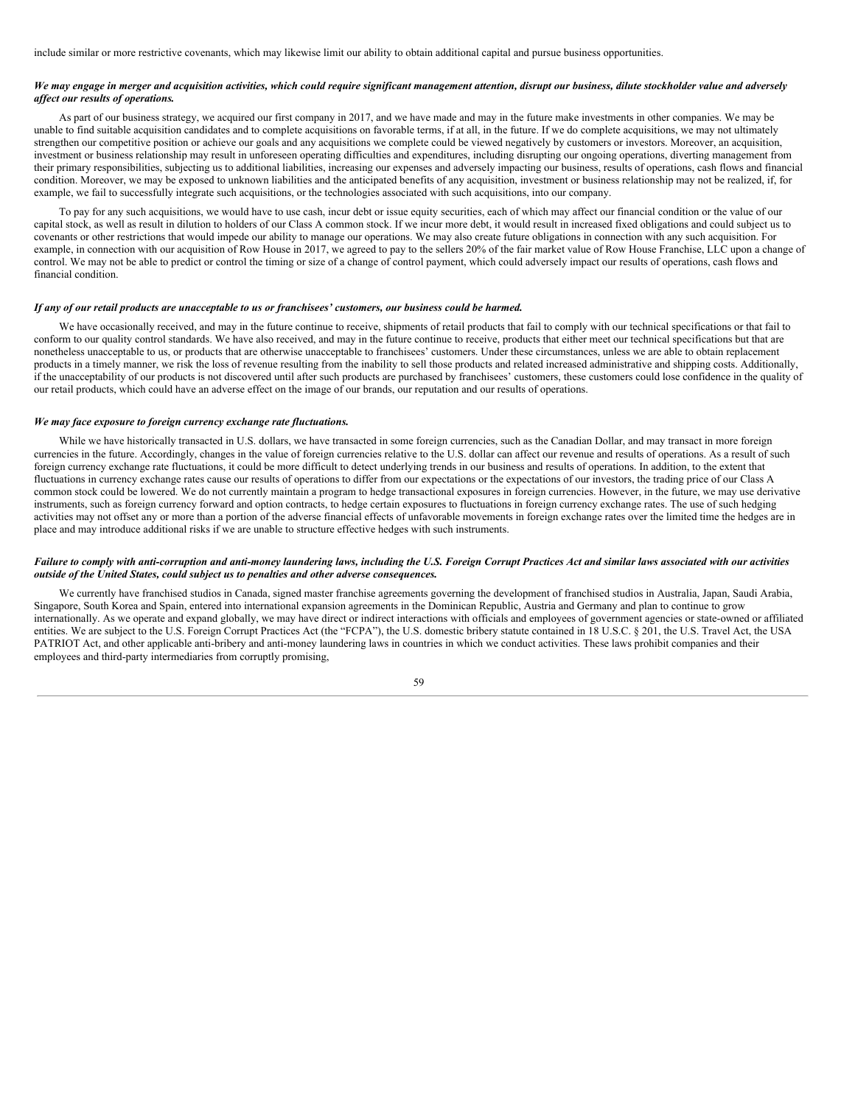### We may engage in merger and acquisition activities, which could require significant management attention, disrupt our business, dilute stockholder value and adversely *af ect our results of operations.*

As part of our business strategy, we acquired our first company in 2017, and we have made and may in the future make investments in other companies. We may be unable to find suitable acquisition candidates and to complete acquisitions on favorable terms, if at all, in the future. If we do complete acquisitions, we may not ultimately strengthen our competitive position or achieve our goals and any acquisitions we complete could be viewed negatively by customers or investors. Moreover, an acquisition, investment or business relationship may result in unforeseen operating difficulties and expenditures, including disrupting our ongoing operations, diverting management from their primary responsibilities, subjecting us to additional liabilities, increasing our expenses and adversely impacting our business, results of operations, cash flows and financial condition. Moreover, we may be exposed to unknown liabilities and the anticipated benefits of any acquisition, investment or business relationship may not be realized, if, for example, we fail to successfully integrate such acquisitions, or the technologies associated with such acquisitions, into our company.

To pay for any such acquisitions, we would have to use cash, incur debt or issue equity securities, each of which may affect our financial condition or the value of our capital stock, as well as result in dilution to holders of our Class A common stock. If we incur more debt, it would result in increased fixed obligations and could subject us to covenants or other restrictions that would impede our ability to manage our operations. We may also create future obligations in connection with any such acquisition. For example, in connection with our acquisition of Row House in 2017, we agreed to pay to the sellers 20% of the fair market value of Row House Franchise, LLC upon a change of control. We may not be able to predict or control the timing or size of a change of control payment, which could adversely impact our results of operations, cash flows and financial condition.

### If any of our retail products are unacceptable to us or franchisees' customers, our business could be harmed.

We have occasionally received, and may in the future continue to receive, shipments of retail products that fail to comply with our technical specifications or that fail to conform to our quality control standards. We have also received, and may in the future continue to receive, products that either meet our technical specifications but that are nonetheless unacceptable to us, or products that are otherwise unacceptable to franchisees' customers. Under these circumstances, unless we are able to obtain replacement products in a timely manner, we risk the loss of revenue resulting from the inability to sell those products and related increased administrative and shipping costs. Additionally, if the unacceptability of our products is not discovered until after such products are purchased by franchisees' customers, these customers could lose confidence in the quality of our retail products, which could have an adverse effect on the image of our brands, our reputation and our results of operations.

#### *We may face exposure to foreign currency exchange rate fluctuations.*

While we have historically transacted in U.S. dollars, we have transacted in some foreign currencies, such as the Canadian Dollar, and may transact in more foreign currencies in the future. Accordingly, changes in the value of foreign currencies relative to the U.S. dollar can affect our revenue and results of operations. As a result of such foreign currency exchange rate fluctuations, it could be more difficult to detect underlying trends in our business and results of operations. In addition, to the extent that fluctuations in currency exchange rates cause our results of operations to differ from our expectations or the expectations of our investors, the trading price of our Class A common stock could be lowered. We do not currently maintain a program to hedge transactional exposures in foreign currencies. However, in the future, we may use derivative instruments, such as foreign currency forward and option contracts, to hedge certain exposures to fluctuations in foreign currency exchange rates. The use of such hedging activities may not offset any or more than a portion of the adverse financial effects of unfavorable movements in foreign exchange rates over the limited time the hedges are in place and may introduce additional risks if we are unable to structure effective hedges with such instruments.

# Failure to comply with anti-corruption and anti-money laundering laws, including the U.S. Foreign Corrupt Practices Act and similar laws associated with our activities *outside of the United States, could subject us to penalties and other adverse consequences.*

We currently have franchised studios in Canada, signed master franchise agreements governing the development of franchised studios in Australia, Japan, Saudi Arabia, Singapore, South Korea and Spain, entered into international expansion agreements in the Dominican Republic, Austria and Germany and plan to continue to grow internationally. As we operate and expand globally, we may have direct or indirect interactions with officials and employees of government agencies or state-owned or affiliated entities. We are subject to the U.S. Foreign Corrupt Practices Act (the "FCPA"), the U.S. domestic bribery statute contained in 18 U.S.C. § 201, the U.S. Travel Act, the USA PATRIOT Act, and other applicable anti-bribery and anti-money laundering laws in countries in which we conduct activities. These laws prohibit companies and their employees and third-party intermediaries from corruptly promising,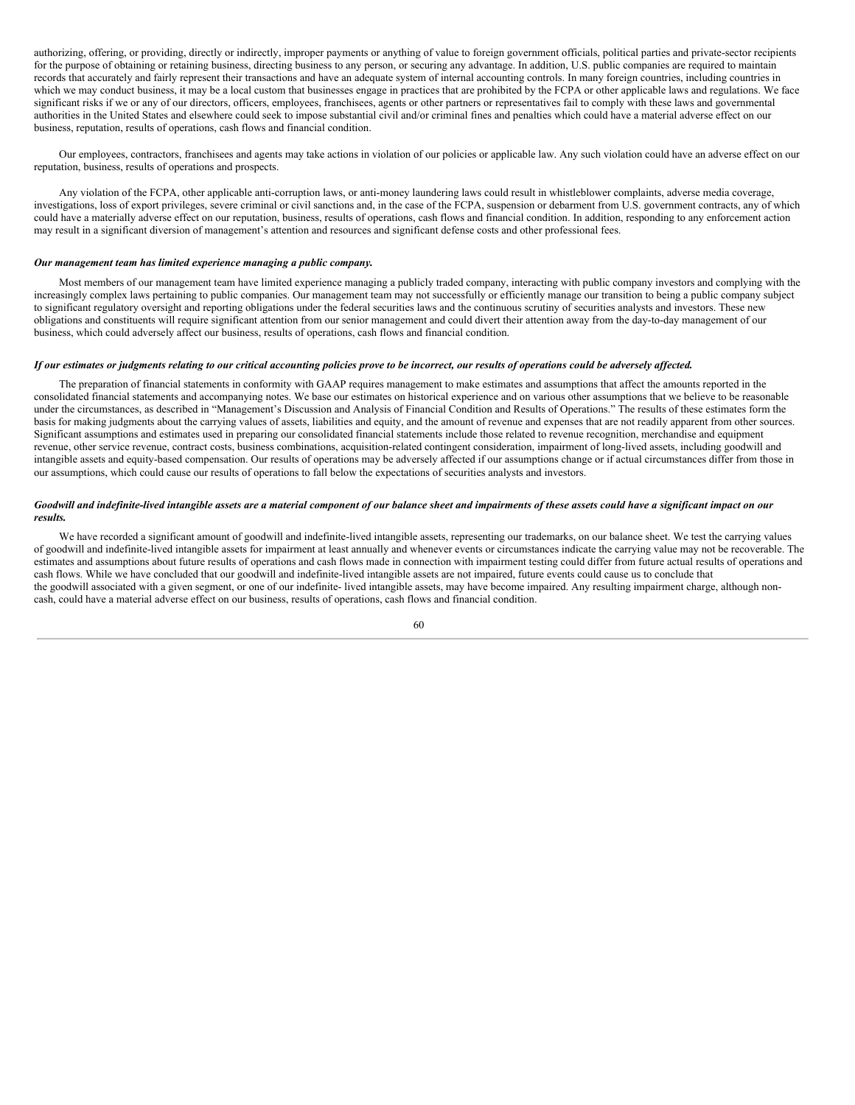authorizing, offering, or providing, directly or indirectly, improper payments or anything of value to foreign government officials, political parties and private-sector recipients for the purpose of obtaining or retaining business, directing business to any person, or securing any advantage. In addition, U.S. public companies are required to maintain records that accurately and fairly represent their transactions and have an adequate system of internal accounting controls. In many foreign countries, including countries in which we may conduct business, it may be a local custom that businesses engage in practices that are prohibited by the FCPA or other applicable laws and regulations. We face significant risks if we or any of our directors, officers, employees, franchisees, agents or other partners or representatives fail to comply with these laws and governmental authorities in the United States and elsewhere could seek to impose substantial civil and/or criminal fines and penalties which could have a material adverse effect on our business, reputation, results of operations, cash flows and financial condition.

Our employees, contractors, franchisees and agents may take actions in violation of our policies or applicable law. Any such violation could have an adverse effect on our reputation, business, results of operations and prospects.

Any violation of the FCPA, other applicable anti-corruption laws, or anti-money laundering laws could result in whistleblower complaints, adverse media coverage, investigations, loss of export privileges, severe criminal or civil sanctions and, in the case of the FCPA, suspension or debarment from U.S. government contracts, any of which could have a materially adverse effect on our reputation, business, results of operations, cash flows and financial condition. In addition, responding to any enforcement action may result in a significant diversion of management's attention and resources and significant defense costs and other professional fees.

#### *Our management team has limited experience managing a public company.*

Most members of our management team have limited experience managing a publicly traded company, interacting with public company investors and complying with the increasingly complex laws pertaining to public companies. Our management team may not successfully or efficiently manage our transition to being a public company subject to significant regulatory oversight and reporting obligations under the federal securities laws and the continuous scrutiny of securities analysts and investors. These new obligations and constituents will require significant attention from our senior management and could divert their attention away from the day-to-day management of our business, which could adversely affect our business, results of operations, cash flows and financial condition.

#### If our estimates or judgments relating to our critical accounting policies prove to be incorrect, our results of operations could be adversely affected.

The preparation of financial statements in conformity with GAAP requires management to make estimates and assumptions that affect the amounts reported in the consolidated financial statements and accompanying notes. We base our estimates on historical experience and on various other assumptions that we believe to be reasonable under the circumstances, as described in "Management's Discussion and Analysis of Financial Condition and Results of Operations." The results of these estimates form the basis for making judgments about the carrying values of assets, liabilities and equity, and the amount of revenue and expenses that are not readily apparent from other sources. Significant assumptions and estimates used in preparing our consolidated financial statements include those related to revenue recognition, merchandise and equipment revenue, other service revenue, contract costs, business combinations, acquisition-related contingent consideration, impairment of long-lived assets, including goodwill and intangible assets and equity-based compensation. Our results of operations may be adversely affected if our assumptions change or if actual circumstances differ from those in our assumptions, which could cause our results of operations to fall below the expectations of securities analysts and investors.

# Goodwill and indefinite-lived intangible assets are a material component of our balance sheet and impairments of these assets could have a significant impact on our *results.*

We have recorded a significant amount of goodwill and indefinite-lived intangible assets, representing our trademarks, on our balance sheet. We test the carrying values of goodwill and indefinite-lived intangible assets for impairment at least annually and whenever events or circumstances indicate the carrying value may not be recoverable. The estimates and assumptions about future results of operations and cash flows made in connection with impairment testing could differ from future actual results of operations and cash flows. While we have concluded that our goodwill and indefinite-lived intangible assets are not impaired, future events could cause us to conclude that the goodwill associated with a given segment, or one of our indefinite- lived intangible assets, may have become impaired. Any resulting impairment charge, although noncash, could have a material adverse effect on our business, results of operations, cash flows and financial condition.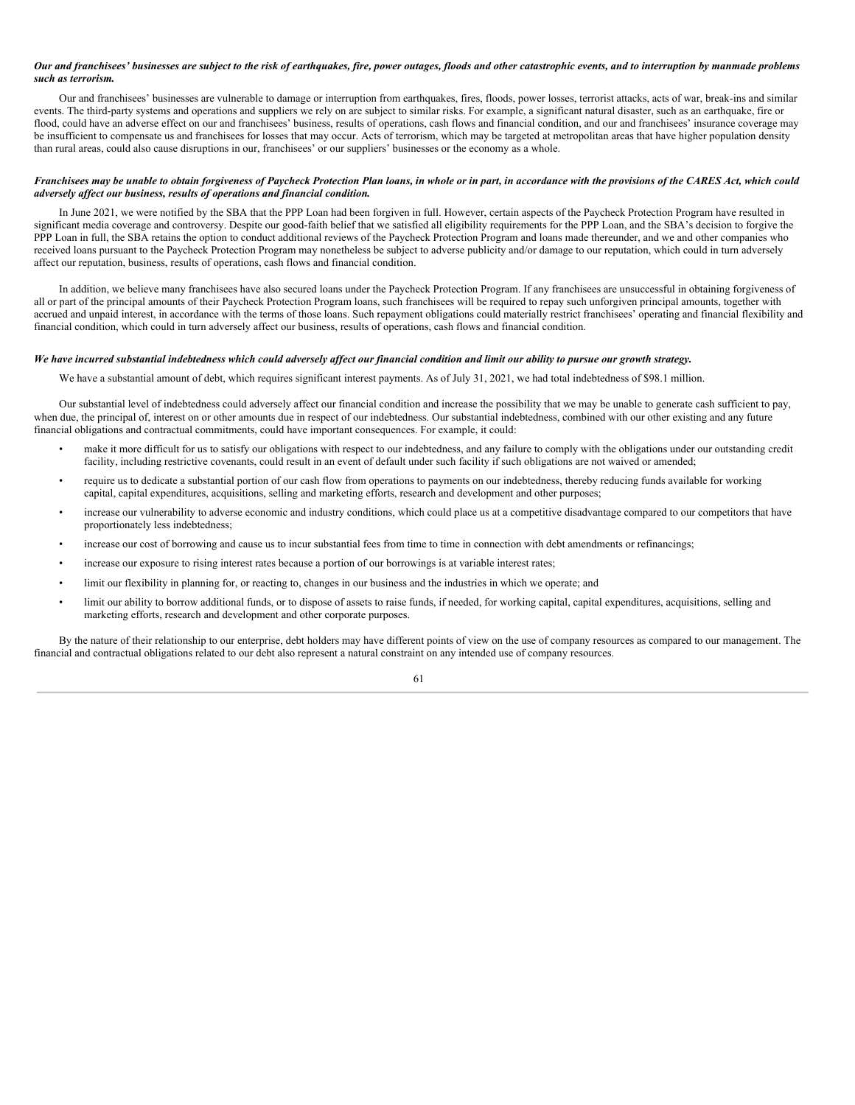# Our and franchisees' businesses are subject to the risk of earthquakes, fire, power outages, floods and other catastrophic events, and to interruption by manmade problems *such as terrorism.*

Our and franchisees' businesses are vulnerable to damage or interruption from earthquakes, fires, floods, power losses, terrorist attacks, acts of war, break-ins and similar events. The third-party systems and operations and suppliers we rely on are subject to similar risks. For example, a significant natural disaster, such as an earthquake, fire or flood, could have an adverse effect on our and franchisees' business, results of operations, cash flows and financial condition, and our and franchisees' insurance coverage may be insufficient to compensate us and franchisees for losses that may occur. Acts of terrorism, which may be targeted at metropolitan areas that have higher population density than rural areas, could also cause disruptions in our, franchisees' or our suppliers' businesses or the economy as a whole.

# Franchisees may be unable to obtain forgiveness of Paycheck Protection Plan loans, in whole or in part, in accordance with the provisions of the CARES Act, which could *adversely af ect our business, results of operations and financial condition.*

In June 2021, we were notified by the SBA that the PPP Loan had been forgiven in full. However, certain aspects of the Paycheck Protection Program have resulted in significant media coverage and controversy. Despite our good-faith belief that we satisfied all eligibility requirements for the PPP Loan, and the SBA's decision to forgive the PPP Loan in full, the SBA retains the option to conduct additional reviews of the Paycheck Protection Program and loans made thereunder, and we and other companies who received loans pursuant to the Paycheck Protection Program may nonetheless be subject to adverse publicity and/or damage to our reputation, which could in turn adversely affect our reputation, business, results of operations, cash flows and financial condition.

In addition, we believe many franchisees have also secured loans under the Paycheck Protection Program. If any franchisees are unsuccessful in obtaining forgiveness of all or part of the principal amounts of their Paycheck Protection Program loans, such franchisees will be required to repay such unforgiven principal amounts, together with accrued and unpaid interest, in accordance with the terms of those loans. Such repayment obligations could materially restrict franchisees' operating and financial flexibility and financial condition, which could in turn adversely affect our business, results of operations, cash flows and financial condition.

#### We have incurred substantial indebtedness which could adversely affect our financial condition and limit our ability to pursue our growth strategy.

We have a substantial amount of debt, which requires significant interest payments. As of July 31, 2021, we had total indebtedness of \$98.1 million.

Our substantial level of indebtedness could adversely affect our financial condition and increase the possibility that we may be unable to generate cash sufficient to pay, when due, the principal of, interest on or other amounts due in respect of our indebtedness. Our substantial indebtedness, combined with our other existing and any future financial obligations and contractual commitments, could have important consequences. For example, it could:

- make it more difficult for us to satisfy our obligations with respect to our indebtedness, and any failure to comply with the obligations under our outstanding credit facility, including restrictive covenants, could result in an event of default under such facility if such obligations are not waived or amended;
- require us to dedicate a substantial portion of our cash flow from operations to payments on our indebtedness, thereby reducing funds available for working capital, capital expenditures, acquisitions, selling and marketing efforts, research and development and other purposes;
- increase our vulnerability to adverse economic and industry conditions, which could place us at a competitive disadvantage compared to our competitors that have proportionately less indebtedness;
- increase our cost of borrowing and cause us to incur substantial fees from time to time in connection with debt amendments or refinancings;
- increase our exposure to rising interest rates because a portion of our borrowings is at variable interest rates;
- limit our flexibility in planning for, or reacting to, changes in our business and the industries in which we operate; and
- limit our ability to borrow additional funds, or to dispose of assets to raise funds, if needed, for working capital, capital expenditures, acquisitions, selling and marketing efforts, research and development and other corporate purposes.

By the nature of their relationship to our enterprise, debt holders may have different points of view on the use of company resources as compared to our management. The financial and contractual obligations related to our debt also represent a natural constraint on any intended use of company resources.

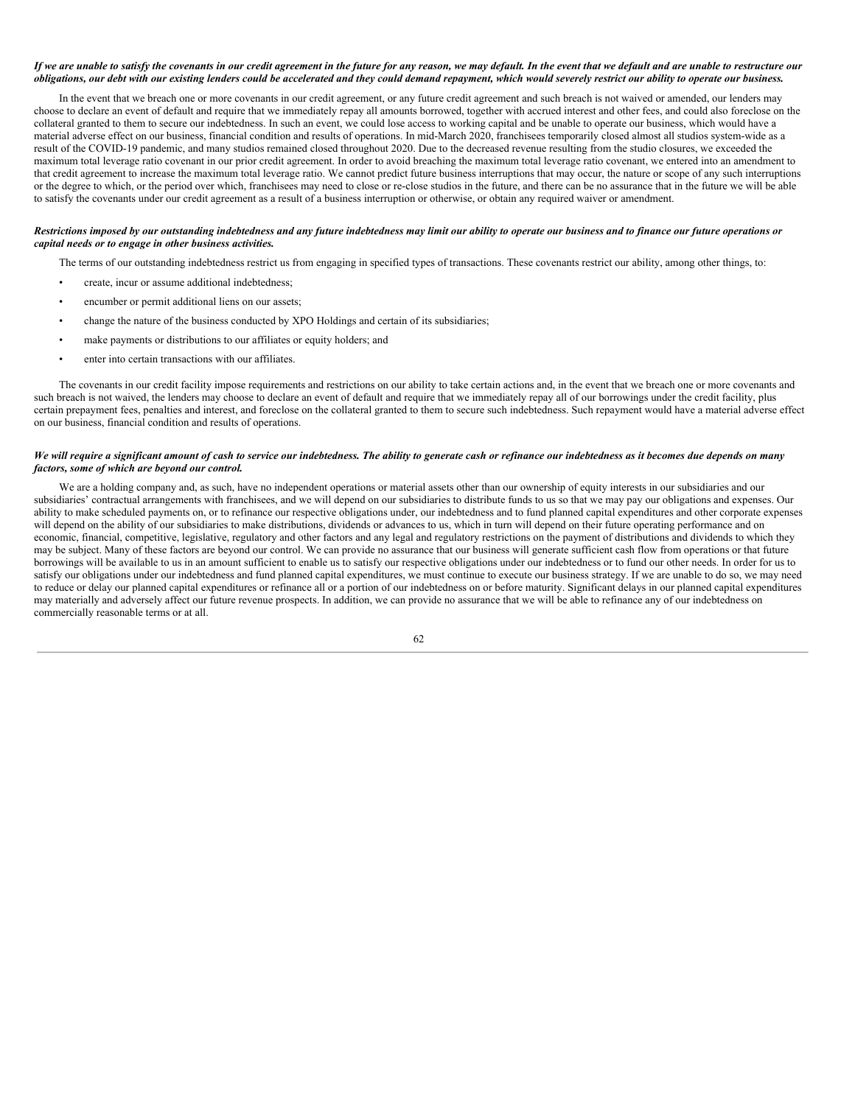### If we are unable to satisfy the covenants in our credit agreement in the future for any reason, we may default. In the event that we default and are unable to restructure our obligations, our debt with our existing lenders could be accelerated and they could demand repayment, which would severely restrict our ability to operate our business.

In the event that we breach one or more covenants in our credit agreement, or any future credit agreement and such breach is not waived or amended, our lenders may choose to declare an event of default and require that we immediately repay all amounts borrowed, together with accrued interest and other fees, and could also foreclose on the collateral granted to them to secure our indebtedness. In such an event, we could lose access to working capital and be unable to operate our business, which would have a material adverse effect on our business, financial condition and results of operations. In mid-March 2020, franchisees temporarily closed almost all studios system-wide as a result of the COVID-19 pandemic, and many studios remained closed throughout 2020. Due to the decreased revenue resulting from the studio closures, we exceeded the maximum total leverage ratio covenant in our prior credit agreement. In order to avoid breaching the maximum total leverage ratio covenant, we entered into an amendment to that credit agreement to increase the maximum total leverage ratio. We cannot predict future business interruptions that may occur, the nature or scope of any such interruptions or the degree to which, or the period over which, franchisees may need to close or re-close studios in the future, and there can be no assurance that in the future we will be able to satisfy the covenants under our credit agreement as a result of a business interruption or otherwise, or obtain any required waiver or amendment.

# Restrictions imposed by our outstanding indebtedness and any future indebtedness may limit our ability to operate our business and to finance our future operations or *capital needs or to engage in other business activities.*

The terms of our outstanding indebtedness restrict us from engaging in specified types of transactions. These covenants restrict our ability, among other things, to:

- create, incur or assume additional indebtedness;
- encumber or permit additional liens on our assets;
- change the nature of the business conducted by XPO Holdings and certain of its subsidiaries;
- make payments or distributions to our affiliates or equity holders; and
- enter into certain transactions with our affiliates.

The covenants in our credit facility impose requirements and restrictions on our ability to take certain actions and, in the event that we breach one or more covenants and such breach is not waived, the lenders may choose to declare an event of default and require that we immediately repay all of our borrowings under the credit facility, plus certain prepayment fees, penalties and interest, and foreclose on the collateral granted to them to secure such indebtedness. Such repayment would have a material adverse effect on our business, financial condition and results of operations.

#### We will require a significant amount of cash to service our indebtedness. The ability to generate cash or refinance our indebtedness as it becomes due depends on many *factors, some of which are beyond our control.*

We are a holding company and, as such, have no independent operations or material assets other than our ownership of equity interests in our subsidiaries and our subsidiaries' contractual arrangements with franchisees, and we will depend on our subsidiaries to distribute funds to us so that we may pay our obligations and expenses. Our ability to make scheduled payments on, or to refinance our respective obligations under, our indebtedness and to fund planned capital expenditures and other corporate expenses will depend on the ability of our subsidiaries to make distributions, dividends or advances to us, which in turn will depend on their future operating performance and on economic, financial, competitive, legislative, regulatory and other factors and any legal and regulatory restrictions on the payment of distributions and dividends to which they may be subject. Many of these factors are beyond our control. We can provide no assurance that our business will generate sufficient cash flow from operations or that future borrowings will be available to us in an amount sufficient to enable us to satisfy our respective obligations under our indebtedness or to fund our other needs. In order for us to satisfy our obligations under our indebtedness and fund planned capital expenditures, we must continue to execute our business strategy. If we are unable to do so, we may need to reduce or delay our planned capital expenditures or refinance all or a portion of our indebtedness on or before maturity. Significant delays in our planned capital expenditures may materially and adversely affect our future revenue prospects. In addition, we can provide no assurance that we will be able to refinance any of our indebtedness on commercially reasonable terms or at all.

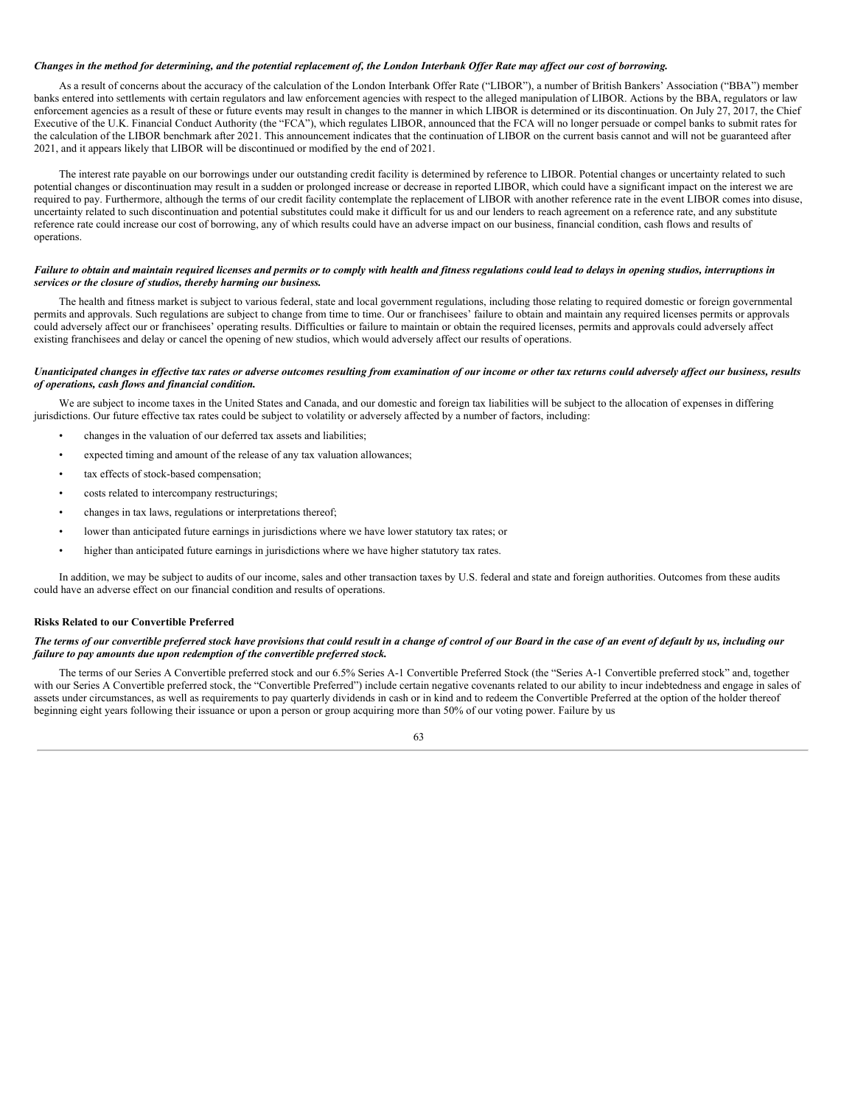# Changes in the method for determining, and the potential replacement of, the London Interbank Offer Rate may affect our cost of borrowing.

As a result of concerns about the accuracy of the calculation of the London Interbank Offer Rate ("LIBOR"), a number of British Bankers' Association ("BBA") member banks entered into settlements with certain regulators and law enforcement agencies with respect to the alleged manipulation of LIBOR. Actions by the BBA, regulators or law enforcement agencies as a result of these or future events may result in changes to the manner in which LIBOR is determined or its discontinuation. On July 27, 2017, the Chief Executive of the U.K. Financial Conduct Authority (the "FCA"), which regulates LIBOR, announced that the FCA will no longer persuade or compel banks to submit rates for the calculation of the LIBOR benchmark after 2021. This announcement indicates that the continuation of LIBOR on the current basis cannot and will not be guaranteed after 2021, and it appears likely that LIBOR will be discontinued or modified by the end of 2021.

The interest rate payable on our borrowings under our outstanding credit facility is determined by reference to LIBOR. Potential changes or uncertainty related to such potential changes or discontinuation may result in a sudden or prolonged increase or decrease in reported LIBOR, which could have a significant impact on the interest we are required to pay. Furthermore, although the terms of our credit facility contemplate the replacement of LIBOR with another reference rate in the event LIBOR comes into disuse, uncertainty related to such discontinuation and potential substitutes could make it difficult for us and our lenders to reach agreement on a reference rate, and any substitute reference rate could increase our cost of borrowing, any of which results could have an adverse impact on our business, financial condition, cash flows and results of operations.

# Failure to obtain and maintain required licenses and permits or to comply with health and fitness regulations could lead to delays in opening studios, interruptions in *services or the closure of studios, thereby harming our business.*

The health and fitness market is subject to various federal, state and local government regulations, including those relating to required domestic or foreign governmental permits and approvals. Such regulations are subject to change from time to time. Our or franchisees' failure to obtain and maintain any required licenses permits or approvals could adversely affect our or franchisees' operating results. Difficulties or failure to maintain or obtain the required licenses, permits and approvals could adversely affect existing franchisees and delay or cancel the opening of new studios, which would adversely affect our results of operations.

### Unanticipated changes in effective tax rates or adverse outcomes resulting from examination of our income or other tax returns could adversely affect our business, results *of operations, cash flows and financial condition.*

We are subject to income taxes in the United States and Canada, and our domestic and foreign tax liabilities will be subject to the allocation of expenses in differing jurisdictions. Our future effective tax rates could be subject to volatility or adversely affected by a number of factors, including:

- changes in the valuation of our deferred tax assets and liabilities;
- expected timing and amount of the release of any tax valuation allowances;
- tax effects of stock-based compensation;
- costs related to intercompany restructurings;
- changes in tax laws, regulations or interpretations thereof;
- lower than anticipated future earnings in jurisdictions where we have lower statutory tax rates; or
- higher than anticipated future earnings in jurisdictions where we have higher statutory tax rates.

In addition, we may be subject to audits of our income, sales and other transaction taxes by U.S. federal and state and foreign authorities. Outcomes from these audits could have an adverse effect on our financial condition and results of operations.

# **Risks Related to our Convertible Preferred**

# The terms of our convertible preferred stock have provisions that could result in a change of control of our Board in the case of an event of default by us, including our *failure to pay amounts due upon redemption of the convertible preferred stock.*

The terms of our Series A Convertible preferred stock and our 6.5% Series A-1 Convertible Preferred Stock (the "Series A-1 Convertible preferred stock" and, together with our Series A Convertible preferred stock, the "Convertible Preferred") include certain negative covenants related to our ability to incur indebtedness and engage in sales of assets under circumstances, as well as requirements to pay quarterly dividends in cash or in kind and to redeem the Convertible Preferred at the option of the holder thereof beginning eight years following their issuance or upon a person or group acquiring more than 50% of our voting power. Failure by us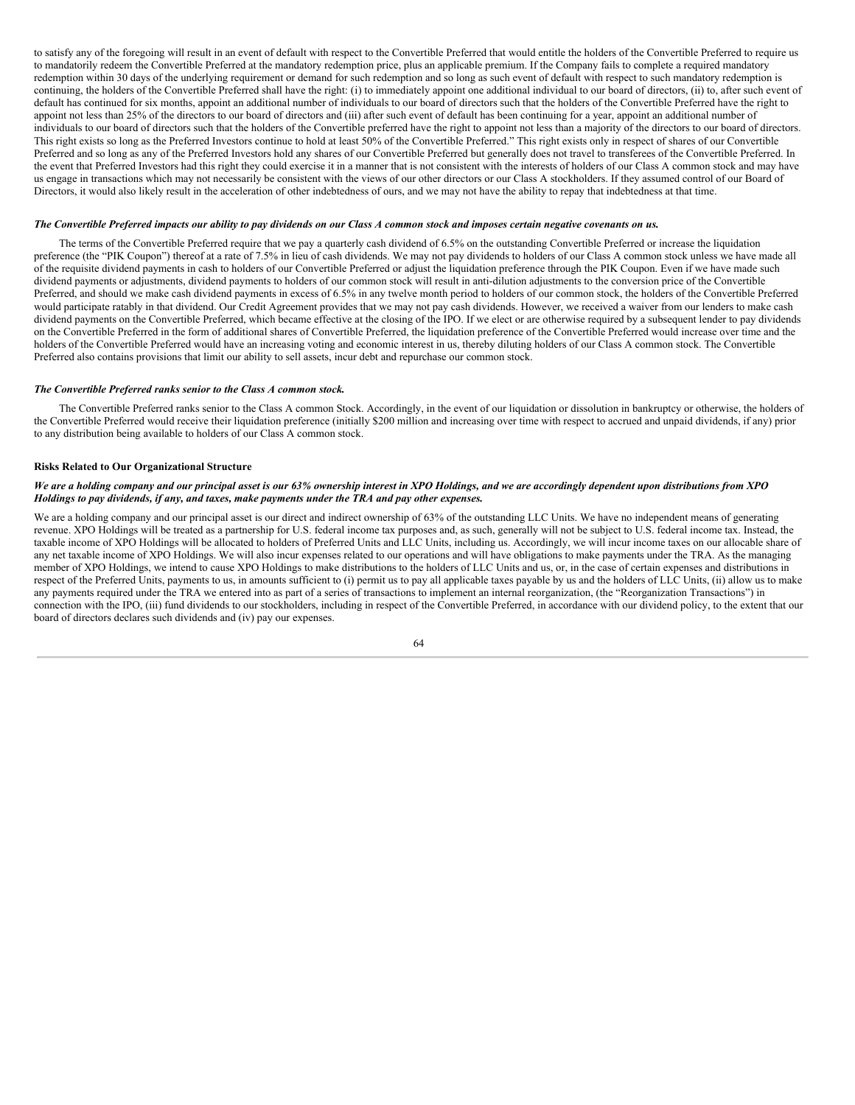to satisfy any of the foregoing will result in an event of default with respect to the Convertible Preferred that would entitle the holders of the Convertible Preferred to require us to mandatorily redeem the Convertible Preferred at the mandatory redemption price, plus an applicable premium. If the Company fails to complete a required mandatory redemption within 30 days of the underlying requirement or demand for such redemption and so long as such event of default with respect to such mandatory redemption is continuing, the holders of the Convertible Preferred shall have the right: (i) to immediately appoint one additional individual to our board of directors, (ii) to, after such event of default has continued for six months, appoint an additional number of individuals to our board of directors such that the holders of the Convertible Preferred have the right to appoint not less than 25% of the directors to our board of directors and (iii) after such event of default has been continuing for a year, appoint an additional number of individuals to our board of directors such that the holders of the Convertible preferred have the right to appoint not less than a majority of the directors to our board of directors. This right exists so long as the Preferred Investors continue to hold at least 50% of the Convertible Preferred." This right exists only in respect of shares of our Convertible Preferred and so long as any of the Preferred Investors hold any shares of our Convertible Preferred but generally does not travel to transferees of the Convertible Preferred. In the event that Preferred Investors had this right they could exercise it in a manner that is not consistent with the interests of holders of our Class A common stock and may have us engage in transactions which may not necessarily be consistent with the views of our other directors or our Class A stockholders. If they assumed control of our Board of Directors, it would also likely result in the acceleration of other indebtedness of ours, and we may not have the ability to repay that indebtedness at that time.

#### The Convertible Preferred impacts our ability to pay dividends on our Class A common stock and imposes certain negative covenants on us.

The terms of the Convertible Preferred require that we pay a quarterly cash dividend of 6.5% on the outstanding Convertible Preferred or increase the liquidation preference (the "PIK Coupon") thereof at a rate of 7.5% in lieu of cash dividends. We may not pay dividends to holders of our Class A common stock unless we have made all of the requisite dividend payments in cash to holders of our Convertible Preferred or adjust the liquidation preference through the PIK Coupon. Even if we have made such dividend payments or adjustments, dividend payments to holders of our common stock will result in anti-dilution adjustments to the conversion price of the Convertible Preferred, and should we make cash dividend payments in excess of 6.5% in any twelve month period to holders of our common stock, the holders of the Convertible Preferred would participate ratably in that dividend. Our Credit Agreement provides that we may not pay cash dividends. However, we received a waiver from our lenders to make cash dividend payments on the Convertible Preferred, which became effective at the closing of the IPO. If we elect or are otherwise required by a subsequent lender to pay dividends on the Convertible Preferred in the form of additional shares of Convertible Preferred, the liquidation preference of the Convertible Preferred would increase over time and the holders of the Convertible Preferred would have an increasing voting and economic interest in us, thereby diluting holders of our Class A common stock. The Convertible Preferred also contains provisions that limit our ability to sell assets, incur debt and repurchase our common stock.

### *The Convertible Preferred ranks senior to the Class A common stock.*

The Convertible Preferred ranks senior to the Class A common Stock. Accordingly, in the event of our liquidation or dissolution in bankruptcy or otherwise, the holders of the Convertible Preferred would receive their liquidation preference (initially \$200 million and increasing over time with respect to accrued and unpaid dividends, if any) prior to any distribution being available to holders of our Class A common stock.

### **Risks Related to Our Organizational Structure**

# We are a holding company and our principal asset is our 63% ownership interest in XPO Holdings, and we are accordingly dependent upon distributions from XPO *Holdings to pay dividends, if any, and taxes, make payments under the TRA and pay other expenses.*

We are a holding company and our principal asset is our direct and indirect ownership of 63% of the outstanding LLC Units. We have no independent means of generating revenue. XPO Holdings will be treated as a partnership for U.S. federal income tax purposes and, as such, generally will not be subject to U.S. federal income tax. Instead, the taxable income of XPO Holdings will be allocated to holders of Preferred Units and LLC Units, including us. Accordingly, we will incur income taxes on our allocable share of any net taxable income of XPO Holdings. We will also incur expenses related to our operations and will have obligations to make payments under the TRA. As the managing member of XPO Holdings, we intend to cause XPO Holdings to make distributions to the holders of LLC Units and us, or, in the case of certain expenses and distributions in respect of the Preferred Units, payments to us, in amounts sufficient to (i) permit us to pay all applicable taxes payable by us and the holders of LLC Units, (ii) allow us to make any payments required under the TRA we entered into as part of a series of transactions to implement an internal reorganization, (the "Reorganization Transactions") in connection with the IPO, (iii) fund dividends to our stockholders, including in respect of the Convertible Preferred, in accordance with our dividend policy, to the extent that our board of directors declares such dividends and (iv) pay our expenses.

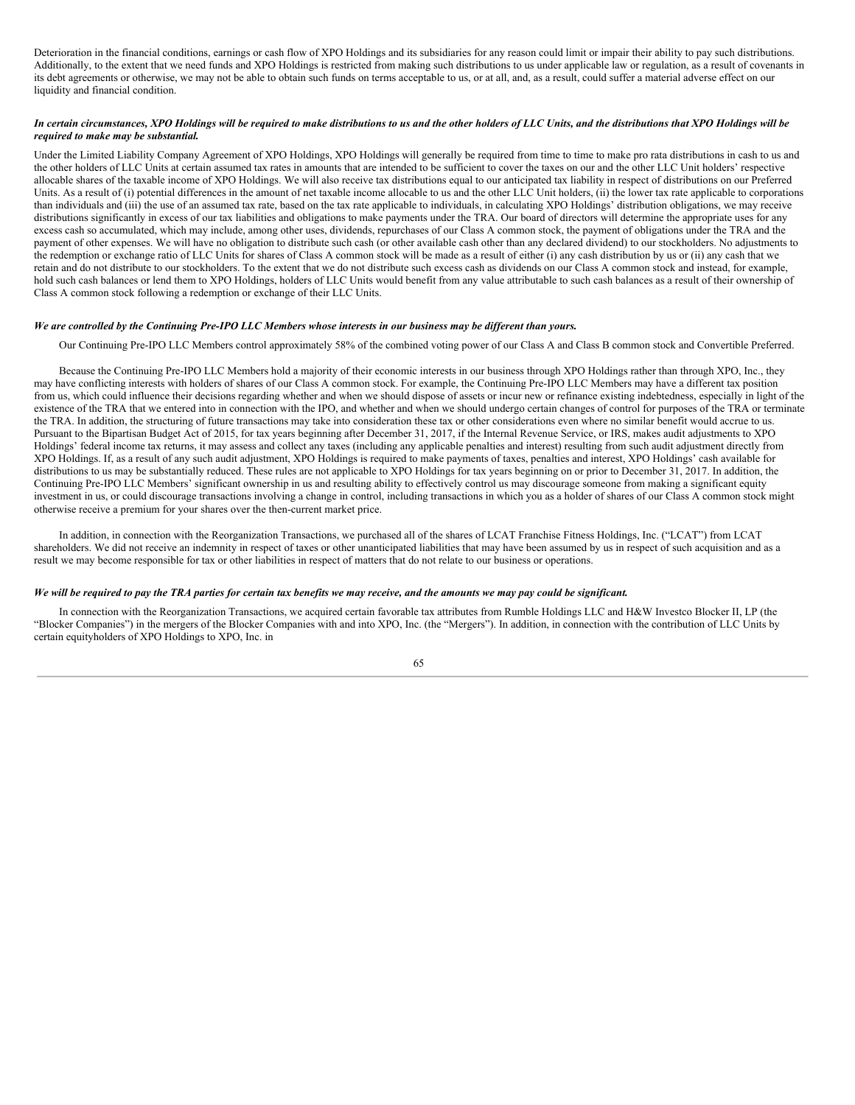Deterioration in the financial conditions, earnings or cash flow of XPO Holdings and its subsidiaries for any reason could limit or impair their ability to pay such distributions. Additionally, to the extent that we need funds and XPO Holdings is restricted from making such distributions to us under applicable law or regulation, as a result of covenants in its debt agreements or otherwise, we may not be able to obtain such funds on terms acceptable to us, or at all, and, as a result, could suffer a material adverse effect on our liquidity and financial condition.

# In certain circumstances, XPO Holdings will be required to make distributions to us and the other holders of LLC Units, and the distributions that XPO Holdings will be *required to make may be substantial.*

Under the Limited Liability Company Agreement of XPO Holdings, XPO Holdings will generally be required from time to time to make pro rata distributions in cash to us and the other holders of LLC Units at certain assumed tax rates in amounts that are intended to be sufficient to cover the taxes on our and the other LLC Unit holders' respective allocable shares of the taxable income of XPO Holdings. We will also receive tax distributions equal to our anticipated tax liability in respect of distributions on our Preferred Units. As a result of (i) potential differences in the amount of net taxable income allocable to us and the other LLC Unit holders, (ii) the lower tax rate applicable to corporations than individuals and (iii) the use of an assumed tax rate, based on the tax rate applicable to individuals, in calculating XPO Holdings' distribution obligations, we may receive distributions significantly in excess of our tax liabilities and obligations to make payments under the TRA. Our board of directors will determine the appropriate uses for any excess cash so accumulated, which may include, among other uses, dividends, repurchases of our Class A common stock, the payment of obligations under the TRA and the payment of other expenses. We will have no obligation to distribute such cash (or other available cash other than any declared dividend) to our stockholders. No adjustments to the redemption or exchange ratio of LLC Units for shares of Class A common stock will be made as a result of either (i) any cash distribution by us or (ii) any cash that we retain and do not distribute to our stockholders. To the extent that we do not distribute such excess cash as dividends on our Class A common stock and instead, for example, hold such cash balances or lend them to XPO Holdings, holders of LLC Units would benefit from any value attributable to such cash balances as a result of their ownership of Class A common stock following a redemption or exchange of their LLC Units.

#### We are controlled by the Continuing Pre-IPO LLC Members whose interests in our business may be different than yours.

Our Continuing Pre-IPO LLC Members control approximately 58% of the combined voting power of our Class A and Class B common stock and Convertible Preferred.

Because the Continuing Pre-IPO LLC Members hold a majority of their economic interests in our business through XPO Holdings rather than through XPO, Inc., they may have conflicting interests with holders of shares of our Class A common stock. For example, the Continuing Pre-IPO LLC Members may have a different tax position from us, which could influence their decisions regarding whether and when we should dispose of assets or incur new or refinance existing indebtedness, especially in light of the existence of the TRA that we entered into in connection with the IPO, and whether and when we should undergo certain changes of control for purposes of the TRA or terminate the TRA. In addition, the structuring of future transactions may take into consideration these tax or other considerations even where no similar benefit would accrue to us. Pursuant to the Bipartisan Budget Act of 2015, for tax years beginning after December 31, 2017, if the Internal Revenue Service, or IRS, makes audit adjustments to XPO Holdings' federal income tax returns, it may assess and collect any taxes (including any applicable penalties and interest) resulting from such audit adjustment directly from XPO Holdings. If, as a result of any such audit adjustment, XPO Holdings is required to make payments of taxes, penalties and interest, XPO Holdings' cash available for distributions to us may be substantially reduced. These rules are not applicable to XPO Holdings for tax years beginning on or prior to December 31, 2017. In addition, the Continuing Pre-IPO LLC Members' significant ownership in us and resulting ability to effectively control us may discourage someone from making a significant equity investment in us, or could discourage transactions involving a change in control, including transactions in which you as a holder of shares of our Class A common stock might otherwise receive a premium for your shares over the then-current market price.

In addition, in connection with the Reorganization Transactions, we purchased all of the shares of LCAT Franchise Fitness Holdings, Inc. ("LCAT") from LCAT shareholders. We did not receive an indemnity in respect of taxes or other unanticipated liabilities that may have been assumed by us in respect of such acquisition and as a result we may become responsible for tax or other liabilities in respect of matters that do not relate to our business or operations.

### We will be required to pay the TRA parties for certain tax benefits we may receive, and the amounts we may pay could be significant.

In connection with the Reorganization Transactions, we acquired certain favorable tax attributes from Rumble Holdings LLC and H&W Investco Blocker II, LP (the "Blocker Companies") in the mergers of the Blocker Companies with and into XPO, Inc. (the "Mergers"). In addition, in connection with the contribution of LLC Units by certain equityholders of XPO Holdings to XPO, Inc. in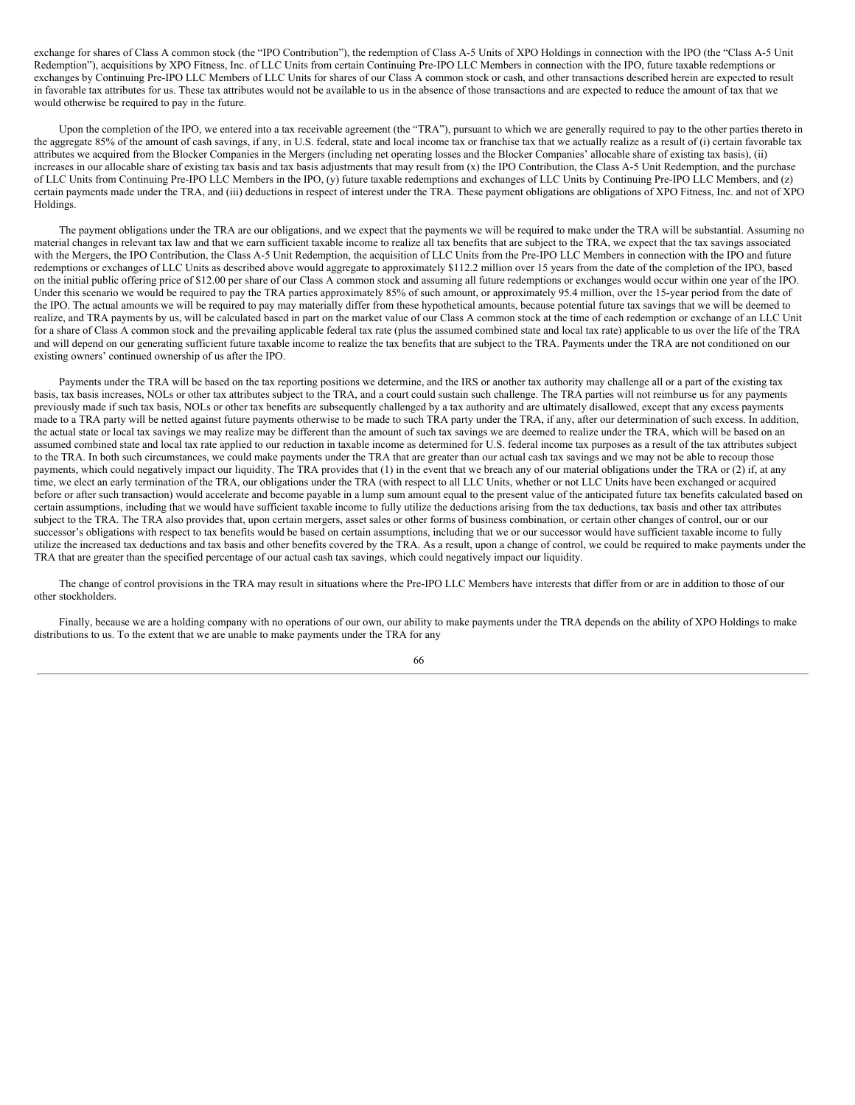exchange for shares of Class A common stock (the "IPO Contribution"), the redemption of Class A-5 Units of XPO Holdings in connection with the IPO (the "Class A-5 Unit Redemption"), acquisitions by XPO Fitness, Inc. of LLC Units from certain Continuing Pre-IPO LLC Members in connection with the IPO, future taxable redemptions or exchanges by Continuing Pre-IPO LLC Members of LLC Units for shares of our Class A common stock or cash, and other transactions described herein are expected to result in favorable tax attributes for us. These tax attributes would not be available to us in the absence of those transactions and are expected to reduce the amount of tax that we would otherwise be required to pay in the future.

Upon the completion of the IPO, we entered into a tax receivable agreement (the "TRA"), pursuant to which we are generally required to pay to the other parties thereto in the aggregate 85% of the amount of cash savings, if any, in U.S. federal, state and local income tax or franchise tax that we actually realize as a result of (i) certain favorable tax attributes we acquired from the Blocker Companies in the Mergers (including net operating losses and the Blocker Companies' allocable share of existing tax basis), (ii) increases in our allocable share of existing tax basis and tax basis adjustments that may result from (x) the IPO Contribution, the Class A-5 Unit Redemption, and the purchase of LLC Units from Continuing Pre-IPO LLC Members in the IPO, (y) future taxable redemptions and exchanges of LLC Units by Continuing Pre-IPO LLC Members, and (z) certain payments made under the TRA, and (iii) deductions in respect of interest under the TRA. These payment obligations are obligations of XPO Fitness, Inc. and not of XPO Holdings.

The payment obligations under the TRA are our obligations, and we expect that the payments we will be required to make under the TRA will be substantial. Assuming no material changes in relevant tax law and that we earn sufficient taxable income to realize all tax benefits that are subject to the TRA, we expect that the tax savings associated with the Mergers, the IPO Contribution, the Class A-5 Unit Redemption, the acquisition of LLC Units from the Pre-IPO LLC Members in connection with the IPO and future redemptions or exchanges of LLC Units as described above would aggregate to approximately \$112.2 million over 15 years from the date of the completion of the IPO, based on the initial public offering price of \$12.00 per share of our Class A common stock and assuming all future redemptions or exchanges would occur within one year of the IPO. Under this scenario we would be required to pay the TRA parties approximately 85% of such amount, or approximately 95.4 million, over the 15-year period from the date of the IPO. The actual amounts we will be required to pay may materially differ from these hypothetical amounts, because potential future tax savings that we will be deemed to realize, and TRA payments by us, will be calculated based in part on the market value of our Class A common stock at the time of each redemption or exchange of an LLC Unit for a share of Class A common stock and the prevailing applicable federal tax rate (plus the assumed combined state and local tax rate) applicable to us over the life of the TRA and will depend on our generating sufficient future taxable income to realize the tax benefits that are subject to the TRA. Payments under the TRA are not conditioned on our existing owners' continued ownership of us after the IPO.

Payments under the TRA will be based on the tax reporting positions we determine, and the IRS or another tax authority may challenge all or a part of the existing tax basis, tax basis increases, NOLs or other tax attributes subject to the TRA, and a court could sustain such challenge. The TRA parties will not reimburse us for any payments previously made if such tax basis, NOLs or other tax benefits are subsequently challenged by a tax authority and are ultimately disallowed, except that any excess payments made to a TRA party will be netted against future payments otherwise to be made to such TRA party under the TRA, if any, after our determination of such excess. In addition, the actual state or local tax savings we may realize may be different than the amount of such tax savings we are deemed to realize under the TRA, which will be based on an assumed combined state and local tax rate applied to our reduction in taxable income as determined for U.S. federal income tax purposes as a result of the tax attributes subject to the TRA. In both such circumstances, we could make payments under the TRA that are greater than our actual cash tax savings and we may not be able to recoup those payments, which could negatively impact our liquidity. The TRA provides that (1) in the event that we breach any of our material obligations under the TRA or (2) if, at any time, we elect an early termination of the TRA, our obligations under the TRA (with respect to all LLC Units, whether or not LLC Units have been exchanged or acquired before or after such transaction) would accelerate and become payable in a lump sum amount equal to the present value of the anticipated future tax benefits calculated based on certain assumptions, including that we would have sufficient taxable income to fully utilize the deductions arising from the tax deductions, tax basis and other tax attributes subject to the TRA. The TRA also provides that, upon certain mergers, asset sales or other forms of business combination, or certain other changes of control, our or our successor's obligations with respect to tax benefits would be based on certain assumptions, including that we or our successor would have sufficient taxable income to fully utilize the increased tax deductions and tax basis and other benefits covered by the TRA. As a result, upon a change of control, we could be required to make payments under the TRA that are greater than the specified percentage of our actual cash tax savings, which could negatively impact our liquidity.

The change of control provisions in the TRA may result in situations where the Pre-IPO LLC Members have interests that differ from or are in addition to those of our other stockholders.

Finally, because we are a holding company with no operations of our own, our ability to make payments under the TRA depends on the ability of XPO Holdings to make distributions to us. To the extent that we are unable to make payments under the TRA for any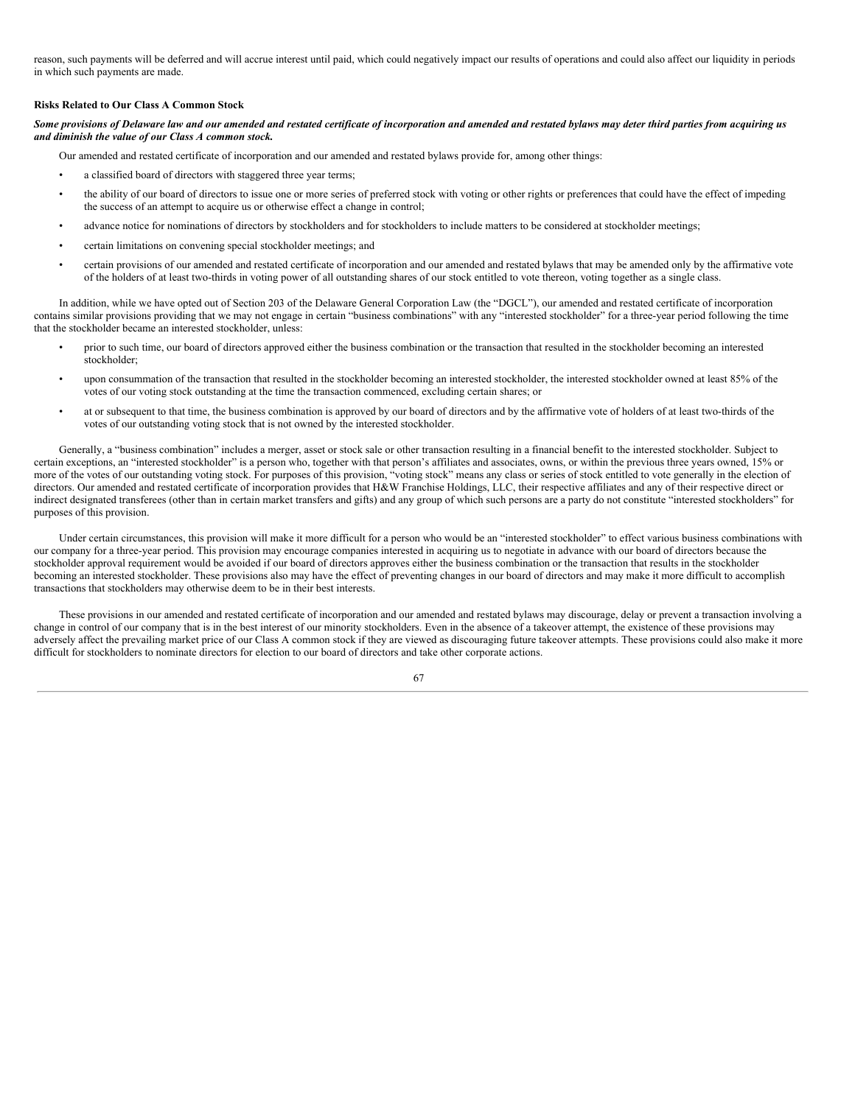reason, such payments will be deferred and will accrue interest until paid, which could negatively impact our results of operations and could also affect our liquidity in periods in which such payments are made.

# **Risks Related to Our Class A Common Stock**

Some provisions of Delaware law and our amended and restated certificate of incorporation and amended and restated bylaws may deter third parties from acquiring us *and diminish the value of our Class A common stock.*

Our amended and restated certificate of incorporation and our amended and restated bylaws provide for, among other things:

- a classified board of directors with staggered three year terms;
- the ability of our board of directors to issue one or more series of preferred stock with voting or other rights or preferences that could have the effect of impeding the success of an attempt to acquire us or otherwise effect a change in control;
- advance notice for nominations of directors by stockholders and for stockholders to include matters to be considered at stockholder meetings;
- certain limitations on convening special stockholder meetings; and
- certain provisions of our amended and restated certificate of incorporation and our amended and restated bylaws that may be amended only by the affirmative vote of the holders of at least two-thirds in voting power of all outstanding shares of our stock entitled to vote thereon, voting together as a single class.

In addition, while we have opted out of Section 203 of the Delaware General Corporation Law (the "DGCL"), our amended and restated certificate of incorporation contains similar provisions providing that we may not engage in certain "business combinations" with any "interested stockholder" for a three-year period following the time that the stockholder became an interested stockholder, unless:

- prior to such time, our board of directors approved either the business combination or the transaction that resulted in the stockholder becoming an interested stockholder;
- upon consummation of the transaction that resulted in the stockholder becoming an interested stockholder, the interested stockholder owned at least 85% of the votes of our voting stock outstanding at the time the transaction commenced, excluding certain shares; or
- at or subsequent to that time, the business combination is approved by our board of directors and by the affirmative vote of holders of at least two-thirds of the votes of our outstanding voting stock that is not owned by the interested stockholder.

Generally, a "business combination" includes a merger, asset or stock sale or other transaction resulting in a financial benefit to the interested stockholder. Subject to certain exceptions, an "interested stockholder" is a person who, together with that person's affiliates and associates, owns, or within the previous three years owned, 15% or more of the votes of our outstanding voting stock. For purposes of this provision, "voting stock" means any class or series of stock entitled to vote generally in the election of directors. Our amended and restated certificate of incorporation provides that H&W Franchise Holdings, LLC, their respective affiliates and any of their respective direct or indirect designated transferees (other than in certain market transfers and gifts) and any group of which such persons are a party do not constitute "interested stockholders" for purposes of this provision.

Under certain circumstances, this provision will make it more difficult for a person who would be an "interested stockholder" to effect various business combinations with our company for a three-year period. This provision may encourage companies interested in acquiring us to negotiate in advance with our board of directors because the stockholder approval requirement would be avoided if our board of directors approves either the business combination or the transaction that results in the stockholder becoming an interested stockholder. These provisions also may have the effect of preventing changes in our board of directors and may make it more difficult to accomplish transactions that stockholders may otherwise deem to be in their best interests.

These provisions in our amended and restated certificate of incorporation and our amended and restated bylaws may discourage, delay or prevent a transaction involving a change in control of our company that is in the best interest of our minority stockholders. Even in the absence of a takeover attempt, the existence of these provisions may adversely affect the prevailing market price of our Class A common stock if they are viewed as discouraging future takeover attempts. These provisions could also make it more difficult for stockholders to nominate directors for election to our board of directors and take other corporate actions.

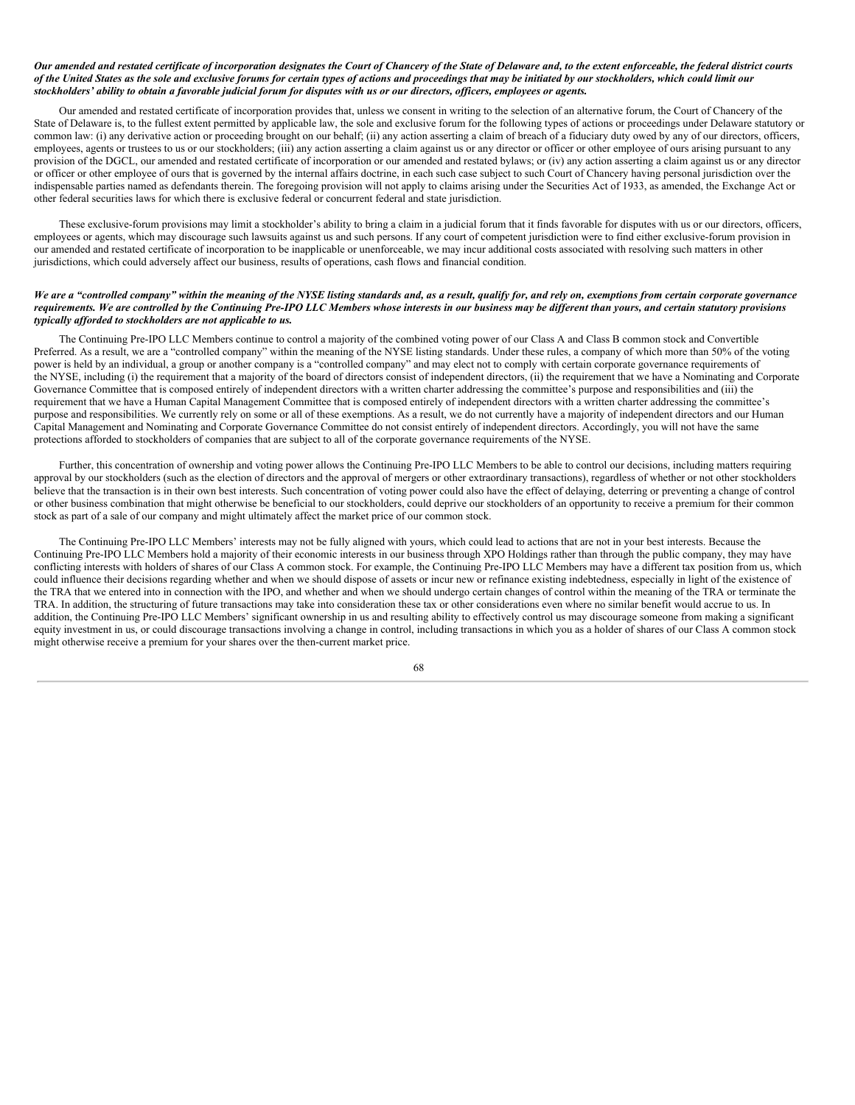### Our amended and restated certificate of incorporation designates the Court of Chancery of the State of Delaware and, to the extent enforceable, the federal district courts of the United States as the sole and exclusive forums for certain types of actions and proceedings that may be initiated by our stockholders, which could limit our stockholders' ability to obtain a favorable judicial forum for disputes with us or our directors, officers, employees or agents.

Our amended and restated certificate of incorporation provides that, unless we consent in writing to the selection of an alternative forum, the Court of Chancery of the State of Delaware is, to the fullest extent permitted by applicable law, the sole and exclusive forum for the following types of actions or proceedings under Delaware statutory or common law: (i) any derivative action or proceeding brought on our behalf; (ii) any action asserting a claim of breach of a fiduciary duty owed by any of our directors, officers, employees, agents or trustees to us or our stockholders; (iii) any action asserting a claim against us or any director or officer or other employee of ours arising pursuant to any provision of the DGCL, our amended and restated certificate of incorporation or our amended and restated bylaws; or (iv) any action asserting a claim against us or any director or officer or other employee of ours that is governed by the internal affairs doctrine, in each such case subject to such Court of Chancery having personal jurisdiction over the indispensable parties named as defendants therein. The foregoing provision will not apply to claims arising under the Securities Act of 1933, as amended, the Exchange Act or other federal securities laws for which there is exclusive federal or concurrent federal and state jurisdiction.

These exclusive-forum provisions may limit a stockholder's ability to bring a claim in a judicial forum that it finds favorable for disputes with us or our directors, officers, employees or agents, which may discourage such lawsuits against us and such persons. If any court of competent jurisdiction were to find either exclusive-forum provision in our amended and restated certificate of incorporation to be inapplicable or unenforceable, we may incur additional costs associated with resolving such matters in other jurisdictions, which could adversely affect our business, results of operations, cash flows and financial condition.

# We are a "controlled company" within the meaning of the NYSE listing standards and, as a result, qualify for, and rely on, exemptions from certain corporate governance requirements. We are controlled by the Continuing Pre-IPO LLC Members whose interests in our business may be different than yours, and certain statutory provisions *typically af orded to stockholders are not applicable to us.*

The Continuing Pre-IPO LLC Members continue to control a majority of the combined voting power of our Class A and Class B common stock and Convertible Preferred. As a result, we are a "controlled company" within the meaning of the NYSE listing standards. Under these rules, a company of which more than 50% of the voting power is held by an individual, a group or another company is a "controlled company" and may elect not to comply with certain corporate governance requirements of the NYSE, including (i) the requirement that a majority of the board of directors consist of independent directors, (ii) the requirement that we have a Nominating and Corporate Governance Committee that is composed entirely of independent directors with a written charter addressing the committee's purpose and responsibilities and (iii) the requirement that we have a Human Capital Management Committee that is composed entirely of independent directors with a written charter addressing the committee's purpose and responsibilities. We currently rely on some or all of these exemptions. As a result, we do not currently have a majority of independent directors and our Human Capital Management and Nominating and Corporate Governance Committee do not consist entirely of independent directors. Accordingly, you will not have the same protections afforded to stockholders of companies that are subject to all of the corporate governance requirements of the NYSE.

Further, this concentration of ownership and voting power allows the Continuing Pre-IPO LLC Members to be able to control our decisions, including matters requiring approval by our stockholders (such as the election of directors and the approval of mergers or other extraordinary transactions), regardless of whether or not other stockholders believe that the transaction is in their own best interests. Such concentration of voting power could also have the effect of delaying, deterring or preventing a change of control or other business combination that might otherwise be beneficial to our stockholders, could deprive our stockholders of an opportunity to receive a premium for their common stock as part of a sale of our company and might ultimately affect the market price of our common stock.

The Continuing Pre-IPO LLC Members' interests may not be fully aligned with yours, which could lead to actions that are not in your best interests. Because the Continuing Pre-IPO LLC Members hold a majority of their economic interests in our business through XPO Holdings rather than through the public company, they may have conflicting interests with holders of shares of our Class A common stock. For example, the Continuing Pre-IPO LLC Members may have a different tax position from us, which could influence their decisions regarding whether and when we should dispose of assets or incur new or refinance existing indebtedness, especially in light of the existence of the TRA that we entered into in connection with the IPO, and whether and when we should undergo certain changes of control within the meaning of the TRA or terminate the TRA. In addition, the structuring of future transactions may take into consideration these tax or other considerations even where no similar benefit would accrue to us. In addition, the Continuing Pre-IPO LLC Members' significant ownership in us and resulting ability to effectively control us may discourage someone from making a significant equity investment in us, or could discourage transactions involving a change in control, including transactions in which you as a holder of shares of our Class A common stock might otherwise receive a premium for your shares over the then-current market price.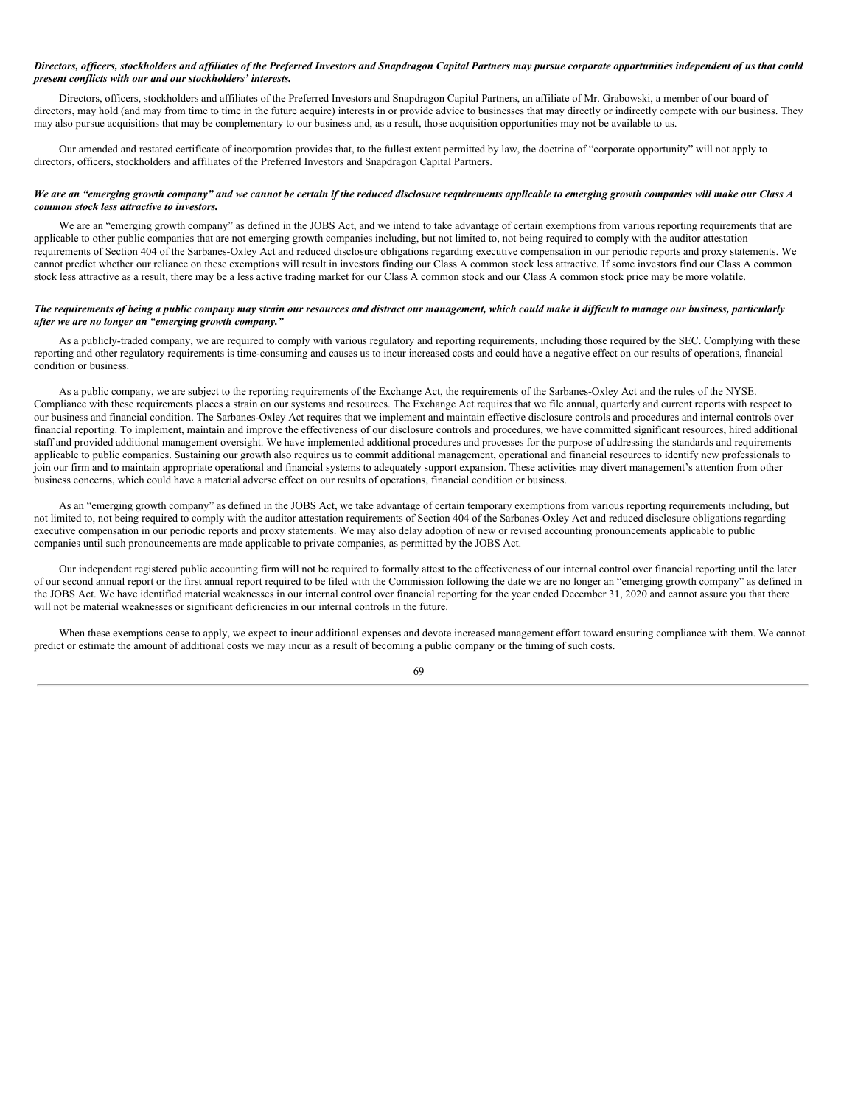# Directors, officers, stockholders and affiliates of the Preferred Investors and Snapdragon Capital Partners may pursue corporate opportunities independent of us that could *present conflicts with our and our stockholders' interests.*

Directors, officers, stockholders and affiliates of the Preferred Investors and Snapdragon Capital Partners, an affiliate of Mr. Grabowski, a member of our board of directors, may hold (and may from time to time in the future acquire) interests in or provide advice to businesses that may directly or indirectly compete with our business. They may also pursue acquisitions that may be complementary to our business and, as a result, those acquisition opportunities may not be available to us.

Our amended and restated certificate of incorporation provides that, to the fullest extent permitted by law, the doctrine of "corporate opportunity" will not apply to directors, officers, stockholders and affiliates of the Preferred Investors and Snapdragon Capital Partners.

#### We are an "emerging growth company" and we cannot be certain if the reduced disclosure requirements applicable to emerging growth companies will make our Class A *common stock less attractive to investors.*

We are an "emerging growth company" as defined in the JOBS Act, and we intend to take advantage of certain exemptions from various reporting requirements that are applicable to other public companies that are not emerging growth companies including, but not limited to, not being required to comply with the auditor attestation requirements of Section 404 of the Sarbanes-Oxley Act and reduced disclosure obligations regarding executive compensation in our periodic reports and proxy statements. We cannot predict whether our reliance on these exemptions will result in investors finding our Class A common stock less attractive. If some investors find our Class A common stock less attractive as a result, there may be a less active trading market for our Class A common stock and our Class A common stock price may be more volatile.

# The requirements of being a public company may strain our resources and distract our management, which could make it difficult to manage our business, particularly *after we are no longer an "emerging growth company."*

As a publicly-traded company, we are required to comply with various regulatory and reporting requirements, including those required by the SEC. Complying with these reporting and other regulatory requirements is time-consuming and causes us to incur increased costs and could have a negative effect on our results of operations, financial condition or business.

As a public company, we are subject to the reporting requirements of the Exchange Act, the requirements of the Sarbanes-Oxley Act and the rules of the NYSE. Compliance with these requirements places a strain on our systems and resources. The Exchange Act requires that we file annual, quarterly and current reports with respect to our business and financial condition. The Sarbanes-Oxley Act requires that we implement and maintain effective disclosure controls and procedures and internal controls over financial reporting. To implement, maintain and improve the effectiveness of our disclosure controls and procedures, we have committed significant resources, hired additional staff and provided additional management oversight. We have implemented additional procedures and processes for the purpose of addressing the standards and requirements applicable to public companies. Sustaining our growth also requires us to commit additional management, operational and financial resources to identify new professionals to join our firm and to maintain appropriate operational and financial systems to adequately support expansion. These activities may divert management's attention from other business concerns, which could have a material adverse effect on our results of operations, financial condition or business.

As an "emerging growth company" as defined in the JOBS Act, we take advantage of certain temporary exemptions from various reporting requirements including, but not limited to, not being required to comply with the auditor attestation requirements of Section 404 of the Sarbanes-Oxley Act and reduced disclosure obligations regarding executive compensation in our periodic reports and proxy statements. We may also delay adoption of new or revised accounting pronouncements applicable to public companies until such pronouncements are made applicable to private companies, as permitted by the JOBS Act.

Our independent registered public accounting firm will not be required to formally attest to the effectiveness of our internal control over financial reporting until the later of our second annual report or the first annual report required to be filed with the Commission following the date we are no longer an "emerging growth company" as defined in the JOBS Act. We have identified material weaknesses in our internal control over financial reporting for the year ended December 31, 2020 and cannot assure you that there will not be material weaknesses or significant deficiencies in our internal controls in the future.

When these exemptions cease to apply, we expect to incur additional expenses and devote increased management effort toward ensuring compliance with them. We cannot predict or estimate the amount of additional costs we may incur as a result of becoming a public company or the timing of such costs.

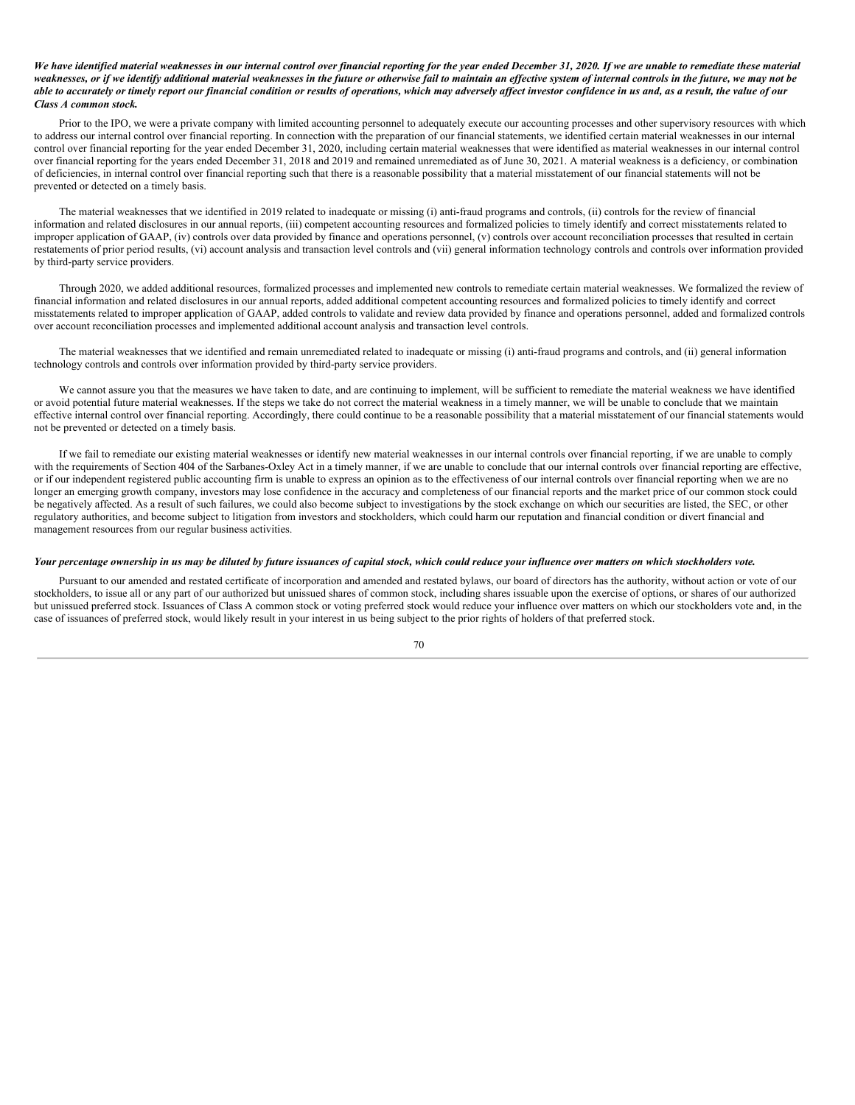### We have identified material weaknesses in our internal control over financial reporting for the year ended December 31, 2020. If we are unable to remediate these material weaknesses, or if we identify additional material weaknesses in the future or otherwise fail to maintain an effective system of internal controls in the future, we may not be able to accurately or timely report our financial condition or results of operations, which may adversely affect investor confidence in us and, as a result, the value of our *Class A common stock.*

Prior to the IPO, we were a private company with limited accounting personnel to adequately execute our accounting processes and other supervisory resources with which to address our internal control over financial reporting. In connection with the preparation of our financial statements, we identified certain material weaknesses in our internal control over financial reporting for the year ended December 31, 2020, including certain material weaknesses that were identified as material weaknesses in our internal control over financial reporting for the years ended December 31, 2018 and 2019 and remained unremediated as of June 30, 2021. A material weakness is a deficiency, or combination of deficiencies, in internal control over financial reporting such that there is a reasonable possibility that a material misstatement of our financial statements will not be prevented or detected on a timely basis.

The material weaknesses that we identified in 2019 related to inadequate or missing (i) anti-fraud programs and controls, (ii) controls for the review of financial information and related disclosures in our annual reports, (iii) competent accounting resources and formalized policies to timely identify and correct misstatements related to improper application of GAAP, (iv) controls over data provided by finance and operations personnel, (v) controls over account reconciliation processes that resulted in certain restatements of prior period results, (vi) account analysis and transaction level controls and (vii) general information technology controls and controls over information provided by third-party service providers.

Through 2020, we added additional resources, formalized processes and implemented new controls to remediate certain material weaknesses. We formalized the review of financial information and related disclosures in our annual reports, added additional competent accounting resources and formalized policies to timely identify and correct misstatements related to improper application of GAAP, added controls to validate and review data provided by finance and operations personnel, added and formalized controls over account reconciliation processes and implemented additional account analysis and transaction level controls.

The material weaknesses that we identified and remain unremediated related to inadequate or missing (i) anti-fraud programs and controls, and (ii) general information technology controls and controls over information provided by third-party service providers.

We cannot assure you that the measures we have taken to date, and are continuing to implement, will be sufficient to remediate the material weakness we have identified or avoid potential future material weaknesses. If the steps we take do not correct the material weakness in a timely manner, we will be unable to conclude that we maintain effective internal control over financial reporting. Accordingly, there could continue to be a reasonable possibility that a material misstatement of our financial statements would not be prevented or detected on a timely basis.

If we fail to remediate our existing material weaknesses or identify new material weaknesses in our internal controls over financial reporting, if we are unable to comply with the requirements of Section 404 of the Sarbanes-Oxley Act in a timely manner, if we are unable to conclude that our internal controls over financial reporting are effective, or if our independent registered public accounting firm is unable to express an opinion as to the effectiveness of our internal controls over financial reporting when we are no longer an emerging growth company, investors may lose confidence in the accuracy and completeness of our financial reports and the market price of our common stock could be negatively affected. As a result of such failures, we could also become subject to investigations by the stock exchange on which our securities are listed, the SEC, or other regulatory authorities, and become subject to litigation from investors and stockholders, which could harm our reputation and financial condition or divert financial and management resources from our regular business activities.

# Your percentage ownership in us may be diluted by future issuances of capital stock, which could reduce your influence over matters on which stockholders vote.

Pursuant to our amended and restated certificate of incorporation and amended and restated bylaws, our board of directors has the authority, without action or vote of our stockholders, to issue all or any part of our authorized but unissued shares of common stock, including shares issuable upon the exercise of options, or shares of our authorized but unissued preferred stock. Issuances of Class A common stock or voting preferred stock would reduce your influence over matters on which our stockholders vote and, in the case of issuances of preferred stock, would likely result in your interest in us being subject to the prior rights of holders of that preferred stock.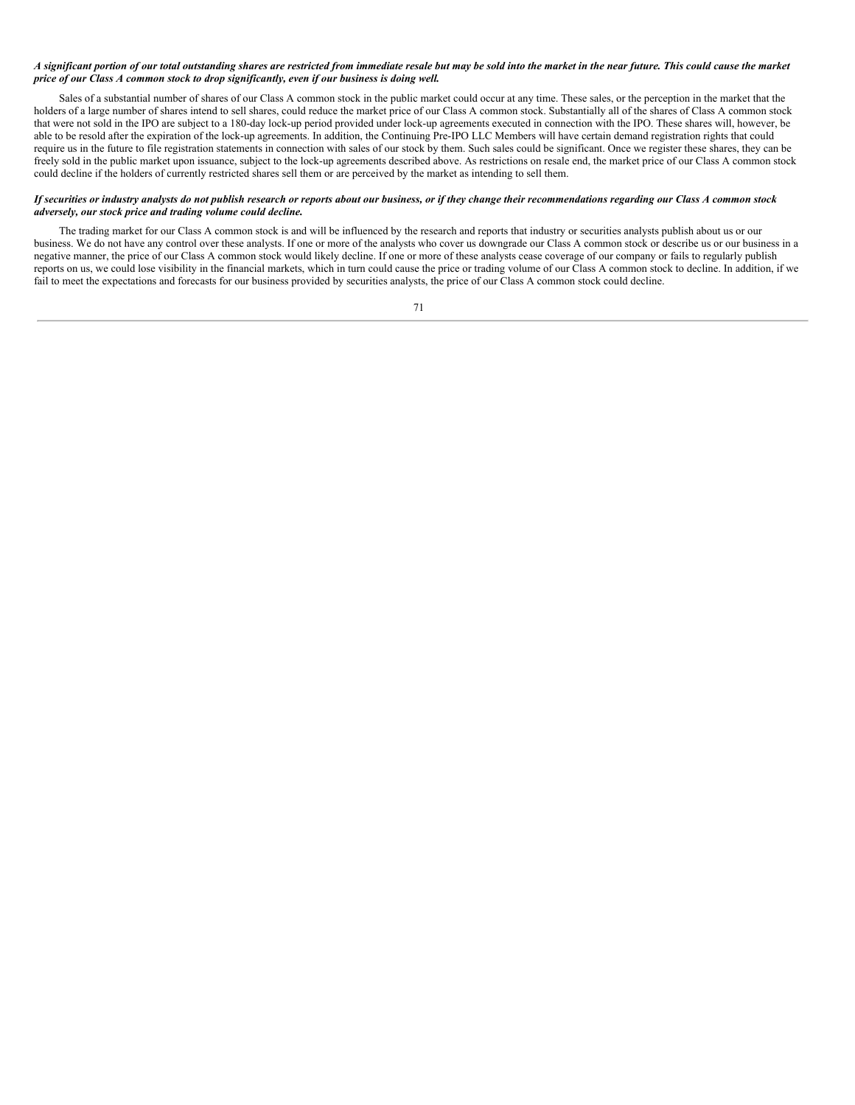# A significant portion of our total outstanding shares are restricted from immediate resale but may be sold into the market in the near future. This could cause the market *price of our Class A common stock to drop significantly, even if our business is doing well.*

Sales of a substantial number of shares of our Class A common stock in the public market could occur at any time. These sales, or the perception in the market that the holders of a large number of shares intend to sell shares, could reduce the market price of our Class A common stock. Substantially all of the shares of Class A common stock that were not sold in the IPO are subject to a 180-day lock-up period provided under lock-up agreements executed in connection with the IPO. These shares will, however, be able to be resold after the expiration of the lock-up agreements. In addition, the Continuing Pre-IPO LLC Members will have certain demand registration rights that could require us in the future to file registration statements in connection with sales of our stock by them. Such sales could be significant. Once we register these shares, they can be freely sold in the public market upon issuance, subject to the lock-up agreements described above. As restrictions on resale end, the market price of our Class A common stock could decline if the holders of currently restricted shares sell them or are perceived by the market as intending to sell them.

# If securities or industry analysts do not publish research or reports about our business, or if they change their recommendations regarding our Class A common stock *adversely, our stock price and trading volume could decline.*

The trading market for our Class A common stock is and will be influenced by the research and reports that industry or securities analysts publish about us or our business. We do not have any control over these analysts. If one or more of the analysts who cover us downgrade our Class A common stock or describe us or our business in a negative manner, the price of our Class A common stock would likely decline. If one or more of these analysts cease coverage of our company or fails to regularly publish reports on us, we could lose visibility in the financial markets, which in turn could cause the price or trading volume of our Class A common stock to decline. In addition, if we fail to meet the expectations and forecasts for our business provided by securities analysts, the price of our Class A common stock could decline.

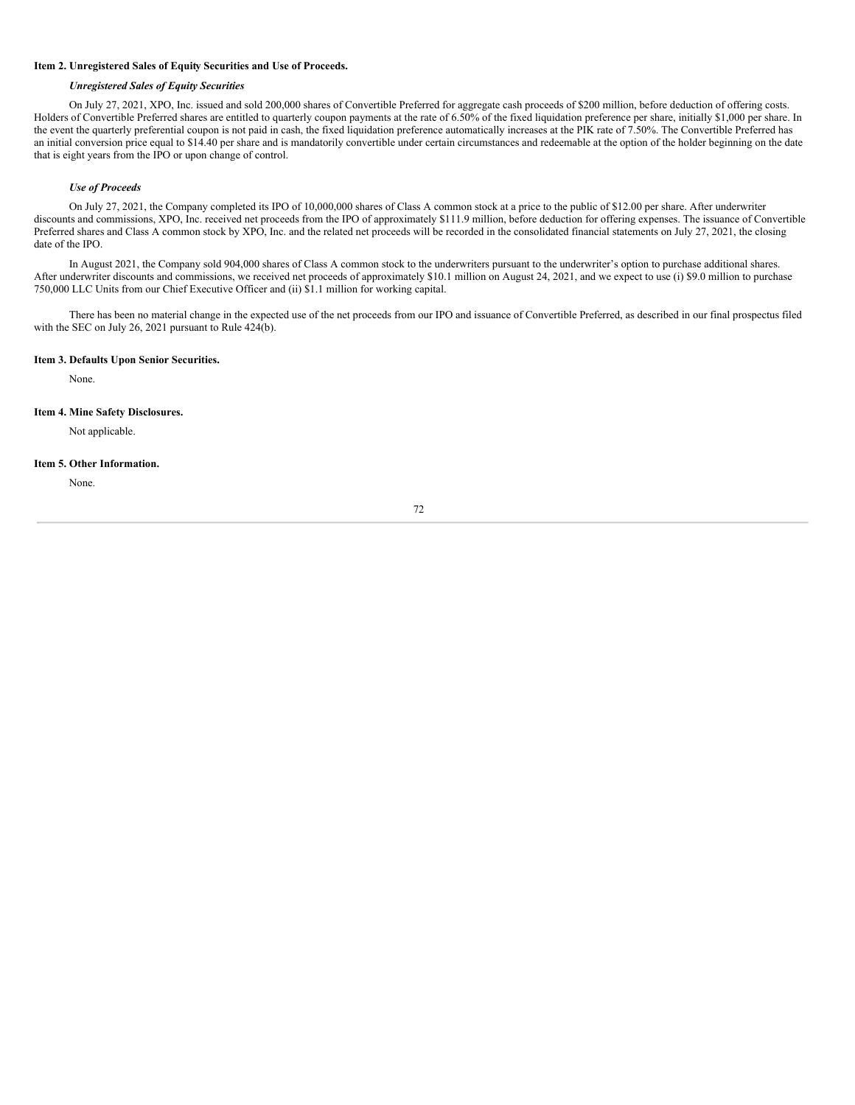# **Item 2. Unregistered Sales of Equity Securities and Use of Proceeds.**

# *Unregistered Sales of Equity Securities*

On July 27, 2021, XPO, Inc. issued and sold 200,000 shares of Convertible Preferred for aggregate cash proceeds of \$200 million, before deduction of offering costs. Holders of Convertible Preferred shares are entitled to quarterly coupon payments at the rate of 6.50% of the fixed liquidation preference per share, initially \$1,000 per share. In the event the quarterly preferential coupon is not paid in cash, the fixed liquidation preference automatically increases at the PIK rate of 7.50%. The Convertible Preferred has an initial conversion price equal to \$14.40 per share and is mandatorily convertible under certain circumstances and redeemable at the option of the holder beginning on the date that is eight years from the IPO or upon change of control.

# *Use of Proceeds*

On July 27, 2021, the Company completed its IPO of 10,000,000 shares of Class A common stock at a price to the public of \$12.00 per share. After underwriter discounts and commissions, XPO, Inc. received net proceeds from the IPO of approximately \$111.9 million, before deduction for offering expenses. The issuance of Convertible Preferred shares and Class A common stock by XPO, Inc. and the related net proceeds will be recorded in the consolidated financial statements on July 27, 2021, the closing date of the IPO.

In August 2021, the Company sold 904,000 shares of Class A common stock to the underwriters pursuant to the underwriter's option to purchase additional shares. After underwriter discounts and commissions, we received net proceeds of approximately \$10.1 million on August 24, 2021, and we expect to use (i) \$9.0 million to purchase 750,000 LLC Units from our Chief Executive Officer and (ii) \$1.1 million for working capital.

There has been no material change in the expected use of the net proceeds from our IPO and issuance of Convertible Preferred, as described in our final prospectus filed with the SEC on July 26, 2021 pursuant to Rule 424(b).

## **Item 3. Defaults Upon Senior Securities.**

None.

## **Item 4. Mine Safety Disclosures.**

Not applicable.

#### **Item 5. Other Information.**

None.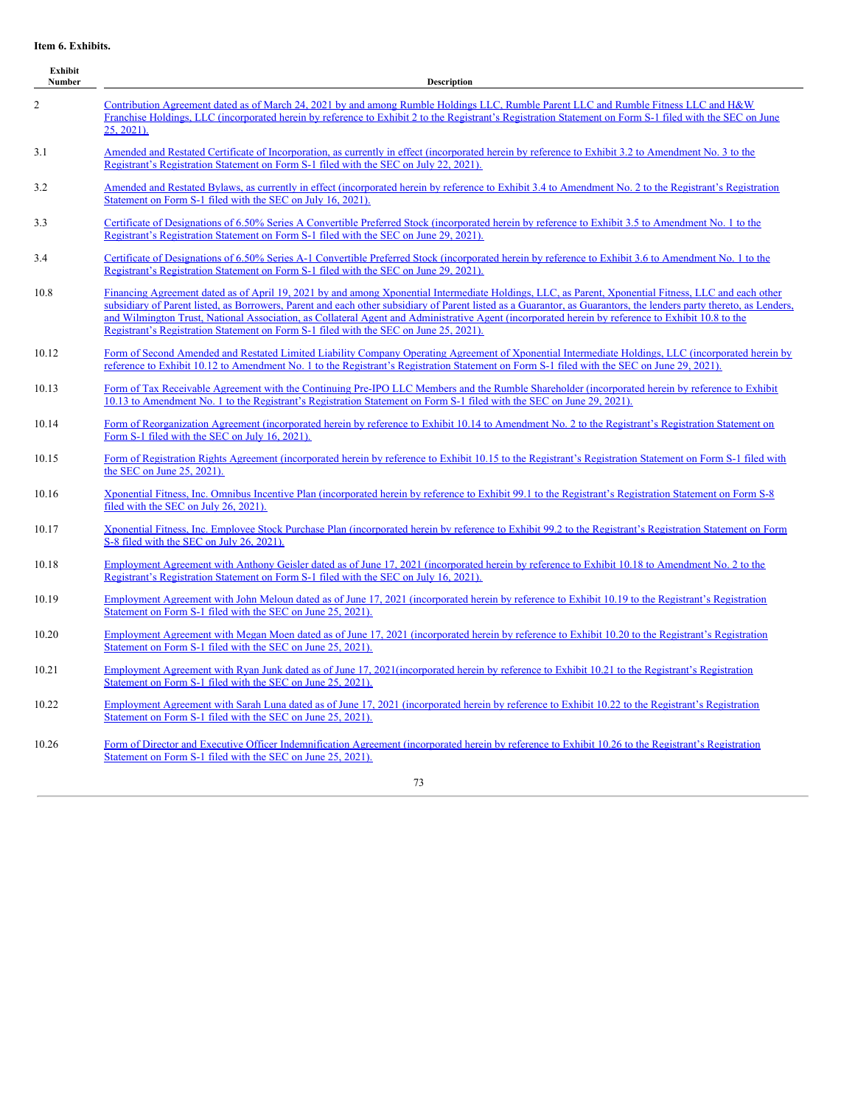| <b>Exhibit</b><br><b>Number</b> | <b>Description</b>                                                                                                                                                                                                                                                                                                                                                                                                                                                                                                                                                       |
|---------------------------------|--------------------------------------------------------------------------------------------------------------------------------------------------------------------------------------------------------------------------------------------------------------------------------------------------------------------------------------------------------------------------------------------------------------------------------------------------------------------------------------------------------------------------------------------------------------------------|
| $\overline{c}$                  | Contribution Agreement dated as of March 24, 2021 by and among Rumble Holdings LLC, Rumble Parent LLC and Rumble Fitness LLC and H&W<br>Franchise Holdings, LLC (incorporated herein by reference to Exhibit 2 to the Registrant's Registration Statement on Form S-1 filed with the SEC on June<br>$25, 2021$ .                                                                                                                                                                                                                                                         |
| 3.1                             | Amended and Restated Certificate of Incorporation, as currently in effect (incorporated herein by reference to Exhibit 3.2 to Amendment No. 3 to the<br>Registrant's Registration Statement on Form S-1 filed with the SEC on July 22, 2021).                                                                                                                                                                                                                                                                                                                            |
| 3.2                             | Amended and Restated Bylaws, as currently in effect (incorporated herein by reference to Exhibit 3.4 to Amendment No. 2 to the Registrant's Registration<br>Statement on Form S-1 filed with the SEC on July 16, 2021).                                                                                                                                                                                                                                                                                                                                                  |
| 3.3                             | Certificate of Designations of 6.50% Series A Convertible Preferred Stock (incorporated herein by reference to Exhibit 3.5 to Amendment No. 1 to the<br>Registrant's Registration Statement on Form S-1 filed with the SEC on June 29, 2021).                                                                                                                                                                                                                                                                                                                            |
| 3.4                             | Certificate of Designations of 6.50% Series A-1 Convertible Preferred Stock (incorporated herein by reference to Exhibit 3.6 to Amendment No. 1 to the<br>Registrant's Registration Statement on Form S-1 filed with the SEC on June 29, 2021).                                                                                                                                                                                                                                                                                                                          |
| 10.8                            | Financing Agreement dated as of April 19, 2021 by and among Xponential Intermediate Holdings, LLC, as Parent, Xponential Fitness, LLC and each other<br>subsidiary of Parent listed, as Borrowers, Parent and each other subsidiary of Parent listed as a Guarantor, as Guarantors, the lenders party thereto, as Lenders,<br>and Wilmington Trust, National Association, as Collateral Agent and Administrative Agent (incorporated herein by reference to Exhibit 10.8 to the<br>Registrant's Registration Statement on Form S-1 filed with the SEC on June 25, 2021). |
| 10.12                           | Form of Second Amended and Restated Limited Liability Company Operating Agreement of Xponential Intermediate Holdings, LLC (incorporated herein by<br>reference to Exhibit 10.12 to Amendment No. 1 to the Registrant's Registration Statement on Form S-1 filed with the SEC on June 29, 2021).                                                                                                                                                                                                                                                                         |
| 10.13                           | Form of Tax Receivable Agreement with the Continuing Pre-IPO LLC Members and the Rumble Shareholder (incorporated herein by reference to Exhibit<br>10.13 to Amendment No. 1 to the Registrant's Registration Statement on Form S-1 filed with the SEC on June 29, 2021).                                                                                                                                                                                                                                                                                                |
| 10.14                           | Form of Reorganization Agreement (incorporated herein by reference to Exhibit 10.14 to Amendment No. 2 to the Registrant's Registration Statement on<br>Form S-1 filed with the SEC on July 16, 2021).                                                                                                                                                                                                                                                                                                                                                                   |
| 10.15                           | Form of Registration Rights Agreement (incorporated herein by reference to Exhibit 10.15 to the Registrant's Registration Statement on Form S-1 filed with<br>the SEC on June 25, 2021).                                                                                                                                                                                                                                                                                                                                                                                 |
| 10.16                           | Xponential Fitness, Inc. Omnibus Incentive Plan (incorporated herein by reference to Exhibit 99.1 to the Registrant's Registration Statement on Form S-8<br>filed with the SEC on July 26, 2021).                                                                                                                                                                                                                                                                                                                                                                        |
| 10.17                           | Xponential Fitness, Inc. Employee Stock Purchase Plan (incorporated herein by reference to Exhibit 99.2 to the Registrant's Registration Statement on Form<br>S-8 filed with the SEC on July 26, 2021).                                                                                                                                                                                                                                                                                                                                                                  |
| 10.18                           | Employment Agreement with Anthony Geisler dated as of June 17, 2021 (incorporated herein by reference to Exhibit 10.18 to Amendment No. 2 to the<br>Registrant's Registration Statement on Form S-1 filed with the SEC on July 16, 2021).                                                                                                                                                                                                                                                                                                                                |
| 10.19                           | Employment Agreement with John Meloun dated as of June 17, 2021 (incorporated herein by reference to Exhibit 10.19 to the Registrant's Registration<br>Statement on Form S-1 filed with the SEC on June 25, 2021).                                                                                                                                                                                                                                                                                                                                                       |
| 10.20                           | Employment Agreement with Megan Moen dated as of June 17, 2021 (incorporated herein by reference to Exhibit 10.20 to the Registrant's Registration<br>Statement on Form S-1 filed with the SEC on June 25, 2021).                                                                                                                                                                                                                                                                                                                                                        |
| 10.21                           | Employment Agreement with Ryan Junk dated as of June 17, 2021 (incorporated herein by reference to Exhibit 10.21 to the Registrant's Registration<br>Statement on Form S-1 filed with the SEC on June 25, 2021).                                                                                                                                                                                                                                                                                                                                                         |
| 10.22                           | Employment Agreement with Sarah Luna dated as of June 17, 2021 (incorporated herein by reference to Exhibit 10.22 to the Registrant's Registration<br>Statement on Form S-1 filed with the SEC on June 25, 2021).                                                                                                                                                                                                                                                                                                                                                        |
| 10.26                           | Form of Director and Executive Officer Indemnification Agreement (incorporated herein by reference to Exhibit 10.26 to the Registrant's Registration<br>Statement on Form S-1 filed with the SEC on June 25, 2021).<br>$\sim$                                                                                                                                                                                                                                                                                                                                            |

73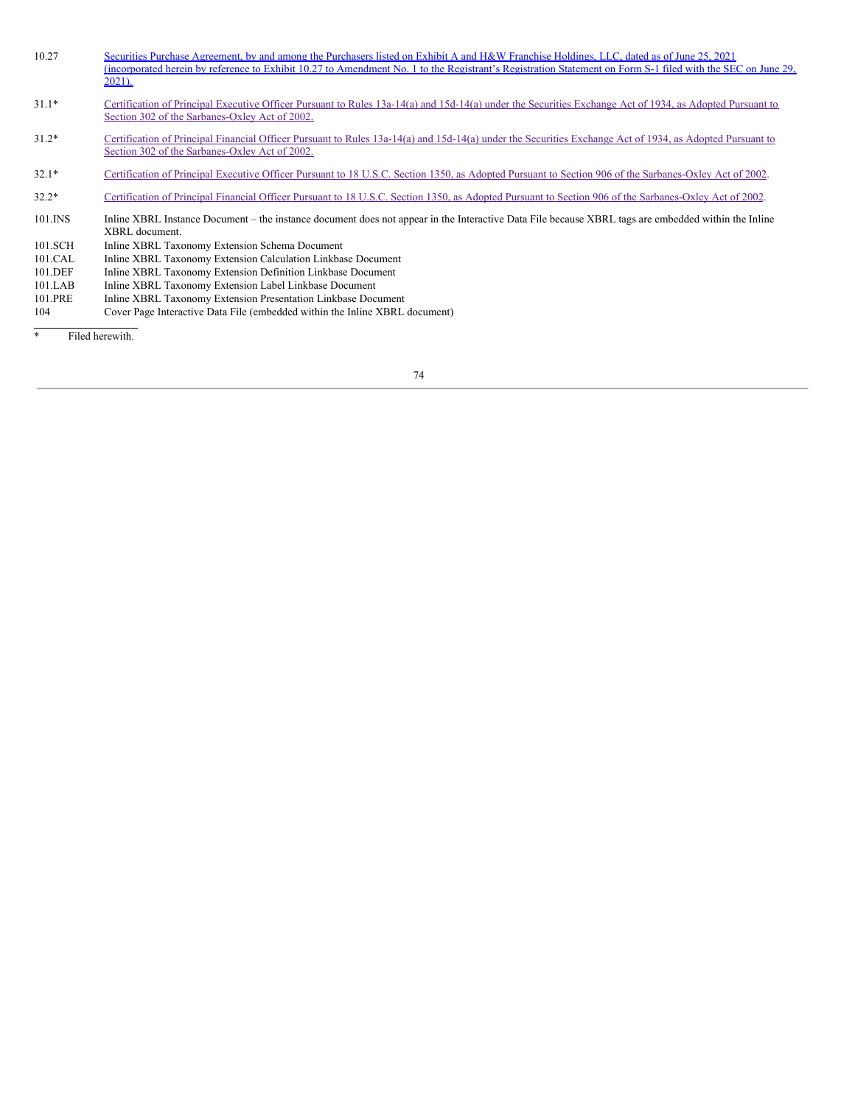- 10.27 Securities Purchase Agreement, by and among the Purchasers listed on Exhibit A and H&W Franchise Holdings, LLC, dated as of June 25, 2021 [\(incorporated](http://www.sec.gov/Archives/edgar/data/0001802156/000119312521203392/d753938dex1027.htm) herein by reference to Exhibit 10.27 to Amendment No. 1 to the Registrant's Registration Statement on Form S-1 filed with the SEC on June 29, 2021).
- 31.1\* Certification of Principal Executive Officer Pursuant to Rules 13a-14(a) and 15d-14(a) under the Securities Exchange Act of 1934, as Adopted Pursuant to Section 302 of the [Sarbanes-Oxley](#page-77-0) Act of 2002.
- 31.2\* Certification of Principal Financial Officer Pursuant to Rules 13a-14(a) and 15d-14(a) under the Securities Exchange Act of 1934, as Adopted Pursuant to Section 302 of the [Sarbanes-Oxley](#page-78-0) Act of 2002.
- 32.1\* Certification of Principal Executive Officer Pursuant to 18 U.S.C. Section 1350, as Adopted Pursuant to Section 906 of the [Sarbanes-Oxley](#page-79-0) Act of 2002.
- 32.2\* Certification of Principal Financial Officer Pursuant to 18 U.S.C. Section 1350, as Adopted Pursuant to Section 906 of the [Sarbanes-Oxley](#page-80-0) Act of 2002.
- 101.INS Inline XBRL Instance Document the instance document does not appear in the Interactive Data File because XBRL tags are embedded within the Inline XBRL document.
- 101.SCH Inline XBRL Taxonomy Extension Schema Document
- 101.CAL Inline XBRL Taxonomy Extension Calculation Linkbase Document
- 101.DEF Inline XBRL Taxonomy Extension Definition Linkbase Document
- 101.LAB Inline XBRL Taxonomy Extension Label Linkbase Document<br>101.PRE Inline XBRL Taxonomy Extension Presentation Linkbase Doc Inline XBRL Taxonomy Extension Presentation Linkbase Document
- 
- 104 Cover Page Interactive Data File (embedded within the Inline XBRL document)

\* Filed herewith.

74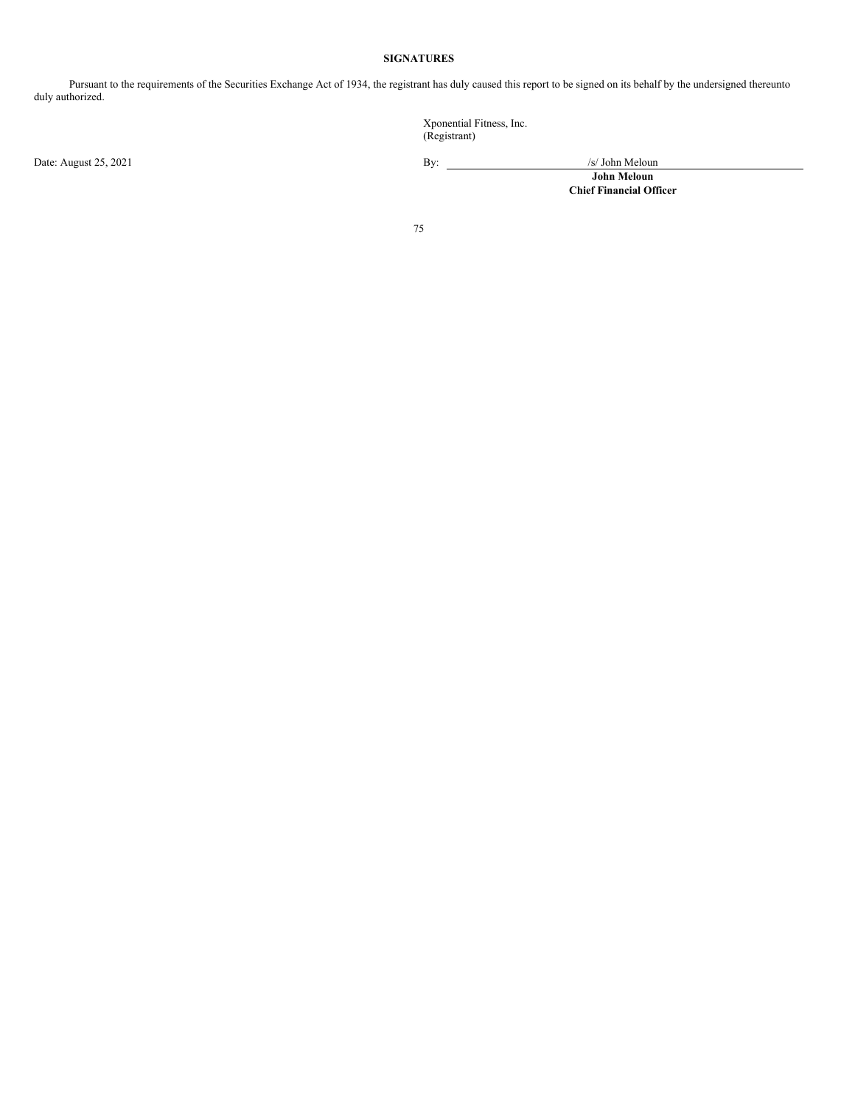# **SIGNATURES**

Pursuant to the requirements of the Securities Exchange Act of 1934, the registrant has duly caused this report to be signed on its behalf by the undersigned thereunto duly authorized.

> Xponential Fitness, Inc. (Registrant)

Date: August 25, 2021 By: /s/ John Meloun

**John Meloun Chief Financial Officer**

75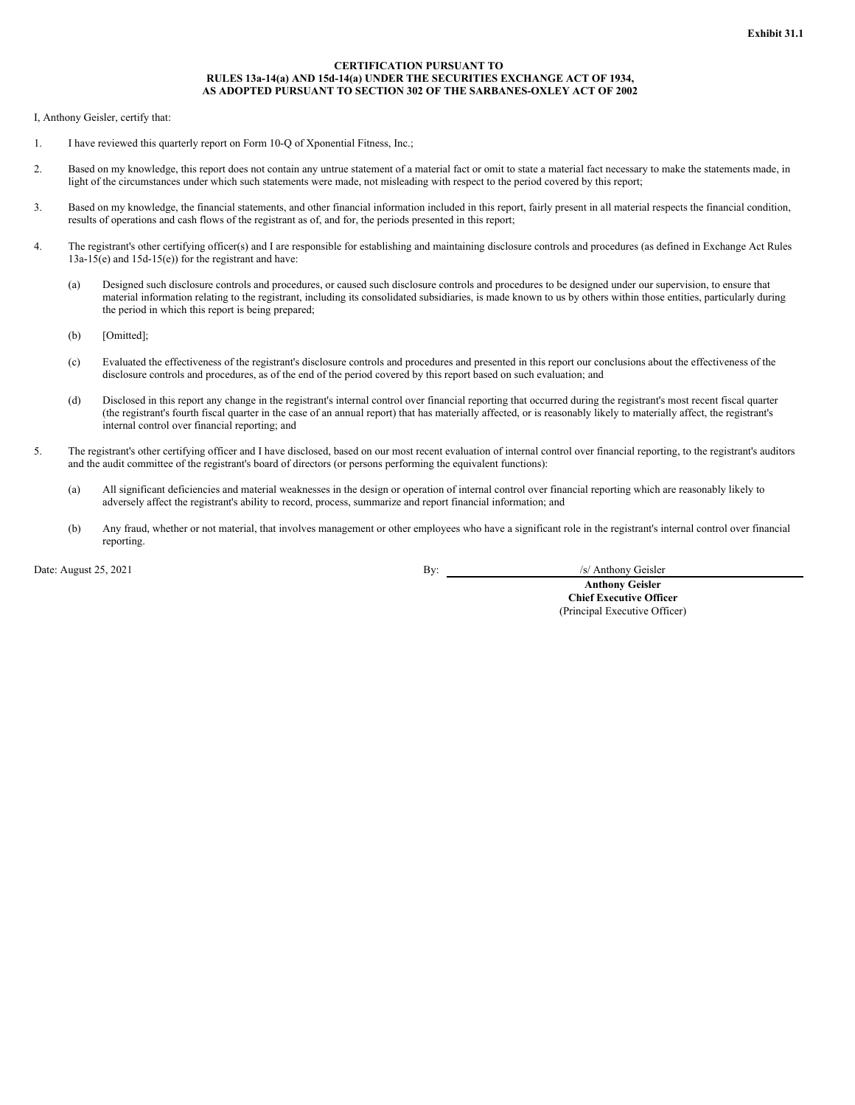# **CERTIFICATION PURSUANT TO RULES 13a-14(a) AND 15d-14(a) UNDER THE SECURITIES EXCHANGE ACT OF 1934, AS ADOPTED PURSUANT TO SECTION 302 OF THE SARBANES-OXLEY ACT OF 2002**

<span id="page-77-0"></span>I, Anthony Geisler, certify that:

- 1. I have reviewed this quarterly report on Form 10-Q of Xponential Fitness, Inc.;
- 2. Based on my knowledge, this report does not contain any untrue statement of a material fact or omit to state a material fact necessary to make the statements made, in light of the circumstances under which such statements were made, not misleading with respect to the period covered by this report;
- 3. Based on my knowledge, the financial statements, and other financial information included in this report, fairly present in all material respects the financial condition, results of operations and cash flows of the registrant as of, and for, the periods presented in this report;
- 4. The registrant's other certifying officer(s) and I are responsible for establishing and maintaining disclosure controls and procedures (as defined in Exchange Act Rules 13a-15(e) and 15d-15(e)) for the registrant and have:
	- (a) Designed such disclosure controls and procedures, or caused such disclosure controls and procedures to be designed under our supervision, to ensure that material information relating to the registrant, including its consolidated subsidiaries, is made known to us by others within those entities, particularly during the period in which this report is being prepared;
	- (b) [Omitted];
	- (c) Evaluated the effectiveness of the registrant's disclosure controls and procedures and presented in this report our conclusions about the effectiveness of the disclosure controls and procedures, as of the end of the period covered by this report based on such evaluation; and
	- (d) Disclosed in this report any change in the registrant's internal control over financial reporting that occurred during the registrant's most recent fiscal quarter (the registrant's fourth fiscal quarter in the case of an annual report) that has materially affected, or is reasonably likely to materially affect, the registrant's internal control over financial reporting; and
- 5. The registrant's other certifying officer and I have disclosed, based on our most recent evaluation of internal control over financial reporting, to the registrant's auditors and the audit committee of the registrant's board of directors (or persons performing the equivalent functions):
	- (a) All significant deficiencies and material weaknesses in the design or operation of internal control over financial reporting which are reasonably likely to adversely affect the registrant's ability to record, process, summarize and report financial information; and
	- (b) Any fraud, whether or not material, that involves management or other employees who have a significant role in the registrant's internal control over financial reporting.

Date: August 25, 2021 /s/ Anthony Geisler

**Anthony Geisler Chief Executive Officer** (Principal Executive Officer)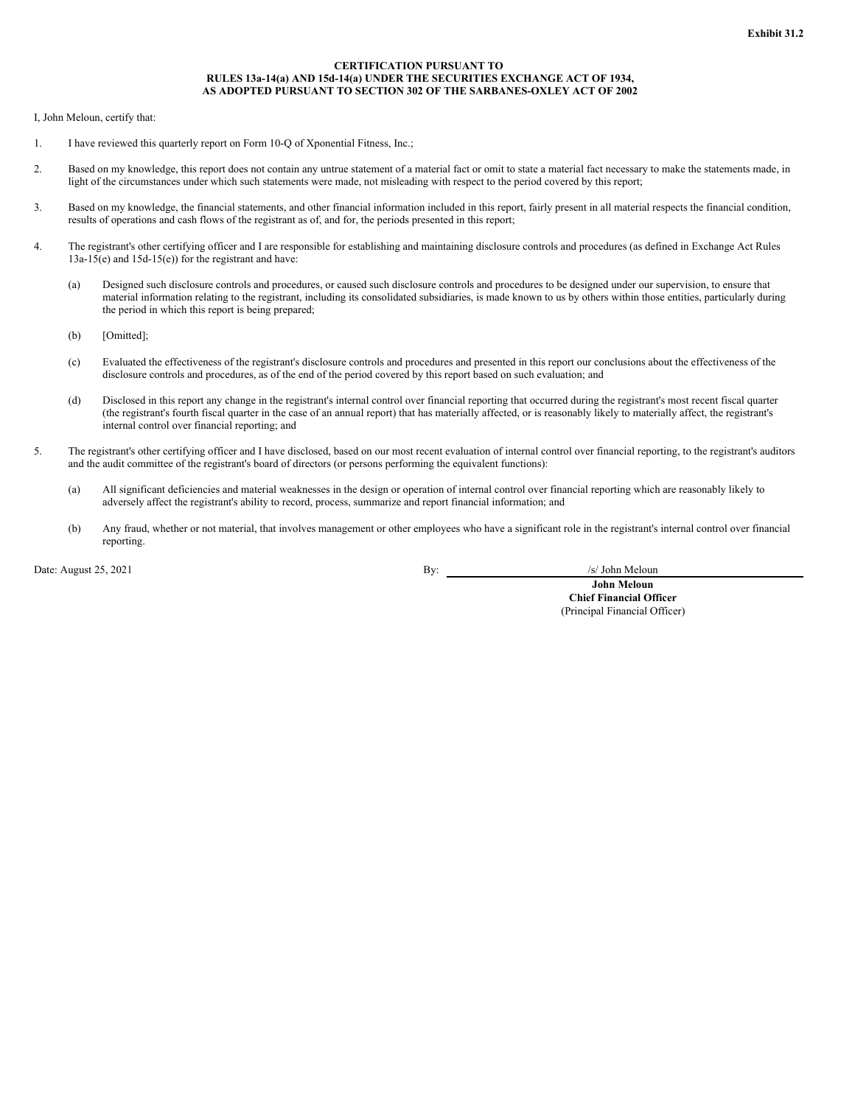# **CERTIFICATION PURSUANT TO RULES 13a-14(a) AND 15d-14(a) UNDER THE SECURITIES EXCHANGE ACT OF 1934, AS ADOPTED PURSUANT TO SECTION 302 OF THE SARBANES-OXLEY ACT OF 2002**

<span id="page-78-0"></span>I, John Meloun, certify that:

- 1. I have reviewed this quarterly report on Form 10-Q of Xponential Fitness, Inc.;
- 2. Based on my knowledge, this report does not contain any untrue statement of a material fact or omit to state a material fact necessary to make the statements made, in light of the circumstances under which such statements were made, not misleading with respect to the period covered by this report;
- 3. Based on my knowledge, the financial statements, and other financial information included in this report, fairly present in all material respects the financial condition, results of operations and cash flows of the registrant as of, and for, the periods presented in this report;
- 4. The registrant's other certifying officer and I are responsible for establishing and maintaining disclosure controls and procedures (as defined in Exchange Act Rules 13a-15(e) and 15d-15(e)) for the registrant and have:
	- (a) Designed such disclosure controls and procedures, or caused such disclosure controls and procedures to be designed under our supervision, to ensure that material information relating to the registrant, including its consolidated subsidiaries, is made known to us by others within those entities, particularly during the period in which this report is being prepared;
	- (b) [Omitted];
	- (c) Evaluated the effectiveness of the registrant's disclosure controls and procedures and presented in this report our conclusions about the effectiveness of the disclosure controls and procedures, as of the end of the period covered by this report based on such evaluation; and
	- (d) Disclosed in this report any change in the registrant's internal control over financial reporting that occurred during the registrant's most recent fiscal quarter (the registrant's fourth fiscal quarter in the case of an annual report) that has materially affected, or is reasonably likely to materially affect, the registrant's internal control over financial reporting; and
- 5. The registrant's other certifying officer and I have disclosed, based on our most recent evaluation of internal control over financial reporting, to the registrant's auditors and the audit committee of the registrant's board of directors (or persons performing the equivalent functions):
	- (a) All significant deficiencies and material weaknesses in the design or operation of internal control over financial reporting which are reasonably likely to adversely affect the registrant's ability to record, process, summarize and report financial information; and
	- (b) Any fraud, whether or not material, that involves management or other employees who have a significant role in the registrant's internal control over financial reporting.

Date: August 25, 2021 / /s/ John Meloun / /s/ John Meloun / /s/ John Meloun / /s/ John Meloun / /s/ John Meloun

**John Meloun Chief Financial Officer** (Principal Financial Officer)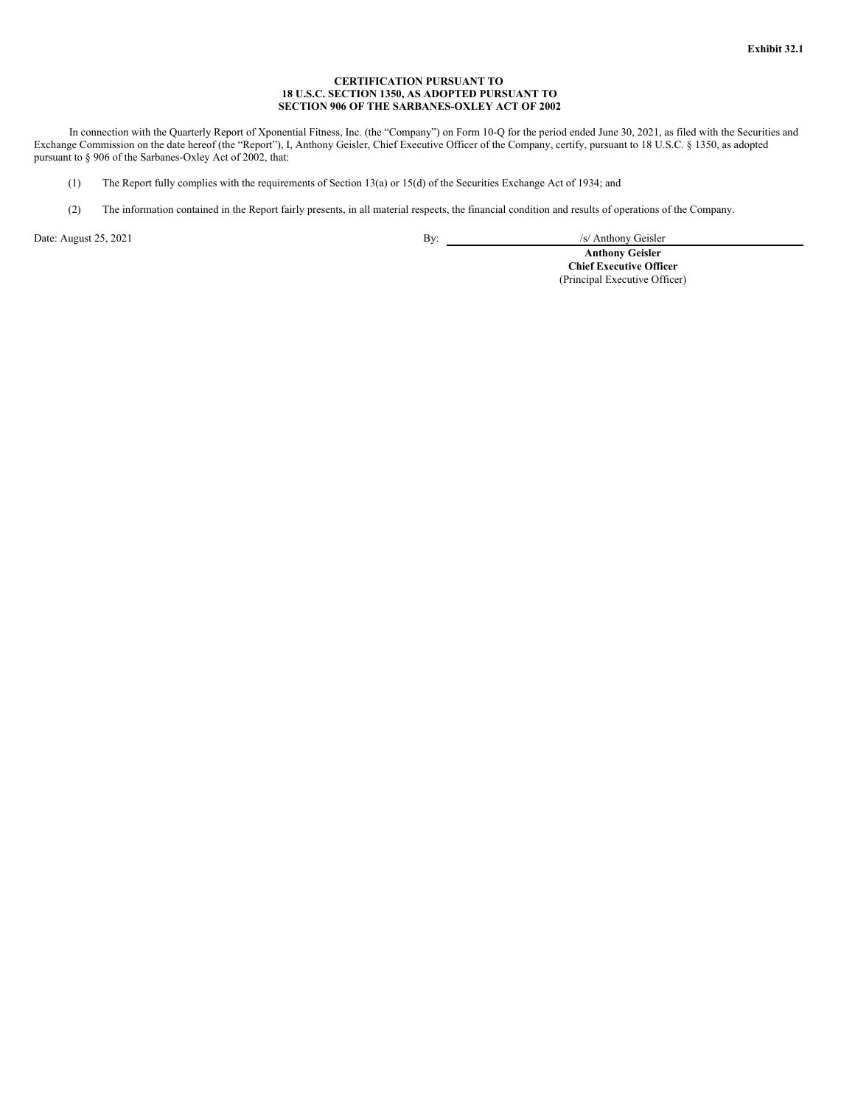# **CERTIFICATION PURSUANT TO 18 U.S.C. SECTION 1350, AS ADOPTED PURSUANT TO SECTION 906 OF THE SARBANES-OXLEY ACT OF 2002**

<span id="page-79-0"></span>In connection with the Quarterly Report of Xponential Fitness, Inc. (the "Company") on Form 10-Q for the period ended June 30, 2021, as filed with the Securities and Exchange Commission on the date hereof (the "Report"), I, Anthony Geisler, Chief Executive Officer of the Company, certify, pursuant to 18 U.S.C. § 1350, as adopted pursuant to § 906 of the Sarbanes-Oxley Act of 2002, that:

- (1) The Report fully complies with the requirements of Section 13(a) or 15(d) of the Securities Exchange Act of 1934; and
- (2) The information contained in the Report fairly presents, in all material respects, the financial condition and results of operations of the Company.

Date: August 25, 2021 By: /s/ Anthony Geisler

**Anthony Geisler Chief Executive Officer** (Principal Executive Officer)